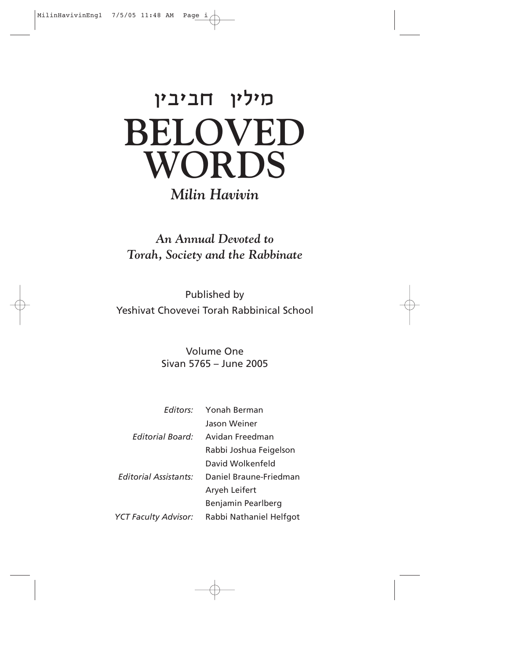# מיליו חביביו **BELOVED WORDS** *Milin Havivin*

*An Annual Devoted to Torah, Society and the Rabbinate*

Published by Yeshivat Chovevei Torah Rabbinical School

> Volume One Sivan 5765 – June 2005

|                              | Editors: Yonah Berman   |
|------------------------------|-------------------------|
|                              | Jason Weiner            |
| Fditorial Board:             | Avidan Freedman         |
|                              | Rabbi Joshua Feigelson  |
|                              | David Wolkenfeld        |
| <b>Editorial Assistants:</b> | Daniel Braune-Friedman  |
|                              | Aryeh Leifert           |
|                              | Benjamin Pearlberg      |
| <b>YCT Faculty Advisor:</b>  | Rabbi Nathaniel Helfgot |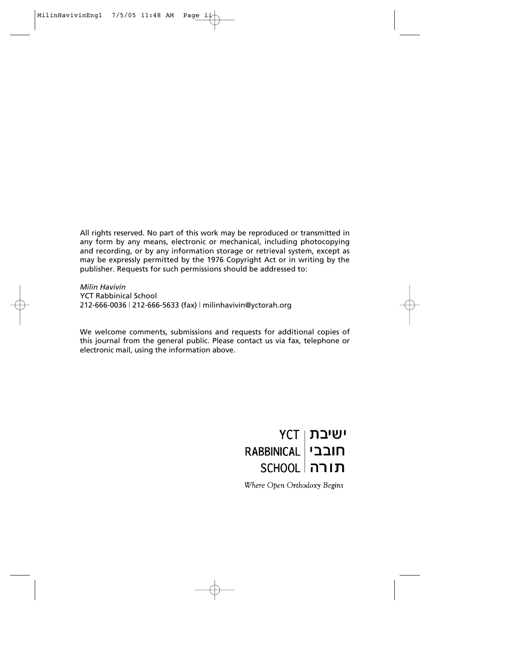All rights reserved. No part of this work may be reproduced or transmitted in any form by any means, electronic or mechanical, including photocopying and recording, or by any information storage or retrieval system, except as may be expressly permitted by the 1976 Copyright Act or in writing by the publisher. Requests for such permissions should be addressed to:

*Milin Havivin* YCT Rabbinical School 212-666-0036 | 212-666-5633 (fax) | milinhavivin@yctorah.org

We welcome comments, submissions and requests for additional copies of this journal from the general public. Please contact us via fax, telephone or electronic mail, using the information above.

|                    | ישיבת <sub> </sub> ז׳ |
|--------------------|-----------------------|
| חובבי   RABBINICAL |                       |
| תורה SCHOOL        |                       |

Where Open Orthodoxy Begins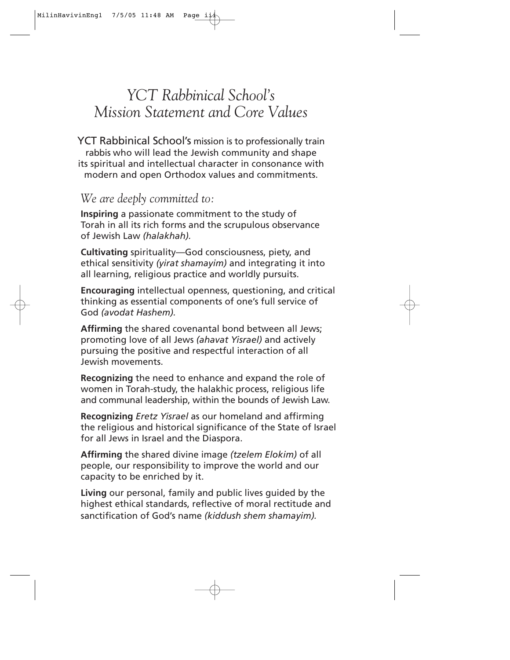# *YCT Rabbinical School's Mission Statement and Core Values*

YCT Rabbinical School's mission is to professionally train rabbis who will lead the Jewish community and shape its spiritual and intellectual character in consonance with modern and open Orthodox values and commitments.

# *We are deeply committed to:*

**Inspiring** a passionate commitment to the study of Torah in all its rich forms and the scrupulous observance of Jewish Law *(halakhah).*

**Cultivating** spirituality—God consciousness, piety, and ethical sensitivity *(yirat shamayim)* and integrating it into all learning, religious practice and worldly pursuits.

**Encouraging** intellectual openness, questioning, and critical thinking as essential components of one's full service of God *(avodat Hashem).*

**Affirming** the shared covenantal bond between all Jews; promoting love of all Jews *(ahavat Yisrael)* and actively pursuing the positive and respectful interaction of all Jewish movements.

**Recognizing** the need to enhance and expand the role of women in Torah-study, the halakhic process, religious life and communal leadership, within the bounds of Jewish Law.

**Recognizing** *Eretz Yisrael* as our homeland and affirming the religious and historical significance of the State of Israel for all Jews in Israel and the Diaspora.

**Affirming** the shared divine image *(tzelem Elokim)* of all people, our responsibility to improve the world and our capacity to be enriched by it.

**Living** our personal, family and public lives guided by the highest ethical standards, reflective of moral rectitude and sanctification of God's name *(kiddush shem shamayim).*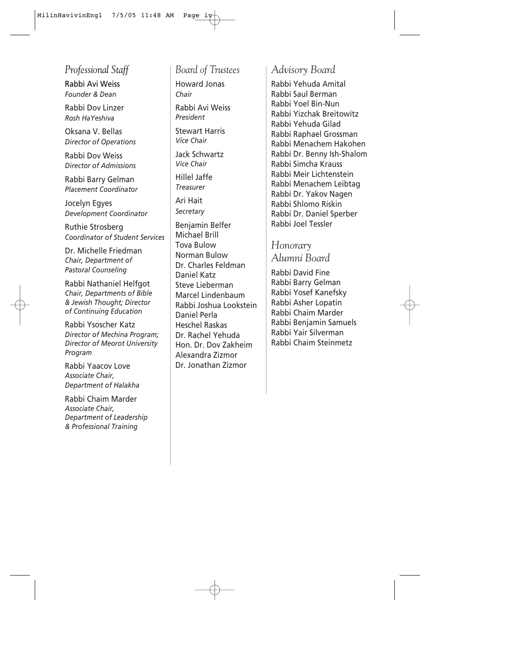# *Professional Staff*

Rabbi Avi Weiss *Founder & Dean*

Rabbi Dov Linzer *Rosh HaYeshiva*

Oksana V. Bellas *Director of Operations*

Rabbi Dov Weiss *Director of Admissions*

Rabbi Barry Gelman *Placement Coordinator*

Jocelyn Egyes *Development Coordinator*

Ruthie Strosberg *Coordinator of Student Services*

Dr. Michelle Friedman *Chair, Department of Pastoral Counseling*

Rabbi Nathaniel Helfgot *Chair, Departments of Bible & Jewish Thought; Director of Continuing Education*

Rabbi Ysoscher Katz *Director of Mechina Program; Director of Meorot University Program*

Rabbi Yaacov Love *Associate Chair, Department of Halakha*

Rabbi Chaim Marder *Associate Chair, Department of Leadership & Professional Training*

# *Board of Trustees*

Howard Jonas *Chair* Rabbi Avi Weiss *President*  Stewart Harris

*Vice Chair*

Jack Schwartz *Vice Chair*

Hillel Jaffe *Treasurer*

Ari Hait *Secretary* Benjamin Belfer Michael Brill Tova Bulow Norman Bulow Dr. Charles Feldman Daniel Katz Steve Lieberman Marcel Lindenbaum Rabbi Joshua Lookstein Daniel Perla Heschel Raskas Dr. Rachel Yehuda Hon. Dr. Dov Zakheim Alexandra Zizmor Dr. Jonathan Zizmor

# *Advisory Board*

Rabbi Yehuda Amital Rabbi Saul Berman Rabbi Yoel Bin-Nun Rabbi Yizchak Breitowitz Rabbi Yehuda Gilad Rabbi Raphael Grossman Rabbi Menachem Hakohen Rabbi Dr. Benny Ish-Shalom Rabbi Simcha Krauss Rabbi Meir Lichtenstein Rabbi Menachem Leibtag Rabbi Dr. Yakov Nagen Rabbi Shlomo Riskin Rabbi Dr. Daniel Sperber Rabbi Joel Tessler

# *Honorary*

*Alumni Board*

Rabbi David Fine Rabbi Barry Gelman Rabbi Yosef Kanefsky Rabbi Asher Lopatin Rabbi Chaim Marder Rabbi Benjamin Samuels Rabbi Yair Silverman Rabbi Chaim Steinmetz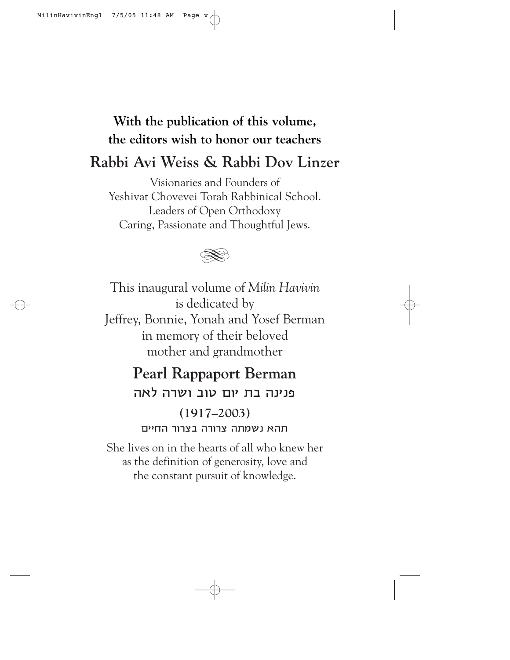# **With the publication of this volume, the editors wish to honor our teachers**

# **Rabbi Avi Weiss & Rabbi Dov Linzer**

Visionaries and Founders of Yeshivat Chovevei Torah Rabbinical School. Leaders of Open Orthodoxy Caring, Passionate and Thoughtful Jews.



This inaugural volume of *Milin Havivin* is dedicated by Jeffrey, Bonnie, Yonah and Yosef Berman in memory of their beloved mother and grandmother

> **Pearl Rappaport Berman** פנינה בת יום טוב ושרה לאה

**(1917–2003)** תהא נשמתה צרורה בצרור הח*יי*ם

She lives on in the hearts of all who knew her as the definition of generosity, love and the constant pursuit of knowledge.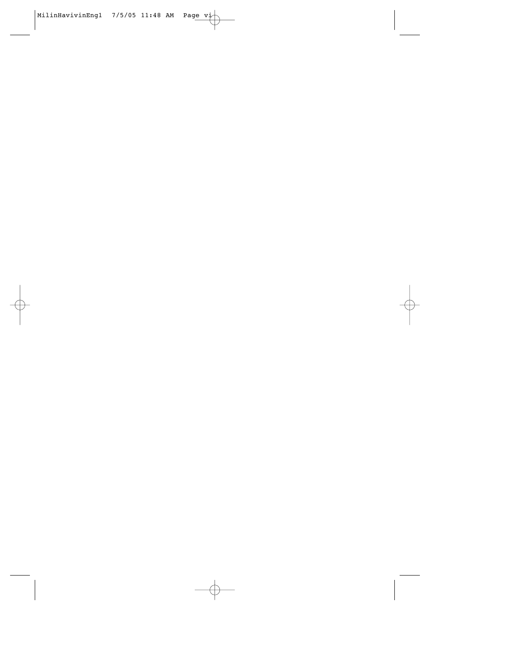$\overline{\bigoplus}$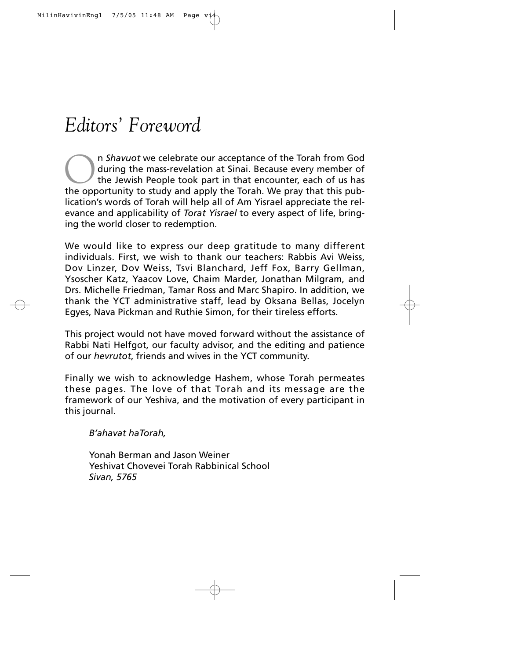# *Editors' Foreword*

On *Shavuot* we celebrate our acceptance of the Torah from God<br>during the mass-revelation at Sinai. Because every member of<br>the Jewish People took part in that encounter, each of us has<br>the opportunity to study and apply t during the mass-revelation at Sinai. Because every member of the Jewish People took part in that encounter, each of us has the opportunity to study and apply the Torah. We pray that this publication's words of Torah will help all of Am Yisrael appreciate the relevance and applicability of *Torat Yisrael* to every aspect of life, bringing the world closer to redemption.

We would like to express our deep gratitude to many different individuals. First, we wish to thank our teachers: Rabbis Avi Weiss, Dov Linzer, Dov Weiss, Tsvi Blanchard, Jeff Fox, Barry Gellman, Ysoscher Katz, Yaacov Love, Chaim Marder, Jonathan Milgram, and Drs. Michelle Friedman, Tamar Ross and Marc Shapiro. In addition, we thank the YCT administrative staff, lead by Oksana Bellas, Jocelyn Egyes, Nava Pickman and Ruthie Simon, for their tireless efforts.

This project would not have moved forward without the assistance of Rabbi Nati Helfgot, our faculty advisor, and the editing and patience of our *hevrutot*, friends and wives in the YCT community.

Finally we wish to acknowledge Hashem, whose Torah permeates these pages. The love of that Torah and its message are the framework of our Yeshiva, and the motivation of every participant in this journal.

*B'ahavat haTorah,*

Yonah Berman and Jason Weiner Yeshivat Chovevei Torah Rabbinical School *Sivan, 5765*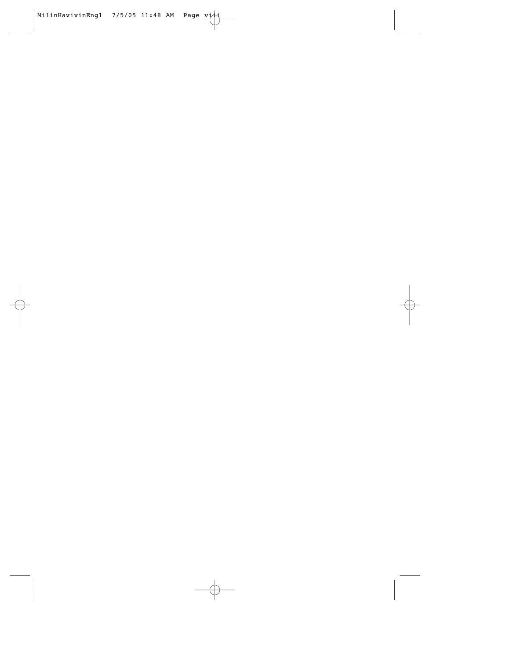$\overline{\bigoplus}$ 

 $\overline{\bigoplus}$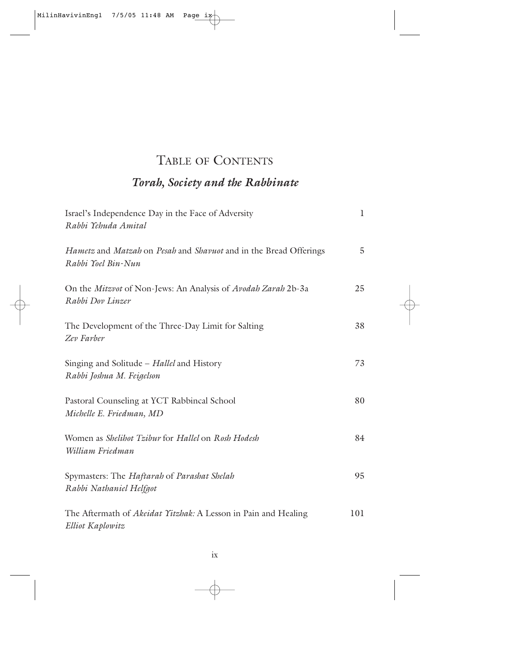# TABLE OF CONTENTS

# *Torah, Society and the Rabbinate*

| Israel's Independence Day in the Face of Adversity<br>Rabbi Yehuda Amital               | 1   |  |
|-----------------------------------------------------------------------------------------|-----|--|
| Hametz and Matzah on Pesah and Shavuot and in the Bread Offerings<br>Rabbi Yoel Bin-Nun | 5   |  |
| On the Mitzvot of Non-Jews: An Analysis of Avodah Zarah 2b-3a<br>Rabbi Dov Linzer       | 25  |  |
| The Development of the Three-Day Limit for Salting<br>Zev Farber                        | 38  |  |
| Singing and Solitude - Hallel and History<br>Rabbi Joshua M. Feigelson                  | 73  |  |
| Pastoral Counseling at YCT Rabbincal School<br>Michelle E. Friedman, MD                 | 80  |  |
| Women as Shelihot Tzibur for Hallel on Rosh Hodesh<br>William Friedman                  | 84  |  |
| Spymasters: The Haftarah of Parashat Shelah<br>Rabbi Nathaniel Helfgot                  | 95  |  |
| The Aftermath of Akeidat Yitzhak: A Lesson in Pain and Healing<br>Elliot Kaplowitz      | 101 |  |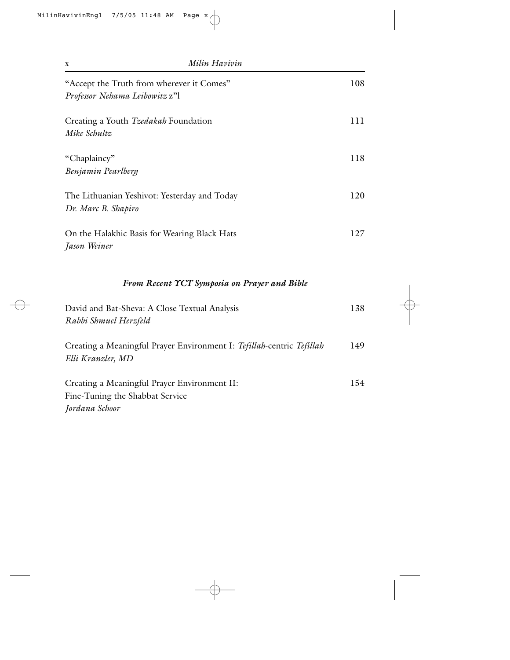| Milin Havivin<br>X                                                                                |     |
|---------------------------------------------------------------------------------------------------|-----|
| "Accept the Truth from wherever it Comes"<br>Professor Nehama Leibowitz z"l                       | 108 |
| Creating a Youth Tzedakah Foundation<br>Mike Schultz                                              | 111 |
| "Chaplaincy"<br>Benjamin Pearlberg                                                                | 118 |
| The Lithuanian Yeshivot: Yesterday and Today<br>Dr. Marc B. Shapiro                               | 120 |
| On the Halakhic Basis for Wearing Black Hats<br>Jason Weiner                                      | 127 |
| From Recent YCT Symposia on Prayer and Bible                                                      |     |
| David and Bat-Sheva: A Close Textual Analysis<br>Rabbi Shmuel Herzfeld                            | 138 |
| Creating a Meaningful Prayer Environment I: Tefillah-centric Tefillah<br>Elli Kranzler, MD        | 149 |
| Creating a Meaningful Prayer Environment II:<br>Fine-Tuning the Shabbat Service<br>Jordana Schoor | 154 |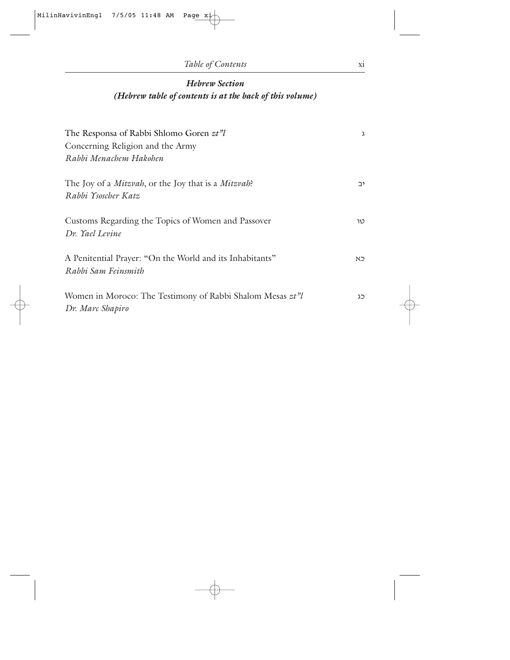*Table of Contents* xi

# *Hebrew Section (Hebrew table of contents is at the back of this volume)*

| The Responsa of Rabbi Shlomo Goren zt"l<br>Concerning Religion and the Army<br>Rabbi Menachem Hakohen | λ  |
|-------------------------------------------------------------------------------------------------------|----|
| The Joy of a <i>Mitzvah</i> , or the Joy that is a <i>Mitzvah</i> ?<br>Rabbi Ysoscher Katz            | יב |
| Customs Regarding the Topics of Women and Passover<br>Dr. Yael Levine                                 | טו |
| A Penitential Prayer: "On the World and its Inhabitants"<br>Rabbi Sam Feinsmith                       | כא |
| Women in Moroco: The Testimony of Rabbi Shalom Mesas zt"l<br>Dr. Marc Shapiro                         | כג |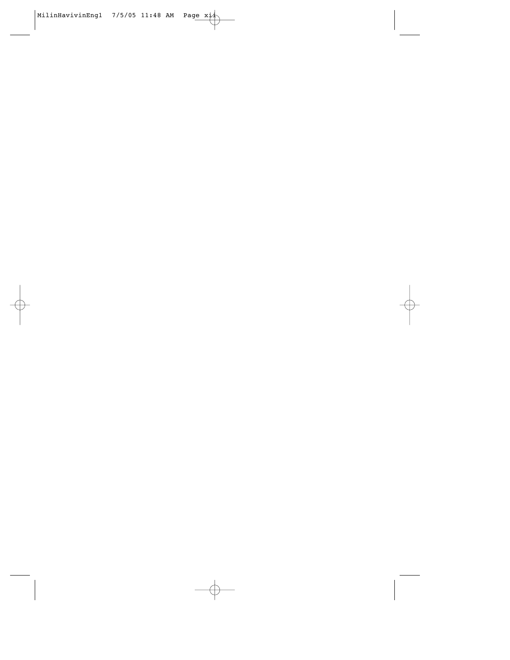$\overline{\bigoplus}$ 

 $\overline{\bigoplus}$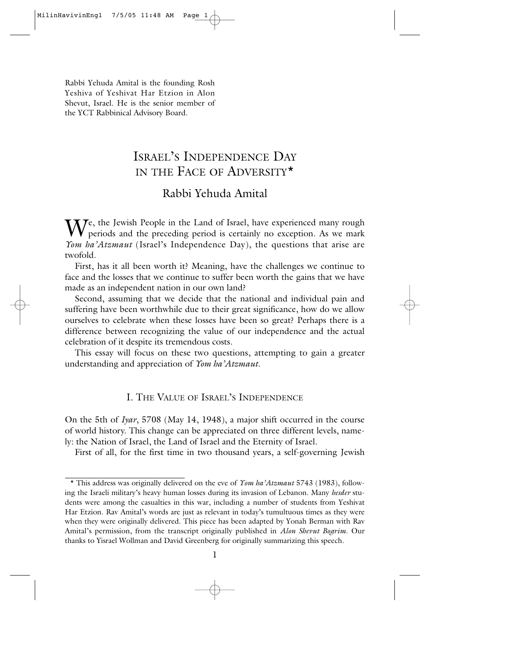Rabbi Yehuda Amital is the founding Rosh Yeshiva of Yeshivat Har Etzion in Alon Shevut, Israel. He is the senior member of the YCT Rabbinical Advisory Board.

# ISRAEL'S INDEPENDENCE DAY IN THE FACE OF ADVERSITY\*

# Rabbi Yehuda Amital

We, the Jewish People in the Land of Israel, have experienced many rough periods and the preceding period is certainly no exception. As we mark *Yom ha'Atzmaut* (Israel's Independence Day), the questions that arise are twofold.

First, has it all been worth it? Meaning, have the challenges we continue to face and the losses that we continue to suffer been worth the gains that we have made as an independent nation in our own land?

Second, assuming that we decide that the national and individual pain and suffering have been worthwhile due to their great significance, how do we allow ourselves to celebrate when these losses have been so great? Perhaps there is a difference between recognizing the value of our independence and the actual celebration of it despite its tremendous costs.

This essay will focus on these two questions, attempting to gain a greater understanding and appreciation of *Yom ha'Atzmaut*.

#### I. THE VALUE OF ISRAEL'S INDEPENDENCE

On the 5th of *Iyar*, 5708 (May 14, 1948), a major shift occurred in the course of world history. This change can be appreciated on three different levels, namely: the Nation of Israel, the Land of Israel and the Eternity of Israel.

First of all, for the first time in two thousand years, a self-governing Jewish

<sup>\*</sup> This address was originally delivered on the eve of *Yom ha'Atzmaut* 5743 (1983), following the Israeli military's heavy human losses during its invasion of Lebanon. Many *hesder* students were among the casualties in this war, including a number of students from Yeshivat Har Etzion. Rav Amital's words are just as relevant in today's tumultuous times as they were when they were originally delivered. This piece has been adapted by Yonah Berman with Rav Amital's permission, from the transcript originally published in *Alon Shevut Bogrim*. Our thanks to Yisrael Wollman and David Greenberg for originally summarizing this speech.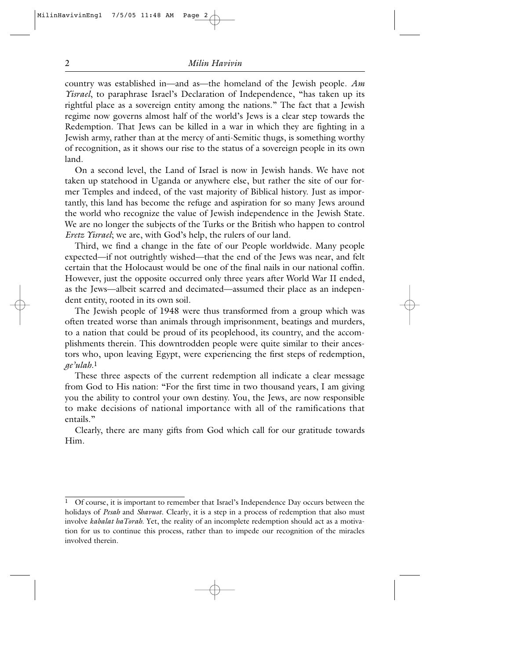country was established in—and as—the homeland of the Jewish people. *Am Yisrael*, to paraphrase Israel's Declaration of Independence, "has taken up its rightful place as a sovereign entity among the nations." The fact that a Jewish regime now governs almost half of the world's Jews is a clear step towards the Redemption. That Jews can be killed in a war in which they are fighting in a Jewish army, rather than at the mercy of anti-Semitic thugs, is something worthy of recognition, as it shows our rise to the status of a sovereign people in its own land.

On a second level, the Land of Israel is now in Jewish hands. We have not taken up statehood in Uganda or anywhere else, but rather the site of our former Temples and indeed, of the vast majority of Biblical history. Just as importantly, this land has become the refuge and aspiration for so many Jews around the world who recognize the value of Jewish independence in the Jewish State. We are no longer the subjects of the Turks or the British who happen to control *Eretz Yisrael*; we are, with God's help, the rulers of our land.

Third, we find a change in the fate of our People worldwide. Many people expected—if not outrightly wished—that the end of the Jews was near, and felt certain that the Holocaust would be one of the final nails in our national coffin. However, just the opposite occurred only three years after World War II ended, as the Jews—albeit scarred and decimated—assumed their place as an independent entity, rooted in its own soil.

The Jewish people of 1948 were thus transformed from a group which was often treated worse than animals through imprisonment, beatings and murders, to a nation that could be proud of its peoplehood, its country, and the accomplishments therein. This downtrodden people were quite similar to their ancestors who, upon leaving Egypt, were experiencing the first steps of redemption, *ge'ulah*.1

These three aspects of the current redemption all indicate a clear message from God to His nation: "For the first time in two thousand years, I am giving you the ability to control your own destiny. You, the Jews, are now responsible to make decisions of national importance with all of the ramifications that entails."

Clearly, there are many gifts from God which call for our gratitude towards Him.

<sup>1</sup> Of course, it is important to remember that Israel's Independence Day occurs between the holidays of *Pesah* and *Shavuot*. Clearly, it is a step in a process of redemption that also must involve *kabalat haTorah*. Yet, the reality of an incomplete redemption should act as a motivation for us to continue this process, rather than to impede our recognition of the miracles involved therein.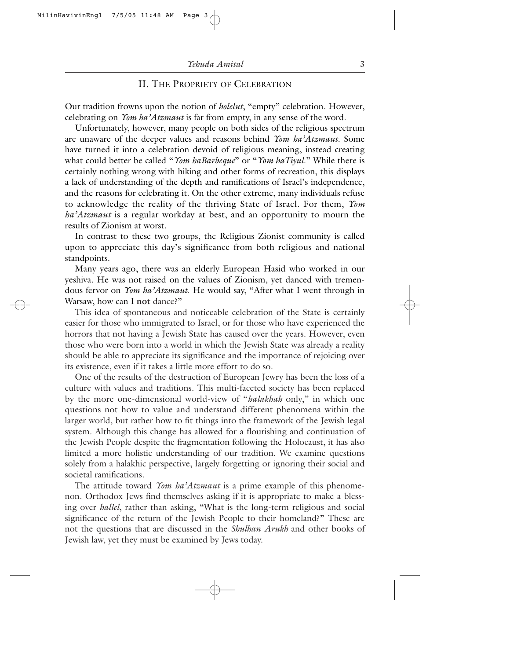*Yehuda Amital* 3

### II. THE PROPRIETY OF CELEBRATION

Our tradition frowns upon the notion of *holelut*, "empty" celebration. However, celebrating on *Yom ha'Atzmaut* is far from empty, in any sense of the word.

Unfortunately, however, many people on both sides of the religious spectrum are unaware of the deeper values and reasons behind *Yom ha'Atzmaut*. Some have turned it into a celebration devoid of religious meaning, instead creating what could better be called "*Yom haBarbeque*" or "*Yom haTiyul*." While there is certainly nothing wrong with hiking and other forms of recreation, this displays a lack of understanding of the depth and ramifications of Israel's independence, and the reasons for celebrating it. On the other extreme, many individuals refuse to acknowledge the reality of the thriving State of Israel. For them, *Yom ha'Atzmaut* is a regular workday at best, and an opportunity to mourn the results of Zionism at worst.

In contrast to these two groups, the Religious Zionist community is called upon to appreciate this day's significance from both religious and national standpoints.

Many years ago, there was an elderly European Hasid who worked in our yeshiva. He was not raised on the values of Zionism, yet danced with tremendous fervor on *Yom ha'Atzmaut*. He would say, "After what I went through in Warsaw, how can I **not** dance?"

This idea of spontaneous and noticeable celebration of the State is certainly easier for those who immigrated to Israel, or for those who have experienced the horrors that not having a Jewish State has caused over the years. However, even those who were born into a world in which the Jewish State was already a reality should be able to appreciate its significance and the importance of rejoicing over its existence, even if it takes a little more effort to do so.

One of the results of the destruction of European Jewry has been the loss of a culture with values and traditions. This multi-faceted society has been replaced by the more one-dimensional world-view of "*halakhah* only," in which one questions not how to value and understand different phenomena within the larger world, but rather how to fit things into the framework of the Jewish legal system. Although this change has allowed for a flourishing and continuation of the Jewish People despite the fragmentation following the Holocaust, it has also limited a more holistic understanding of our tradition. We examine questions solely from a halakhic perspective, largely forgetting or ignoring their social and societal ramifications.

The attitude toward *Yom ha'Atzmaut* is a prime example of this phenomenon. Orthodox Jews find themselves asking if it is appropriate to make a blessing over *hallel*, rather than asking, "What is the long-term religious and social significance of the return of the Jewish People to their homeland?" These are not the questions that are discussed in the *Shulhan Arukh* and other books of Jewish law, yet they must be examined by Jews today.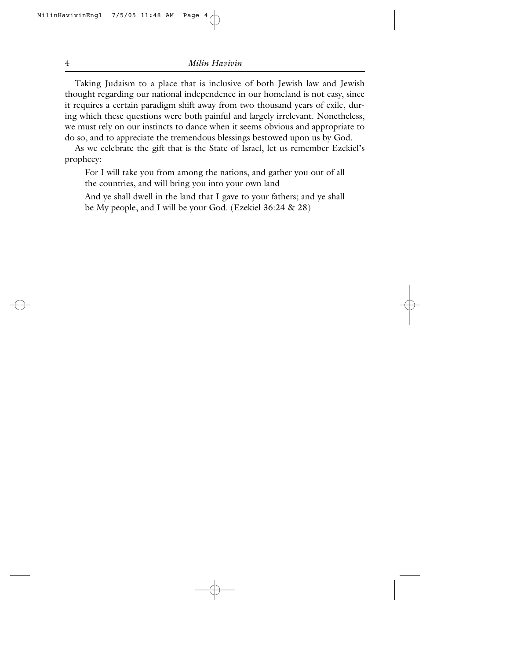Taking Judaism to a place that is inclusive of both Jewish law and Jewish thought regarding our national independence in our homeland is not easy, since it requires a certain paradigm shift away from two thousand years of exile, during which these questions were both painful and largely irrelevant. Nonetheless, we must rely on our instincts to dance when it seems obvious and appropriate to do so, and to appreciate the tremendous blessings bestowed upon us by God.

As we celebrate the gift that is the State of Israel, let us remember Ezekiel's prophecy:

For I will take you from among the nations, and gather you out of all the countries, and will bring you into your own land

And ye shall dwell in the land that I gave to your fathers; and ye shall be My people, and I will be your God. (Ezekiel 36:24 & 28)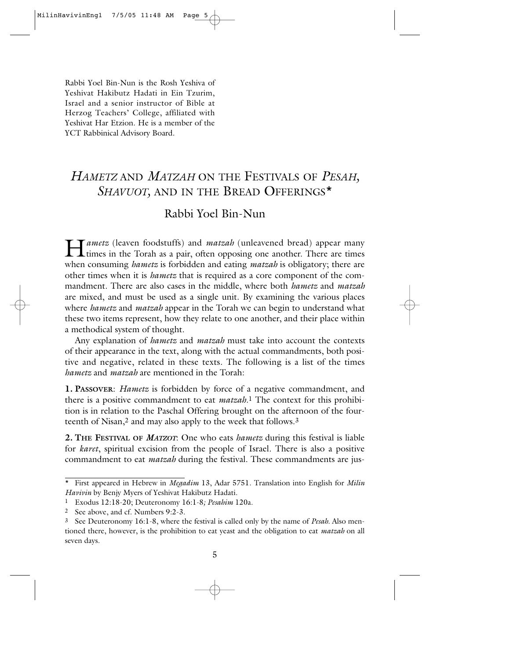Rabbi Yoel Bin-Nun is the Rosh Yeshiva of Yeshivat Hakibutz Hadati in Ein Tzurim, Israel and a senior instructor of Bible at Herzog Teachers' College, affiliated with Yeshivat Har Etzion. He is a member of the YCT Rabbinical Advisory Board.

# *HAMETZ* AND *MATZAH* ON THE FESTIVALS OF *PESAH,* SHAVUOT, AND IN THE BREAD OFFERINGS\*

# Rabbi Yoel Bin-Nun

H*ametz* (leaven foodstuffs) and *matzah* (unleavened bread) appear many times in the Torah as a pair, often opposing one another. There are times when consuming *hametz* is forbidden and eating *matzah* is obligatory; there are other times when it is *hametz* that is required as a core component of the commandment. There are also cases in the middle, where both *hametz* and *matzah* are mixed, and must be used as a single unit. By examining the various places where *hametz* and *matzah* appear in the Torah we can begin to understand what these two items represent, how they relate to one another, and their place within a methodical system of thought.

Any explanation of *hametz* and *matzah* must take into account the contexts of their appearance in the text, along with the actual commandments, both positive and negative, related in these texts. The following is a list of the times *hametz* and *matzah* are mentioned in the Torah:

**1. PASSOVER**: *Hametz* is forbidden by force of a negative commandment, and there is a positive commandment to eat *matzah*.1 The context for this prohibition is in relation to the Paschal Offering brought on the afternoon of the fourteenth of Nisan,2 and may also apply to the week that follows.3

**2. THE FESTIVAL OF** *MATZOT*: One who eats *hametz* during this festival is liable for *karet*, spiritual excision from the people of Israel. There is also a positive commandment to eat *matzah* during the festival. These commandments are jus-

<sup>\*</sup> First appeared in Hebrew in *Megadim* 13, Adar 5751. Translation into English for *Milin Havivin* by Benjy Myers of Yeshivat Hakibutz Hadati.

<sup>1</sup> Exodus 12:18-20; Deuteronomy 16:1-8*; Pesahim* 120a.

<sup>2</sup> See above, and cf. Numbers 9:2-3.

<sup>3</sup> See Deuteronomy 16:1-8, where the festival is called only by the name of *Pesah.* Also mentioned there, however, is the prohibition to eat yeast and the obligation to eat *matzah* on all seven days.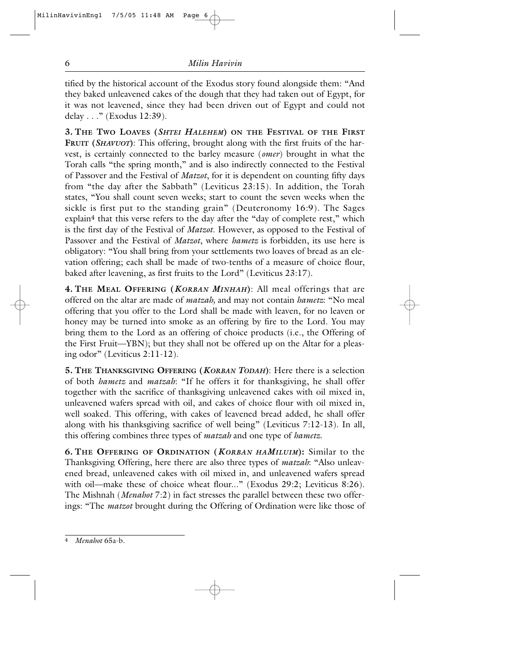tified by the historical account of the Exodus story found alongside them: "And they baked unleavened cakes of the dough that they had taken out of Egypt, for it was not leavened, since they had been driven out of Egypt and could not delay . . ." (Exodus 12:39).

**3. THE TWO LOAVES (***SHTEI HALEHEM***) ON THE FESTIVAL OF THE FIRST FRUIT (***SHAVUOT***)**: This offering, brought along with the first fruits of the harvest, is certainly connected to the barley measure (*omer*) brought in what the Torah calls "the spring month," and is also indirectly connected to the Festival of Passover and the Festival of *Matzot*, for it is dependent on counting fifty days from "the day after the Sabbath" (Leviticus 23:15). In addition, the Torah states, "You shall count seven weeks; start to count the seven weeks when the sickle is first put to the standing grain" (Deuteronomy 16:9). The Sages explain<sup>4</sup> that this verse refers to the day after the "day of complete rest," which is the first day of the Festival of *Matzot*. However, as opposed to the Festival of Passover and the Festival of *Matzot*, where *hametz* is forbidden, its use here is obligatory: "You shall bring from your settlements two loaves of bread as an elevation offering; each shall be made of two-tenths of a measure of choice flour, baked after leavening, as first fruits to the Lord" (Leviticus 23:17).

**4. THE MEAL OFFERING (***KORBAN MINHAH***)**: All meal offerings that are offered on the altar are made of *matzah,* and may not contain *hametz*: "No meal offering that you offer to the Lord shall be made with leaven, for no leaven or honey may be turned into smoke as an offering by fire to the Lord. You may bring them to the Lord as an offering of choice products (i.e., the Offering of the First Fruit—YBN); but they shall not be offered up on the Altar for a pleasing odor" (Leviticus 2:11-12).

**5. THE THANKSGIVING OFFERING (***KORBAN TODAH***)**: Here there is a selection of both *hametz* and *matzah*: "If he offers it for thanksgiving, he shall offer together with the sacrifice of thanksgiving unleavened cakes with oil mixed in, unleavened wafers spread with oil, and cakes of choice flour with oil mixed in, well soaked. This offering, with cakes of leavened bread added, he shall offer along with his thanksgiving sacrifice of well being" (Leviticus 7:12-13). In all, this offering combines three types of *matzah* and one type of *hametz*.

**6. THE OFFERING OF ORDINATION (***KORBAN HAMILUIM***):** Similar to the Thanksgiving Offering, here there are also three types of *matzah*: "Also unleavened bread, unleavened cakes with oil mixed in, and unleavened wafers spread with oil—make these of choice wheat flour..." (Exodus 29:2; Leviticus 8:26). The Mishnah (*Menahot* 7:2) in fact stresses the parallel between these two offerings: "The *matzot* brought during the Offering of Ordination were like those of

<sup>4</sup> *Menahot* 65a-b.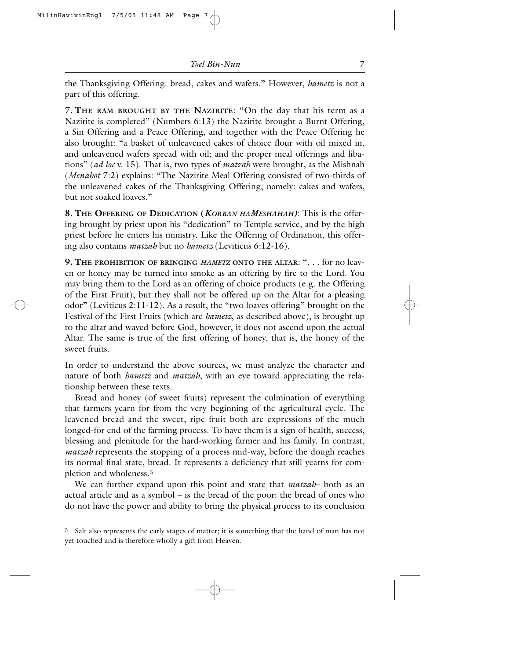the Thanksgiving Offering: bread, cakes and wafers." However, *hametz* is not a part of this offering.

**7. THE RAM BROUGHT BY THE NAZIRITE**: "On the day that his term as a Nazirite is completed" (Numbers 6:13) the Nazirite brought a Burnt Offering, a Sin Offering and a Peace Offering, and together with the Peace Offering he also brought: "a basket of unleavened cakes of choice flour with oil mixed in, and unleavened wafers spread with oil; and the proper meal offerings and libations" (*ad loc* v. 15). That is, two types of *matzah* were brought, as the Mishnah (*Menahot* 7:2) explains: "The Nazirite Meal Offering consisted of two-thirds of the unleavened cakes of the Thanksgiving Offering; namely: cakes and wafers, but not soaked loaves."

**8. THE OFFERING OF DEDICATION (***KORBAN HAMESHAHAH)*: This is the offering brought by priest upon his "dedication" to Temple service, and by the high priest before he enters his ministry. Like the Offering of Ordination, this offering also contains *matzah* but no *hametz* (Leviticus 6:12-16).

**9. THE PROHIBITION OF BRINGING** *HAMETZ* **ONTO THE ALTAR**: ". . . for no leaven or honey may be turned into smoke as an offering by fire to the Lord. You may bring them to the Lord as an offering of choice products (e.g. the Offering of the First Fruit); but they shall not be offered up on the Altar for a pleasing odor" (Leviticus 2:11-12). As a result, the "two loaves offering" brought on the Festival of the First Fruits (which are *hametz*, as described above), is brought up to the altar and waved before God, however, it does not ascend upon the actual Altar. The same is true of the first offering of honey, that is, the honey of the sweet fruits.

In order to understand the above sources, we must analyze the character and nature of both *hametz* and *matzah*, with an eye toward appreciating the relationship between these texts.

Bread and honey (of sweet fruits) represent the culmination of everything that farmers yearn for from the very beginning of the agricultural cycle. The leavened bread and the sweet, ripe fruit both are expressions of the much longed-for end of the farming process. To have them is a sign of health, success, blessing and plenitude for the hard-working farmer and his family. In contrast, *matzah* represents the stopping of a process mid-way, before the dough reaches its normal final state, bread. It represents a deficiency that still yearns for completion and wholeness.5

We can further expand upon this point and state that *matzah*– both as an actual article and as a symbol – is the bread of the poor: the bread of ones who do not have the power and ability to bring the physical process to its conclusion

<sup>5</sup> Salt also represents the early stages of matter; it is something that the hand of man has not yet touched and is therefore wholly a gift from Heaven.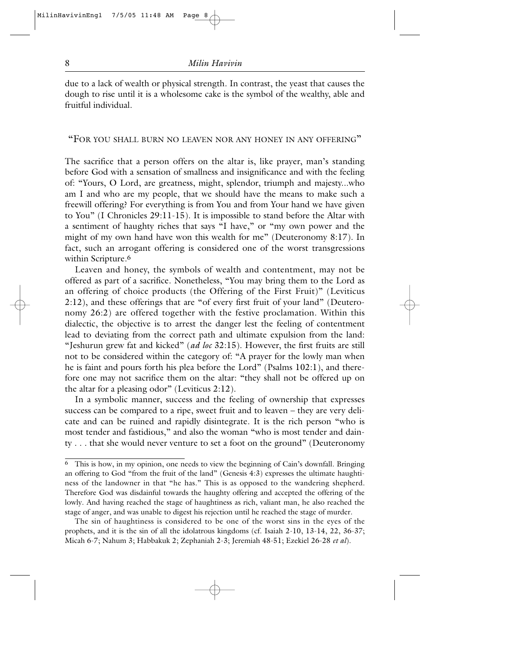due to a lack of wealth or physical strength. In contrast, the yeast that causes the dough to rise until it is a wholesome cake is the symbol of the wealthy, able and fruitful individual.

#### "FOR YOU SHALL BURN NO LEAVEN NOR ANY HONEY IN ANY OFFERING"

The sacrifice that a person offers on the altar is, like prayer, man's standing before God with a sensation of smallness and insignificance and with the feeling of: "Yours, O Lord, are greatness, might, splendor, triumph and majesty...who am I and who are my people, that we should have the means to make such a freewill offering? For everything is from You and from Your hand we have given to You" (I Chronicles 29:11-15). It is impossible to stand before the Altar with a sentiment of haughty riches that says "I have," or "my own power and the might of my own hand have won this wealth for me" (Deuteronomy 8:17). In fact, such an arrogant offering is considered one of the worst transgressions within Scripture.<sup>6</sup>

Leaven and honey, the symbols of wealth and contentment, may not be offered as part of a sacrifice. Nonetheless, "You may bring them to the Lord as an offering of choice products (the Offering of the First Fruit)" (Leviticus 2:12), and these offerings that are "of every first fruit of your land" (Deuteronomy 26:2) are offered together with the festive proclamation. Within this dialectic, the objective is to arrest the danger lest the feeling of contentment lead to deviating from the correct path and ultimate expulsion from the land: "Jeshurun grew fat and kicked" (*ad loc* 32:15). However, the first fruits are still not to be considered within the category of: "A prayer for the lowly man when he is faint and pours forth his plea before the Lord" (Psalms 102:1), and therefore one may not sacrifice them on the altar: "they shall not be offered up on the altar for a pleasing odor" (Leviticus 2:12).

In a symbolic manner, success and the feeling of ownership that expresses success can be compared to a ripe, sweet fruit and to leaven – they are very delicate and can be ruined and rapidly disintegrate. It is the rich person "who is most tender and fastidious," and also the woman "who is most tender and dainty . . . that she would never venture to set a foot on the ground" (Deuteronomy

<sup>6</sup> This is how, in my opinion, one needs to view the beginning of Cain's downfall. Bringing an offering to God "from the fruit of the land" (Genesis 4:3) expresses the ultimate haughtiness of the landowner in that "he has." This is as opposed to the wandering shepherd. Therefore God was disdainful towards the haughty offering and accepted the offering of the lowly. And having reached the stage of haughtiness as rich, valiant man, he also reached the stage of anger, and was unable to digest his rejection until he reached the stage of murder.

The sin of haughtiness is considered to be one of the worst sins in the eyes of the prophets, and it is the sin of all the idolatrous kingdoms (cf. Isaiah 2-10, 13-14, 22, 36-37; Micah 6-7; Nahum 3; Habbakuk 2; Zephaniah 2-3; Jeremiah 48-51; Ezekiel 26-28 *et al*).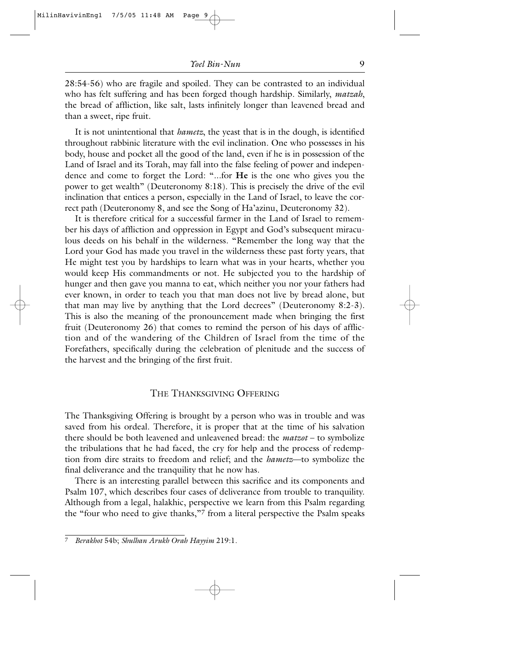28:54-56) who are fragile and spoiled. They can be contrasted to an individual who has felt suffering and has been forged though hardship. Similarly, *matzah*, the bread of affliction, like salt, lasts infinitely longer than leavened bread and than a sweet, ripe fruit.

It is not unintentional that *hametz*, the yeast that is in the dough, is identified throughout rabbinic literature with the evil inclination. One who possesses in his body, house and pocket all the good of the land, even if he is in possession of the Land of Israel and its Torah, may fall into the false feeling of power and independence and come to forget the Lord: "...for **He** is the one who gives you the power to get wealth" (Deuteronomy 8:18). This is precisely the drive of the evil inclination that entices a person, especially in the Land of Israel, to leave the correct path (Deuteronomy 8, and see the Song of Ha'azinu, Deuteronomy 32).

It is therefore critical for a successful farmer in the Land of Israel to remember his days of affliction and oppression in Egypt and God's subsequent miraculous deeds on his behalf in the wilderness. "Remember the long way that the Lord your God has made you travel in the wilderness these past forty years, that He might test you by hardships to learn what was in your hearts, whether you would keep His commandments or not. He subjected you to the hardship of hunger and then gave you manna to eat, which neither you nor your fathers had ever known, in order to teach you that man does not live by bread alone, but that man may live by anything that the Lord decrees" (Deuteronomy 8:2-3). This is also the meaning of the pronouncement made when bringing the first fruit (Deuteronomy 26) that comes to remind the person of his days of affliction and of the wandering of the Children of Israel from the time of the Forefathers, specifically during the celebration of plenitude and the success of the harvest and the bringing of the first fruit.

### THE THANKSGIVING OFFERING

The Thanksgiving Offering is brought by a person who was in trouble and was saved from his ordeal. Therefore, it is proper that at the time of his salvation there should be both leavened and unleavened bread: the *matzot* – to symbolize the tribulations that he had faced, the cry for help and the process of redemption from dire straits to freedom and relief; and the *hametz*—to symbolize the final deliverance and the tranquility that he now has.

There is an interesting parallel between this sacrifice and its components and Psalm 107, which describes four cases of deliverance from trouble to tranquility. Although from a legal, halakhic, perspective we learn from this Psalm regarding the "four who need to give thanks,"7 from a literal perspective the Psalm speaks

<sup>7</sup> *Berakhot* 54b; *Shulhan Arukh Orah Hayyim* 219:1.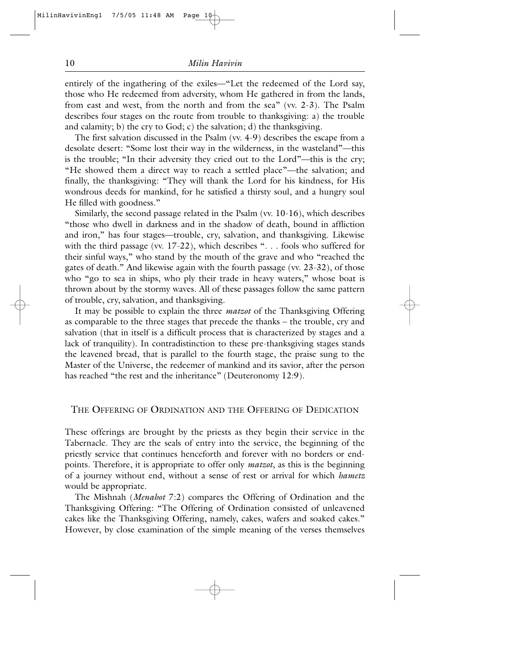entirely of the ingathering of the exiles—"Let the redeemed of the Lord say, those who He redeemed from adversity, whom He gathered in from the lands, from east and west, from the north and from the sea" (vv. 2-3). The Psalm describes four stages on the route from trouble to thanksgiving: a) the trouble and calamity; b) the cry to God; c) the salvation; d) the thanksgiving.

The first salvation discussed in the Psalm (vv. 4-9) describes the escape from a desolate desert: "Some lost their way in the wilderness, in the wasteland"—this is the trouble; "In their adversity they cried out to the Lord"—this is the cry; "He showed them a direct way to reach a settled place"—the salvation; and finally, the thanksgiving: "They will thank the Lord for his kindness, for His wondrous deeds for mankind, for he satisfied a thirsty soul, and a hungry soul He filled with goodness."

Similarly, the second passage related in the Psalm (vv. 10-16), which describes "those who dwell in darkness and in the shadow of death, bound in affliction and iron," has four stages—trouble, cry, salvation, and thanksgiving. Likewise with the third passage (vv. 17-22), which describes ". . . fools who suffered for their sinful ways," who stand by the mouth of the grave and who "reached the gates of death." And likewise again with the fourth passage (vv. 23-32), of those who "go to sea in ships, who ply their trade in heavy waters," whose boat is thrown about by the stormy waves. All of these passages follow the same pattern of trouble, cry, salvation, and thanksgiving.

It may be possible to explain the three *matzot* of the Thanksgiving Offering as comparable to the three stages that precede the thanks – the trouble, cry and salvation (that in itself is a difficult process that is characterized by stages and a lack of tranquility). In contradistinction to these pre-thanksgiving stages stands the leavened bread, that is parallel to the fourth stage, the praise sung to the Master of the Universe, the redeemer of mankind and its savior, after the person has reached "the rest and the inheritance" (Deuteronomy 12:9).

#### THE OFFERING OF ORDINATION AND THE OFFERING OF DEDICATION

These offerings are brought by the priests as they begin their service in the Tabernacle. They are the seals of entry into the service, the beginning of the priestly service that continues henceforth and forever with no borders or endpoints. Therefore, it is appropriate to offer only *matzot*, as this is the beginning of a journey without end, without a sense of rest or arrival for which *hametz* would be appropriate.

The Mishnah (*Menahot* 7:2) compares the Offering of Ordination and the Thanksgiving Offering: "The Offering of Ordination consisted of unleavened cakes like the Thanksgiving Offering, namely, cakes, wafers and soaked cakes." However, by close examination of the simple meaning of the verses themselves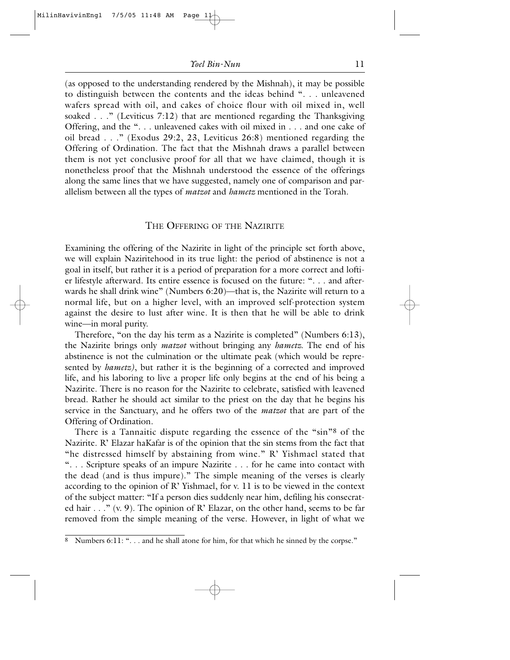(as opposed to the understanding rendered by the Mishnah), it may be possible to distinguish between the contents and the ideas behind ". . . unleavened wafers spread with oil, and cakes of choice flour with oil mixed in, well soaked  $\ldots$ ." (Leviticus 7:12) that are mentioned regarding the Thanksgiving Offering, and the ". . . unleavened cakes with oil mixed in . . . and one cake of oil bread . . ." (Exodus 29:2, 23, Leviticus 26:8) mentioned regarding the Offering of Ordination. The fact that the Mishnah draws a parallel between them is not yet conclusive proof for all that we have claimed, though it is nonetheless proof that the Mishnah understood the essence of the offerings along the same lines that we have suggested, namely one of comparison and parallelism between all the types of *matzot* and *hametz* mentioned in the Torah.

#### THE OFFERING OF THE NAZIRITE

Examining the offering of the Nazirite in light of the principle set forth above, we will explain Naziritehood in its true light: the period of abstinence is not a goal in itself, but rather it is a period of preparation for a more correct and loftier lifestyle afterward. Its entire essence is focused on the future: ". . . and afterwards he shall drink wine" (Numbers 6:20)—that is, the Nazirite will return to a normal life, but on a higher level, with an improved self-protection system against the desire to lust after wine. It is then that he will be able to drink wine—in moral purity.

Therefore, "on the day his term as a Nazirite is completed" (Numbers 6:13), the Nazirite brings only *matzot* without bringing any *hametz*. The end of his abstinence is not the culmination or the ultimate peak (which would be represented by *hametz)*, but rather it is the beginning of a corrected and improved life, and his laboring to live a proper life only begins at the end of his being a Nazirite. There is no reason for the Nazirite to celebrate, satisfied with leavened bread. Rather he should act similar to the priest on the day that he begins his service in the Sanctuary, and he offers two of the *matzot* that are part of the Offering of Ordination.

There is a Tannaitic dispute regarding the essence of the "sin"8 of the Nazirite. R' Elazar haKafar is of the opinion that the sin stems from the fact that "he distressed himself by abstaining from wine." R' Yishmael stated that ". . . Scripture speaks of an impure Nazirite . . . for he came into contact with the dead (and is thus impure)." The simple meaning of the verses is clearly according to the opinion of R' Yishmael, for v. 11 is to be viewed in the context of the subject matter: "If a person dies suddenly near him, defiling his consecrated hair . . ." (v. 9). The opinion of R' Elazar, on the other hand, seems to be far removed from the simple meaning of the verse. However, in light of what we

<sup>8</sup> Numbers 6:11: ". . . and he shall atone for him, for that which he sinned by the corpse."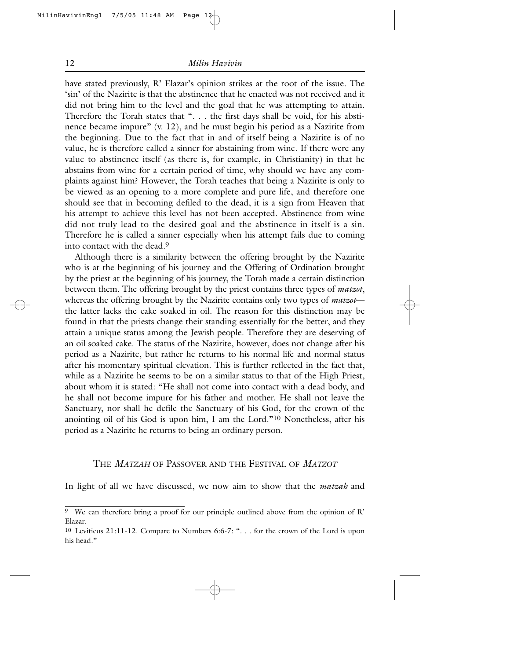have stated previously, R' Elazar's opinion strikes at the root of the issue. The 'sin' of the Nazirite is that the abstinence that he enacted was not received and it did not bring him to the level and the goal that he was attempting to attain. Therefore the Torah states that ". . . the first days shall be void, for his abstinence became impure" (v. 12), and he must begin his period as a Nazirite from the beginning. Due to the fact that in and of itself being a Nazirite is of no value, he is therefore called a sinner for abstaining from wine. If there were any value to abstinence itself (as there is, for example, in Christianity) in that he abstains from wine for a certain period of time, why should we have any complaints against him? However, the Torah teaches that being a Nazirite is only to be viewed as an opening to a more complete and pure life, and therefore one should see that in becoming defiled to the dead, it is a sign from Heaven that his attempt to achieve this level has not been accepted. Abstinence from wine did not truly lead to the desired goal and the abstinence in itself is a sin. Therefore he is called a sinner especially when his attempt fails due to coming into contact with the dead.9

Although there is a similarity between the offering brought by the Nazirite who is at the beginning of his journey and the Offering of Ordination brought by the priest at the beginning of his journey, the Torah made a certain distinction between them. The offering brought by the priest contains three types of *matzot*, whereas the offering brought by the Nazirite contains only two types of *matzot* the latter lacks the cake soaked in oil. The reason for this distinction may be found in that the priests change their standing essentially for the better, and they attain a unique status among the Jewish people. Therefore they are deserving of an oil soaked cake. The status of the Nazirite, however, does not change after his period as a Nazirite, but rather he returns to his normal life and normal status after his momentary spiritual elevation. This is further reflected in the fact that, while as a Nazirite he seems to be on a similar status to that of the High Priest, about whom it is stated: "He shall not come into contact with a dead body, and he shall not become impure for his father and mother. He shall not leave the Sanctuary, nor shall he defile the Sanctuary of his God, for the crown of the anointing oil of his God is upon him, I am the Lord."10 Nonetheless, after his period as a Nazirite he returns to being an ordinary person.

#### THE *MATZAH* OF PASSOVER AND THE FESTIVAL OF *MATZOT*

In light of all we have discussed, we now aim to show that the *matzah* and

<sup>9</sup> We can therefore bring a proof for our principle outlined above from the opinion of R' Elazar.

<sup>10</sup> Leviticus 21:11-12. Compare to Numbers 6:6-7: ". . . for the crown of the Lord is upon his head."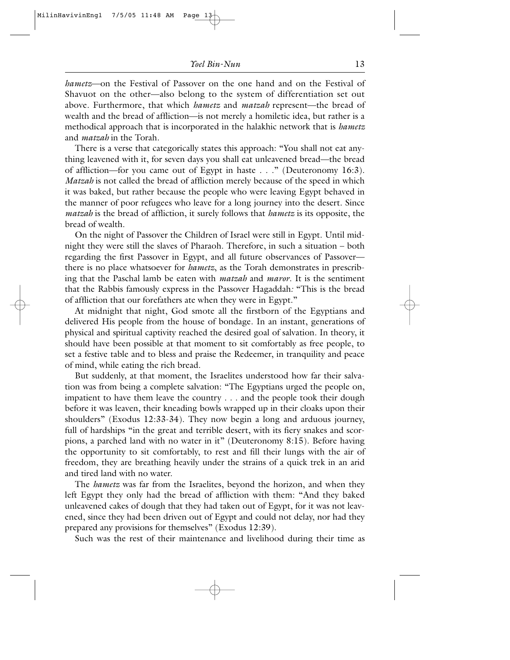*hametz*—on the Festival of Passover on the one hand and on the Festival of Shavuot on the other—also belong to the system of differentiation set out above. Furthermore, that which *hametz* and *matzah* represent—the bread of wealth and the bread of affliction—is not merely a homiletic idea, but rather is a methodical approach that is incorporated in the halakhic network that is *hametz* and *matzah* in the Torah.

There is a verse that categorically states this approach: "You shall not eat anything leavened with it, for seven days you shall eat unleavened bread—the bread of affliction—for you came out of Egypt in haste . . ." (Deuteronomy 16:3). *Matzah* is not called the bread of affliction merely because of the speed in which it was baked, but rather because the people who were leaving Egypt behaved in the manner of poor refugees who leave for a long journey into the desert. Since *matzah* is the bread of affliction, it surely follows that *hametz* is its opposite, the bread of wealth.

On the night of Passover the Children of Israel were still in Egypt. Until midnight they were still the slaves of Pharaoh. Therefore, in such a situation – both regarding the first Passover in Egypt, and all future observances of Passover there is no place whatsoever for *hametz*, as the Torah demonstrates in prescribing that the Paschal lamb be eaten with *matzah* and *maror*. It is the sentiment that the Rabbis famously express in the Passover Hagaddah*:* "This is the bread of affliction that our forefathers ate when they were in Egypt."

At midnight that night, God smote all the firstborn of the Egyptians and delivered His people from the house of bondage. In an instant, generations of physical and spiritual captivity reached the desired goal of salvation. In theory, it should have been possible at that moment to sit comfortably as free people, to set a festive table and to bless and praise the Redeemer, in tranquility and peace of mind, while eating the rich bread.

But suddenly, at that moment, the Israelites understood how far their salvation was from being a complete salvation: "The Egyptians urged the people on, impatient to have them leave the country . . . and the people took their dough before it was leaven, their kneading bowls wrapped up in their cloaks upon their shoulders" (Exodus 12:33-34). They now begin a long and arduous journey, full of hardships "in the great and terrible desert, with its fiery snakes and scorpions, a parched land with no water in it" (Deuteronomy 8:15). Before having the opportunity to sit comfortably, to rest and fill their lungs with the air of freedom, they are breathing heavily under the strains of a quick trek in an arid and tired land with no water.

The *hametz* was far from the Israelites, beyond the horizon, and when they left Egypt they only had the bread of affliction with them: "And they baked unleavened cakes of dough that they had taken out of Egypt, for it was not leavened, since they had been driven out of Egypt and could not delay, nor had they prepared any provisions for themselves" (Exodus 12:39).

Such was the rest of their maintenance and livelihood during their time as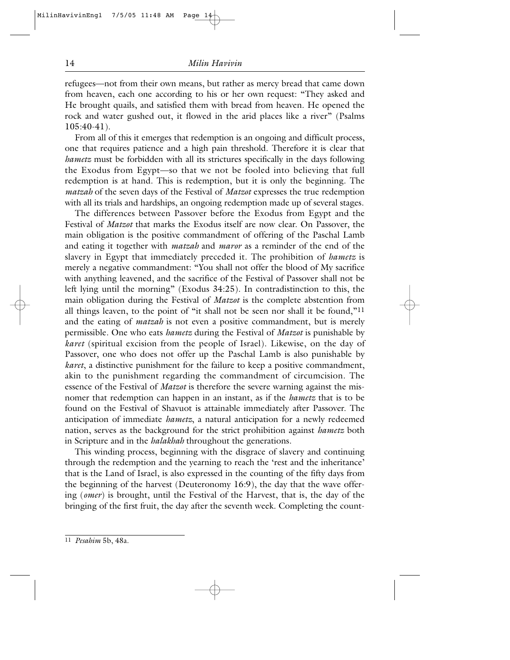refugees—not from their own means, but rather as mercy bread that came down from heaven, each one according to his or her own request: "They asked and He brought quails, and satisfied them with bread from heaven. He opened the rock and water gushed out, it flowed in the arid places like a river" (Psalms 105:40-41).

From all of this it emerges that redemption is an ongoing and difficult process, one that requires patience and a high pain threshold. Therefore it is clear that *hametz* must be forbidden with all its strictures specifically in the days following the Exodus from Egypt—so that we not be fooled into believing that full redemption is at hand. This is redemption, but it is only the beginning. The *matzah* of the seven days of the Festival of *Matzot* expresses the true redemption with all its trials and hardships, an ongoing redemption made up of several stages.

The differences between Passover before the Exodus from Egypt and the Festival of *Matzot* that marks the Exodus itself are now clear. On Passover, the main obligation is the positive commandment of offering of the Paschal Lamb and eating it together with *matzah* and *maror* as a reminder of the end of the slavery in Egypt that immediately preceded it. The prohibition of *hametz* is merely a negative commandment: "You shall not offer the blood of My sacrifice with anything leavened, and the sacrifice of the Festival of Passover shall not be left lying until the morning" (Exodus 34:25). In contradistinction to this, the main obligation during the Festival of *Matzot* is the complete abstention from all things leaven, to the point of "it shall not be seen nor shall it be found,"11 and the eating of *matzah* is not even a positive commandment, but is merely permissible. One who eats *hametz* during the Festival of *Matzot* is punishable by *karet* (spiritual excision from the people of Israel). Likewise, on the day of Passover, one who does not offer up the Paschal Lamb is also punishable by *karet*, a distinctive punishment for the failure to keep a positive commandment, akin to the punishment regarding the commandment of circumcision. The essence of the Festival of *Matzot* is therefore the severe warning against the misnomer that redemption can happen in an instant, as if the *hametz* that is to be found on the Festival of Shavuot is attainable immediately after Passover. The anticipation of immediate *hametz*, a natural anticipation for a newly redeemed nation, serves as the background for the strict prohibition against *hametz* both in Scripture and in the *halakhah* throughout the generations.

This winding process, beginning with the disgrace of slavery and continuing through the redemption and the yearning to reach the 'rest and the inheritance' that is the Land of Israel, is also expressed in the counting of the fifty days from the beginning of the harvest (Deuteronomy 16:9), the day that the wave offering (*omer*) is brought, until the Festival of the Harvest, that is, the day of the bringing of the first fruit, the day after the seventh week. Completing the count-

<sup>11</sup> *Pesahim* 5b, 48a.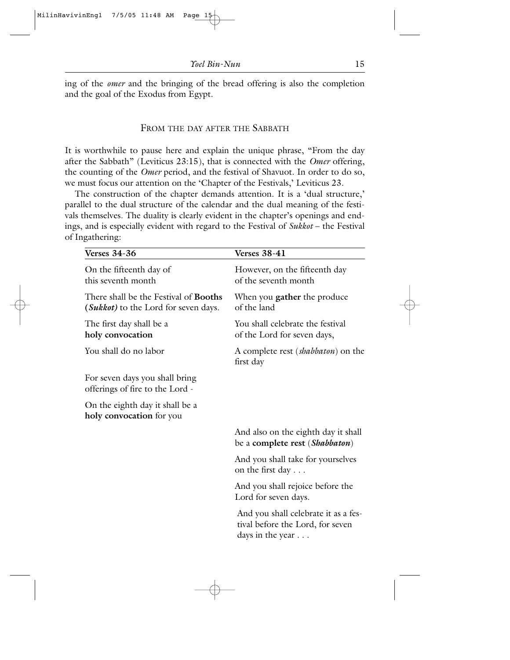ing of the *omer* and the bringing of the bread offering is also the completion and the goal of the Exodus from Egypt.

## FROM THE DAY AFTER THE SABBATH

It is worthwhile to pause here and explain the unique phrase, "From the day after the Sabbath" (Leviticus 23:15), that is connected with the *Omer* offering, the counting of the *Omer* period, and the festival of Shavuot. In order to do so, we must focus our attention on the 'Chapter of the Festivals,' Leviticus 23.

The construction of the chapter demands attention. It is a 'dual structure,' parallel to the dual structure of the calendar and the dual meaning of the festivals themselves. The duality is clearly evident in the chapter's openings and endings, and is especially evident with regard to the Festival of *Sukkot* – the Festival of Ingathering:

| <b>Verses 38-41</b>                                                                          |
|----------------------------------------------------------------------------------------------|
| However, on the fifteenth day<br>of the seventh month                                        |
| When you <b>gather</b> the produce<br>of the land                                            |
| You shall celebrate the festival<br>of the Lord for seven days,                              |
| A complete rest (shabbaton) on the<br>first day                                              |
|                                                                                              |
|                                                                                              |
| And also on the eighth day it shall<br>be a complete rest (Shabbaton)                        |
| And you shall take for yourselves<br>on the first day                                        |
| And you shall rejoice before the<br>Lord for seven days.                                     |
| And you shall celebrate it as a fes-<br>tival before the Lord, for seven<br>days in the year |
|                                                                                              |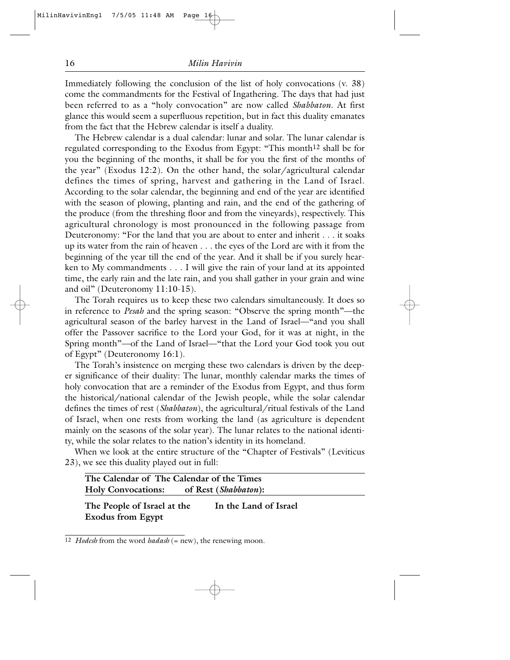Immediately following the conclusion of the list of holy convocations (v. 38) come the commandments for the Festival of Ingathering. The days that had just been referred to as a "holy convocation" are now called *Shabbaton*. At first glance this would seem a superfluous repetition, but in fact this duality emanates from the fact that the Hebrew calendar is itself a duality.

The Hebrew calendar is a dual calendar: lunar and solar. The lunar calendar is regulated corresponding to the Exodus from Egypt: "This month12 shall be for you the beginning of the months, it shall be for you the first of the months of the year" (Exodus 12:2). On the other hand, the solar/agricultural calendar defines the times of spring, harvest and gathering in the Land of Israel. According to the solar calendar, the beginning and end of the year are identified with the season of plowing, planting and rain, and the end of the gathering of the produce (from the threshing floor and from the vineyards), respectively. This agricultural chronology is most pronounced in the following passage from Deuteronomy: "For the land that you are about to enter and inherit . . . it soaks up its water from the rain of heaven . . . the eyes of the Lord are with it from the beginning of the year till the end of the year. And it shall be if you surely hearken to My commandments . . . I will give the rain of your land at its appointed time, the early rain and the late rain, and you shall gather in your grain and wine and oil" (Deuteronomy 11:10-15).

The Torah requires us to keep these two calendars simultaneously. It does so in reference to *Pesah* and the spring season: "Observe the spring month"—the agricultural season of the barley harvest in the Land of Israel—"and you shall offer the Passover sacrifice to the Lord your God, for it was at night, in the Spring month"—of the Land of Israel—"that the Lord your God took you out of Egypt" (Deuteronomy 16:1).

The Torah's insistence on merging these two calendars is driven by the deeper significance of their duality: The lunar, monthly calendar marks the times of holy convocation that are a reminder of the Exodus from Egypt, and thus form the historical/national calendar of the Jewish people, while the solar calendar defines the times of rest (*Shabbaton*), the agricultural/ritual festivals of the Land of Israel, when one rests from working the land (as agriculture is dependent mainly on the seasons of the solar year). The lunar relates to the national identity, while the solar relates to the nation's identity in its homeland.

When we look at the entire structure of the "Chapter of Festivals" (Leviticus 23), we see this duality played out in full:

| The Calendar of The Calendar of the Times |                      |  |
|-------------------------------------------|----------------------|--|
| <b>Holy Convocations:</b>                 | of Rest (Shabbaton): |  |

**The People of Israel at the In the Land of Israel Exodus from Egypt**

<sup>12</sup> *Hodesh* from the word *hadash* (= new), the renewing moon.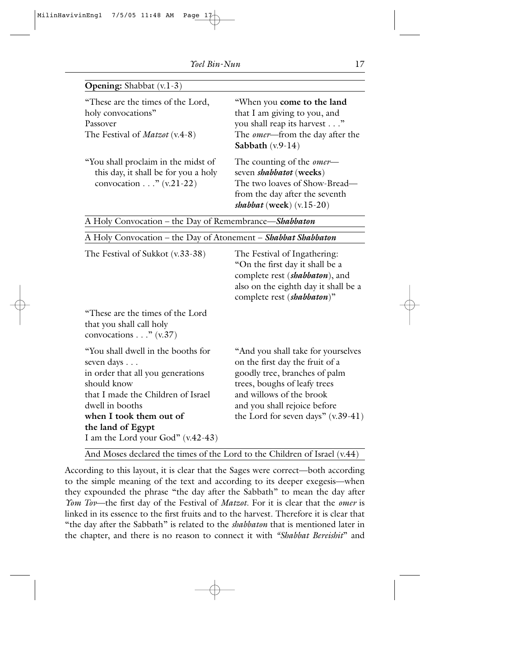| <b>Opening:</b> Shabbat (v.1-3)                                                                                                                                                                                                                    |                                                                                                                                                                                                                                          |
|----------------------------------------------------------------------------------------------------------------------------------------------------------------------------------------------------------------------------------------------------|------------------------------------------------------------------------------------------------------------------------------------------------------------------------------------------------------------------------------------------|
| "These are the times of the Lord,<br>holy convocations"<br>Passover<br>The Festival of <i>Matzot</i> (v.4-8)                                                                                                                                       | "When you come to the land<br>that I am giving to you, and<br>you shall reap its harvest"<br>The <i>omer</i> —from the day after the<br>Sabbath $(v.9-14)$                                                                               |
| "You shall proclaim in the midst of<br>this day, it shall be for you a holy<br>convocation $\ldots$ ," (v.21-22)                                                                                                                                   | The counting of the <i>omer</i> —<br>seven shabbatot (weeks)<br>The two loaves of Show-Bread—<br>from the day after the seventh<br>shabbat (week) $(v.15-20)$                                                                            |
| A Holy Convocation - the Day of Remembrance-Shabbaton                                                                                                                                                                                              |                                                                                                                                                                                                                                          |
| A Holy Convocation - the Day of Atonement - Shabbat Shabbaton                                                                                                                                                                                      |                                                                                                                                                                                                                                          |
| The Festival of Sukkot (v.33-38)                                                                                                                                                                                                                   | The Festival of Ingathering:<br>"On the first day it shall be a<br>complete rest (shabbaton), and<br>also on the eighth day it shall be a<br>complete rest (shabbaton)"                                                                  |
| "These are the times of the Lord<br>that you shall call holy<br>convocations" (v.37)                                                                                                                                                               |                                                                                                                                                                                                                                          |
| "You shall dwell in the booths for<br>seven days<br>in order that all you generations<br>should know<br>that I made the Children of Israel<br>dwell in booths<br>when I took them out of<br>the land of Egypt<br>I am the Lord your God" (v.42-43) | "And you shall take for yourselves<br>on the first day the fruit of a<br>goodly tree, branches of palm<br>trees, boughs of leafy trees<br>and willows of the brook<br>and you shall rejoice before<br>the Lord for seven days" (v.39-41) |

According to this layout, it is clear that the Sages were correct—both according to the simple meaning of the text and according to its deeper exegesis—when they expounded the phrase "the day after the Sabbath" to mean the day after *Yom Tov*—the first day of the Festival of *Matzot*. For it is clear that the *omer* is linked in its essence to the first fruits and to the harvest. Therefore it is clear that "the day after the Sabbath" is related to the *shabbaton* that is mentioned later in the chapter, and there is no reason to connect it with *"Shabbat Bereishit*" and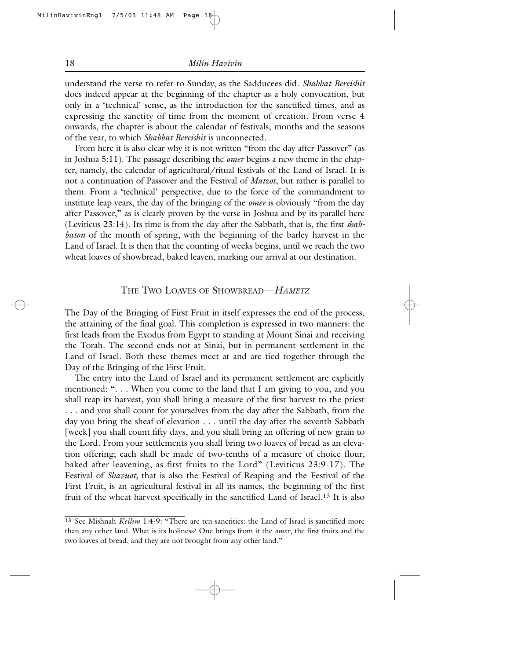understand the verse to refer to Sunday, as the Sadducees did. *Shabbat Bereishit* does indeed appear at the beginning of the chapter as a holy convocation, but only in a 'technical' sense, as the introduction for the sanctified times, and as expressing the sanctity of time from the moment of creation. From verse 4 onwards, the chapter is about the calendar of festivals, months and the seasons of the year, to which *Shabbat Bereishit* is unconnected.

From here it is also clear why it is not written "from the day after Passover" (as in Joshua 5:11). The passage describing the *omer* begins a new theme in the chapter, namely, the calendar of agricultural/ritual festivals of the Land of Israel. It is not a continuation of Passover and the Festival of *Matzot*, but rather is parallel to them. From a 'technical' perspective, due to the force of the commandment to institute leap years, the day of the bringing of the *omer* is obviously "from the day after Passover," as is clearly proven by the verse in Joshua and by its parallel here (Leviticus 23:14). Its time is from the day after the Sabbath, that is, the first *shabbaton* of the month of spring, with the beginning of the barley harvest in the Land of Israel. It is then that the counting of weeks begins, until we reach the two wheat loaves of showbread, baked leaven, marking our arrival at our destination.

#### THE TWO LOAVES OF SHOWBREAD—*HAMETZ*

The Day of the Bringing of First Fruit in itself expresses the end of the process, the attaining of the final goal. This completion is expressed in two manners: the first leads from the Exodus from Egypt to standing at Mount Sinai and receiving the Torah. The second ends not at Sinai, but in permanent settlement in the Land of Israel. Both these themes meet at and are tied together through the Day of the Bringing of the First Fruit.

The entry into the Land of Israel and its permanent settlement are explicitly mentioned: ". . . When you come to the land that I am giving to you, and you shall reap its harvest, you shall bring a measure of the first harvest to the priest . . . and you shall count for yourselves from the day after the Sabbath, from the day you bring the sheaf of elevation . . . until the day after the seventh Sabbath [week] you shall count fifty days, and you shall bring an offering of new grain to the Lord. From your settlements you shall bring two loaves of bread as an elevation offering; each shall be made of two-tenths of a measure of choice flour, baked after leavening, as first fruits to the Lord" (Leviticus 23:9-17). The Festival of *Shavuot,* that is also the Festival of Reaping and the Festival of the First Fruit, is an agricultural festival in all its names, the beginning of the first fruit of the wheat harvest specifically in the sanctified Land of Israel.13 It is also

<sup>13</sup> See Mishnah *Keilim* 1:4-9: "There are ten sanctities: the Land of Israel is sanctified more than any other land. What is its holiness? One brings from it the *omer*, the first fruits and the two loaves of bread, and they are not brought from any other land."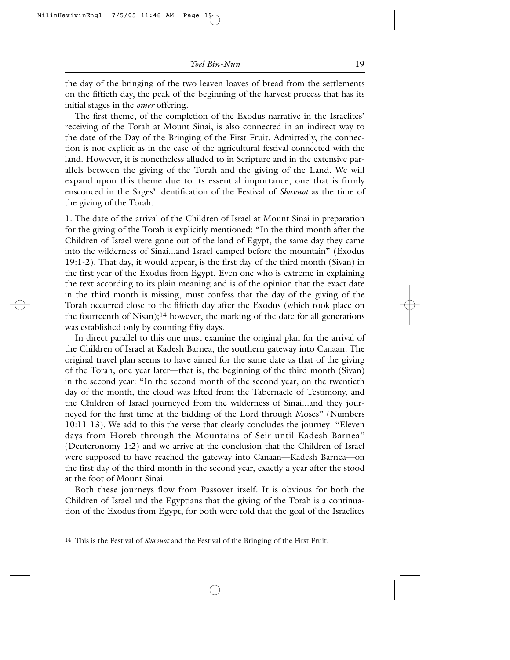the day of the bringing of the two leaven loaves of bread from the settlements on the fiftieth day, the peak of the beginning of the harvest process that has its initial stages in the *omer* offering.

The first theme, of the completion of the Exodus narrative in the Israelites' receiving of the Torah at Mount Sinai, is also connected in an indirect way to the date of the Day of the Bringing of the First Fruit. Admittedly, the connection is not explicit as in the case of the agricultural festival connected with the land. However, it is nonetheless alluded to in Scripture and in the extensive parallels between the giving of the Torah and the giving of the Land. We will expand upon this theme due to its essential importance, one that is firmly ensconced in the Sages' identification of the Festival of *Shavuot* as the time of the giving of the Torah.

1. The date of the arrival of the Children of Israel at Mount Sinai in preparation for the giving of the Torah is explicitly mentioned: "In the third month after the Children of Israel were gone out of the land of Egypt, the same day they came into the wilderness of Sinai...and Israel camped before the mountain" (Exodus 19:1-2). That day, it would appear, is the first day of the third month (Sivan) in the first year of the Exodus from Egypt. Even one who is extreme in explaining the text according to its plain meaning and is of the opinion that the exact date in the third month is missing, must confess that the day of the giving of the Torah occurred close to the fiftieth day after the Exodus (which took place on the fourteenth of Nisan);<sup>14</sup> however, the marking of the date for all generations was established only by counting fifty days.

In direct parallel to this one must examine the original plan for the arrival of the Children of Israel at Kadesh Barnea, the southern gateway into Canaan. The original travel plan seems to have aimed for the same date as that of the giving of the Torah, one year later—that is, the beginning of the third month (Sivan) in the second year: "In the second month of the second year, on the twentieth day of the month, the cloud was lifted from the Tabernacle of Testimony, and the Children of Israel journeyed from the wilderness of Sinai...and they journeyed for the first time at the bidding of the Lord through Moses" (Numbers 10:11-13). We add to this the verse that clearly concludes the journey: "Eleven days from Horeb through the Mountains of Seir until Kadesh Barnea" (Deuteronomy 1:2) and we arrive at the conclusion that the Children of Israel were supposed to have reached the gateway into Canaan—Kadesh Barnea—on the first day of the third month in the second year, exactly a year after the stood at the foot of Mount Sinai.

Both these journeys flow from Passover itself. It is obvious for both the Children of Israel and the Egyptians that the giving of the Torah is a continuation of the Exodus from Egypt, for both were told that the goal of the Israelites

<sup>14</sup> This is the Festival of *Shavuot* and the Festival of the Bringing of the First Fruit.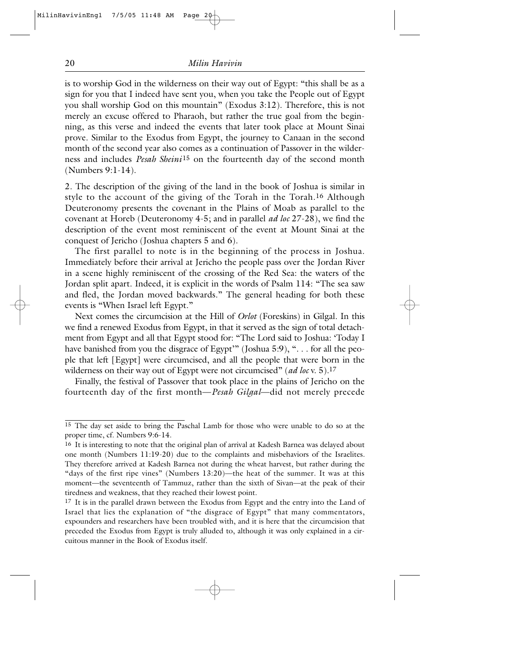is to worship God in the wilderness on their way out of Egypt: "this shall be as a sign for you that I indeed have sent you, when you take the People out of Egypt you shall worship God on this mountain" (Exodus 3:12). Therefore, this is not merely an excuse offered to Pharaoh, but rather the true goal from the beginning, as this verse and indeed the events that later took place at Mount Sinai prove. Similar to the Exodus from Egypt, the journey to Canaan in the second month of the second year also comes as a continuation of Passover in the wilderness and includes *Pesah Sheini* 15 on the fourteenth day of the second month (Numbers 9:1-14).

2. The description of the giving of the land in the book of Joshua is similar in style to the account of the giving of the Torah in the Torah.16 Although Deuteronomy presents the covenant in the Plains of Moab as parallel to the covenant at Horeb (Deuteronomy 4-5; and in parallel *ad loc* 27-28), we find the description of the event most reminiscent of the event at Mount Sinai at the conquest of Jericho (Joshua chapters 5 and 6).

The first parallel to note is in the beginning of the process in Joshua. Immediately before their arrival at Jericho the people pass over the Jordan River in a scene highly reminiscent of the crossing of the Red Sea: the waters of the Jordan split apart. Indeed, it is explicit in the words of Psalm 114: "The sea saw and fled, the Jordan moved backwards." The general heading for both these events is "When Israel left Egypt."

Next comes the circumcision at the Hill of *Orlot* (Foreskins) in Gilgal. In this we find a renewed Exodus from Egypt, in that it served as the sign of total detachment from Egypt and all that Egypt stood for: "The Lord said to Joshua: 'Today I have banished from you the disgrace of Egypt'" (Joshua 5:9), "... for all the people that left [Egypt] were circumcised, and all the people that were born in the wilderness on their way out of Egypt were not circumcised" (*ad loc* v. 5).17

Finally, the festival of Passover that took place in the plains of Jericho on the fourteenth day of the first month—*Pesah Gilgal*—did not merely precede

<sup>15</sup> The day set aside to bring the Paschal Lamb for those who were unable to do so at the proper time, cf. Numbers 9:6-14.

<sup>16</sup> It is interesting to note that the original plan of arrival at Kadesh Barnea was delayed about one month (Numbers 11:19-20) due to the complaints and misbehaviors of the Israelites. They therefore arrived at Kadesh Barnea not during the wheat harvest, but rather during the "days of the first ripe vines" (Numbers 13:20)—the heat of the summer. It was at this moment—the seventeenth of Tammuz, rather than the sixth of Sivan—at the peak of their tiredness and weakness, that they reached their lowest point.

<sup>17</sup> It is in the parallel drawn between the Exodus from Egypt and the entry into the Land of Israel that lies the explanation of "the disgrace of Egypt" that many commentators, expounders and researchers have been troubled with, and it is here that the circumcision that preceded the Exodus from Egypt is truly alluded to, although it was only explained in a circuitous manner in the Book of Exodus itself.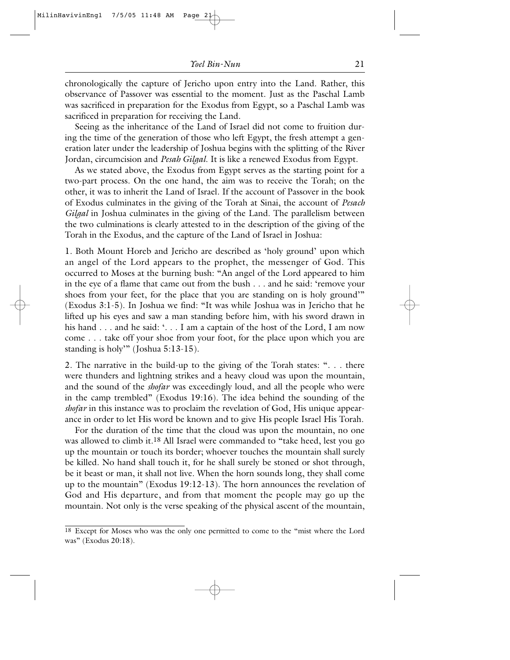chronologically the capture of Jericho upon entry into the Land. Rather, this observance of Passover was essential to the moment. Just as the Paschal Lamb was sacrificed in preparation for the Exodus from Egypt, so a Paschal Lamb was sacrificed in preparation for receiving the Land.

Seeing as the inheritance of the Land of Israel did not come to fruition during the time of the generation of those who left Egypt, the fresh attempt a generation later under the leadership of Joshua begins with the splitting of the River Jordan, circumcision and *Pesah Gilgal*. It is like a renewed Exodus from Egypt.

As we stated above, the Exodus from Egypt serves as the starting point for a two-part process. On the one hand, the aim was to receive the Torah; on the other, it was to inherit the Land of Israel. If the account of Passover in the book of Exodus culminates in the giving of the Torah at Sinai, the account of *Pesach Gilgal* in Joshua culminates in the giving of the Land. The parallelism between the two culminations is clearly attested to in the description of the giving of the Torah in the Exodus, and the capture of the Land of Israel in Joshua:

1. Both Mount Horeb and Jericho are described as 'holy ground' upon which an angel of the Lord appears to the prophet, the messenger of God. This occurred to Moses at the burning bush: "An angel of the Lord appeared to him in the eye of a flame that came out from the bush . . . and he said: 'remove your shoes from your feet, for the place that you are standing on is holy ground'" (Exodus 3:1-5). In Joshua we find: "It was while Joshua was in Jericho that he lifted up his eyes and saw a man standing before him, with his sword drawn in his hand . . . and he said: '. . . I am a captain of the host of the Lord, I am now come . . . take off your shoe from your foot, for the place upon which you are standing is holy'" (Joshua 5:13-15).

2. The narrative in the build-up to the giving of the Torah states: "... there were thunders and lightning strikes and a heavy cloud was upon the mountain, and the sound of the *shofar* was exceedingly loud, and all the people who were in the camp trembled" (Exodus 19:16). The idea behind the sounding of the *shofar* in this instance was to proclaim the revelation of God, His unique appearance in order to let His word be known and to give His people Israel His Torah.

For the duration of the time that the cloud was upon the mountain, no one was allowed to climb it.<sup>18</sup> All Israel were commanded to "take heed, lest you go up the mountain or touch its border; whoever touches the mountain shall surely be killed. No hand shall touch it, for he shall surely be stoned or shot through, be it beast or man, it shall not live. When the horn sounds long, they shall come up to the mountain" (Exodus 19:12-13). The horn announces the revelation of God and His departure, and from that moment the people may go up the mountain. Not only is the verse speaking of the physical ascent of the mountain,

<sup>18</sup> Except for Moses who was the only one permitted to come to the "mist where the Lord was" (Exodus 20:18).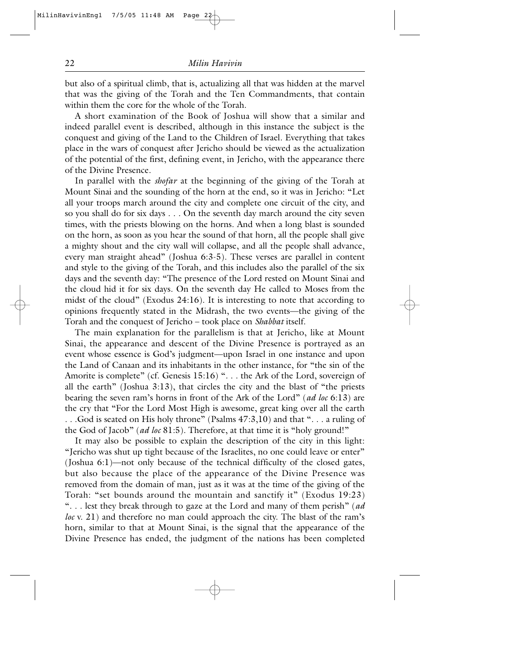but also of a spiritual climb, that is, actualizing all that was hidden at the marvel that was the giving of the Torah and the Ten Commandments, that contain within them the core for the whole of the Torah.

A short examination of the Book of Joshua will show that a similar and indeed parallel event is described, although in this instance the subject is the conquest and giving of the Land to the Children of Israel. Everything that takes place in the wars of conquest after Jericho should be viewed as the actualization of the potential of the first, defining event, in Jericho, with the appearance there of the Divine Presence.

In parallel with the *shofar* at the beginning of the giving of the Torah at Mount Sinai and the sounding of the horn at the end, so it was in Jericho: "Let all your troops march around the city and complete one circuit of the city, and so you shall do for six days . . . On the seventh day march around the city seven times, with the priests blowing on the horns. And when a long blast is sounded on the horn, as soon as you hear the sound of that horn, all the people shall give a mighty shout and the city wall will collapse, and all the people shall advance, every man straight ahead" (Joshua 6:3-5). These verses are parallel in content and style to the giving of the Torah, and this includes also the parallel of the six days and the seventh day: "The presence of the Lord rested on Mount Sinai and the cloud hid it for six days. On the seventh day He called to Moses from the midst of the cloud" (Exodus 24:16). It is interesting to note that according to opinions frequently stated in the Midrash, the two events—the giving of the Torah and the conquest of Jericho – took place on *Shabbat* itself.

The main explanation for the parallelism is that at Jericho, like at Mount Sinai, the appearance and descent of the Divine Presence is portrayed as an event whose essence is God's judgment—upon Israel in one instance and upon the Land of Canaan and its inhabitants in the other instance, for "the sin of the Amorite is complete" (cf. Genesis 15:16) ". . . the Ark of the Lord, sovereign of all the earth" (Joshua 3:13), that circles the city and the blast of "the priests bearing the seven ram's horns in front of the Ark of the Lord" (*ad loc* 6:13) are the cry that "For the Lord Most High is awesome, great king over all the earth . . .God is seated on His holy throne" (Psalms 47:3,10) and that ". . . a ruling of the God of Jacob" (*ad loc* 81:5). Therefore, at that time it is "holy ground!"

It may also be possible to explain the description of the city in this light: "Jericho was shut up tight because of the Israelites, no one could leave or enter" (Joshua 6:1)—not only because of the technical difficulty of the closed gates, but also because the place of the appearance of the Divine Presence was removed from the domain of man, just as it was at the time of the giving of the Torah: "set bounds around the mountain and sanctify it" (Exodus 19:23) ". . . lest they break through to gaze at the Lord and many of them perish" (*ad loc* v. 21) and therefore no man could approach the city. The blast of the ram's horn, similar to that at Mount Sinai, is the signal that the appearance of the Divine Presence has ended, the judgment of the nations has been completed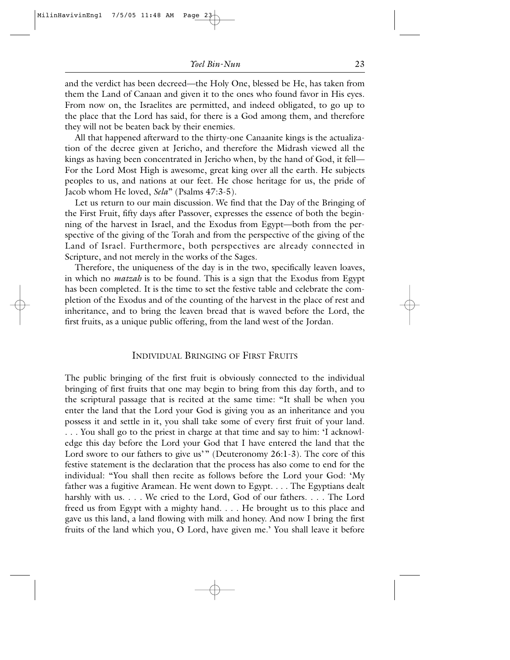and the verdict has been decreed—the Holy One, blessed be He, has taken from them the Land of Canaan and given it to the ones who found favor in His eyes. From now on, the Israelites are permitted, and indeed obligated, to go up to the place that the Lord has said, for there is a God among them, and therefore they will not be beaten back by their enemies.

All that happened afterward to the thirty-one Canaanite kings is the actualization of the decree given at Jericho, and therefore the Midrash viewed all the kings as having been concentrated in Jericho when, by the hand of God, it fell— For the Lord Most High is awesome, great king over all the earth. He subjects peoples to us, and nations at our feet. He chose heritage for us, the pride of Jacob whom He loved, *Sela*" (Psalms 47:3-5).

Let us return to our main discussion. We find that the Day of the Bringing of the First Fruit, fifty days after Passover, expresses the essence of both the beginning of the harvest in Israel, and the Exodus from Egypt—both from the perspective of the giving of the Torah and from the perspective of the giving of the Land of Israel. Furthermore, both perspectives are already connected in Scripture, and not merely in the works of the Sages.

Therefore, the uniqueness of the day is in the two, specifically leaven loaves, in which no *matzah* is to be found. This is a sign that the Exodus from Egypt has been completed. It is the time to set the festive table and celebrate the completion of the Exodus and of the counting of the harvest in the place of rest and inheritance, and to bring the leaven bread that is waved before the Lord, the first fruits, as a unique public offering, from the land west of the Jordan.

#### INDIVIDUAL BRINGING OF FIRST FRUITS

The public bringing of the first fruit is obviously connected to the individual bringing of first fruits that one may begin to bring from this day forth, and to the scriptural passage that is recited at the same time: "It shall be when you enter the land that the Lord your God is giving you as an inheritance and you possess it and settle in it, you shall take some of every first fruit of your land. . . . You shall go to the priest in charge at that time and say to him: 'I acknowledge this day before the Lord your God that I have entered the land that the Lord swore to our fathers to give us'" (Deuteronomy 26:1-3). The core of this festive statement is the declaration that the process has also come to end for the individual: "You shall then recite as follows before the Lord your God: 'My father was a fugitive Aramean. He went down to Egypt. . . . The Egyptians dealt harshly with us. . . . We cried to the Lord, God of our fathers. . . . The Lord freed us from Egypt with a mighty hand. . . . He brought us to this place and gave us this land, a land flowing with milk and honey. And now I bring the first fruits of the land which you, O Lord, have given me.' You shall leave it before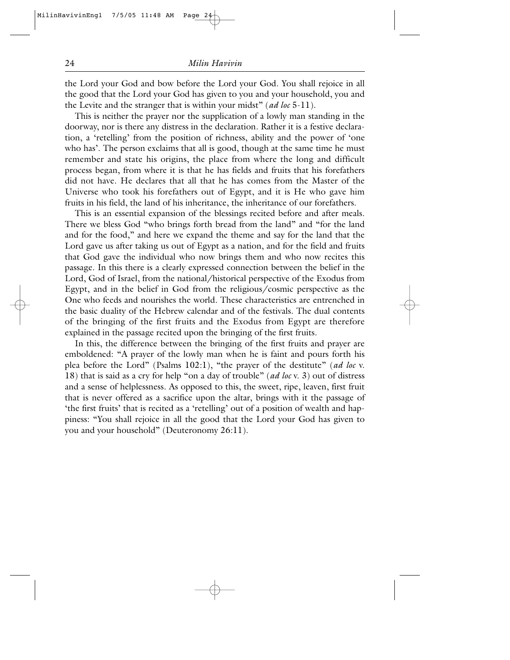the Lord your God and bow before the Lord your God. You shall rejoice in all the good that the Lord your God has given to you and your household, you and the Levite and the stranger that is within your midst" (*ad loc* 5-11).

This is neither the prayer nor the supplication of a lowly man standing in the doorway, nor is there any distress in the declaration. Rather it is a festive declaration, a 'retelling' from the position of richness, ability and the power of 'one who has'. The person exclaims that all is good, though at the same time he must remember and state his origins, the place from where the long and difficult process began, from where it is that he has fields and fruits that his forefathers did not have. He declares that all that he has comes from the Master of the Universe who took his forefathers out of Egypt, and it is He who gave him fruits in his field, the land of his inheritance, the inheritance of our forefathers.

This is an essential expansion of the blessings recited before and after meals. There we bless God "who brings forth bread from the land" and "for the land and for the food," and here we expand the theme and say for the land that the Lord gave us after taking us out of Egypt as a nation, and for the field and fruits that God gave the individual who now brings them and who now recites this passage. In this there is a clearly expressed connection between the belief in the Lord, God of Israel, from the national/historical perspective of the Exodus from Egypt, and in the belief in God from the religious/cosmic perspective as the One who feeds and nourishes the world. These characteristics are entrenched in the basic duality of the Hebrew calendar and of the festivals. The dual contents of the bringing of the first fruits and the Exodus from Egypt are therefore explained in the passage recited upon the bringing of the first fruits.

In this, the difference between the bringing of the first fruits and prayer are emboldened: "A prayer of the lowly man when he is faint and pours forth his plea before the Lord" (Psalms 102:1), "the prayer of the destitute" (*ad loc* v. 18) that is said as a cry for help "on a day of trouble" (*ad loc* v. 3) out of distress and a sense of helplessness. As opposed to this, the sweet, ripe, leaven, first fruit that is never offered as a sacrifice upon the altar, brings with it the passage of 'the first fruits' that is recited as a 'retelling' out of a position of wealth and happiness: "You shall rejoice in all the good that the Lord your God has given to you and your household" (Deuteronomy 26:11).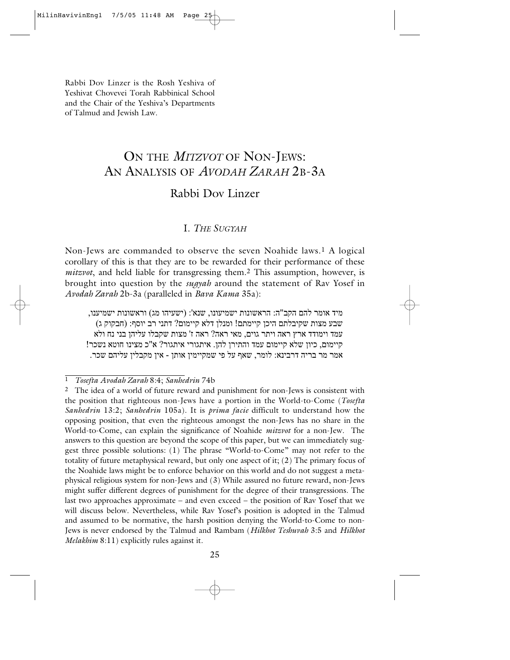Rabbi Dov Linzer is the Rosh Yeshiva of Yeshivat Chovevei Torah Rabbinical School and the Chair of the Yeshiva's Departments of Talmud and Jewish Law.

# ON THE *MITZVOT* OF NON-JEWS: AN ANALYSIS OF *AVODAH ZARAH* 2B-3A

## Rabbi Dov Linzer

### I. *THE SUGYAH*

Non-Jews are commanded to observe the seven Noahide laws.1 A logical corollary of this is that they are to be rewarded for their performance of these *mitzvot*, and held liable for transgressing them.2 This assumption, however, is brought into question by the *sugyah* around the statement of Rav Yosef in *Avodah Zarah* 2b-3a (paralleled in *Bava Kama* 35a):

מיד אומר להם הקב"ה: הראשונות ישמיעונו, שנא': (ישעיהו מג) וראשונות ישמיענו, שבע מצות שקיבלתם היכן קיימתם! ומנלן דלא קיימום? דתני רב יוסף: (חבקוק ג) עמד וימודד ארץ ראה ויתר גוים, מאי ראה? ראה ז' מצות שקבלו עליהן בני נח ולא קיימום, כיון שלא קיימום עמד והתירן להן. איתגורי איתגור? א"כ מצינו חוטא נשכר! אמר מר בריה דרבינא: לומר, שאף על פי שמקיימין אותן - אין מקבלין עליהם שכר.

<sup>1</sup> *Tosefta Avodah Zarah* 8:4; *Sanhedrin* 74b

<sup>2</sup> The idea of a world of future reward and punishment for non-Jews is consistent with the position that righteous non-Jews have a portion in the World-to-Come (*Tosefta Sanhedrin* 13:2; *Sanhedrin* 105a). It is *prima facie* difficult to understand how the opposing position, that even the righteous amongst the non-Jews has no share in the World-to-Come, can explain the significance of Noahide *mitzvot* for a non-Jew. The answers to this question are beyond the scope of this paper, but we can immediately suggest three possible solutions: (1) The phrase "World-to-Come" may not refer to the totality of future metaphysical reward, but only one aspect of it; (2) The primary focus of the Noahide laws might be to enforce behavior on this world and do not suggest a metaphysical religious system for non-Jews and (3) While assured no future reward, non-Jews might suffer different degrees of punishment for the degree of their transgressions. The last two approaches approximate – and even exceed – the position of Rav Yosef that we will discuss below. Nevertheless, while Rav Yosef's position is adopted in the Talmud and assumed to be normative, the harsh position denying the World-to-Come to non-Jews is never endorsed by the Talmud and Rambam (*Hilkhot Teshuvah* 3:5 and *Hilkhot Melakhim* 8:11) explicitly rules against it.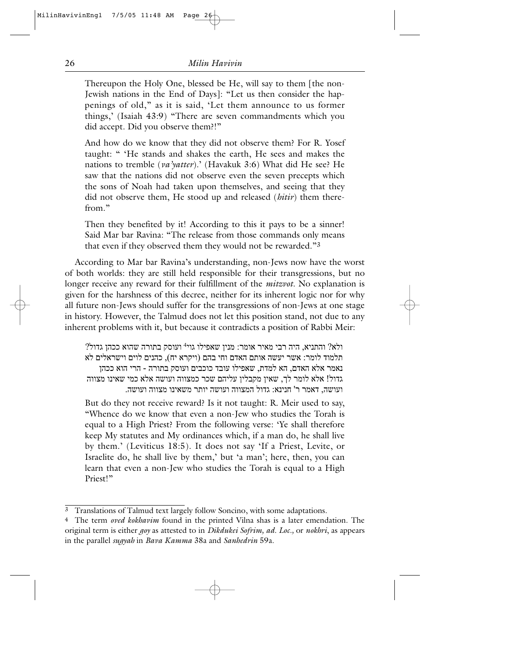Thereupon the Holy One, blessed be He, will say to them [the non-Jewish nations in the End of Days]: "Let us then consider the happenings of old," as it is said, 'Let them announce to us former things,' (Isaiah 43:9) "There are seven commandments which you did accept. Did you observe them?!"

And how do we know that they did not observe them? For R. Yosef taught: " 'He stands and shakes the earth, He sees and makes the nations to tremble (*va'yatter*).' (Havakuk 3:6) What did He see? He saw that the nations did not observe even the seven precepts which the sons of Noah had taken upon themselves, and seeing that they did not observe them, He stood up and released (*hitir*) them therefrom."

Then they benefited by it! According to this it pays to be a sinner! Said Mar bar Ravina: "The release from those commands only means that even if they observed them they would not be rewarded."3

According to Mar bar Ravina's understanding, non-Jews now have the worst of both worlds: they are still held responsible for their transgressions, but no longer receive any reward for their fulfillment of the *mitzvot*. No explanation is given for the harshness of this decree, neither for its inherent logic nor for why all future non-Jews should suffer for the transgressions of non-Jews at one stage in history. However, the Talmud does not let this position stand, not due to any inherent problems with it, but because it contradicts a position of Rabbi Meir:

ולא? והתניא, היה רבי מאיר אומר: מנין שאפילו גוי<sup>4</sup> ועוסק בתורה שהוא ככהן גדול? תלמוד לומר: אשר יעשה אותם האדם וחי בהם (ויקרא יח), כהנים לוים וישראלים לא נאמר אלא האדם, הא למדת, שאפילו עובד כוכבים ועוסק בתורה - הרי הוא ככהן גדול! אלא לומר לך, שאין מקבלין עליהם שכר כמצווה ועושה אלא כמי שאינו מצווה ועושה, דאמר ר' חנינא: גדול המצווה ועושה יותר משאינו מצווה ועושה.

But do they not receive reward? Is it not taught: R. Meir used to say, "Whence do we know that even a non-Jew who studies the Torah is equal to a High Priest? From the following verse: 'Ye shall therefore keep My statutes and My ordinances which, if a man do, he shall live by them.' (Leviticus 18:5). It does not say 'If a Priest, Levite, or Israelite do, he shall live by them,' but 'a man'; here, then, you can learn that even a non-Jew who studies the Torah is equal to a High Priest!"

<sup>3</sup> Translations of Talmud text largely follow Soncino, with some adaptations.

<sup>4</sup> The term *oved kokhavim* found in the printed Vilna shas is a later emendation. The original term is either *goy* as attested to in *Dikdukei Sofrim, ad. Loc.,* or *nokhri*, as appears in the parallel *sugyah* in *Bava Kamma* 38a and *Sanhedrin* 59a.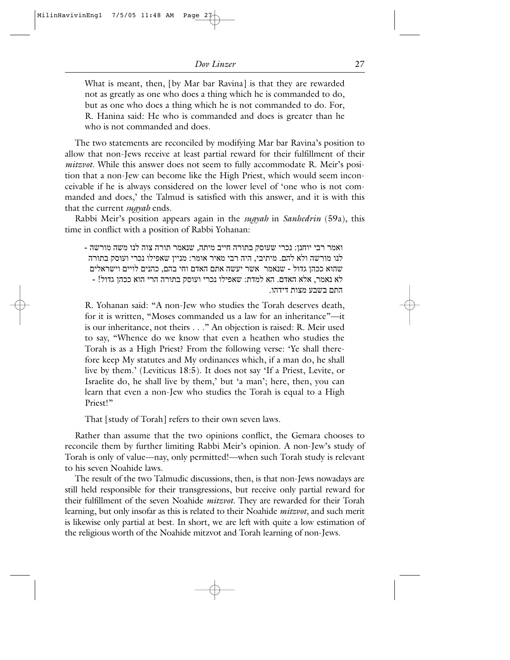*Dov Linzer* 27

What is meant, then, [by Mar bar Ravina] is that they are rewarded not as greatly as one who does a thing which he is commanded to do, but as one who does a thing which he is not commanded to do. For, R. Hanina said: He who is commanded and does is greater than he who is not commanded and does.

The two statements are reconciled by modifying Mar bar Ravina's position to allow that non-Jews receive at least partial reward for their fulfillment of their *mitzvot*. While this answer does not seem to fully accommodate R. Meir's position that a non-Jew can become like the High Priest, which would seem inconceivable if he is always considered on the lower level of 'one who is not commanded and does,' the Talmud is satisfied with this answer, and it is with this that the current *sugyah* ends.

Rabbi Meir's position appears again in the *sugyah* in *Sanhedrin* (59a), this time in conflict with a position of Rabbi Yohanan:

ואמר רבי יוחנן: נכרי שעוסק בתורה חייב מיתה, שנאמר תורה צוה לנו משה מורשה -לנו מורשה ולא להם. מיתיבי, היה רבי מאיר אומר: מניין שאפילו נכרי ועוסק בתורה שהוא ככהן גדול - שנאמר אשר יעשה אתם האדם וחי בהם, כהנים לויים וישראלים לא נאמר, אלא האדם. הא למדת: שאפילו נכרי ועוסק בתורה הרי הוא ככהן גדול! -התם בשבע מצות דידהו.

R. Yohanan said: "A non-Jew who studies the Torah deserves death, for it is written, "Moses commanded us a law for an inheritance"—it is our inheritance, not theirs . . ." An objection is raised: R. Meir used to say, "Whence do we know that even a heathen who studies the Torah is as a High Priest? From the following verse: 'Ye shall therefore keep My statutes and My ordinances which, if a man do, he shall live by them.' (Leviticus 18:5). It does not say 'If a Priest, Levite, or Israelite do, he shall live by them,' but 'a man'; here, then, you can learn that even a non-Jew who studies the Torah is equal to a High Priest!"

That [study of Torah] refers to their own seven laws.

Rather than assume that the two opinions conflict, the Gemara chooses to reconcile them by further limiting Rabbi Meir's opinion. A non-Jew's study of Torah is only of value—nay, only permitted!—when such Torah study is relevant to his seven Noahide laws.

The result of the two Talmudic discussions, then, is that non-Jews nowadays are still held responsible for their transgressions, but receive only partial reward for their fulfillment of the seven Noahide *mitzvot*. They are rewarded for their Torah learning, but only insofar as this is related to their Noahide *mitzvot*, and such merit is likewise only partial at best. In short, we are left with quite a low estimation of the religious worth of the Noahide mitzvot and Torah learning of non-Jews.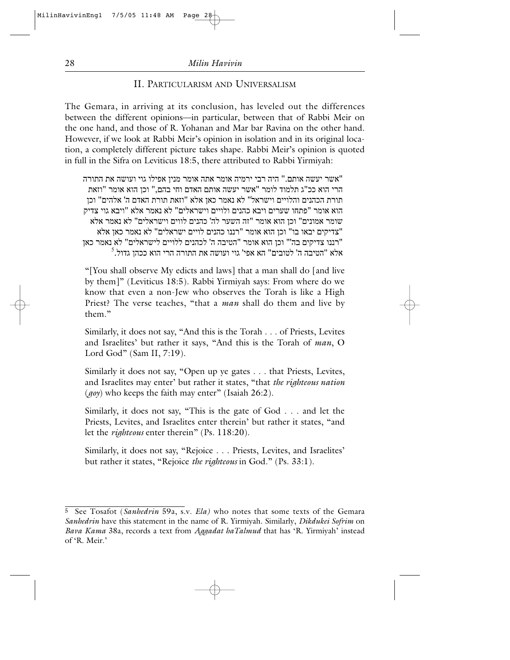## II. PARTICULARISM AND UNIVERSALISM

The Gemara, in arriving at its conclusion, has leveled out the differences between the different opinions—in particular, between that of Rabbi Meir on the one hand, and those of R. Yohanan and Mar bar Ravina on the other hand. However, if we look at Rabbi Meir's opinion in isolation and in its original location, a completely different picture takes shape. Rabbi Meir's opinion is quoted in full in the Sifra on Leviticus 18:5, there attributed to Rabbi Yirmiyah:

"אשר יעשה אותם." היה רבי ירמיה אומר אתה אומר מנין אפילו גוי ועושה את התורה הרי הוא ככ"ג תלמוד לומר "אשר יעשה אותם האדם וחי בהם," וכן הוא אומר "וזאת תורת הכהנים והלויים וישראל" לא נאמר כאן אלא "וזאת תורת האדם ה' אלהים" וכן הוא אומר "פתחו שערים ויבא כהנים ולויים וישראלים" לא נאמר אלא "ויבא גוי צדיק שומר אמונים" וכן הוא אומר "זה השער לה' כהנים לווים וישראלים" לא נאמר אלא "צדיקים יבאו בו" וכן הוא אומר "רננו כהנים לויים ישראלים" לא נאמר כאן אלא "רננו צדיקים בה'" וכן הוא אומר "הטיבה ה' לכהנים ללויים לישראלים" לא נאמר כאן  $^5$ לא "הטיבה ה' לטובים" הא אפי' גוי ועושה את התורה הרי הוא ככהן גדול

"[You shall observe My edicts and laws] that a man shall do [and live by them]" (Leviticus 18:5). Rabbi Yirmiyah says: From where do we know that even a non-Jew who observes the Torah is like a High Priest? The verse teaches, "that a *man* shall do them and live by them."

Similarly, it does not say, "And this is the Torah . . . of Priests, Levites and Israelites' but rather it says, "And this is the Torah of *man*, O Lord God" (Sam II, 7:19).

Similarly it does not say, "Open up ye gates . . . that Priests, Levites, and Israelites may enter' but rather it states, "that *the righteous nation* (*goy*) who keeps the faith may enter" (Isaiah 26:2).

Similarly, it does not say, "This is the gate of God . . . and let the Priests, Levites, and Israelites enter therein' but rather it states, "and let the *righteous* enter therein" (Ps. 118:20).

Similarly, it does not say, "Rejoice . . . Priests, Levites, and Israelites' but rather it states, "Rejoice *the righteous* in God." (Ps. 33:1).

<sup>5</sup> See Tosafot (*Sanhedrin* 59a, s.v*. Ela)* who notes that some texts of the Gemara *Sanhedrin* have this statement in the name of R. Yirmiyah. Similarly, *Dikdukei Sofrim* on *Bava Kama* 38a, records a text from *Aggadat haTalmud* that has 'R. Yirmiyah' instead of 'R. Meir.'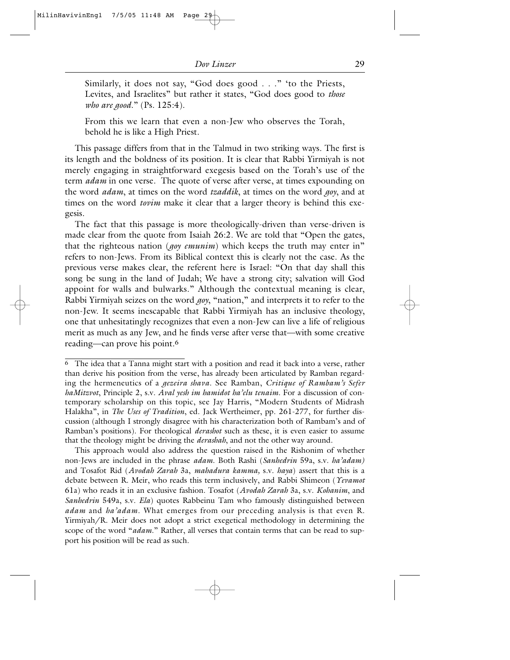*Dov Linzer* 29

Similarly, it does not say, "God does good . . ." 'to the Priests, Levites, and Israelites" but rather it states, "God does good to *those who are good*." (Ps. 125:4).

From this we learn that even a non-Jew who observes the Torah, behold he is like a High Priest.

This passage differs from that in the Talmud in two striking ways. The first is its length and the boldness of its position. It is clear that Rabbi Yirmiyah is not merely engaging in straightforward exegesis based on the Torah's use of the term *adam* in one verse. The quote of verse after verse, at times expounding on the word *adam*, at times on the word *tzaddik*, at times on the word *goy*, and at times on the word *tovim* make it clear that a larger theory is behind this exegesis.

The fact that this passage is more theologically-driven than verse-driven is made clear from the quote from Isaiah 26:2. We are told that "Open the gates, that the righteous nation (*goy emunim*) which keeps the truth may enter in" refers to non-Jews. From its Biblical context this is clearly not the case. As the previous verse makes clear, the referent here is Israel: "On that day shall this song be sung in the land of Judah; We have a strong city; salvation will God appoint for walls and bulwarks." Although the contextual meaning is clear, Rabbi Yirmiyah seizes on the word *goy*, "nation," and interprets it to refer to the non-Jew. It seems inescapable that Rabbi Yirmiyah has an inclusive theology, one that unhesitatingly recognizes that even a non-Jew can live a life of religious merit as much as any Jew, and he finds verse after verse that—with some creative reading—can prove his point.6

This approach would also address the question raised in the Rishonim of whether non-Jews are included in the phrase *adam*. Both Rashi (*Sanhedrin* 59a, s.v. *ha'adam)* and Tosafot Rid (*Avodah Zarah* 3a, *mahadura kamma,* s.v. *haya*) assert that this is a debate between R. Meir, who reads this term inclusively, and Rabbi Shimeon (*Yevamot* 61a) who reads it in an exclusive fashion. Tosafot (*Avodah Zarah* 3a, s.v. *Kohanim*, and *Sanhedrin* 549a, s.v. *Ela*) quotes Rabbeinu Tam who famously distinguished between *adam* and *ha'adam*. What emerges from our preceding analysis is that even R. Yirmiyah/R. Meir does not adopt a strict exegetical methodology in determining the scope of the word "*adam*." Rather, all verses that contain terms that can be read to support his position will be read as such.

<sup>6</sup> The idea that a Tanna might start with a position and read it back into a verse, rather than derive his position from the verse, has already been articulated by Ramban regarding the hermeneutics of a *gezeira shava*. See Ramban, *Critique of Rambam's Sefer haMitzvot*, Principle 2, s.v. *Aval yesh im hamidot ha'elu tenaim*. For a discussion of contemporary scholarship on this topic, see Jay Harris, "Modern Students of Midrash Halakha", in *The Uses of Tradition*, ed. Jack Wertheimer, pp. 261-277, for further discussion (although I strongly disagree with his characterization both of Rambam's and of Ramban's positions). For theological *derashot* such as these, it is even easier to assume that the theology might be driving the *derashah*, and not the other way around.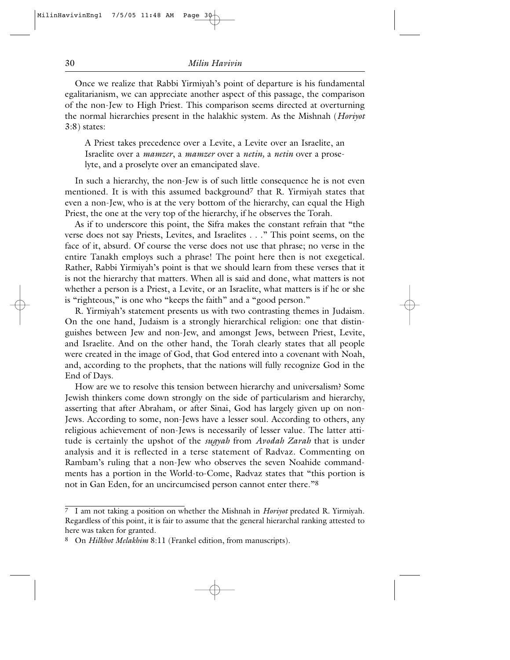Once we realize that Rabbi Yirmiyah's point of departure is his fundamental egalitarianism, we can appreciate another aspect of this passage, the comparison of the non-Jew to High Priest. This comparison seems directed at overturning the normal hierarchies present in the halakhic system. As the Mishnah (*Horiyot* 3:8) states:

A Priest takes precedence over a Levite, a Levite over an Israelite, an Israelite over a *mamzer*, a *mamzer* over a *netin,* a *netin* over a proselyte, and a proselyte over an emancipated slave.

In such a hierarchy, the non-Jew is of such little consequence he is not even mentioned. It is with this assumed background<sup>7</sup> that R. Yirmiyah states that even a non-Jew, who is at the very bottom of the hierarchy, can equal the High Priest, the one at the very top of the hierarchy, if he observes the Torah.

As if to underscore this point, the Sifra makes the constant refrain that "the verse does not say Priests, Levites, and Israelites . . ." This point seems, on the face of it, absurd. Of course the verse does not use that phrase; no verse in the entire Tanakh employs such a phrase! The point here then is not exegetical. Rather, Rabbi Yirmiyah's point is that we should learn from these verses that it is not the hierarchy that matters. When all is said and done, what matters is not whether a person is a Priest, a Levite, or an Israelite, what matters is if he or she is "righteous," is one who "keeps the faith" and a "good person."

R. Yirmiyah's statement presents us with two contrasting themes in Judaism. On the one hand, Judaism is a strongly hierarchical religion: one that distinguishes between Jew and non-Jew, and amongst Jews, between Priest, Levite, and Israelite. And on the other hand, the Torah clearly states that all people were created in the image of God, that God entered into a covenant with Noah, and, according to the prophets, that the nations will fully recognize God in the End of Days.

How are we to resolve this tension between hierarchy and universalism? Some Jewish thinkers come down strongly on the side of particularism and hierarchy, asserting that after Abraham, or after Sinai, God has largely given up on non-Jews. According to some, non-Jews have a lesser soul. According to others, any religious achievement of non-Jews is necessarily of lesser value. The latter attitude is certainly the upshot of the *sugyah* from *Avodah Zarah* that is under analysis and it is reflected in a terse statement of Radvaz. Commenting on Rambam's ruling that a non-Jew who observes the seven Noahide commandments has a portion in the World-to-Come, Radvaz states that "this portion is not in Gan Eden, for an uncircumcised person cannot enter there."8

<sup>7</sup> I am not taking a position on whether the Mishnah in *Horiyot* predated R. Yirmiyah. Regardless of this point, it is fair to assume that the general hierarchal ranking attested to here was taken for granted.

<sup>8</sup> On *Hilkhot Melakhim* 8:11 (Frankel edition, from manuscripts).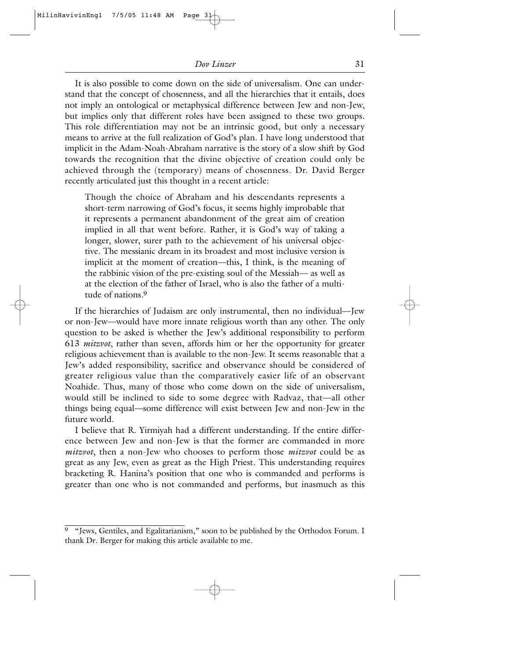*Dov Linzer* 31

It is also possible to come down on the side of universalism. One can understand that the concept of chosenness, and all the hierarchies that it entails, does not imply an ontological or metaphysical difference between Jew and non-Jew, but implies only that different roles have been assigned to these two groups. This role differentiation may not be an intrinsic good, but only a necessary means to arrive at the full realization of God's plan. I have long understood that implicit in the Adam-Noah-Abraham narrative is the story of a slow shift by God towards the recognition that the divine objective of creation could only be achieved through the (temporary) means of chosenness. Dr. David Berger recently articulated just this thought in a recent article:

Though the choice of Abraham and his descendants represents a short-term narrowing of God's focus, it seems highly improbable that it represents a permanent abandonment of the great aim of creation implied in all that went before. Rather, it is God's way of taking a longer, slower, surer path to the achievement of his universal objective. The messianic dream in its broadest and most inclusive version is implicit at the moment of creation—this, I think, is the meaning of the rabbinic vision of the pre-existing soul of the Messiah— as well as at the election of the father of Israel, who is also the father of a multitude of nations.9

If the hierarchies of Judaism are only instrumental, then no individual—Jew or non-Jew—would have more innate religious worth than any other. The only question to be asked is whether the Jew's additional responsibility to perform 613 *mitzvot*, rather than seven, affords him or her the opportunity for greater religious achievement than is available to the non-Jew. It seems reasonable that a Jew's added responsibility, sacrifice and observance should be considered of greater religious value than the comparatively easier life of an observant Noahide. Thus, many of those who come down on the side of universalism, would still be inclined to side to some degree with Radvaz, that—all other things being equal—some difference will exist between Jew and non-Jew in the future world.

I believe that R. Yirmiyah had a different understanding. If the entire difference between Jew and non-Jew is that the former are commanded in more *mitzvot*, then a non-Jew who chooses to perform those *mitzvot* could be as great as any Jew, even as great as the High Priest. This understanding requires bracketing R. Hanina's position that one who is commanded and performs is greater than one who is not commanded and performs, but inasmuch as this

<sup>9</sup> "Jews, Gentiles, and Egalitarianism," soon to be published by the Orthodox Forum. I thank Dr. Berger for making this article available to me.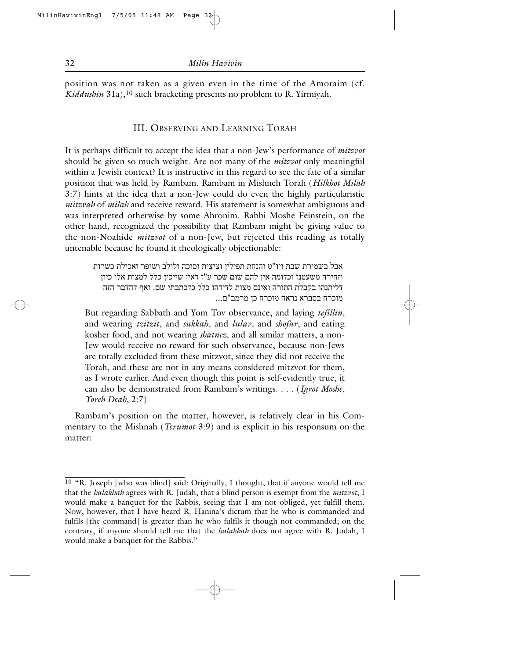position was not taken as a given even in the time of the Amoraim (cf. *Kiddushin* 31a),<sup>10</sup> such bracketing presents no problem to R. Yirmiyah.

### III. OBSERVING AND LEARNING TORAH

It is perhaps difficult to accept the idea that a non-Jew's performance of *mitzvot* should be given so much weight. Are not many of the *mitzvot* only meaningful within a Jewish context? It is instructive in this regard to see the fate of a similar position that was held by Rambam. Rambam in Mishneh Torah (*Hilkhot Milah* 3:7) hints at the idea that a non-Jew could do even the highly particularistic *mitzvah* of *milah* and receive reward. His statement is somewhat ambiguous and was interpreted otherwise by some Ahronim. Rabbi Moshe Feinstein, on the other hand, recognized the possibility that Rambam might be giving value to the non-Noahide *mitzvot* of a non-Jew, but rejected this reading as totally untenable because he found it theologically objectionable:

אבל בשמירת שבת ויו"ט והנחת תפילין וציצית וסוכה ולולב ושופר ואכילת כשרות וזהירה משעטנז וכדומה אין להם שום שכר ע"ז דאין שייכין כלל למצות אלו כיון דליתנהו בקבלת התורה ואינם מצות לדידהו כלל כדכתבתי שם. ואף דהדבר הזה מוכרח בסברא נראה מוכרח כן מרמב"ם...

But regarding Sabbath and Yom Tov observance, and laying *tefillin*, and wearing *tzitzit*, and *sukkah*, and *lulav*, and *shofar*, and eating kosher food, and not wearing *shatnez*, and all similar matters, a non-Jew would receive no reward for such observance, because non-Jews are totally excluded from these mitzvot, since they did not receive the Torah, and these are not in any means considered mitzvot for them, as I wrote earlier. And even though this point is self-evidently true, it can also be demonstrated from Rambam's writings. . . . (*Igrot Moshe*, *Yoreh Deah*, 2:7)

Rambam's position on the matter, however, is relatively clear in his Commentary to the Mishnah (*Terumot* 3:9) and is explicit in his responsum on the matter:

<sup>10</sup> "R. Joseph [who was blind] said: Originally, I thought, that if anyone would tell me that the *halakhah* agrees with R. Judah, that a blind person is exempt from the *mitzvot*, I would make a banquet for the Rabbis, seeing that I am not obliged, yet fulfill them. Now, however, that I have heard R. Hanina's dictum that he who is commanded and fulfils [the command] is greater than he who fulfils it though not commanded; on the contrary, if anyone should tell me that the *halakhah* does not agree with R. Judah, I would make a banquet for the Rabbis."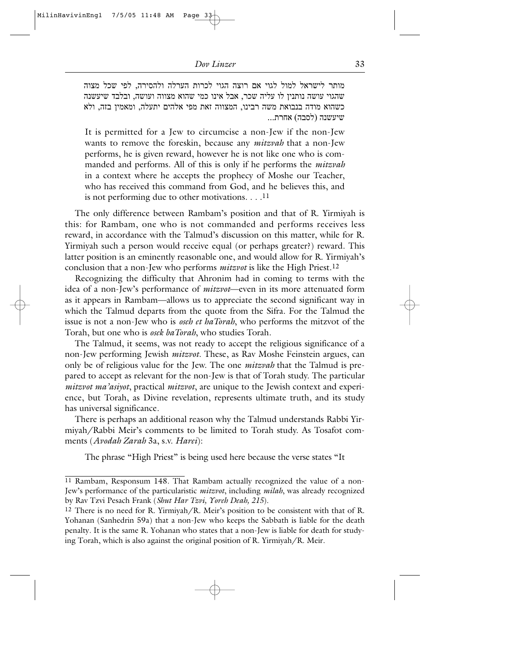*Dov Linzer* 33

מותר לישראל למול לגוי אם רוצה הגוי לכרות הערלה ולהסירה, לפי שכל מצוה שהגוי עושה נותנין לו עליה שכר, אבל אינו כמי שהוא מצווה ועושה, ובלבד שיעשנה כשהוא מודה בנבואת משה רבינו, המצווה זאת מפי אלהים יתעלה, ומאמין בזה, ולא שיעשנה (לסבה) אחרת...

It is permitted for a Jew to circumcise a non-Jew if the non-Jew wants to remove the foreskin, because any *mitzvah* that a non-Jew performs, he is given reward, however he is not like one who is commanded and performs. All of this is only if he performs the *mitzvah* in a context where he accepts the prophecy of Moshe our Teacher, who has received this command from God, and he believes this, and is not performing due to other motivations. . . .11

The only difference between Rambam's position and that of R. Yirmiyah is this: for Rambam, one who is not commanded and performs receives less reward, in accordance with the Talmud's discussion on this matter, while for R. Yirmiyah such a person would receive equal (or perhaps greater?) reward. This latter position is an eminently reasonable one, and would allow for R. Yirmiyah's conclusion that a non-Jew who performs *mitzvot* is like the High Priest.12

Recognizing the difficulty that Ahronim had in coming to terms with the idea of a non-Jew's performance of *mitzvot*—even in its more attenuated form as it appears in Rambam—allows us to appreciate the second significant way in which the Talmud departs from the quote from the Sifra. For the Talmud the issue is not a non-Jew who is *oseh et haTorah*, who performs the mitzvot of the Torah, but one who is *osek baTorah*, who studies Torah.

The Talmud, it seems, was not ready to accept the religious significance of a non-Jew performing Jewish *mitzvot*. These, as Rav Moshe Feinstein argues, can only be of religious value for the Jew. The one *mitzvah* that the Talmud is prepared to accept as relevant for the non-Jew is that of Torah study. The particular *mitzvot ma'asiyot*, practical *mitzvot*, are unique to the Jewish context and experience, but Torah, as Divine revelation, represents ultimate truth, and its study has universal significance.

There is perhaps an additional reason why the Talmud understands Rabbi Yirmiyah/Rabbi Meir's comments to be limited to Torah study. As Tosafot comments (*Avodah Zarah* 3a, s.v. *Harei*):

The phrase "High Priest" is being used here because the verse states "It

<sup>11</sup> Rambam, Responsum 148. That Rambam actually recognized the value of a non-Jew's performance of the particularistic *mitzvot*, including *milah*, was already recognized by Rav Tzvi Pesach Frank (*Shut Har Tzvi, Yoreh Deah, 215*).

<sup>12</sup> There is no need for R. Yirmiyah/R. Meir's position to be consistent with that of R. Yohanan (Sanhedrin 59a) that a non-Jew who keeps the Sabbath is liable for the death penalty. It is the same R. Yohanan who states that a non-Jew is liable for death for studying Torah, which is also against the original position of R. Yirmiyah/R. Meir.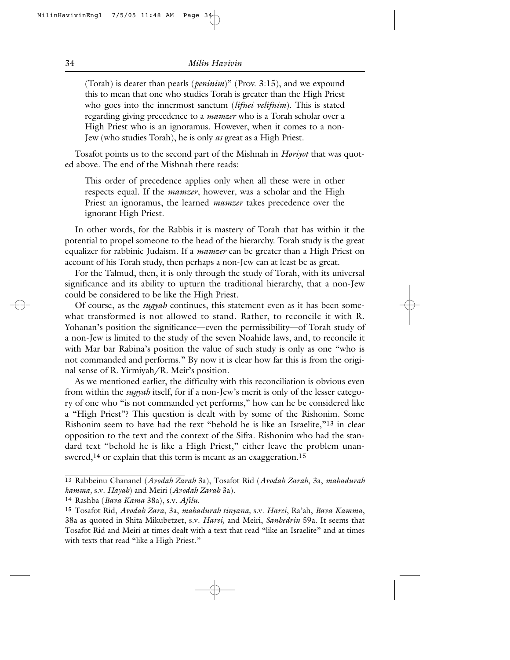(Torah) is dearer than pearls (*peninim*)" (Prov. 3:15), and we expound this to mean that one who studies Torah is greater than the High Priest who goes into the innermost sanctum (*lifnei velifnim*). This is stated regarding giving precedence to a *mamzer* who is a Torah scholar over a High Priest who is an ignoramus. However, when it comes to a non-Jew (who studies Torah), he is only *as* great as a High Priest.

Tosafot points us to the second part of the Mishnah in *Horiyot* that was quoted above. The end of the Mishnah there reads:

This order of precedence applies only when all these were in other respects equal. If the *mamzer*, however, was a scholar and the High Priest an ignoramus, the learned *mamzer* takes precedence over the ignorant High Priest.

In other words, for the Rabbis it is mastery of Torah that has within it the potential to propel someone to the head of the hierarchy. Torah study is the great equalizer for rabbinic Judaism. If a *mamzer* can be greater than a High Priest on account of his Torah study, then perhaps a non-Jew can at least be as great.

For the Talmud, then, it is only through the study of Torah, with its universal significance and its ability to upturn the traditional hierarchy, that a non-Jew could be considered to be like the High Priest.

Of course, as the *sugyah* continues, this statement even as it has been somewhat transformed is not allowed to stand. Rather, to reconcile it with R. Yohanan's position the significance—even the permissibility—of Torah study of a non-Jew is limited to the study of the seven Noahide laws, and, to reconcile it with Mar bar Rabina's position the value of such study is only as one "who is not commanded and performs." By now it is clear how far this is from the original sense of R. Yirmiyah/R. Meir's position.

As we mentioned earlier, the difficulty with this reconciliation is obvious even from within the *sugyah* itself, for if a non-Jew's merit is only of the lesser category of one who "is not commanded yet performs," how can he be considered like a "High Priest"? This question is dealt with by some of the Rishonim. Some Rishonim seem to have had the text "behold he is like an Israelite,"13 in clear opposition to the text and the context of the Sifra. Rishonim who had the standard text "behold he is like a High Priest," either leave the problem unanswered,<sup>14</sup> or explain that this term is meant as an exaggeration.<sup>15</sup>

<sup>13</sup> Rabbeinu Chananel (*Avodah Zarah* 3a), Tosafot Rid (*Avodah Zarah*, 3a, *mahadurah kamma,* s.v. *Hayah*) and Meiri (*Avodah Zarah* 3a).

<sup>14</sup> Rashba (*Bava Kama* 38a), s.v. *Afilu.*

<sup>15</sup> Tosafot Rid, *Avodah Zara*, 3a, *mahadurah tinyana,* s.v. *Harei*, Ra'ah, *Bava Kamma*, 38a as quoted in Shita Mikubetzet, s.v. *Harei,* and Meiri, *Sanhedrin* 59a. It seems that Tosafot Rid and Meiri at times dealt with a text that read "like an Israelite" and at times with texts that read "like a High Priest."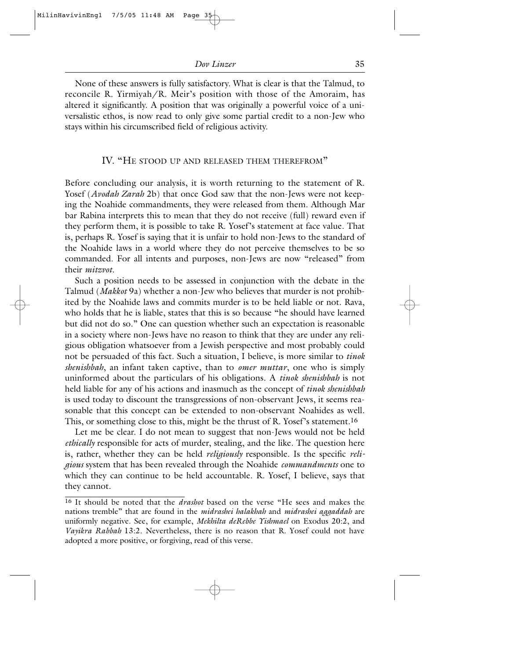*Dov Linzer* 35

None of these answers is fully satisfactory. What is clear is that the Talmud, to reconcile R. Yirmiyah/R. Meir's position with those of the Amoraim, has altered it significantly. A position that was originally a powerful voice of a universalistic ethos, is now read to only give some partial credit to a non-Jew who stays within his circumscribed field of religious activity.

### IV. "HE STOOD UP AND RELEASED THEM THEREFROM"

Before concluding our analysis, it is worth returning to the statement of R. Yosef (*Avodah Zarah* 2b) that once God saw that the non-Jews were not keeping the Noahide commandments, they were released from them. Although Mar bar Rabina interprets this to mean that they do not receive (full) reward even if they perform them, it is possible to take R. Yosef's statement at face value. That is, perhaps R. Yosef is saying that it is unfair to hold non-Jews to the standard of the Noahide laws in a world where they do not perceive themselves to be so commanded. For all intents and purposes, non-Jews are now "released" from their *mitzvot*.

Such a position needs to be assessed in conjunction with the debate in the Talmud (*Makkot* 9a) whether a non-Jew who believes that murder is not prohibited by the Noahide laws and commits murder is to be held liable or not. Rava, who holds that he is liable, states that this is so because "he should have learned but did not do so." One can question whether such an expectation is reasonable in a society where non-Jews have no reason to think that they are under any religious obligation whatsoever from a Jewish perspective and most probably could not be persuaded of this fact. Such a situation, I believe, is more similar to *tinok shenishbah*, an infant taken captive, than to *omer muttar*, one who is simply uninformed about the particulars of his obligations. A *tinok shenishbah* is not held liable for any of his actions and inasmuch as the concept of *tinok shenishbah* is used today to discount the transgressions of non-observant Jews, it seems reasonable that this concept can be extended to non-observant Noahides as well. This, or something close to this, might be the thrust of R. Yosef's statement.16

Let me be clear. I do not mean to suggest that non-Jews would not be held *ethically* responsible for acts of murder, stealing, and the like. The question here is, rather, whether they can be held *religiously* responsible. Is the specific *religious* system that has been revealed through the Noahide *commandments* one to which they can continue to be held accountable. R. Yosef, I believe, says that they cannot.

<sup>16</sup> It should be noted that the *drashot* based on the verse "He sees and makes the nations tremble" that are found in the *midrashei halakhah* and *midrashei aggaddah* are uniformly negative. See, for example, *Mekhilta deRebbe Yishmael* on Exodus 20:2, and *Vayikra Rabbah* 13:2. Nevertheless, there is no reason that R. Yosef could not have adopted a more positive, or forgiving, read of this verse.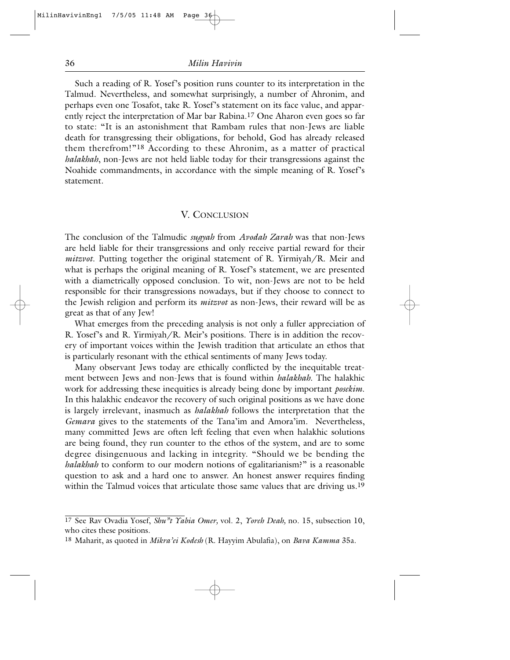Such a reading of R. Yosef's position runs counter to its interpretation in the Talmud. Nevertheless, and somewhat surprisingly, a number of Ahronim, and perhaps even one Tosafot, take R. Yosef's statement on its face value, and apparently reject the interpretation of Mar bar Rabina.17 One Aharon even goes so far to state: "It is an astonishment that Rambam rules that non-Jews are liable death for transgressing their obligations, for behold, God has already released them therefrom!"18 According to these Ahronim, as a matter of practical *halakhah*, non-Jews are not held liable today for their transgressions against the Noahide commandments, in accordance with the simple meaning of R. Yosef's statement.

### V. CONCLUSION

The conclusion of the Talmudic *sugyah* from *Avodah Zarah* was that non-Jews are held liable for their transgressions and only receive partial reward for their *mitzvot*. Putting together the original statement of R. Yirmiyah/R. Meir and what is perhaps the original meaning of R. Yosef's statement, we are presented with a diametrically opposed conclusion. To wit, non-Jews are not to be held responsible for their transgressions nowadays, but if they choose to connect to the Jewish religion and perform its *mitzvot* as non-Jews, their reward will be as great as that of any Jew!

What emerges from the preceding analysis is not only a fuller appreciation of R. Yosef's and R. Yirmiyah/R. Meir's positions. There is in addition the recovery of important voices within the Jewish tradition that articulate an ethos that is particularly resonant with the ethical sentiments of many Jews today.

Many observant Jews today are ethically conflicted by the inequitable treatment between Jews and non-Jews that is found within *halakhah*. The halakhic work for addressing these inequities is already being done by important *posekim*. In this halakhic endeavor the recovery of such original positions as we have done is largely irrelevant, inasmuch as *halakhah* follows the interpretation that the *Gemara* gives to the statements of the Tana'im and Amora'im. Nevertheless, many committed Jews are often left feeling that even when halakhic solutions are being found, they run counter to the ethos of the system, and are to some degree disingenuous and lacking in integrity. "Should we be bending the *halakhah* to conform to our modern notions of egalitarianism?" is a reasonable question to ask and a hard one to answer. An honest answer requires finding within the Talmud voices that articulate those same values that are driving us.<sup>19</sup>

<sup>17</sup> See Rav Ovadia Yosef, *Shu"t Yabia Omer,* vol. 2, *Yoreh Deah,* no. 15, subsection 10, who cites these positions.

<sup>18</sup> Maharit, as quoted in *Mikra'ei Kodesh* (R. Hayyim Abulafia), on *Bava Kamma* 35a.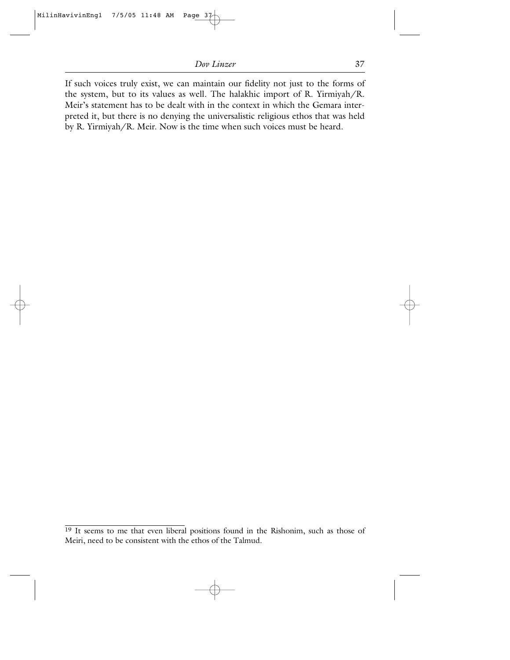*Dov Linzer* 37

<sup>&</sup>lt;sup>19</sup> It seems to me that even liberal positions found in the Rishonim, such as those of Meiri, need to be consistent with the ethos of the Talmud.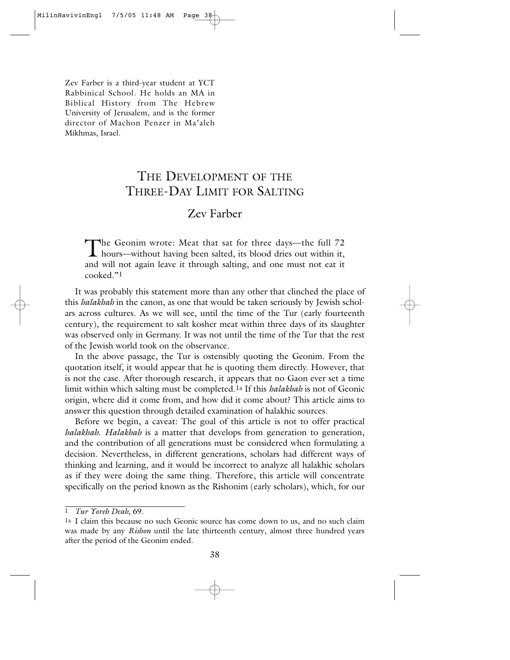Zev Farber is a third-year student at YCT Rabbinical School. He holds an MA in Biblical History from The Hebrew University of Jerusalem, and is the former director of Machon Penzer in Ma'aleh Mikhmas, Israel.

# THE DEVELOPMENT OF THE THREE-DAY LIMIT FOR SALTING

# Zev Farber

The Geonim wrote: Meat that sat for three days—the full 72 hours—without having been salted, its blood dries out within it, and will not again leave it through salting, and one must not eat it cooked."1

It was probably this statement more than any other that clinched the place of this *halakhah* in the canon, as one that would be taken seriously by Jewish scholars across cultures. As we will see, until the time of the Tur (early fourteenth century), the requirement to salt kosher meat within three days of its slaughter was observed only in Germany. It was not until the time of the Tur that the rest of the Jewish world took on the observance.

In the above passage, the Tur is ostensibly quoting the Geonim. From the quotation itself, it would appear that he is quoting them directly. However, that is not the case. After thorough research, it appears that no Gaon ever set a time limit within which salting must be completed.1a If this *halakhah* is not of Geonic origin, where did it come from, and how did it come about? This article aims to answer this question through detailed examination of halakhic sources.

Before we begin, a caveat: The goal of this article is not to offer practical *halakhah*. *Halakhah* is a matter that develops from generation to generation, and the contribution of all generations must be considered when formulating a decision. Nevertheless, in different generations, scholars had different ways of thinking and learning, and it would be incorrect to analyze all halakhic scholars as if they were doing the same thing. Therefore, this article will concentrate specifically on the period known as the Rishonim (early scholars), which, for our

<sup>1</sup> *Tur Yoreh Deah*, 69.

<sup>1</sup>a I claim this because no such Geonic source has come down to us, and no such claim was made by any *Rishon* until the late thirteenth century, almost three hundred years after the period of the Geonim ended.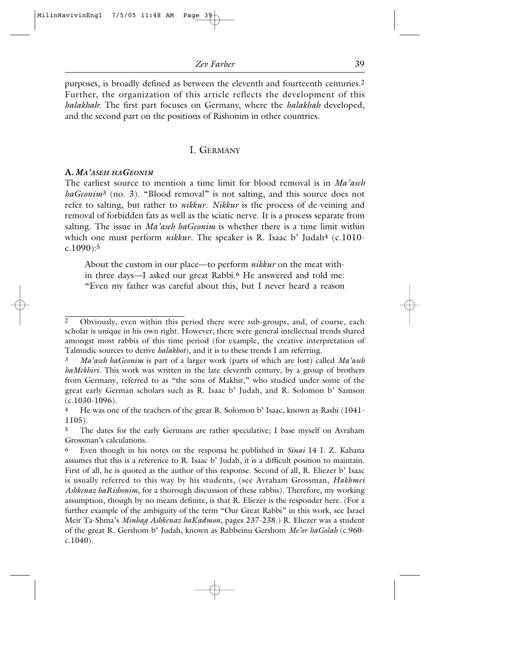purposes, is broadly defined as between the eleventh and fourteenth centuries.2 Further, the organization of this article reflects the development of this *halakhah*: The first part focuses on Germany, where the *halakhah* developed, and the second part on the positions of Rishonim in other countries.

### I. GERMANY

### **A.***MA'ASEH HAGEONIM*

The earliest source to mention a time limit for blood removal is in *Ma'aseh haGeonim*<sup>3</sup> (no. 3). "Blood removal" is not salting, and this source does not refer to salting, but rather to *nikkur*. *Nikkur* is the process of de-veining and removal of forbidden fats as well as the sciatic nerve. It is a process separate from salting. The issue in *Ma'aseh haGeonim* is whether there is a time limit within which one must perform *nikkur*. The speaker is R. Isaac b' Judah<sup>4</sup> (c.1010 $c.1090$ :<sup>5</sup>

About the custom in our place—to perform *nikkur* on the meat within three days—I asked our great Rabbi.6 He answered and told me: "Even my father was careful about this, but I never heard a reason

4 He was one of the teachers of the great R. Solomon b' Isaac, known as Rashi (1041- 1105).

5 The dates for the early Germans are rather speculative; I base myself on Avraham Grossman's calculations.

6 Even though in his notes on the responsa he published in *Sinai* 14 I. Z. Kahana assumes that this is a reference to R. Isaac b' Judah, it is a difficult position to maintain. First of all, he is quoted as the author of this response. Second of all, R. Eliezer b' Isaac is usually referred to this way by his students, (see Avraham Grossman, *Hakhmei Ashkenaz haRishonim*, for a thorough discussion of these rabbis). Therefore, my working assumption, though by no means definite, is that R. Eliezer is the responder here. (For a further example of the ambiguity of the term "Our Great Rabbi" in this work, see Israel Meir Ta-Shma's *Minhag Ashkenaz haKadmon*, pages 237-238.) R. Eliezer was a student of the great R. Gershom b' Judah, known as Rabbeinu Gershom *Me'or haGolah* (c.960 c.1040).

<sup>2</sup> Obviously, even within this period there were sub-groups, and, of course, each scholar is unique in his own right. However, there were general intellectual trends shared amongst most rabbis of this time period (for example, the creative interpretation of Talmudic sources to derive *halakhot*), and it is to these trends I am referring.

<sup>3</sup> *Ma'aseh haGeonim* is part of a larger work (parts of which are lost) called *Ma'aseh haMekhiri*. This work was written in the late eleventh century, by a group of brothers from Germany, referred to as "the sons of Makhir," who studied under some of the great early German scholars such as R. Isaac b' Judah, and R. Solomon b' Samson (c.1030-1096).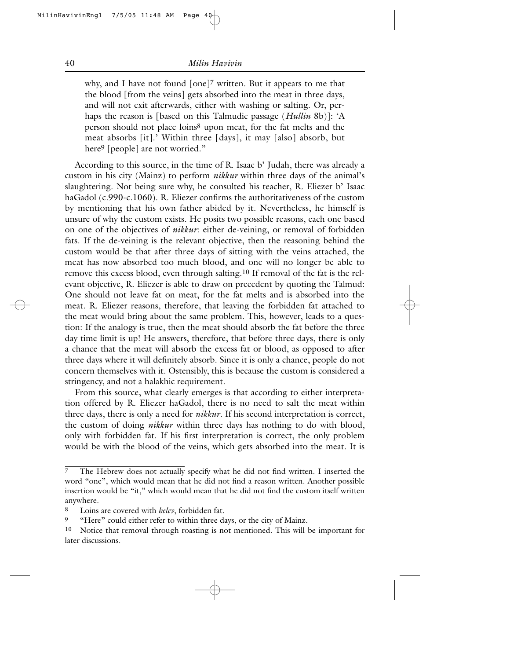why, and I have not found [one]<sup>7</sup> written. But it appears to me that the blood [from the veins] gets absorbed into the meat in three days, and will not exit afterwards, either with washing or salting. Or, perhaps the reason is [based on this Talmudic passage (*Hullin* 8b)]: 'A person should not place loins8 upon meat, for the fat melts and the meat absorbs [it].' Within three [days], it may [also] absorb, but here<sup>9</sup> [people] are not worried."

According to this source, in the time of R. Isaac b' Judah, there was already a custom in his city (Mainz) to perform *nikkur* within three days of the animal's slaughtering. Not being sure why, he consulted his teacher, R. Eliezer b' Isaac haGadol (c.990-c.1060). R. Eliezer confirms the authoritativeness of the custom by mentioning that his own father abided by it. Nevertheless, he himself is unsure of why the custom exists. He posits two possible reasons, each one based on one of the objectives of *nikkur*: either de-veining, or removal of forbidden fats. If the de-veining is the relevant objective, then the reasoning behind the custom would be that after three days of sitting with the veins attached, the meat has now absorbed too much blood, and one will no longer be able to remove this excess blood, even through salting.10 If removal of the fat is the relevant objective, R. Eliezer is able to draw on precedent by quoting the Talmud: One should not leave fat on meat, for the fat melts and is absorbed into the meat. R. Eliezer reasons, therefore, that leaving the forbidden fat attached to the meat would bring about the same problem. This, however, leads to a question: If the analogy is true, then the meat should absorb the fat before the three day time limit is up! He answers, therefore, that before three days, there is only a chance that the meat will absorb the excess fat or blood, as opposed to after three days where it will definitely absorb. Since it is only a chance, people do not concern themselves with it. Ostensibly, this is because the custom is considered a stringency, and not a halakhic requirement.

From this source, what clearly emerges is that according to either interpretation offered by R. Eliezer haGadol, there is no need to salt the meat within three days, there is only a need for *nikkur*. If his second interpretation is correct, the custom of doing *nikkur* within three days has nothing to do with blood, only with forbidden fat. If his first interpretation is correct, the only problem would be with the blood of the veins, which gets absorbed into the meat. It is

<sup>7</sup> The Hebrew does not actually specify what he did not find written. I inserted the word "one", which would mean that he did not find a reason written. Another possible insertion would be "it," which would mean that he did not find the custom itself written anywhere.

<sup>8</sup> Loins are covered with *helev*, forbidden fat.

<sup>&</sup>quot;Here" could either refer to within three days, or the city of Mainz.

Notice that removal through roasting is not mentioned. This will be important for later discussions.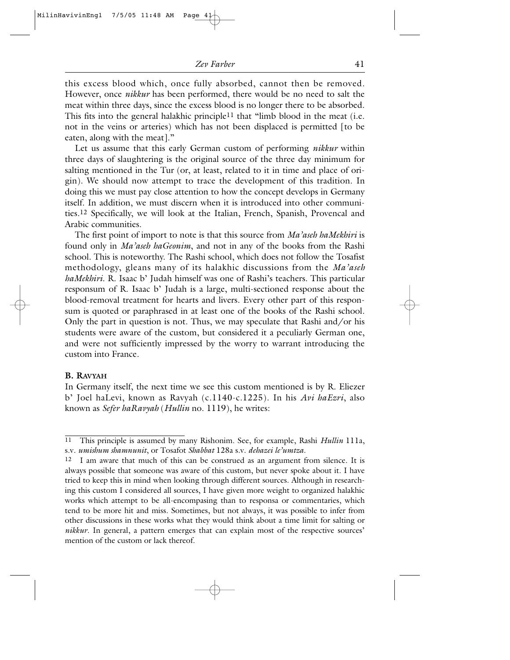this excess blood which, once fully absorbed, cannot then be removed. However, once *nikkur* has been performed, there would be no need to salt the meat within three days, since the excess blood is no longer there to be absorbed. This fits into the general halakhic principle<sup>11</sup> that "limb blood in the meat (i.e. not in the veins or arteries) which has not been displaced is permitted [to be eaten, along with the meat]."

Let us assume that this early German custom of performing *nikkur* within three days of slaughtering is the original source of the three day minimum for salting mentioned in the Tur (or, at least, related to it in time and place of origin). We should now attempt to trace the development of this tradition. In doing this we must pay close attention to how the concept develops in Germany itself. In addition, we must discern when it is introduced into other communities.12 Specifically, we will look at the Italian, French, Spanish, Provencal and Arabic communities.

The first point of import to note is that this source from *Ma'aseh haMekhiri* is found only in *Ma'aseh haGeonim*, and not in any of the books from the Rashi school. This is noteworthy. The Rashi school, which does not follow the Tosafist methodology, gleans many of its halakhic discussions from the *Ma'aseh haMekhiri*. R. Isaac b' Judah himself was one of Rashi's teachers. This particular responsum of R. Isaac b' Judah is a large, multi-sectioned response about the blood-removal treatment for hearts and livers. Every other part of this responsum is quoted or paraphrased in at least one of the books of the Rashi school. Only the part in question is not. Thus, we may speculate that Rashi and/or his students were aware of the custom, but considered it a peculiarly German one, and were not sufficiently impressed by the worry to warrant introducing the custom into France.

### **B. RAVYAH**

In Germany itself, the next time we see this custom mentioned is by R. Eliezer b' Joel haLevi, known as Ravyah (c.1140-c.1225). In his *Avi haEzri*, also known as *Sefer haRavyah* (*Hullin* no. 1119), he writes:

<sup>11</sup> This principle is assumed by many Rishonim. See, for example, Rashi *Hullin* 111a, s.v. *umishum shamnunit*, or Tosafot *Shabbat* 128a s.v. *dehazei le'umtza*.

<sup>12</sup> I am aware that much of this can be construed as an argument from silence. It is always possible that someone was aware of this custom, but never spoke about it. I have tried to keep this in mind when looking through different sources. Although in researching this custom I considered all sources, I have given more weight to organized halakhic works which attempt to be all-encompasing than to responsa or commentaries, which tend to be more hit and miss. Sometimes, but not always, it was possible to infer from other discussions in these works what they would think about a time limit for salting or *nikkur*. In general, a pattern emerges that can explain most of the respective sources' mention of the custom or lack thereof.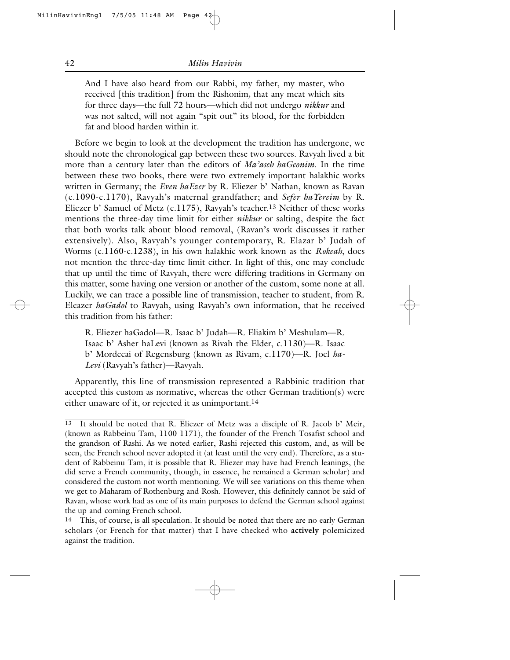And I have also heard from our Rabbi, my father, my master, who received [this tradition] from the Rishonim*,* that any meat which sits for three days—the full 72 hours—which did not undergo *nikkur* and was not salted, will not again "spit out" its blood, for the forbidden fat and blood harden within it.

Before we begin to look at the development the tradition has undergone, we should note the chronological gap between these two sources. Ravyah lived a bit more than a century later than the editors of *Ma'aseh haGeonim*. In the time between these two books, there were two extremely important halakhic works written in Germany; the *Even haEzer* by R. Eliezer b' Nathan, known as Ravan (c.1090-c.1170), Ravyah's maternal grandfather; and *Sefer haYereim* by R. Eliezer b' Samuel of Metz (c.1175), Ravyah's teacher.13 Neither of these works mentions the three-day time limit for either *nikkur* or salting, despite the fact that both works talk about blood removal, (Ravan's work discusses it rather extensively). Also, Ravyah's younger contemporary, R. Elazar b' Judah of Worms (c.1160-c.1238), in his own halakhic work known as the *Rokeah*, does not mention the three-day time limit either. In light of this, one may conclude that up until the time of Ravyah, there were differing traditions in Germany on this matter, some having one version or another of the custom, some none at all. Luckily, we can trace a possible line of transmission, teacher to student, from R. Eleazer *haGadol* to Ravyah, using Ravyah's own information, that he received this tradition from his father:

R. Eliezer haGadol—R. Isaac b' Judah—R. Eliakim b' Meshulam—R. Isaac b' Asher haLevi (known as Rivah the Elder, c.1130)—R. Isaac b' Mordecai of Regensburg (known as Rivam, c.1170)—R. Joel *ha-Levi* (Ravyah's father)—Ravyah.

Apparently, this line of transmission represented a Rabbinic tradition that accepted this custom as normative, whereas the other German tradition(s) were either unaware of it, or rejected it as unimportant.14

<sup>13</sup> It should be noted that R. Eliezer of Metz was a disciple of R. Jacob b' Meir, (known as Rabbeinu Tam, 1100-1171), the founder of the French Tosafist school and the grandson of Rashi. As we noted earlier, Rashi rejected this custom, and, as will be seen, the French school never adopted it (at least until the very end). Therefore, as a student of Rabbeinu Tam, it is possible that R. Eliezer may have had French leanings, (he did serve a French community, though, in essence, he remained a German scholar) and considered the custom not worth mentioning. We will see variations on this theme when we get to Maharam of Rothenburg and Rosh. However, this definitely cannot be said of Ravan, whose work had as one of its main purposes to defend the German school against the up-and-coming French school.

<sup>14</sup> This, of course, is all speculation. It should be noted that there are no early German scholars (or French for that matter) that I have checked who **actively** polemicized against the tradition.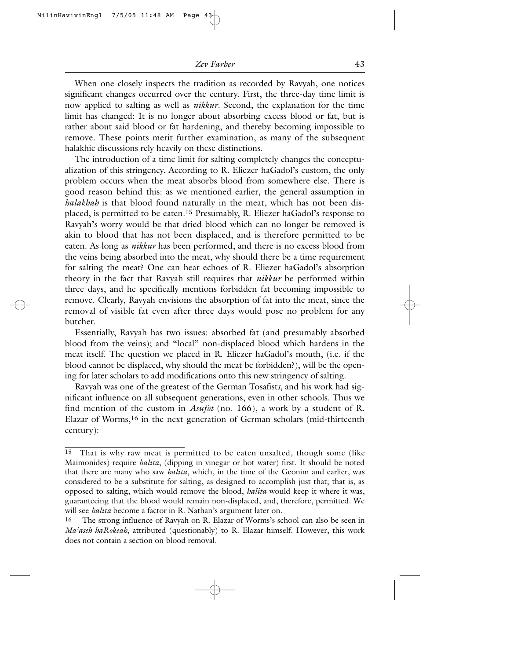When one closely inspects the tradition as recorded by Ravyah, one notices significant changes occurred over the century. First, the three-day time limit is now applied to salting as well as *nikkur*. Second, the explanation for the time limit has changed: It is no longer about absorbing excess blood or fat, but is rather about said blood or fat hardening, and thereby becoming impossible to remove. These points merit further examination, as many of the subsequent halakhic discussions rely heavily on these distinctions.

The introduction of a time limit for salting completely changes the conceptualization of this stringency. According to R. Eliezer haGadol's custom, the only problem occurs when the meat absorbs blood from somewhere else. There is good reason behind this: as we mentioned earlier, the general assumption in *halakhah* is that blood found naturally in the meat, which has not been displaced, is permitted to be eaten.15 Presumably, R. Eliezer haGadol's response to Ravyah's worry would be that dried blood which can no longer be removed is akin to blood that has not been displaced, and is therefore permitted to be eaten. As long as *nikkur* has been performed, and there is no excess blood from the veins being absorbed into the meat, why should there be a time requirement for salting the meat? One can hear echoes of R. Eliezer haGadol's absorption theory in the fact that Ravyah still requires that *nikkur* be performed within three days, and he specifically mentions forbidden fat becoming impossible to remove. Clearly, Ravyah envisions the absorption of fat into the meat, since the removal of visible fat even after three days would pose no problem for any butcher.

Essentially, Ravyah has two issues: absorbed fat (and presumably absorbed blood from the veins); and "local" non-displaced blood which hardens in the meat itself. The question we placed in R. Eliezer haGadol's mouth, (i.e. if the blood cannot be displaced, why should the meat be forbidden?), will be the opening for later scholars to add modifications onto this new stringency of salting.

Ravyah was one of the greatest of the German Tosafist*s*, and his work had significant influence on all subsequent generations, even in other schools. Thus we find mention of the custom in *Asufot* (no. 166), a work by a student of R. Elazar of Worms,16 in the next generation of German scholars (mid-thirteenth century):

<sup>15</sup> That is why raw meat is permitted to be eaten unsalted, though some (like Maimonides) require *halita*, (dipping in vinegar or hot water) first. It should be noted that there are many who saw *halita*, which, in the time of the Geonim and earlier, was considered to be a substitute for salting, as designed to accomplish just that; that is, as opposed to salting, which would remove the blood, *halita* would keep it where it was, guaranteeing that the blood would remain non-displaced, and, therefore, permitted. We will see *halita* become a factor in R. Nathan's argument later on.

<sup>16</sup> The strong influence of Ravyah on R. Elazar of Worms's school can also be seen in *Ma'aseh haRokeah*, attributed (questionably) to R. Elazar himself. However, this work does not contain a section on blood removal.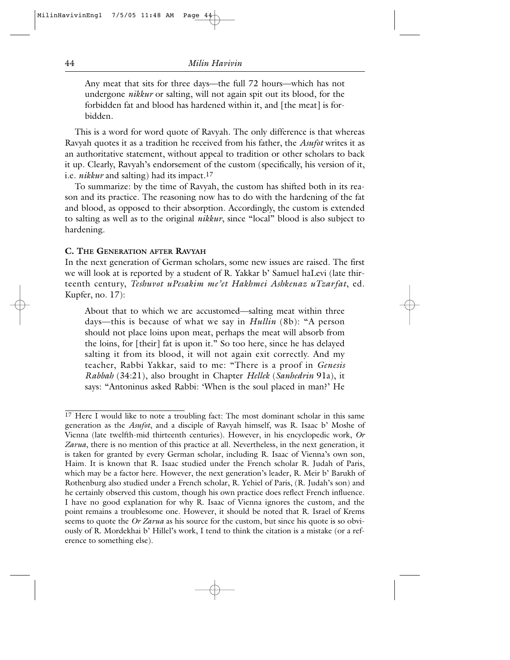Any meat that sits for three days—the full 72 hours—which has not undergone *nikkur* or salting, will not again spit out its blood, for the forbidden fat and blood has hardened within it, and [the meat] is forbidden.

This is a word for word quote of Ravyah. The only difference is that whereas Ravyah quotes it as a tradition he received from his father, the *Asufot* writes it as an authoritative statement, without appeal to tradition or other scholars to back it up. Clearly, Ravyah's endorsement of the custom (specifically, his version of it, i.e. *nikkur* and salting) had its impact.<sup>17</sup>

To summarize: by the time of Ravyah, the custom has shifted both in its reason and its practice. The reasoning now has to do with the hardening of the fat and blood, as opposed to their absorption. Accordingly, the custom is extended to salting as well as to the original *nikkur*, since "local" blood is also subject to hardening.

### **C. THE GENERATION AFTER RAVYAH**

In the next generation of German scholars, some new issues are raised. The first we will look at is reported by a student of R. Yakkar b' Samuel haLevi (late thirteenth century, *Teshuvot uPesakim me'et Hakhmei Ashkenaz uTzarfat*, ed. Kupfer, no. 17):

About that to which we are accustomed—salting meat within three days—this is because of what we say in *Hullin* (8b): "A person should not place loins upon meat, perhaps the meat will absorb from the loins, for [their] fat is upon it." So too here, since he has delayed salting it from its blood, it will not again exit correctly. And my teacher, Rabbi Yakkar, said to me: "There is a proof in *Genesis Rabbah* (34:21), also brought in Chapter *Hellek* (*Sanhedrin* 91a), it says: "Antoninus asked Rabbi: 'When is the soul placed in man?' He

<sup>&</sup>lt;sup>17</sup> Here I would like to note a troubling fact: The most dominant scholar in this same generation as the *Asufot*, and a disciple of Ravyah himself, was R. Isaac b' Moshe of Vienna (late twelfth-mid thirteenth centuries). However, in his encyclopedic work, *Or Zarua*, there is no mention of this practice at all. Nevertheless, in the next generation, it is taken for granted by every German scholar, including R. Isaac of Vienna's own son, Haim. It is known that R. Isaac studied under the French scholar R. Judah of Paris, which may be a factor here. However, the next generation's leader, R. Meir b' Barukh of Rothenburg also studied under a French scholar, R. Yehiel of Paris, (R. Judah's son) and he certainly observed this custom, though his own practice does reflect French influence. I have no good explanation for why R. Isaac of Vienna ignores the custom, and the point remains a troublesome one. However, it should be noted that R. Israel of Krems seems to quote the *Or Zarua* as his source for the custom, but since his quote is so obviously of R. Mordekhai b' Hillel's work, I tend to think the citation is a mistake (or a reference to something else).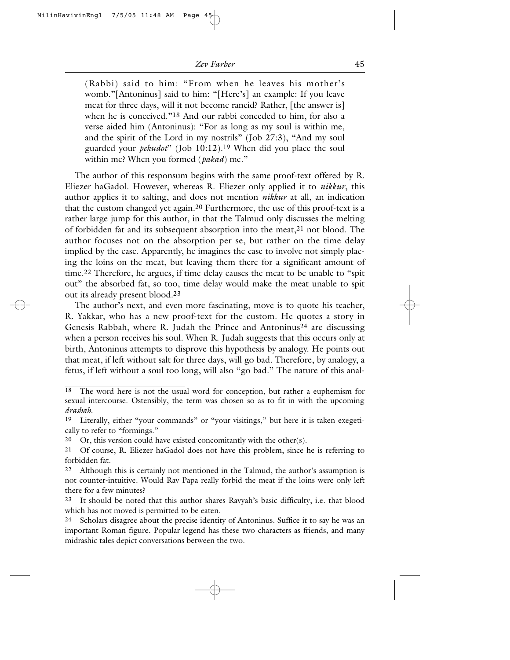(Rabbi) said to him: "From when he leaves his mother's womb."[Antoninus] said to him: "[Here's] an example: If you leave meat for three days, will it not become rancid? Rather, [the answer is] when he is conceived."18 And our rabbi conceded to him, for also a verse aided him (Antoninus): "For as long as my soul is within me, and the spirit of the Lord in my nostrils" (Job 27:3), "And my soul guarded your *pekudot*" (Job 10:12).19 When did you place the soul within me? When you formed (*pakad*) me."

The author of this responsum begins with the same proof-text offered by R. Eliezer haGadol. However, whereas R. Eliezer only applied it to *nikkur*, this author applies it to salting, and does not mention *nikkur* at all, an indication that the custom changed yet again.20 Furthermore, the use of this proof-text is a rather large jump for this author, in that the Talmud only discusses the melting of forbidden fat and its subsequent absorption into the meat,21 not blood. The author focuses not on the absorption per se, but rather on the time delay implied by the case. Apparently, he imagines the case to involve not simply placing the loins on the meat, but leaving them there for a significant amount of time.22 Therefore, he argues, if time delay causes the meat to be unable to "spit out" the absorbed fat, so too, time delay would make the meat unable to spit out its already present blood.23

The author's next, and even more fascinating, move is to quote his teacher, R. Yakkar, who has a new proof-text for the custom. He quotes a story in Genesis Rabbah, where R. Judah the Prince and Antoninus24 are discussing when a person receives his soul. When R. Judah suggests that this occurs only at birth, Antoninus attempts to disprove this hypothesis by analogy. He points out that meat, if left without salt for three days, will go bad. Therefore, by analogy, a fetus, if left without a soul too long, will also "go bad." The nature of this anal-

<sup>18</sup> The word here is not the usual word for conception, but rather a euphemism for sexual intercourse. Ostensibly, the term was chosen so as to fit in with the upcoming *drashah*.

<sup>19</sup> Literally, either "your commands" or "your visitings," but here it is taken exegetically to refer to "formings."

 $20$  Or, this version could have existed concomitantly with the other(s).

<sup>21</sup> Of course, R. Eliezer haGadol does not have this problem, since he is referring to forbidden fat.

<sup>22</sup> Although this is certainly not mentioned in the Talmud, the author's assumption is not counter-intuitive. Would Rav Papa really forbid the meat if the loins were only left there for a few minutes?

<sup>23</sup> It should be noted that this author shares Ravyah's basic difficulty, i.e. that blood which has not moved is permitted to be eaten.

<sup>24</sup> Scholars disagree about the precise identity of Antoninus. Suffice it to say he was an important Roman figure. Popular legend has these two characters as friends, and many midrashic tales depict conversations between the two.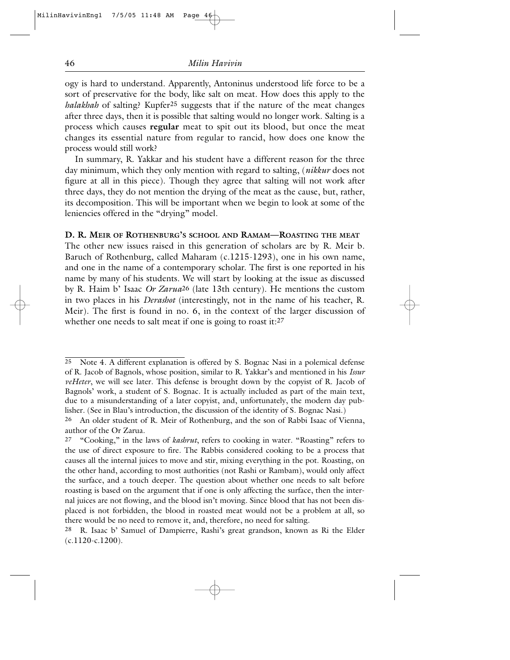ogy is hard to understand. Apparently, Antoninus understood life force to be a sort of preservative for the body, like salt on meat. How does this apply to the *halakhah* of salting? Kupfer<sup>25</sup> suggests that if the nature of the meat changes after three days, then it is possible that salting would no longer work. Salting is a process which causes **regular** meat to spit out its blood, but once the meat changes its essential nature from regular to rancid, how does one know the process would still work?

In summary, R. Yakkar and his student have a different reason for the three day minimum, which they only mention with regard to salting, (*nikkur* does not figure at all in this piece). Though they agree that salting will not work after three days, they do not mention the drying of the meat as the cause, but, rather, its decomposition. This will be important when we begin to look at some of the leniencies offered in the "drying" model.

### **D. R. MEIR OF ROTHENBURG'S SCHOOL AND RAMAM—ROASTING THE MEAT**

The other new issues raised in this generation of scholars are by R. Meir b. Baruch of Rothenburg, called Maharam (c.1215-1293), one in his own name, and one in the name of a contemporary scholar. The first is one reported in his name by many of his students. We will start by looking at the issue as discussed by R. Haim b' Isaac *Or Zarua*26 (late 13th century). He mentions the custom in two places in his *Derashot* (interestingly, not in the name of his teacher, R. Meir). The first is found in no. 6, in the context of the larger discussion of whether one needs to salt meat if one is going to roast it:27

<sup>25</sup> Note 4. A different explanation is offered by S. Bognac Nasi in a polemical defense of R. Jacob of Bagnols, whose position, similar to R. Yakkar's and mentioned in his *Issur veHeter*, we will see later. This defense is brought down by the copyist of R. Jacob of Bagnols' work, a student of S. Bognac. It is actually included as part of the main text, due to a misunderstanding of a later copyist, and, unfortunately, the modern day publisher. (See in Blau's introduction, the discussion of the identity of S. Bognac Nasi.)

<sup>26</sup> An older student of R. Meir of Rothenburg, and the son of Rabbi Isaac of Vienna, author of the Or Zarua.

<sup>27</sup> "Cooking," in the laws of *kashrut*, refers to cooking in water. "Roasting" refers to the use of direct exposure to fire. The Rabbis considered cooking to be a process that causes all the internal juices to move and stir, mixing everything in the pot. Roasting, on the other hand, according to most authorities (not Rashi or Rambam), would only affect the surface, and a touch deeper. The question about whether one needs to salt before roasting is based on the argument that if one is only affecting the surface, then the internal juices are not flowing, and the blood isn't moving. Since blood that has not been displaced is not forbidden, the blood in roasted meat would not be a problem at all, so there would be no need to remove it, and, therefore, no need for salting.

<sup>28</sup> R. Isaac b' Samuel of Dampierre, Rashi's great grandson, known as Ri the Elder (c.1120-c.1200).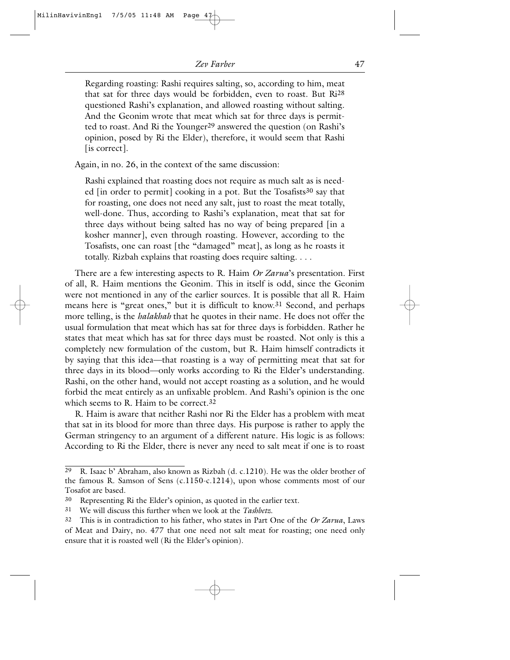Regarding roasting: Rashi requires salting, so, according to him, meat that sat for three days would be forbidden, even to roast. But Ri28 questioned Rashi's explanation, and allowed roasting without salting. And the Geonim wrote that meat which sat for three days is permitted to roast. And Ri the Younger29 answered the question (on Rashi's opinion, posed by Ri the Elder), therefore, it would seem that Rashi [is correct].

Again, in no. 26, in the context of the same discussion:

Rashi explained that roasting does not require as much salt as is needed [in order to permit] cooking in a pot. But the Tosafists<sup>30</sup> say that for roasting, one does not need any salt, just to roast the meat totally, well-done. Thus, according to Rashi's explanation, meat that sat for three days without being salted has no way of being prepared [in a kosher manner], even through roasting. However, according to the Tosafists, one can roast [the "damaged" meat], as long as he roasts it totally. Rizbah explains that roasting does require salting. . . .

There are a few interesting aspects to R. Haim *Or Zarua*'s presentation. First of all, R. Haim mentions the Geonim. This in itself is odd, since the Geonim were not mentioned in any of the earlier sources. It is possible that all R. Haim means here is "great ones," but it is difficult to know.31 Second, and perhaps more telling, is the *halakhah* that he quotes in their name. He does not offer the usual formulation that meat which has sat for three days is forbidden. Rather he states that meat which has sat for three days must be roasted. Not only is this a completely new formulation of the custom, but R. Haim himself contradicts it by saying that this idea—that roasting is a way of permitting meat that sat for three days in its blood—only works according to Ri the Elder's understanding. Rashi, on the other hand, would not accept roasting as a solution, and he would forbid the meat entirely as an unfixable problem. And Rashi's opinion is the one which seems to R. Haim to be correct.<sup>32</sup>

R. Haim is aware that neither Rashi nor Ri the Elder has a problem with meat that sat in its blood for more than three days. His purpose is rather to apply the German stringency to an argument of a different nature. His logic is as follows: According to Ri the Elder, there is never any need to salt meat if one is to roast

<sup>29</sup> R. Isaac b' Abraham, also known as Rizbah (d. c.1210). He was the older brother of the famous R. Samson of Sens (c.1150-c.1214), upon whose comments most of our Tosafot are based.

<sup>30</sup> Representing Ri the Elder's opinion, as quoted in the earlier text.

<sup>31</sup> We will discuss this further when we look at the *Tashbetz*.

<sup>32</sup> This is in contradiction to his father, who states in Part One of the *Or Zarua*, Laws of Meat and Dairy, no. 477 that one need not salt meat for roasting; one need only ensure that it is roasted well (Ri the Elder's opinion).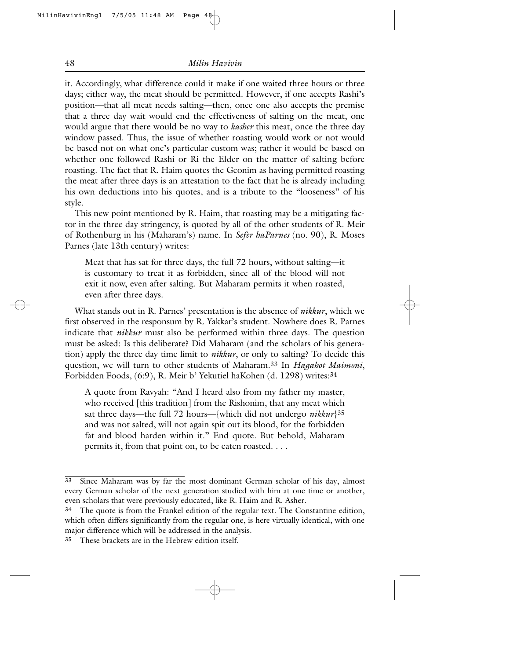it. Accordingly, what difference could it make if one waited three hours or three days; either way, the meat should be permitted. However, if one accepts Rashi's position—that all meat needs salting—then, once one also accepts the premise that a three day wait would end the effectiveness of salting on the meat, one would argue that there would be no way to *kasher* this meat, once the three day window passed. Thus, the issue of whether roasting would work or not would be based not on what one's particular custom was; rather it would be based on whether one followed Rashi or Ri the Elder on the matter of salting before roasting. The fact that R. Haim quotes the Geonim as having permitted roasting the meat after three days is an attestation to the fact that he is already including his own deductions into his quotes, and is a tribute to the "looseness" of his style.

This new point mentioned by R. Haim, that roasting may be a mitigating factor in the three day stringency, is quoted by all of the other students of R. Meir of Rothenburg in his (Maharam's) name. In *Sefer haParnes* (no. 90), R. Moses Parnes (late 13th century) writes:

Meat that has sat for three days, the full 72 hours, without salting—it is customary to treat it as forbidden, since all of the blood will not exit it now, even after salting. But Maharam permits it when roasted, even after three days.

What stands out in R. Parnes' presentation is the absence of *nikkur*, which we first observed in the responsum by R. Yakkar's student. Nowhere does R. Parnes indicate that *nikkur* must also be performed within three days. The question must be asked: Is this deliberate? Did Maharam (and the scholars of his generation) apply the three day time limit to *nikkur*, or only to salting? To decide this question, we will turn to other students of Maharam.33 In *Hagahot Maimoni*, Forbidden Foods, (6:9), R. Meir b' Yekutiel haKohen (d. 1298) writes:34

A quote from Ravyah: "And I heard also from my father my master, who received [this tradition] from the Rishonim, that any meat which sat three days—the full 72 hours—{which did not undergo *nikkur*}35 and was not salted, will not again spit out its blood, for the forbidden fat and blood harden within it." End quote. But behold, Maharam permits it, from that point on, to be eaten roasted. . . .

<sup>33</sup> Since Maharam was by far the most dominant German scholar of his day, almost every German scholar of the next generation studied with him at one time or another, even scholars that were previously educated, like R. Haim and R. Asher.

The quote is from the Frankel edition of the regular text. The Constantine edition, which often differs significantly from the regular one, is here virtually identical, with one major difference which will be addressed in the analysis.

<sup>35</sup> These brackets are in the Hebrew edition itself.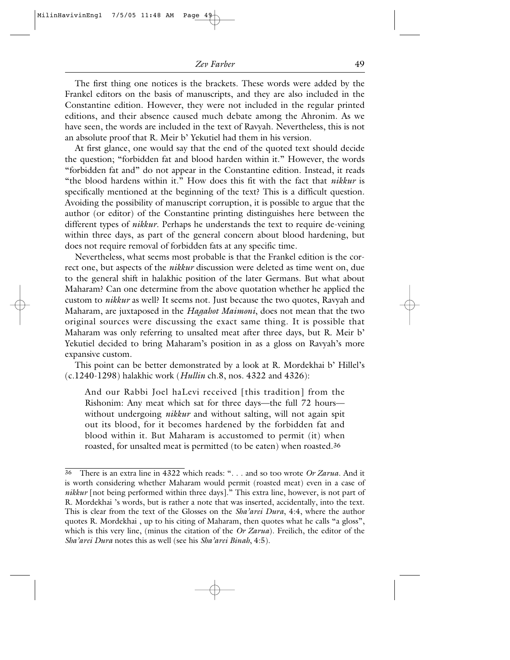The first thing one notices is the brackets. These words were added by the Frankel editors on the basis of manuscripts, and they are also included in the Constantine edition. However, they were not included in the regular printed editions, and their absence caused much debate among the Ahronim. As we have seen, the words are included in the text of Ravyah. Nevertheless, this is not an absolute proof that R. Meir b' Yekutiel had them in his version.

At first glance, one would say that the end of the quoted text should decide the question; "forbidden fat and blood harden within it." However, the words "forbidden fat and" do not appear in the Constantine edition. Instead, it reads "the blood hardens within it." How does this fit with the fact that *nikkur* is specifically mentioned at the beginning of the text? This is a difficult question. Avoiding the possibility of manuscript corruption, it is possible to argue that the author (or editor) of the Constantine printing distinguishes here between the different types of *nikkur*. Perhaps he understands the text to require de-veining within three days, as part of the general concern about blood hardening, but does not require removal of forbidden fats at any specific time.

Nevertheless, what seems most probable is that the Frankel edition is the correct one, but aspects of the *nikkur* discussion were deleted as time went on, due to the general shift in halakhic position of the later Germans. But what about Maharam? Can one determine from the above quotation whether he applied the custom to *nikkur* as well? It seems not. Just because the two quotes, Ravyah and Maharam, are juxtaposed in the *Hagahot Maimoni*, does not mean that the two original sources were discussing the exact same thing. It is possible that Maharam was only referring to unsalted meat after three days, but R. Meir b' Yekutiel decided to bring Maharam's position in as a gloss on Ravyah's more expansive custom.

This point can be better demonstrated by a look at R. Mordekhai b' Hillel's (c.1240-1298) halakhic work (*Hullin* ch.8, nos. 4322 and 4326):

And our Rabbi Joel haLevi received [this tradition] from the Rishonim: Any meat which sat for three days—the full 72 hours without undergoing *nikkur* and without salting, will not again spit out its blood, for it becomes hardened by the forbidden fat and blood within it. But Maharam is accustomed to permit (it) when roasted, for unsalted meat is permitted (to be eaten) when roasted.36

<sup>36</sup> There is an extra line in 4322 which reads: ". . . and so too wrote *Or Zarua*. And it is worth considering whether Maharam would permit (roasted meat) even in a case of *nikkur* [not being performed within three days]." This extra line, however, is not part of R. Mordekhai 's words, but is rather a note that was inserted, accidentally, into the text. This is clear from the text of the Glosses on the *Sha'arei Dura*, 4:4, where the author quotes R. Mordekhai , up to his citing of Maharam, then quotes what he calls "a gloss", which is this very line, (minus the citation of the *Or Zarua*). Freilich, the editor of the *Sha'arei Dura* notes this as well (see his *Sha'arei Binah*, 4:5).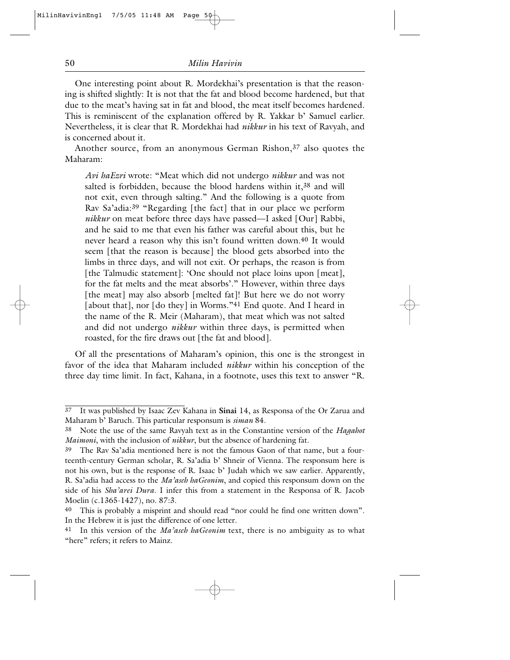One interesting point about R. Mordekhai's presentation is that the reasoning is shifted slightly: It is not that the fat and blood become hardened, but that due to the meat's having sat in fat and blood, the meat itself becomes hardened. This is reminiscent of the explanation offered by R. Yakkar b' Samuel earlier. Nevertheless, it is clear that R. Mordekhai had *nikkur* in his text of Ravyah, and is concerned about it.

Another source, from an anonymous German Rishon,37 also quotes the Maharam:

*Avi haEzri* wrote: "Meat which did not undergo *nikkur* and was not salted is forbidden, because the blood hardens within it,<sup>38</sup> and will not exit, even through salting." And the following is a quote from Rav Sa'adia:39 "Regarding [the fact] that in our place we perform *nikkur* on meat before three days have passed—I asked [Our] Rabbi, and he said to me that even his father was careful about this, but he never heard a reason why this isn't found written down.40 It would seem [that the reason is because] the blood gets absorbed into the limbs in three days, and will not exit. Or perhaps, the reason is from [the Talmudic statement]: 'One should not place loins upon [meat], for the fat melts and the meat absorbs'." However, within three days [the meat] may also absorb [melted fat]! But here we do not worry [about that], nor [do they] in Worms."<sup>41</sup> End quote. And I heard in the name of the R. Meir (Maharam), that meat which was not salted and did not undergo *nikkur* within three days, is permitted when roasted, for the fire draws out [the fat and blood].

Of all the presentations of Maharam's opinion, this one is the strongest in favor of the idea that Maharam included *nikkur* within his conception of the three day time limit. In fact, Kahana, in a footnote, uses this text to answer "R.

<sup>37</sup> It was published by Isaac Zev Kahana in **Sinai** 14, as Responsa of the Or Zarua and Maharam b' Baruch. This particular responsum is *siman* 84.

<sup>38</sup> Note the use of the same Ravyah text as in the Constantine version of the *Hagahot Maimoni*, with the inclusion of *nikkur*, but the absence of hardening fat.

<sup>39</sup> The Rav Sa'adia mentioned here is not the famous Gaon of that name, but a fourteenth-century German scholar, R. Sa'adia b' Shneir of Vienna. The responsum here is not his own, but is the response of R. Isaac b' Judah which we saw earlier. Apparently, R. Sa'adia had access to the *Ma'aseh haGeonim*, and copied this responsum down on the side of his *Sha'arei Dura*. I infer this from a statement in the Responsa of R. Jacob Moelin (c.1365-1427), no. 87:3.

<sup>40</sup> This is probably a misprint and should read "nor could he find one written down". In the Hebrew it is just the difference of one letter.

<sup>41</sup> In this version of the *Ma'aseh haGeonim* text, there is no ambiguity as to what "here" refers; it refers to Mainz.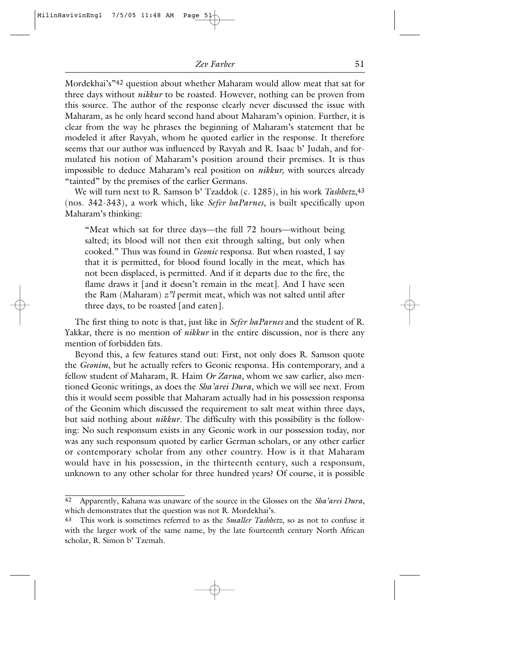Mordekhai's"42 question about whether Maharam would allow meat that sat for three days without *nikkur* to be roasted. However, nothing can be proven from this source. The author of the response clearly never discussed the issue with Maharam, as he only heard second hand about Maharam's opinion. Further, it is clear from the way he phrases the beginning of Maharam's statement that he modeled it after Ravyah, whom he quoted earlier in the response. It therefore seems that our author was influenced by Ravyah and R. Isaac b' Judah, and formulated his notion of Maharam's position around their premises. It is thus impossible to deduce Maharam's real position on *nikkur,* with sources already "tainted" by the premises of the earlier Germans.

We will turn next to R. Samson b' Tzaddok (c. 1285), in his work *Tashbetz*,43 (nos. 342-343), a work which, like *Sefer haParnes*, is built specifically upon Maharam's thinking:

"Meat which sat for three days—the full 72 hours—without being salted; its blood will not then exit through salting, but only when cooked." Thus was found in *Geonic* responsa. But when roasted, I say that it is permitted, for blood found locally in the meat, which has not been displaced, is permitted. And if it departs due to the fire, the flame draws it [and it doesn't remain in the meat]. And I have seen the Ram (Maharam) *z"l* permit meat, which was not salted until after three days, to be roasted [and eaten].

The first thing to note is that, just like in *Sefer haParnes* and the student of R. Yakkar, there is no mention of *nikkur* in the entire discussion, nor is there any mention of forbidden fats.

Beyond this, a few features stand out: First, not only does R. Samson quote the *Geonim*, but he actually refers to Geonic responsa. His contemporary, and a fellow student of Maharam, R. Haim *Or Zarua*, whom we saw earlier, also mentioned Geonic writings, as does the *Sha'arei Dura*, which we will see next. From this it would seem possible that Maharam actually had in his possession responsa of the Geonim which discussed the requirement to salt meat within three days, but said nothing about *nikkur*. The difficulty with this possibility is the following: No such responsum exists in any Geonic work in our possession today, nor was any such responsum quoted by earlier German scholars, or any other earlier or contemporary scholar from any other country. How is it that Maharam would have in his possession, in the thirteenth century, such a responsum, unknown to any other scholar for three hundred years? Of course, it is possible

<sup>42</sup> Apparently, Kahana was unaware of the source in the Glosses on the *Sha'arei Dura*, which demonstrates that the question was not R. Mordekhai's.

<sup>43</sup> This work is sometimes referred to as the *Smaller Tashbetz*, so as not to confuse it with the larger work of the same name, by the late fourteenth century North African scholar, R. Simon b' Tzemah.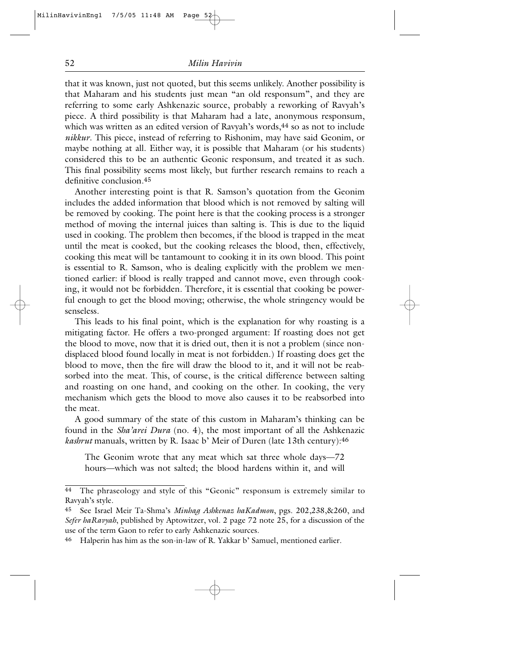that it was known, just not quoted, but this seems unlikely. Another possibility is that Maharam and his students just mean "an old responsum", and they are referring to some early Ashkenazic source, probably a reworking of Ravyah's piece. A third possibility is that Maharam had a late, anonymous responsum, which was written as an edited version of Ravyah's words, <sup>44</sup> so as not to include *nikkur*. This piece, instead of referring to Rishonim, may have said Geonim, or maybe nothing at all. Either way, it is possible that Maharam (or his students) considered this to be an authentic Geonic responsum, and treated it as such. This final possibility seems most likely, but further research remains to reach a definitive conclusion.45

Another interesting point is that R. Samson's quotation from the Geonim includes the added information that blood which is not removed by salting will be removed by cooking. The point here is that the cooking process is a stronger method of moving the internal juices than salting is. This is due to the liquid used in cooking. The problem then becomes, if the blood is trapped in the meat until the meat is cooked, but the cooking releases the blood, then, effectively, cooking this meat will be tantamount to cooking it in its own blood. This point is essential to R. Samson, who is dealing explicitly with the problem we mentioned earlier: if blood is really trapped and cannot move, even through cooking, it would not be forbidden. Therefore, it is essential that cooking be powerful enough to get the blood moving; otherwise, the whole stringency would be senseless.

This leads to his final point, which is the explanation for why roasting is a mitigating factor. He offers a two-pronged argument: If roasting does not get the blood to move, now that it is dried out, then it is not a problem (since nondisplaced blood found locally in meat is not forbidden.) If roasting does get the blood to move, then the fire will draw the blood to it, and it will not be reabsorbed into the meat. This, of course, is the critical difference between salting and roasting on one hand, and cooking on the other. In cooking, the very mechanism which gets the blood to move also causes it to be reabsorbed into the meat.

A good summary of the state of this custom in Maharam's thinking can be found in the *Sha'arei Dura* (no. 4), the most important of all the Ashkenazic *kashrut* manuals, written by R. Isaac b' Meir of Duren (late 13th century):46

The Geonim wrote that any meat which sat three whole days—72 hours—which was not salted; the blood hardens within it, and will

<sup>44</sup> The phraseology and style of this "Geonic" responsum is extremely similar to Ravyah's style.

<sup>45</sup> See Israel Meir Ta-Shma's *Minhag Ashkenaz haKadmon*, pgs. 202,238,&260, and *Sefer haRavyah*, published by Aptowitzer, vol. 2 page 72 note 25, for a discussion of the use of the term Gaon to refer to early Ashkenazic sources.

<sup>46</sup> Halperin has him as the son-in-law of R. Yakkar b' Samuel, mentioned earlier.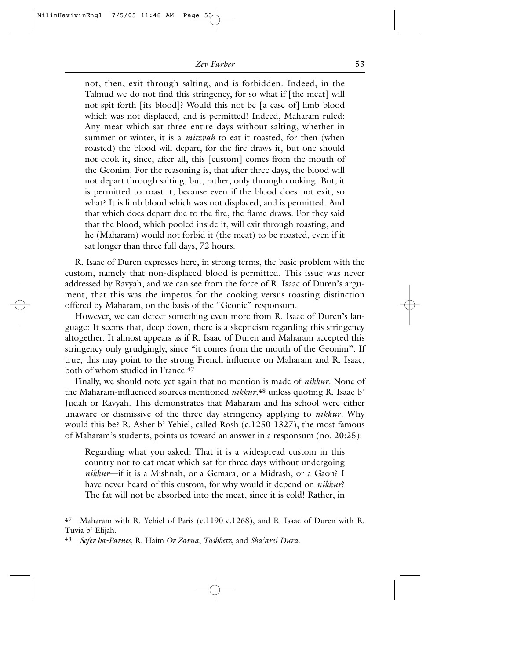not, then, exit through salting, and is forbidden. Indeed, in the Talmud we do not find this stringency, for so what if [the meat] will not spit forth [its blood]? Would this not be [a case of] limb blood which was not displaced, and is permitted! Indeed, Maharam ruled: Any meat which sat three entire days without salting, whether in summer or winter, it is a *mitzvah* to eat it roasted, for then (when roasted) the blood will depart, for the fire draws it, but one should not cook it, since, after all, this [custom] comes from the mouth of the Geonim. For the reasoning is, that after three days, the blood will not depart through salting, but, rather, only through cooking. But, it is permitted to roast it, because even if the blood does not exit, so what? It is limb blood which was not displaced, and is permitted. And that which does depart due to the fire, the flame draws. For they said that the blood, which pooled inside it, will exit through roasting, and he (Maharam) would not forbid it (the meat) to be roasted, even if it sat longer than three full days, 72 hours.

R. Isaac of Duren expresses here, in strong terms, the basic problem with the custom, namely that non-displaced blood is permitted. This issue was never addressed by Ravyah, and we can see from the force of R. Isaac of Duren's argument, that this was the impetus for the cooking versus roasting distinction offered by Maharam, on the basis of the "Geonic" responsum.

However, we can detect something even more from R. Isaac of Duren's language: It seems that, deep down, there is a skepticism regarding this stringency altogether. It almost appears as if R. Isaac of Duren and Maharam accepted this stringency only grudgingly, since "it comes from the mouth of the Geonim". If true, this may point to the strong French influence on Maharam and R. Isaac, both of whom studied in France.47

Finally, we should note yet again that no mention is made of *nikkur*. None of the Maharam-influenced sources mentioned *nikkur*,48 unless quoting R. Isaac b' Judah or Ravyah. This demonstrates that Maharam and his school were either unaware or dismissive of the three day stringency applying to *nikkur*. Why would this be? R. Asher b' Yehiel, called Rosh (c.1250-1327), the most famous of Maharam's students, points us toward an answer in a responsum (no. 20:25):

Regarding what you asked: That it is a widespread custom in this country not to eat meat which sat for three days without undergoing *nikkur*—if it is a Mishnah, or a Gemara, or a Midrash, or a Gaon? I have never heard of this custom, for why would it depend on *nikkur*? The fat will not be absorbed into the meat, since it is cold! Rather, in

<sup>47</sup> Maharam with R. Yehiel of Paris (c.1190-c.1268), and R. Isaac of Duren with R. Tuvia b' Elijah.

<sup>48</sup> *Sefer ha-Parnes*, R. Haim *Or Zarua*, *Tashbetz*, and *Sha'arei Dura*.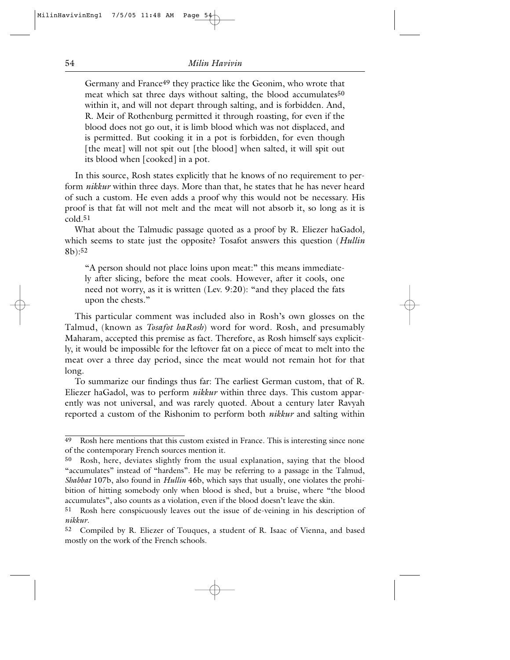Germany and France<sup>49</sup> they practice like the Geonim, who wrote that meat which sat three days without salting, the blood accumulates50 within it, and will not depart through salting, and is forbidden. And, R. Meir of Rothenburg permitted it through roasting, for even if the blood does not go out, it is limb blood which was not displaced, and is permitted. But cooking it in a pot is forbidden, for even though [the meat] will not spit out [the blood] when salted, it will spit out its blood when [cooked] in a pot.

In this source, Rosh states explicitly that he knows of no requirement to perform *nikkur* within three days. More than that, he states that he has never heard of such a custom. He even adds a proof why this would not be necessary. His proof is that fat will not melt and the meat will not absorb it, so long as it is cold.51

What about the Talmudic passage quoted as a proof by R. Eliezer haGadol*,* which seems to state just the opposite? Tosafot answers this question (*Hullin* 8b):52

"A person should not place loins upon meat:" this means immediately after slicing, before the meat cools. However, after it cools, one need not worry, as it is written (Lev. 9:20): "and they placed the fats upon the chests."

This particular comment was included also in Rosh's own glosses on the Talmud, (known as *Tosafot haRosh*) word for word. Rosh, and presumably Maharam, accepted this premise as fact. Therefore, as Rosh himself says explicitly, it would be impossible for the leftover fat on a piece of meat to melt into the meat over a three day period, since the meat would not remain hot for that long.

To summarize our findings thus far: The earliest German custom, that of R. Eliezer haGadol, was to perform *nikkur* within three days. This custom apparently was not universal, and was rarely quoted. About a century later Ravyah reported a custom of the Rishonim to perform both *nikkur* and salting within

<sup>49</sup> Rosh here mentions that this custom existed in France. This is interesting since none of the contemporary French sources mention it.

<sup>50</sup> Rosh, here, deviates slightly from the usual explanation, saying that the blood "accumulates" instead of "hardens". He may be referring to a passage in the Talmud, *Shabbat* 107b, also found in *Hullin* 46b, which says that usually, one violates the prohibition of hitting somebody only when blood is shed, but a bruise, where "the blood accumulates", also counts as a violation, even if the blood doesn't leave the skin.

<sup>51</sup> Rosh here conspicuously leaves out the issue of de-veining in his description of *nikkur*.

<sup>52</sup> Compiled by R. Eliezer of Touques, a student of R. Isaac of Vienna, and based mostly on the work of the French schools.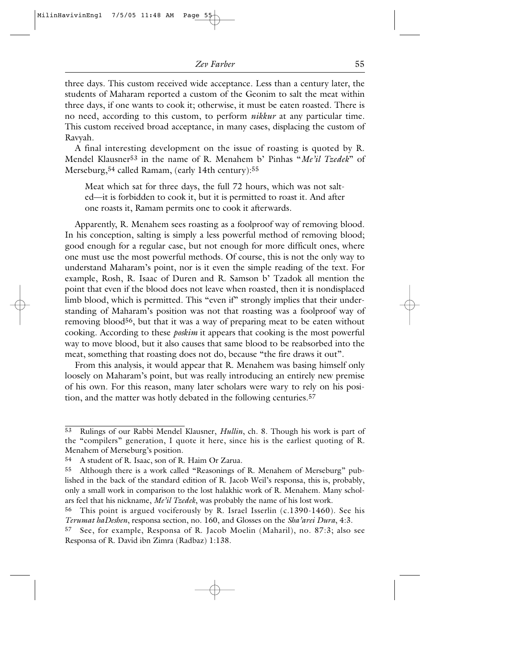three days. This custom received wide acceptance. Less than a century later, the students of Maharam reported a custom of the Geonim to salt the meat within three days, if one wants to cook it; otherwise, it must be eaten roasted. There is no need, according to this custom, to perform *nikkur* at any particular time. This custom received broad acceptance, in many cases, displacing the custom of Ravyah.

A final interesting development on the issue of roasting is quoted by R. Mendel Klausner53 in the name of R. Menahem b' Pinhas "*Me'il Tzedek*" of Merseburg,<sup>54</sup> called Ramam, (early 14th century):<sup>55</sup>

Meat which sat for three days, the full 72 hours, which was not salted—it is forbidden to cook it, but it is permitted to roast it. And after one roasts it, Ramam permits one to cook it afterwards.

Apparently, R. Menahem sees roasting as a foolproof way of removing blood. In his conception, salting is simply a less powerful method of removing blood; good enough for a regular case, but not enough for more difficult ones, where one must use the most powerful methods. Of course, this is not the only way to understand Maharam's point, nor is it even the simple reading of the text. For example, Rosh, R. Isaac of Duren and R. Samson b' Tzadok all mention the point that even if the blood does not leave when roasted, then it is nondisplaced limb blood, which is permitted. This "even if" strongly implies that their understanding of Maharam's position was not that roasting was a foolproof way of removing blood56, but that it was a way of preparing meat to be eaten without cooking. According to these *poskim* it appears that cooking is the most powerful way to move blood, but it also causes that same blood to be reabsorbed into the meat, something that roasting does not do, because "the fire draws it out".

From this analysis, it would appear that R. Menahem was basing himself only loosely on Maharam's point, but was really introducing an entirely new premise of his own. For this reason, many later scholars were wary to rely on his position, and the matter was hotly debated in the following centuries.57

<sup>53</sup> Rulings of our Rabbi Mendel Klausner, *Hullin*, ch. 8. Though his work is part of the "compilers" generation, I quote it here, since his is the earliest quoting of R. Menahem of Merseburg's position.

<sup>54</sup> A student of R. Isaac, son of R. Haim Or Zarua.

<sup>55</sup> Although there is a work called "Reasonings of R. Menahem of Merseburg" published in the back of the standard edition of R. Jacob Weil's responsa, this is, probably, only a small work in comparison to the lost halakhic work of R. Menahem. Many scholars feel that his nickname, *Me'il Tzedek*, was probably the name of his lost work.

<sup>56</sup> This point is argued vociferously by R. Israel Isserlin (c.1390-1460). See his *Terumat haDeshen*, responsa section, no. 160, and Glosses on the *Sha'arei Dura*, 4:3.

<sup>57</sup> See, for example, Responsa of R. Jacob Moelin (Maharil), no. 87:3; also see Responsa of R. David ibn Zimra (Radbaz) 1:138.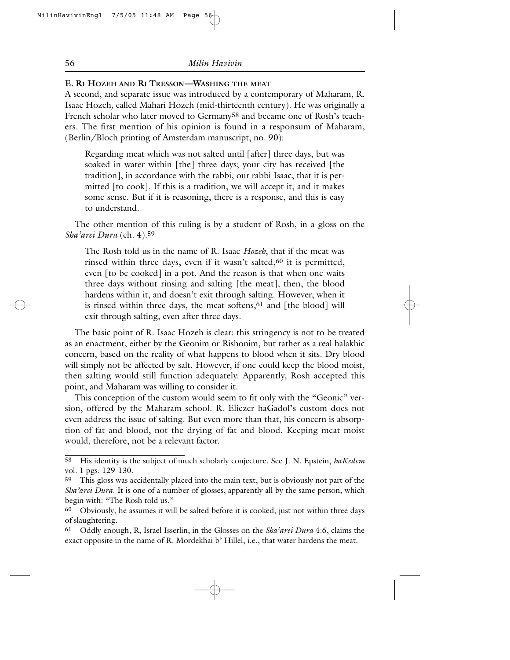#### **E***.* **RI HOZEH AND RI TRESSON***—***WASHING THE MEAT**

A second, and separate issue was introduced by a contemporary of Maharam, R. Isaac Hozeh*,* called Mahari Hozeh (mid-thirteenth century). He was originally a French scholar who later moved to Germany58 and became one of Rosh's teachers. The first mention of his opinion is found in a responsum of Maharam, (Berlin/Bloch printing of Amsterdam manuscript, no. 90):

Regarding meat which was not salted until [after] three days, but was soaked in water within [the] three days; your city has received [the tradition], in accordance with the rabbi, our rabbi Isaac, that it is permitted [to cook]. If this is a tradition, we will accept it, and it makes some sense. But if it is reasoning, there is a response, and this is easy to understand.

The other mention of this ruling is by a student of Rosh, in a gloss on the *Sha'arei Dura* (ch. 4).59

The Rosh told us in the name of R. Isaac *Hozeh*, that if the meat was rinsed within three days, even if it wasn't salted, <sup>60</sup> it is permitted, even [to be cooked] in a pot. And the reason is that when one waits three days without rinsing and salting [the meat], then, the blood hardens within it, and doesn't exit through salting. However, when it is rinsed within three days, the meat softens,<sup>61</sup> and [the blood] will exit through salting, even after three days.

The basic point of R. Isaac Hozeh is clear: this stringency is not to be treated as an enactment, either by the Geonim or Rishonim, but rather as a real halakhic concern, based on the reality of what happens to blood when it sits. Dry blood will simply not be affected by salt. However, if one could keep the blood moist, then salting would still function adequately. Apparently, Rosh accepted this point, and Maharam was willing to consider it.

This conception of the custom would seem to fit only with the "Geonic" version, offered by the Maharam school. R. Eliezer haGadol's custom does not even address the issue of salting. But even more than that, his concern is absorption of fat and blood, not the drying of fat and blood. Keeping meat moist would, therefore, not be a relevant factor.

<sup>58</sup> His identity is the subject of much scholarly conjecture. See J. N. Epstein, *haKedem* vol. 1 pgs. 129-130.

<sup>59</sup> This gloss was accidentally placed into the main text, but is obviously not part of the *Sha'arei Dura*. It is one of a number of glosses, apparently all by the same person, which begin with: "The Rosh told us."

<sup>60</sup> Obviously, he assumes it will be salted before it is cooked, just not within three days of slaughtering.

<sup>61</sup> Oddly enough, R, Israel Isserlin, in the Glosses on the *Sha'arei Dura* 4:6, claims the exact opposite in the name of R. Mordekhai b' Hillel, i.e., that water hardens the meat.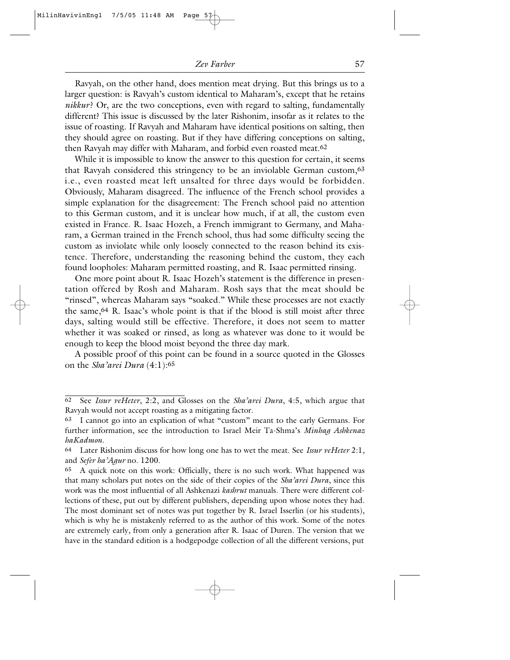Ravyah, on the other hand, does mention meat drying. But this brings us to a larger question: is Ravyah's custom identical to Maharam's, except that he retains *nikkur*? Or, are the two conceptions, even with regard to salting, fundamentally different? This issue is discussed by the later Rishonim, insofar as it relates to the issue of roasting. If Ravyah and Maharam have identical positions on salting, then they should agree on roasting. But if they have differing conceptions on salting, then Ravyah may differ with Maharam, and forbid even roasted meat.62

While it is impossible to know the answer to this question for certain, it seems that Ravyah considered this stringency to be an inviolable German custom,63 i.e., even roasted meat left unsalted for three days would be forbidden. Obviously, Maharam disagreed. The influence of the French school provides a simple explanation for the disagreement: The French school paid no attention to this German custom, and it is unclear how much, if at all, the custom even existed in France. R. Isaac Hozeh, a French immigrant to Germany, and Maharam, a German trained in the French school, thus had some difficulty seeing the custom as inviolate while only loosely connected to the reason behind its existence. Therefore, understanding the reasoning behind the custom, they each found loopholes: Maharam permitted roasting, and R. Isaac permitted rinsing.

One more point about R. Isaac Hozeh's statement is the difference in presentation offered by Rosh and Maharam. Rosh says that the meat should be "rinsed", whereas Maharam says "soaked." While these processes are not exactly the same,64 R. Isaac's whole point is that if the blood is still moist after three days, salting would still be effective. Therefore, it does not seem to matter whether it was soaked or rinsed, as long as whatever was done to it would be enough to keep the blood moist beyond the three day mark.

A possible proof of this point can be found in a source quoted in the Glosses on the *Sha'arei Dura* (4:1):65

<sup>62</sup> See *Issur veHeter*, 2:2, and Glosses on the *Sha'arei Dura*, 4:5, which argue that Ravyah would not accept roasting as a mitigating factor.

<sup>63</sup> I cannot go into an explication of what "custom" meant to the early Germans. For further information, see the introduction to Israel Meir Ta-Shma's *Minhag Ashkenaz haKadmon*.

<sup>64</sup> Later Rishonim discuss for how long one has to wet the meat. See *Issur veHeter* 2:1, and *Sefer ha'Agur* no. 1200.

<sup>65</sup> A quick note on this work: Officially, there is no such work. What happened was that many scholars put notes on the side of their copies of the *Sha'arei Dura*, since this work was the most influential of all Ashkenazi *kashrut* manuals. There were different collections of these, put out by different publishers, depending upon whose notes they had. The most dominant set of notes was put together by R. Israel Isserlin (or his students), which is why he is mistakenly referred to as the author of this work. Some of the notes are extremely early, from only a generation after R. Isaac of Duren. The version that we have in the standard edition is a hodgepodge collection of all the different versions, put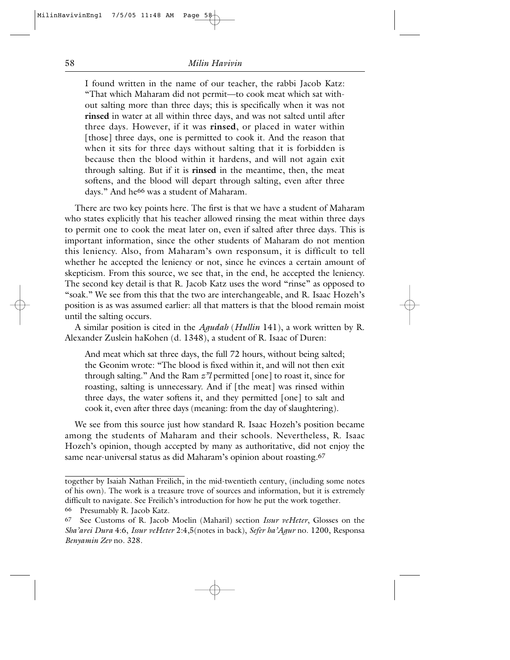I found written in the name of our teacher, the rabbi Jacob Katz: "That which Maharam did not permit—to cook meat which sat without salting more than three days; this is specifically when it was not **rinsed** in water at all within three days, and was not salted until after three days. However, if it was **rinsed**, or placed in water within [those] three days, one is permitted to cook it. And the reason that when it sits for three days without salting that it is forbidden is because then the blood within it hardens, and will not again exit through salting. But if it is **rinsed** in the meantime, then, the meat softens, and the blood will depart through salting, even after three days." And he<sup>66</sup> was a student of Maharam.

There are two key points here. The first is that we have a student of Maharam who states explicitly that his teacher allowed rinsing the meat within three days to permit one to cook the meat later on, even if salted after three days. This is important information, since the other students of Maharam do not mention this leniency. Also, from Maharam's own responsum, it is difficult to tell whether he accepted the leniency or not, since he evinces a certain amount of skepticism. From this source, we see that, in the end, he accepted the leniency. The second key detail is that R. Jacob Katz uses the word "rinse" as opposed to "soak." We see from this that the two are interchangeable, and R. Isaac Hozeh's position is as was assumed earlier: all that matters is that the blood remain moist until the salting occurs.

A similar position is cited in the *Agudah* (*Hullin* 141), a work written by R. Alexander Zuslein haKohen (d. 1348), a student of R. Isaac of Duren:

And meat which sat three days, the full 72 hours, without being salted; the Geonim wrote: "The blood is fixed within it, and will not then exit through salting." And the Ram *z"l* permitted [one] to roast it, since for roasting, salting is unnecessary. And if [the meat] was rinsed within three days, the water softens it, and they permitted [one] to salt and cook it, even after three days (meaning: from the day of slaughtering).

We see from this source just how standard R. Isaac Hozeh's position became among the students of Maharam and their schools. Nevertheless, R. Isaac Hozeh's opinion, though accepted by many as authoritative, did not enjoy the same near-universal status as did Maharam's opinion about roasting.67

together by Isaiah Nathan Freilich, in the mid-twentieth century, (including some notes of his own). The work is a treasure trove of sources and information, but it is extremely difficult to navigate. See Freilich's introduction for how he put the work together.

<sup>66</sup> Presumably R. Jacob Katz.

<sup>67</sup> See Customs of R. Jacob Moelin (Maharil) section *Issur veHeter*, Glosses on the *Sha'arei Dura* 4:6, *Issur veHeter* 2:4,5(notes in back), *Sefer ha'Agur* no. 1200, Responsa *Benyamin Zev* no. 328.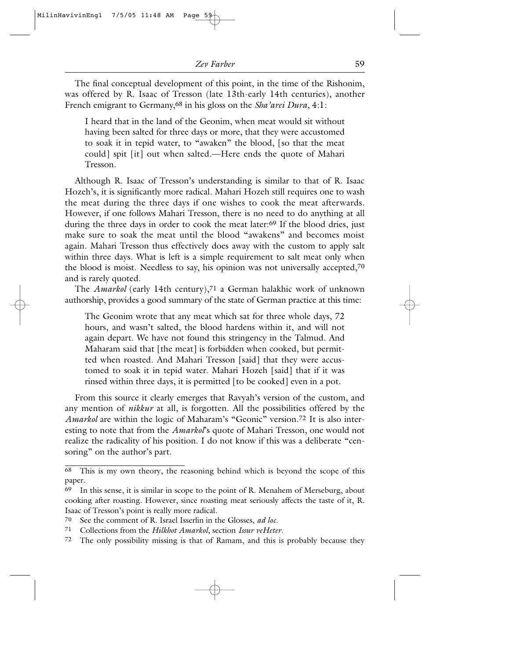The final conceptual development of this point, in the time of the Rishonim, was offered by R. Isaac of Tresson (late 13th-early 14th centuries), another French emigrant to Germany,68 in his gloss on the *Sha'arei Dura*, 4:1:

I heard that in the land of the Geonim, when meat would sit without having been salted for three days or more, that they were accustomed to soak it in tepid water, to "awaken" the blood, [so that the meat could] spit [it] out when salted.—Here ends the quote of Mahari Tresson.

Although R. Isaac of Tresson's understanding is similar to that of R. Isaac Hozeh's, it is significantly more radical. Mahari Hozeh still requires one to wash the meat during the three days if one wishes to cook the meat afterwards. However, if one follows Mahari Tresson, there is no need to do anything at all during the three days in order to cook the meat later:<sup>69</sup> If the blood dries, just make sure to soak the meat until the blood "awakens" and becomes moist again. Mahari Tresson thus effectively does away with the custom to apply salt within three days. What is left is a simple requirement to salt meat only when the blood is moist. Needless to say, his opinion was not universally accepted,70 and is rarely quoted.

The *Amarkol* (early 14th century),71 a German halakhic work of unknown authorship, provides a good summary of the state of German practice at this time:

The Geonim wrote that any meat which sat for three whole days, 72 hours, and wasn't salted, the blood hardens within it, and will not again depart. We have not found this stringency in the Talmud. And Maharam said that [the meat] is forbidden when cooked, but permitted when roasted. And Mahari Tresson [said] that they were accustomed to soak it in tepid water. Mahari Hozeh [said] that if it was rinsed within three days, it is permitted [to be cooked] even in a pot.

From this source it clearly emerges that Ravyah's version of the custom, and any mention of *nikkur* at all, is forgotten. All the possibilities offered by the *Amarkol* are within the logic of Maharam's "Geonic" version.72 It is also interesting to note that from the *Amarkol*'s quote of Mahari Tresson, one would not realize the radicality of his position. I do not know if this was a deliberate "censoring" on the author's part.

<sup>68</sup> This is my own theory, the reasoning behind which is beyond the scope of this paper.

<sup>69</sup> In this sense, it is similar in scope to the point of R. Menahem of Merseburg, about cooking after roasting. However, since roasting meat seriously affects the taste of it, R. Isaac of Tresson's point is really more radical.

<sup>70</sup> See the comment of R. Israel Isserlin in the Glosses, *ad loc*.

<sup>71</sup> Collections from the *Hilkhot Amarkol*, section *Issur veHeter*.

<sup>72</sup> The only possibility missing is that of Ramam, and this is probably because they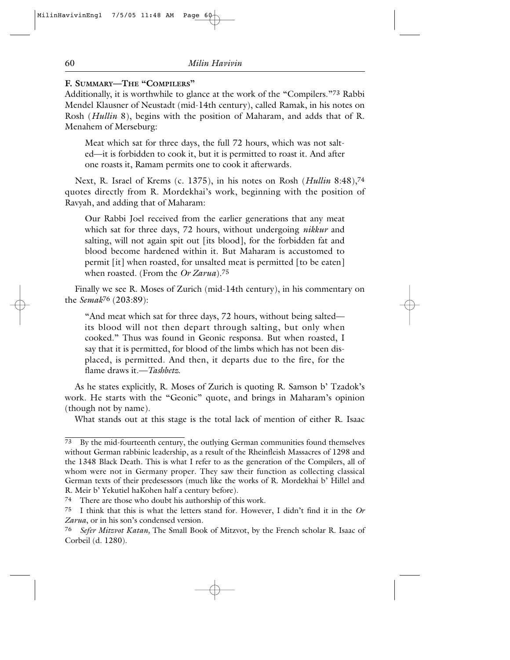### **F. SUMMARY—THE "COMPILERS"**

Additionally, it is worthwhile to glance at the work of the "Compilers."73 Rabbi Mendel Klausner of Neustadt (mid-14th century), called Ramak, in his notes on Rosh (*Hullin* 8), begins with the position of Maharam, and adds that of R. Menahem of Merseburg:

Meat which sat for three days, the full 72 hours, which was not salted—it is forbidden to cook it, but it is permitted to roast it. And after one roasts it, Ramam permits one to cook it afterwards.

Next, R. Israel of Krems (c. 1375), in his notes on Rosh (*Hullin* 8:48),74 quotes directly from R. Mordekhai's work, beginning with the position of Ravyah, and adding that of Maharam:

Our Rabbi Joel received from the earlier generations that any meat which sat for three days, 72 hours, without undergoing *nikkur* and salting, will not again spit out [its blood], for the forbidden fat and blood become hardened within it. But Maharam is accustomed to permit [it] when roasted, for unsalted meat is permitted [to be eaten] when roasted. (From the *Or Zarua*).75

Finally we see R. Moses of Zurich (mid-14th century), in his commentary on the *Semak*76 (203:89):

"And meat which sat for three days, 72 hours, without being salted its blood will not then depart through salting, but only when cooked." Thus was found in Geonic responsa. But when roasted, I say that it is permitted, for blood of the limbs which has not been displaced, is permitted. And then, it departs due to the fire, for the flame draws it.—*Tashbetz*.

As he states explicitly, R. Moses of Zurich is quoting R. Samson b' Tzadok's work. He starts with the "Geonic" quote, and brings in Maharam's opinion (though not by name).

What stands out at this stage is the total lack of mention of either R. Isaac

<sup>73</sup> By the mid-fourteenth century, the outlying German communities found themselves without German rabbinic leadership, as a result of the Rheinfleish Massacres of 1298 and the 1348 Black Death. This is what I refer to as the generation of the Compilers, all of whom were not in Germany proper. They saw their function as collecting classical German texts of their predesessors (much like the works of R. Mordekhai b' Hillel and R. Meir b' Yekutiel haKohen half a century before).

<sup>74</sup> There are those who doubt his authorship of this work.

<sup>75</sup> I think that this is what the letters stand for. However, I didn't find it in the *Or Zarua*, or in his son's condensed version.

<sup>76</sup> *Sefer Mitzvot Katan,* The Small Book of Mitzvot, by the French scholar R. Isaac of Corbeil (d. 1280).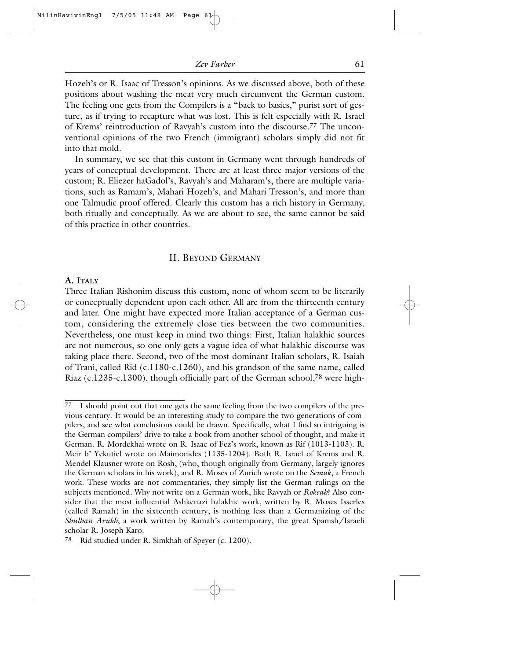*Zev Farber* 61

Hozeh's or R. Isaac of Tresson's opinions. As we discussed above, both of these positions about washing the meat very much circumvent the German custom. The feeling one gets from the Compilers is a "back to basics," purist sort of gesture, as if trying to recapture what was lost. This is felt especially with R. Israel of Krems' reintroduction of Ravyah's custom into the discourse.77 The unconventional opinions of the two French (immigrant) scholars simply did not fit into that mold.

In summary, we see that this custom in Germany went through hundreds of years of conceptual development. There are at least three major versions of the custom; R. Eliezer haGadol's, Ravyah's and Maharam's, there are multiple variations, such as Ramam's, Mahari Hozeh's, and Mahari Tresson's, and more than one Talmudic proof offered. Clearly this custom has a rich history in Germany, both ritually and conceptually. As we are about to see, the same cannot be said of this practice in other countries.

### II. BEYOND GERMANY

### **A. ITALY**

Three Italian Rishonim discuss this custom, none of whom seem to be literarily or conceptually dependent upon each other. All are from the thirteenth century and later. One might have expected more Italian acceptance of a German custom, considering the extremely close ties between the two communities. Nevertheless, one must keep in mind two things: First, Italian halakhic sources are not numerous, so one only gets a vague idea of what halakhic discourse was taking place there. Second, two of the most dominant Italian scholars, R. Isaiah of Trani, called Rid (c.1180-c.1260), and his grandson of the same name, called Riaz (c.1235-c.1300), though officially part of the German school,78 were high-

<sup>77</sup> I should point out that one gets the same feeling from the two compilers of the previous century. It would be an interesting study to compare the two generations of compilers, and see what conclusions could be drawn. Specifically, what I find so intriguing is the German compilers' drive to take a book from another school of thought, and make it German. R. Mordekhai wrote on R. Isaac of Fez's work, known as Rif (1013-1103). R. Meir b' Yekutiel wrote on Maimonides (1135-1204). Both R. Israel of Krems and R. Mendel Klausner wrote on Rosh, (who, though originally from Germany, largely ignores the German scholars in his work), and R. Moses of Zurich wrote on the *Semak*, a French work. These works are not commentaries, they simply list the German rulings on the subjects mentioned. Why not write on a German work, like Ravyah or *Rokeah*? Also consider that the most influential Ashkenazi halakhic work, written by R. Moses Isserles (called Ramah) in the sixteenth century, is nothing less than a Germanizing of the *Shulhan Arukh*, a work written by Ramah's contemporary, the great Spanish/Israeli scholar R. Joseph Karo.

<sup>78</sup> Rid studied under R. Simkhah of Speyer (c. 1200).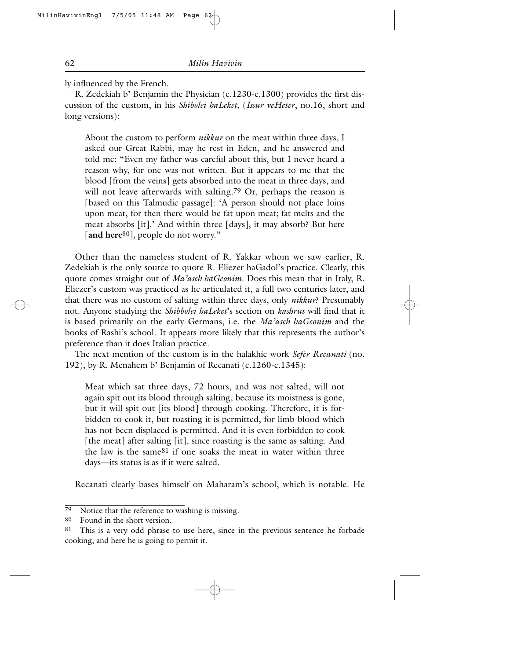ly influenced by the French.

R. Zedekiah b' Benjamin the Physician (c.1230-c.1300) provides the first discussion of the custom, in his *Shibolei haLeket*, (*Issur veHeter*, no.16, short and long versions):

About the custom to perform *nikkur* on the meat within three days, I asked our Great Rabbi, may he rest in Eden, and he answered and told me: "Even my father was careful about this, but I never heard a reason why, for one was not written. But it appears to me that the blood [from the veins] gets absorbed into the meat in three days, and will not leave afterwards with salting.<sup>79</sup> Or, perhaps the reason is [based on this Talmudic passage]: 'A person should not place loins upon meat, for then there would be fat upon meat; fat melts and the meat absorbs [it].' And within three [days], it may absorb? But here [and here<sup>80</sup>], people do not worry."

Other than the nameless student of R. Yakkar whom we saw earlier, R. Zedekiah is the only source to quote R. Eliezer haGadol's practice. Clearly, this quote comes straight out of *Ma'aseh haGeonim*. Does this mean that in Italy, R. Eliezer's custom was practiced as he articulated it, a full two centuries later, and that there was no custom of salting within three days, only *nikkur*? Presumably not. Anyone studying the *Shibbolei haLeket*'s section on *kashrut* will find that it is based primarily on the early Germans, i.e. the *Ma'aseh haGeonim* and the books of Rashi's school. It appears more likely that this represents the author's preference than it does Italian practice.

The next mention of the custom is in the halakhic work *Sefer Recanati* (no. 192), by R. Menahem b' Benjamin of Recanati (c.1260-c.1345):

Meat which sat three days, 72 hours, and was not salted, will not again spit out its blood through salting, because its moistness is gone, but it will spit out [its blood] through cooking. Therefore, it is forbidden to cook it, but roasting it is permitted, for limb blood which has not been displaced is permitted. And it is even forbidden to cook [the meat] after salting [it], since roasting is the same as salting. And the law is the same81 if one soaks the meat in water within three days—its status is as if it were salted.

Recanati clearly bases himself on Maharam's school, which is notable. He

<sup>79</sup> Notice that the reference to washing is missing.

<sup>80</sup> Found in the short version.

This is a very odd phrase to use here, since in the previous sentence he forbade cooking, and here he is going to permit it.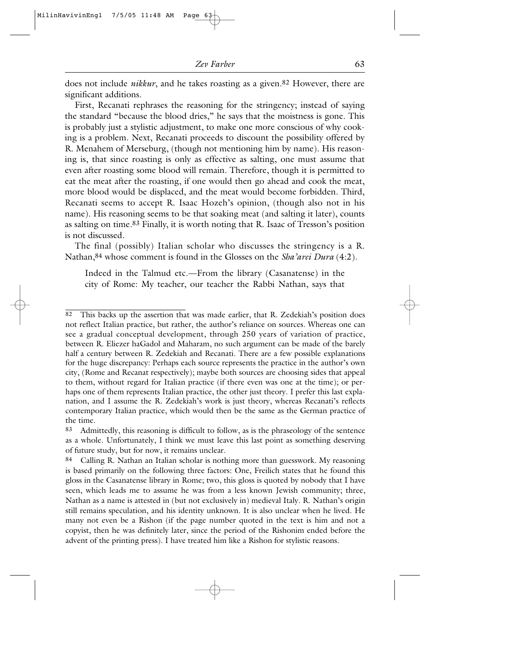*Zev Farber* 63

does not include *nikkur*, and he takes roasting as a given.82 However, there are significant additions.

First, Recanati rephrases the reasoning for the stringency; instead of saying the standard "because the blood dries," he says that the moistness is gone. This is probably just a stylistic adjustment, to make one more conscious of why cooking is a problem. Next, Recanati proceeds to discount the possibility offered by R. Menahem of Merseburg, (though not mentioning him by name). His reasoning is, that since roasting is only as effective as salting, one must assume that even after roasting some blood will remain. Therefore, though it is permitted to eat the meat after the roasting, if one would then go ahead and cook the meat, more blood would be displaced, and the meat would become forbidden. Third, Recanati seems to accept R. Isaac Hozeh's opinion, (though also not in his name). His reasoning seems to be that soaking meat (and salting it later), counts as salting on time.83 Finally, it is worth noting that R. Isaac of Tresson's position is not discussed.

The final (possibly) Italian scholar who discusses the stringency is a R. Nathan,84 whose comment is found in the Glosses on the *Sha'arei Dura* (4:2).

Indeed in the Talmud etc.—From the library (Casanatense) in the city of Rome: My teacher, our teacher the Rabbi Nathan, says that

83 Admittedly, this reasoning is difficult to follow, as is the phraseology of the sentence as a whole. Unfortunately, I think we must leave this last point as something deserving of future study, but for now, it remains unclear.

84 Calling R. Nathan an Italian scholar is nothing more than guesswork. My reasoning is based primarily on the following three factors: One, Freilich states that he found this gloss in the Casanatense library in Rome; two, this gloss is quoted by nobody that I have seen, which leads me to assume he was from a less known Jewish community; three, Nathan as a name is attested in (but not exclusively in) medieval Italy. R. Nathan's origin still remains speculation, and his identity unknown. It is also unclear when he lived. He many not even be a Rishon (if the page number quoted in the text is him and not a copyist, then he was definitely later, since the period of the Rishonim ended before the advent of the printing press). I have treated him like a Rishon for stylistic reasons.

<sup>82</sup> This backs up the assertion that was made earlier, that R. Zedekiah's position does not reflect Italian practice, but rather, the author's reliance on sources. Whereas one can see a gradual conceptual development, through 250 years of variation of practice, between R. Eliezer haGadol and Maharam, no such argument can be made of the barely half a century between R. Zedekiah and Recanati. There are a few possible explanations for the huge discrepancy: Perhaps each source represents the practice in the author's own city, (Rome and Recanat respectively); maybe both sources are choosing sides that appeal to them, without regard for Italian practice (if there even was one at the time); or perhaps one of them represents Italian practice, the other just theory. I prefer this last explanation, and I assume the R. Zedekiah's work is just theory, whereas Recanati's reflects contemporary Italian practice, which would then be the same as the German practice of the time.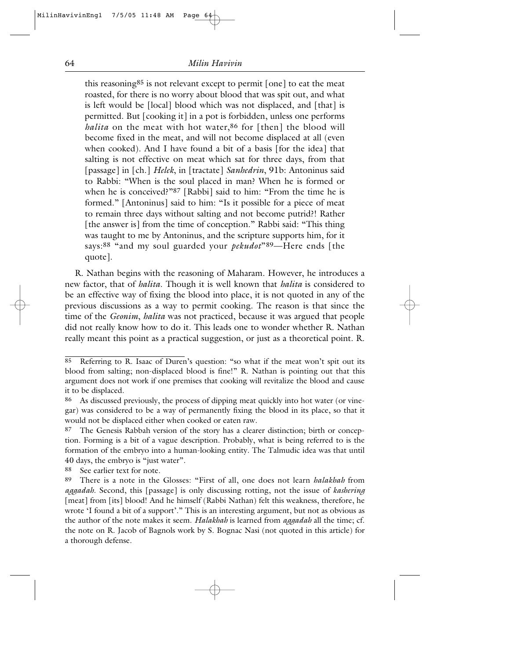this reasoning  $85$  is not relevant except to permit [one] to eat the meat roasted, for there is no worry about blood that was spit out, and what is left would be [local] blood which was not displaced, and [that] is permitted. But [cooking it] in a pot is forbidden, unless one performs *halita* on the meat with hot water,<sup>86</sup> for [then] the blood will become fixed in the meat, and will not become displaced at all (even when cooked). And I have found a bit of a basis [for the idea] that salting is not effective on meat which sat for three days, from that [passage] in [ch.] *Helek*, in [tractate] *Sanhedrin*, 91b: Antoninus said to Rabbi: "When is the soul placed in man? When he is formed or when he is conceived?"87 [Rabbi] said to him: "From the time he is formed." [Antoninus] said to him: "Is it possible for a piece of meat to remain three days without salting and not become putrid?! Rather [the answer is] from the time of conception." Rabbi said: "This thing was taught to me by Antoninus, and the scripture supports him, for it says:88 "and my soul guarded your *pekudot*"89—Here ends [the quote].

R. Nathan begins with the reasoning of Maharam. However, he introduces a new factor, that of *halita*. Though it is well known that *halita* is considered to be an effective way of fixing the blood into place, it is not quoted in any of the previous discussions as a way to permit cooking. The reason is that since the time of the *Geonim*, *halita* was not practiced, because it was argued that people did not really know how to do it. This leads one to wonder whether R. Nathan really meant this point as a practical suggestion, or just as a theoretical point. R.

See earlier text for note.

<sup>85</sup> Referring to R. Isaac of Duren's question: "so what if the meat won't spit out its blood from salting; non-displaced blood is fine!" R. Nathan is pointing out that this argument does not work if one premises that cooking will revitalize the blood and cause it to be displaced.

<sup>86</sup> As discussed previously, the process of dipping meat quickly into hot water (or vinegar) was considered to be a way of permanently fixing the blood in its place, so that it would not be displaced either when cooked or eaten raw.

<sup>87</sup> The Genesis Rabbah version of the story has a clearer distinction; birth or conception. Forming is a bit of a vague description. Probably, what is being referred to is the formation of the embryo into a human-looking entity. The Talmudic idea was that until 40 days, the embryo is "just water".<br><sup>88</sup> See earlier text for note.

<sup>89</sup> There is a note in the Glosses: "First of all, one does not learn *halakhah* from *aggadah*. Second, this [passage] is only discussing rotting, not the issue of *kashering* [meat] from [its] blood! And he himself (Rabbi Nathan) felt this weakness, therefore, he wrote 'I found a bit of a support'." This is an interesting argument, but not as obvious as the author of the note makes it seem. *Halakhah* is learned from *aggadah* all the time; cf. the note on R. Jacob of Bagnols work by S. Bognac Nasi (not quoted in this article) for a thorough defense.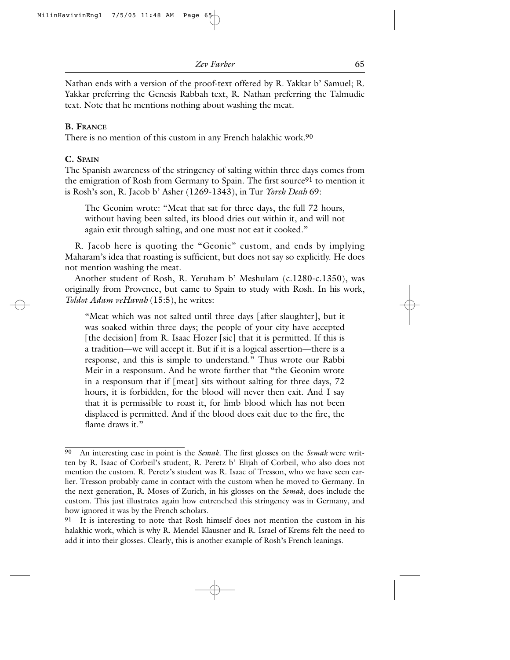*Zev Farber* 65

Nathan ends with a version of the proof-text offered by R. Yakkar b' Samuel; R. Yakkar preferring the Genesis Rabbah text, R. Nathan preferring the Talmudic text. Note that he mentions nothing about washing the meat.

### **B. FRANCE**

There is no mention of this custom in any French halakhic work.90

## **C. SPAIN**

The Spanish awareness of the stringency of salting within three days comes from the emigration of Rosh from Germany to Spain. The first source<sup>91</sup> to mention it is Rosh's son, R. Jacob b' Asher (1269-1343), in Tur *Yoreh Deah* 69:

The Geonim wrote: "Meat that sat for three days, the full 72 hours, without having been salted, its blood dries out within it, and will not again exit through salting, and one must not eat it cooked."

R. Jacob here is quoting the "Geonic" custom, and ends by implying Maharam's idea that roasting is sufficient, but does not say so explicitly. He does not mention washing the meat.

Another student of Rosh, R. Yeruham b' Meshulam (c.1280-c.1350), was originally from Provence, but came to Spain to study with Rosh. In his work, *Toldot Adam veHavah* (15:5), he writes:

"Meat which was not salted until three days [after slaughter], but it was soaked within three days; the people of your city have accepted [the decision] from R. Isaac Hozer [sic] that it is permitted. If this is a tradition—we will accept it. But if it is a logical assertion—there is a response, and this is simple to understand." Thus wrote our Rabbi Meir in a responsum. And he wrote further that "the Geonim wrote in a responsum that if [meat] sits without salting for three days, 72 hours, it is forbidden, for the blood will never then exit. And I say that it is permissible to roast it, for limb blood which has not been displaced is permitted. And if the blood does exit due to the fire, the flame draws it."

<sup>90</sup> An interesting case in point is the *Semak*. The first glosses on the *Semak* were written by R. Isaac of Corbeil's student, R. Peretz b' Elijah of Corbeil, who also does not mention the custom. R. Peretz's student was R. Isaac of Tresson, who we have seen earlier. Tresson probably came in contact with the custom when he moved to Germany. In the next generation, R. Moses of Zurich, in his glosses on the *Semak*, does include the custom. This just illustrates again how entrenched this stringency was in Germany, and how ignored it was by the French scholars.

<sup>91</sup> It is interesting to note that Rosh himself does not mention the custom in his halakhic work, which is why R. Mendel Klausner and R. Israel of Krems felt the need to add it into their glosses. Clearly, this is another example of Rosh's French leanings.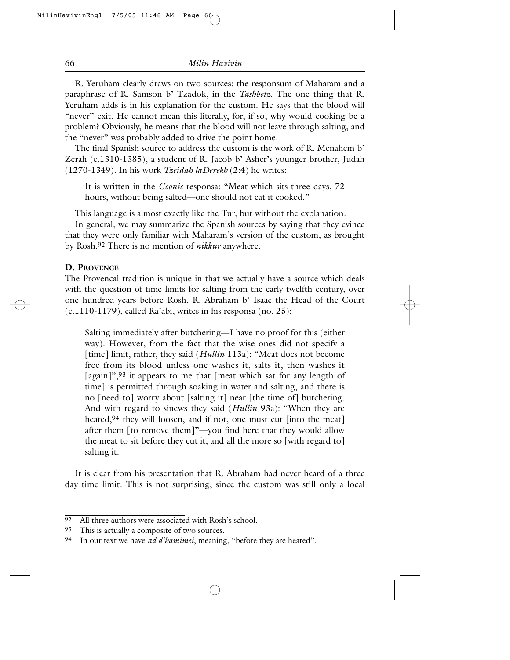R. Yeruham clearly draws on two sources: the responsum of Maharam and a paraphrase of R. Samson b' Tzadok, in the *Tashbetz*. The one thing that R. Yeruham adds is in his explanation for the custom. He says that the blood will "never" exit. He cannot mean this literally, for, if so, why would cooking be a problem? Obviously, he means that the blood will not leave through salting, and the "never" was probably added to drive the point home.

The final Spanish source to address the custom is the work of R. Menahem b' Zerah (c.1310-1385), a student of R. Jacob b' Asher's younger brother, Judah (1270-1349). In his work *Tzeidah laDerekh* (2:4) he writes:

It is written in the *Geonic* responsa: "Meat which sits three days, 72 hours, without being salted—one should not eat it cooked."

This language is almost exactly like the Tur, but without the explanation.

In general, we may summarize the Spanish sources by saying that they evince that they were only familiar with Maharam's version of the custom, as brought by Rosh.92 There is no mention of *nikkur* anywhere.

#### **D. PROVENCE**

The Provencal tradition is unique in that we actually have a source which deals with the question of time limits for salting from the early twelfth century, over one hundred years before Rosh. R. Abraham b' Isaac the Head of the Court (c.1110-1179), called Ra'abi, writes in his responsa (no. 25):

Salting immediately after butchering—I have no proof for this (either way). However, from the fact that the wise ones did not specify a [time] limit, rather, they said (*Hullin* 113a): "Meat does not become free from its blood unless one washes it, salts it, then washes it [again]",93 it appears to me that [meat which sat for any length of time] is permitted through soaking in water and salting, and there is no [need to] worry about [salting it] near [the time of] butchering. And with regard to sinews they said (*Hullin* 93a): "When they are heated, <sup>94</sup> they will loosen, and if not, one must cut [into the meat] after them [to remove them]"—you find here that they would allow the meat to sit before they cut it, and all the more so [with regard to] salting it.

It is clear from his presentation that R. Abraham had never heard of a three day time limit. This is not surprising, since the custom was still only a local

<sup>92</sup> All three authors were associated with Rosh's school.

<sup>93</sup> This is actually a composite of two sources.

<sup>94</sup> In our text we have *ad d'hamimei*, meaning, "before they are heated".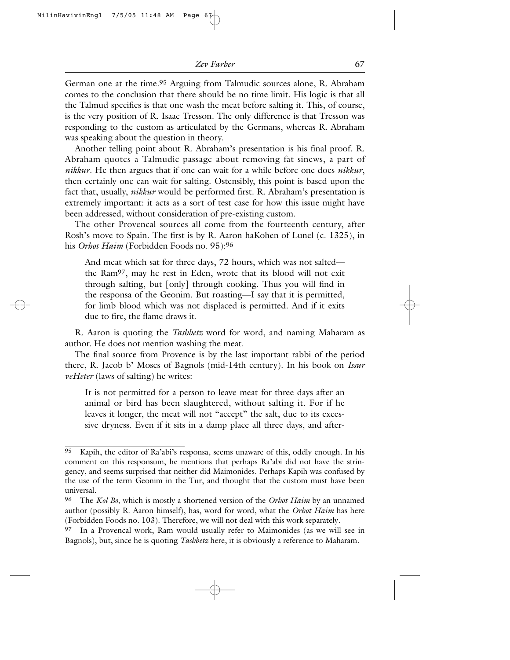*Zev Farber* 67

German one at the time.95 Arguing from Talmudic sources alone, R. Abraham comes to the conclusion that there should be no time limit. His logic is that all the Talmud specifies is that one wash the meat before salting it. This, of course, is the very position of R. Isaac Tresson. The only difference is that Tresson was responding to the custom as articulated by the Germans, whereas R. Abraham was speaking about the question in theory.

Another telling point about R. Abraham's presentation is his final proof. R. Abraham quotes a Talmudic passage about removing fat sinews, a part of *nikkur*. He then argues that if one can wait for a while before one does *nikkur*, then certainly one can wait for salting. Ostensibly, this point is based upon the fact that, usually, *nikkur* would be performed first. R. Abraham's presentation is extremely important: it acts as a sort of test case for how this issue might have been addressed, without consideration of pre-existing custom.

The other Provencal sources all come from the fourteenth century, after Rosh's move to Spain. The first is by R. Aaron haKohen of Lunel (c. 1325), in his *Orhot Haim* (Forbidden Foods no. 95):96

And meat which sat for three days, 72 hours, which was not salted the Ram97, may he rest in Eden, wrote that its blood will not exit through salting, but [only] through cooking. Thus you will find in the responsa of the Geonim. But roasting—I say that it is permitted, for limb blood which was not displaced is permitted. And if it exits due to fire, the flame draws it.

R. Aaron is quoting the *Tashbetz* word for word, and naming Maharam as author. He does not mention washing the meat.

The final source from Provence is by the last important rabbi of the period there, R. Jacob b' Moses of Bagnols (mid-14th century). In his book on *Issur veHeter* (laws of salting) he writes:

It is not permitted for a person to leave meat for three days after an animal or bird has been slaughtered, without salting it. For if he leaves it longer, the meat will not "accept" the salt, due to its excessive dryness. Even if it sits in a damp place all three days, and after-

 $\overline{95}$  Kapih, the editor of Ra'abi's responsa, seems unaware of this, oddly enough. In his comment on this responsum, he mentions that perhaps Ra'abi did not have the stringency, and seems surprised that neither did Maimonides. Perhaps Kapih was confused by the use of the term Geonim in the Tur, and thought that the custom must have been universal.

<sup>96</sup> The *Kol Bo*, which is mostly a shortened version of the *Orhot Haim* by an unnamed author (possibly R. Aaron himself), has, word for word, what the *Orhot Haim* has here (Forbidden Foods no. 103). Therefore, we will not deal with this work separately.

<sup>97</sup> In a Provencal work, Ram would usually refer to Maimonides (as we will see in Bagnols), but, since he is quoting *Tashbetz* here, it is obviously a reference to Maharam.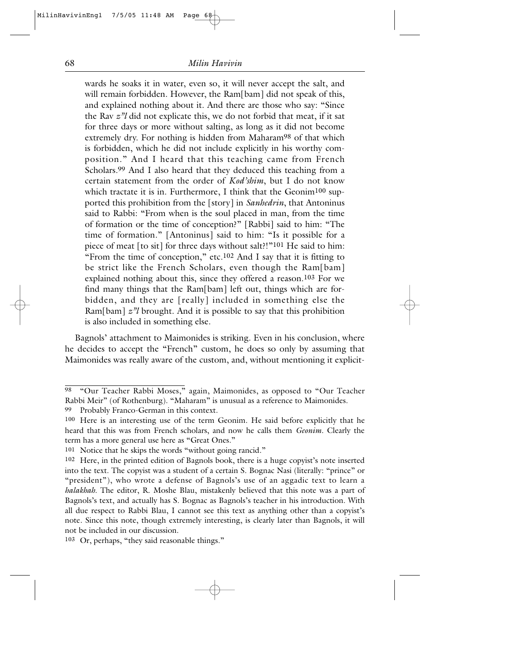wards he soaks it in water, even so, it will never accept the salt, and will remain forbidden. However, the Ram[bam] did not speak of this, and explained nothing about it. And there are those who say: "Since the Rav *z"l* did not explicate this, we do not forbid that meat, if it sat for three days or more without salting, as long as it did not become extremely dry. For nothing is hidden from Maharam<sup>98</sup> of that which is forbidden, which he did not include explicitly in his worthy composition." And I heard that this teaching came from French Scholars.99 And I also heard that they deduced this teaching from a certain statement from the order of *Kod'shim*, but I do not know which tractate it is in. Furthermore, I think that the Geonim<sup>100</sup> supported this prohibition from the [story] in *Sanhedrin*, that Antoninus said to Rabbi: "From when is the soul placed in man, from the time of formation or the time of conception?" [Rabbi] said to him: "The time of formation." [Antoninus] said to him: "Is it possible for a piece of meat [to sit] for three days without salt?!"101 He said to him: "From the time of conception," etc.102 And I say that it is fitting to be strict like the French Scholars, even though the Ram[bam] explained nothing about this, since they offered a reason.103 For we find many things that the Ram[bam] left out, things which are forbidden, and they are [really] included in something else the Ram[bam] *z"l* brought. And it is possible to say that this prohibition is also included in something else.

Bagnols' attachment to Maimonides is striking. Even in his conclusion, where he decides to accept the "French" custom, he does so only by assuming that Maimonides was really aware of the custom, and, without mentioning it explicit-

103 Or, perhaps, "they said reasonable things."

<sup>&</sup>lt;sup>98</sup> "Our Teacher Rabbi Moses," again, Maimonides, as opposed to "Our Teacher Rabbi Meir" (of Rothenburg). "Maharam" is unusual as a reference to Maimonides.

<sup>99</sup> Probably Franco-German in this context.

<sup>100</sup> Here is an interesting use of the term Geonim. He said before explicitly that he heard that this was from French scholars, and now he calls them *Geonim*. Clearly the term has a more general use here as "Great Ones."

<sup>101</sup> Notice that he skips the words "without going rancid."

<sup>102</sup> Here, in the printed edition of Bagnols book, there is a huge copyist's note inserted into the text. The copyist was a student of a certain S. Bognac Nasi (literally: "prince" or "president"), who wrote a defense of Bagnols's use of an aggadic text to learn a *halakhah*. The editor, R. Moshe Blau, mistakenly believed that this note was a part of Bagnols's text, and actually has S. Bognac as Bagnols's teacher in his introduction. With all due respect to Rabbi Blau, I cannot see this text as anything other than a copyist's note. Since this note, though extremely interesting, is clearly later than Bagnols, it will not be included in our discussion.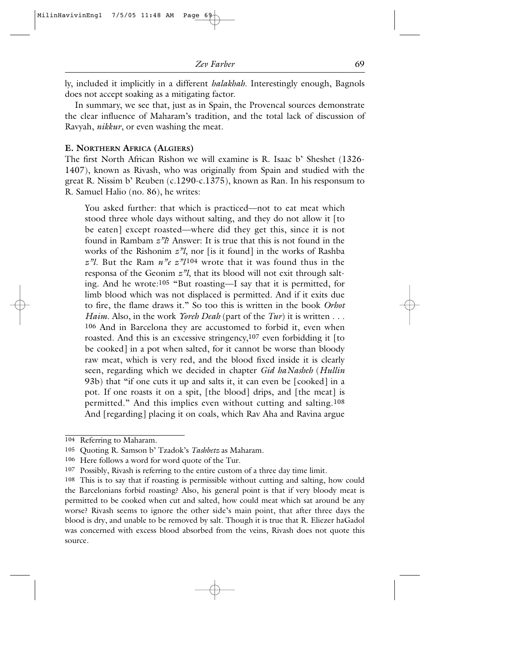*Zev Farber* 69

ly, included it implicitly in a different *halakhah*. Interestingly enough, Bagnols does not accept soaking as a mitigating factor.

In summary, we see that, just as in Spain, the Provencal sources demonstrate the clear influence of Maharam's tradition, and the total lack of discussion of Ravyah, *nikkur*, or even washing the meat.

#### **E. NORTHERN AFRICA (ALGIERS)**

The first North African Rishon we will examine is R. Isaac b' Sheshet (1326- 1407), known as Rivash, who was originally from Spain and studied with the great R. Nissim b' Reuben (c.1290-c.1375), known as Ran. In his responsum to R. Samuel Halio (no. 86), he writes:

You asked further: that which is practiced—not to eat meat which stood three whole days without salting, and they do not allow it [to be eaten] except roasted—where did they get this, since it is not found in Rambam *z"l*? Answer: It is true that this is not found in the works of the Rishonim *z"l*, nor [is it found] in the works of Rashba *z"l*. But the Ram *n"e z"l* 104 wrote that it was found thus in the responsa of the Geonim *z"l*, that its blood will not exit through salting. And he wrote:105 "But roasting—I say that it is permitted, for limb blood which was not displaced is permitted. And if it exits due to fire, the flame draws it." So too this is written in the book *Orhot Haim*. Also, in the work *Yoreh Deah* (part of the *Tur*) it is written . . . 106 And in Barcelona they are accustomed to forbid it, even when roasted. And this is an excessive stringency,  $107$  even forbidding it [to be cooked] in a pot when salted, for it cannot be worse than bloody raw meat, which is very red, and the blood fixed inside it is clearly seen, regarding which we decided in chapter *Gid haNasheh* (*Hullin* 93b) that "if one cuts it up and salts it, it can even be [cooked] in a pot. If one roasts it on a spit, [the blood] drips, and [the meat] is permitted." And this implies even without cutting and salting.108 And [regarding] placing it on coals, which Rav Aha and Ravina argue

<sup>104</sup> Referring to Maharam.

<sup>105</sup> Quoting R. Samson b' Tzadok's *Tashbetz* as Maharam.

<sup>106</sup> Here follows a word for word quote of the Tur.

<sup>107</sup> Possibly, Rivash is referring to the entire custom of a three day time limit.

<sup>108</sup> This is to say that if roasting is permissible without cutting and salting, how could the Barcelonians forbid roasting? Also, his general point is that if very bloody meat is permitted to be cooked when cut and salted, how could meat which sat around be any worse? Rivash seems to ignore the other side's main point, that after three days the blood is dry, and unable to be removed by salt. Though it is true that R. Eliezer haGadol was concerned with excess blood absorbed from the veins, Rivash does not quote this source.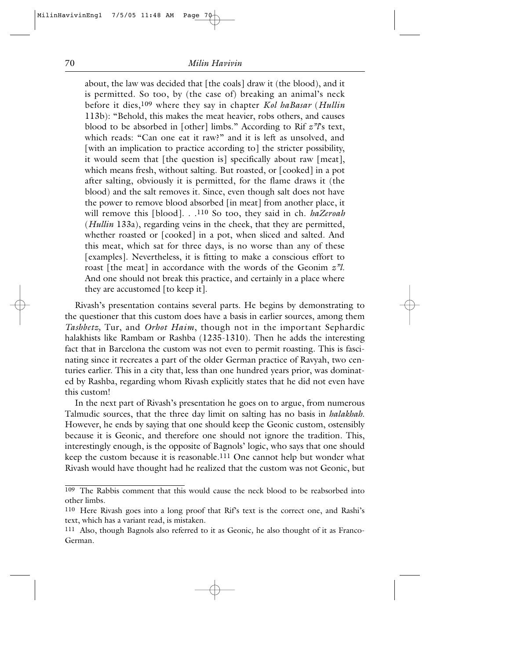about, the law was decided that [the coals] draw it (the blood), and it is permitted. So too, by (the case of) breaking an animal's neck before it dies,109 where they say in chapter *Kol haBasar* (*Hullin* 113b): "Behold, this makes the meat heavier, robs others, and causes blood to be absorbed in [other] limbs." According to Rif *z"l*'s text, which reads: "Can one eat it raw?" and it is left as unsolved, and [with an implication to practice according to] the stricter possibility, it would seem that [the question is] specifically about raw [meat], which means fresh, without salting. But roasted, or [cooked] in a pot after salting, obviously it is permitted, for the flame draws it (the blood) and the salt removes it. Since, even though salt does not have the power to remove blood absorbed [in meat] from another place, it will remove this [blood]. . .110 So too, they said in ch. *haZeroah* (*Hullin* 133a), regarding veins in the cheek, that they are permitted, whether roasted or [cooked] in a pot, when sliced and salted. And this meat, which sat for three days, is no worse than any of these [examples]. Nevertheless, it is fitting to make a conscious effort to roast [the meat] in accordance with the words of the Geonim *z"l*. And one should not break this practice, and certainly in a place where they are accustomed [to keep it].

Rivash's presentation contains several parts. He begins by demonstrating to the questioner that this custom does have a basis in earlier sources, among them *Tashbetz,* Tur, and *Orhot Haim*, though not in the important Sephardic halakhists like Rambam or Rashba (1235-1310). Then he adds the interesting fact that in Barcelona the custom was not even to permit roasting. This is fascinating since it recreates a part of the older German practice of Ravyah, two centuries earlier. This in a city that, less than one hundred years prior, was dominated by Rashba, regarding whom Rivash explicitly states that he did not even have this custom!

In the next part of Rivash's presentation he goes on to argue, from numerous Talmudic sources, that the three day limit on salting has no basis in *halakhah*. However, he ends by saying that one should keep the Geonic custom, ostensibly because it is Geonic, and therefore one should not ignore the tradition. This, interestingly enough, is the opposite of Bagnols' logic, who says that one should keep the custom because it is reasonable.111 One cannot help but wonder what Rivash would have thought had he realized that the custom was not Geonic, but

<sup>&</sup>lt;sup>109</sup> The Rabbis comment that this would cause the neck blood to be reabsorbed into other limbs.

<sup>110</sup> Here Rivash goes into a long proof that Rif's text is the correct one, and Rashi's text, which has a variant read, is mistaken.

<sup>111</sup> Also, though Bagnols also referred to it as Geonic*,* he also thought of it as Franco-German.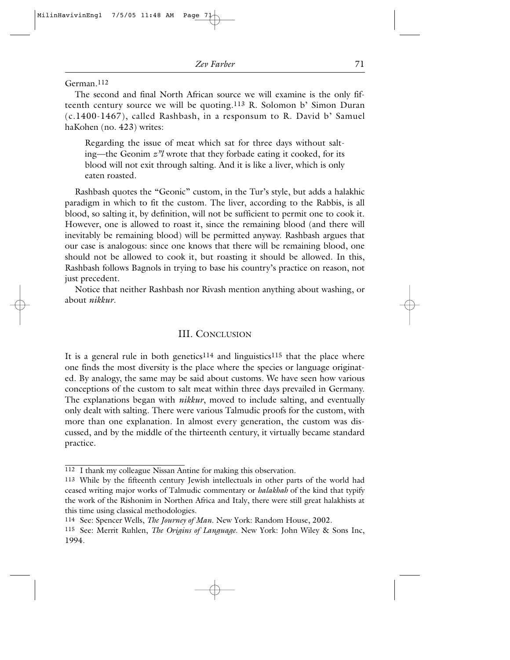*Zev Farber* 71

#### German.112

The second and final North African source we will examine is the only fifteenth century source we will be quoting.113 R. Solomon b' Simon Duran (c.1400-1467), called Rashbash, in a responsum to R. David b' Samuel haKohen (no. 423) writes:

Regarding the issue of meat which sat for three days without salting—the Geonim *z"l* wrote that they forbade eating it cooked, for its blood will not exit through salting. And it is like a liver, which is only eaten roasted.

Rashbash quotes the "Geonic" custom, in the Tur's style, but adds a halakhic paradigm in which to fit the custom. The liver, according to the Rabbis, is all blood, so salting it, by definition, will not be sufficient to permit one to cook it. However, one is allowed to roast it, since the remaining blood (and there will inevitably be remaining blood) will be permitted anyway. Rashbash argues that our case is analogous: since one knows that there will be remaining blood, one should not be allowed to cook it, but roasting it should be allowed. In this, Rashbash follows Bagnols in trying to base his country's practice on reason, not just precedent.

Notice that neither Rashbash nor Rivash mention anything about washing, or about *nikkur*.

## III. CONCLUSION

It is a general rule in both genetics<sup>114</sup> and linguistics<sup>115</sup> that the place where one finds the most diversity is the place where the species or language originated. By analogy, the same may be said about customs. We have seen how various conceptions of the custom to salt meat within three days prevailed in Germany. The explanations began with *nikkur*, moved to include salting, and eventually only dealt with salting. There were various Talmudic proofs for the custom, with more than one explanation. In almost every generation, the custom was discussed, and by the middle of the thirteenth century, it virtually became standard practice.

<sup>112</sup> I thank my colleague Nissan Antine for making this observation.

<sup>113</sup> While by the fifteenth century Jewish intellectuals in other parts of the world had ceased writing major works of Talmudic commentary or *halakhah* of the kind that typify the work of the Rishonim in Northen Africa and Italy, there were still great halakhists at this time using classical methodologies.

<sup>114</sup> See: Spencer Wells, *The Journey of Man*. New York: Random House, 2002.

<sup>115</sup> See: Merrit Ruhlen, *The Origins of Language*. New York: John Wiley & Sons Inc, 1994.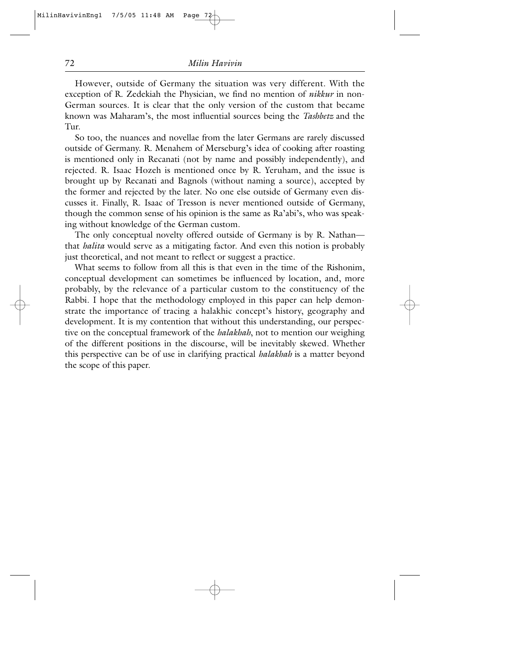However, outside of Germany the situation was very different. With the exception of R. Zedekiah the Physician, we find no mention of *nikkur* in non-German sources. It is clear that the only version of the custom that became known was Maharam's, the most influential sources being the *Tashbetz* and the Tur.

So too, the nuances and novellae from the later Germans are rarely discussed outside of Germany. R. Menahem of Merseburg's idea of cooking after roasting is mentioned only in Recanati (not by name and possibly independently), and rejected. R. Isaac Hozeh is mentioned once by R. Yeruham, and the issue is brought up by Recanati and Bagnols (without naming a source), accepted by the former and rejected by the later. No one else outside of Germany even discusses it. Finally, R. Isaac of Tresson is never mentioned outside of Germany, though the common sense of his opinion is the same as Ra'abi's, who was speaking without knowledge of the German custom.

The only conceptual novelty offered outside of Germany is by R. Nathan that *halita* would serve as a mitigating factor. And even this notion is probably just theoretical, and not meant to reflect or suggest a practice.

What seems to follow from all this is that even in the time of the Rishonim, conceptual development can sometimes be influenced by location, and, more probably, by the relevance of a particular custom to the constituency of the Rabbi. I hope that the methodology employed in this paper can help demonstrate the importance of tracing a halakhic concept's history, geography and development. It is my contention that without this understanding, our perspective on the conceptual framework of the *halakhah*, not to mention our weighing of the different positions in the discourse, will be inevitably skewed. Whether this perspective can be of use in clarifying practical *halakhah* is a matter beyond the scope of this paper.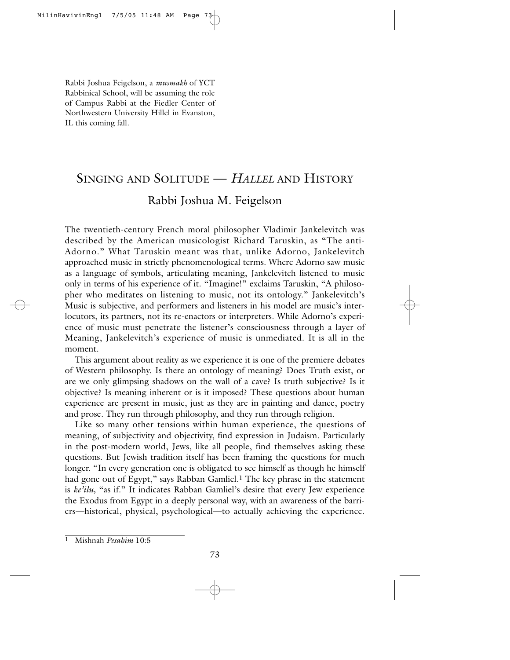Rabbi Joshua Feigelson, a *musmakh* of YCT Rabbinical School, will be assuming the role of Campus Rabbi at the Fiedler Center of Northwestern University Hillel in Evanston, IL this coming fall.

# SINGING AND SOLITUDE — *HALLEL* AND HISTORY

# Rabbi Joshua M. Feigelson

The twentieth-century French moral philosopher Vladimir Jankelevitch was described by the American musicologist Richard Taruskin, as "The anti-Adorno." What Taruskin meant was that, unlike Adorno, Jankelevitch approached music in strictly phenomenological terms. Where Adorno saw music as a language of symbols, articulating meaning, Jankelevitch listened to music only in terms of his experience of it. "Imagine!" exclaims Taruskin, "A philosopher who meditates on listening to music, not its ontology." Jankelevitch's Music is subjective, and performers and listeners in his model are music's interlocutors, its partners, not its re-enactors or interpreters. While Adorno's experience of music must penetrate the listener's consciousness through a layer of Meaning, Jankelevitch's experience of music is unmediated. It is all in the moment.

This argument about reality as we experience it is one of the premiere debates of Western philosophy. Is there an ontology of meaning? Does Truth exist, or are we only glimpsing shadows on the wall of a cave? Is truth subjective? Is it objective? Is meaning inherent or is it imposed? These questions about human experience are present in music, just as they are in painting and dance, poetry and prose. They run through philosophy, and they run through religion.

Like so many other tensions within human experience, the questions of meaning, of subjectivity and objectivity, find expression in Judaism. Particularly in the post-modern world, Jews, like all people, find themselves asking these questions. But Jewish tradition itself has been framing the questions for much longer. "In every generation one is obligated to see himself as though he himself had gone out of Egypt," says Rabban Gamliel.<sup>1</sup> The key phrase in the statement is *ke'ilu,* "as if." It indicates Rabban Gamliel's desire that every Jew experience the Exodus from Egypt in a deeply personal way, with an awareness of the barriers—historical, physical, psychological—to actually achieving the experience.

<sup>1</sup> Mishnah *Pesahim* 10:5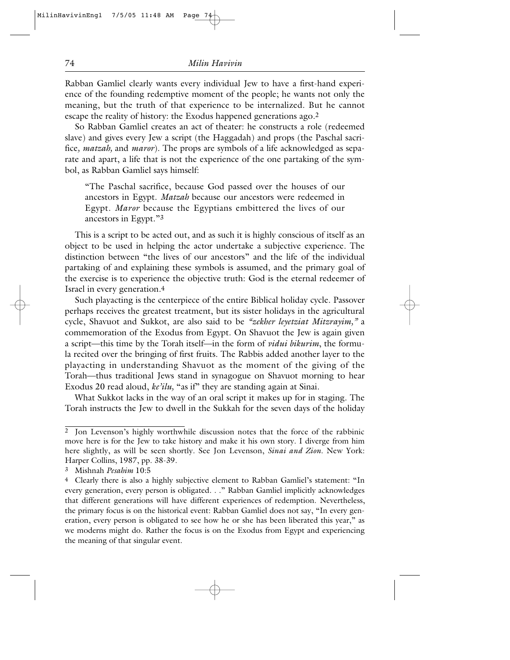Rabban Gamliel clearly wants every individual Jew to have a first-hand experience of the founding redemptive moment of the people; he wants not only the meaning, but the truth of that experience to be internalized. But he cannot escape the reality of history: the Exodus happened generations ago.2

So Rabban Gamliel creates an act of theater: he constructs a role (redeemed slave) and gives every Jew a script (the Haggadah) and props (the Paschal sacrifice*, matzah,* and *maror*). The props are symbols of a life acknowledged as separate and apart, a life that is not the experience of the one partaking of the symbol, as Rabban Gamliel says himself:

"The Paschal sacrifice, because God passed over the houses of our ancestors in Egypt. *Matzah* because our ancestors were redeemed in Egypt. *Maror* because the Egyptians embittered the lives of our ancestors in Egypt."3

This is a script to be acted out, and as such it is highly conscious of itself as an object to be used in helping the actor undertake a subjective experience. The distinction between "the lives of our ancestors" and the life of the individual partaking of and explaining these symbols is assumed, and the primary goal of the exercise is to experience the objective truth: God is the eternal redeemer of Israel in every generation.4

Such playacting is the centerpiece of the entire Biblical holiday cycle. Passover perhaps receives the greatest treatment, but its sister holidays in the agricultural cycle, Shavuot and Sukkot, are also said to be *"zekher leyetziat Mitzrayim,"* a commemoration of the Exodus from Egypt. On Shavuot the Jew is again given a script—this time by the Torah itself—in the form of *vidui bikurim*, the formula recited over the bringing of first fruits. The Rabbis added another layer to the playacting in understanding Shavuot as the moment of the giving of the Torah—thus traditional Jews stand in synagogue on Shavuot morning to hear Exodus 20 read aloud, *ke'ilu,* "as if" they are standing again at Sinai.

What Sukkot lacks in the way of an oral script it makes up for in staging. The Torah instructs the Jew to dwell in the Sukkah for the seven days of the holiday

<sup>2</sup> Jon Levenson's highly worthwhile discussion notes that the force of the rabbinic move here is for the Jew to take history and make it his own story. I diverge from him here slightly, as will be seen shortly. See Jon Levenson, *Sinai and Zion*. New York: Harper Collins, 1987, pp. 38-39.

<sup>3</sup> Mishnah *Pesahim* 10:5

<sup>4</sup> Clearly there is also a highly subjective element to Rabban Gamliel's statement: "In every generation, every person is obligated. . ." Rabban Gamliel implicitly acknowledges that different generations will have different experiences of redemption. Nevertheless, the primary focus is on the historical event: Rabban Gamliel does not say, "In every generation, every person is obligated to see how he or she has been liberated this year," as we moderns might do. Rather the focus is on the Exodus from Egypt and experiencing the meaning of that singular event.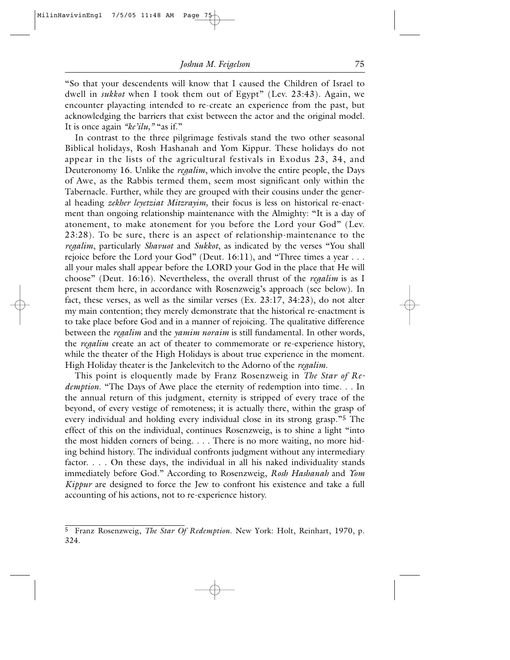*Joshua M. Feigelson* 75

"So that your descendents will know that I caused the Children of Israel to dwell in *sukkot* when I took them out of Egypt" (Lev. 23:43). Again, we encounter playacting intended to re-create an experience from the past, but acknowledging the barriers that exist between the actor and the original model. It is once again *"ke'ilu,"* "as if."

In contrast to the three pilgrimage festivals stand the two other seasonal Biblical holidays, Rosh Hashanah and Yom Kippur. These holidays do not appear in the lists of the agricultural festivals in Exodus 23, 34, and Deuteronomy 16. Unlike the *regalim*, which involve the entire people, the Days of Awe, as the Rabbis termed them, seem most significant only within the Tabernacle. Further, while they are grouped with their cousins under the general heading *zekher leyetziat Mitzrayim,* their focus is less on historical re-enactment than ongoing relationship maintenance with the Almighty: "It is a day of atonement, to make atonement for you before the Lord your God" (Lev. 23:28). To be sure, there is an aspect of relationship-maintenance to the *regalim*, particularly *Shavuot* and *Sukkot*, as indicated by the verses "You shall rejoice before the Lord your God" (Deut. 16:11), and "Three times a year . . . all your males shall appear before the LORD your God in the place that He will choose" (Deut. 16:16). Nevertheless, the overall thrust of the *regalim* is as I present them here, in accordance with Rosenzweig's approach (see below). In fact, these verses, as well as the similar verses (Ex. 23:17, 34:23), do not alter my main contention; they merely demonstrate that the historical re-enactment is to take place before God and in a manner of rejoicing. The qualitative difference between the *regalim* and the *yamim noraim* is still fundamental. In other words, the *regalim* create an act of theater to commemorate or re-experience history, while the theater of the High Holidays is about true experience in the moment. High Holiday theater is the Jankelevitch to the Adorno of the *regalim*.

This point is eloquently made by Franz Rosenzweig in *The Star of Redemption*. "The Days of Awe place the eternity of redemption into time. . . In the annual return of this judgment, eternity is stripped of every trace of the beyond, of every vestige of remoteness; it is actually there, within the grasp of every individual and holding every individual close in its strong grasp."5 The effect of this on the individual, continues Rosenzweig, is to shine a light "into the most hidden corners of being. . . . There is no more waiting, no more hiding behind history. The individual confronts judgment without any intermediary factor. . . . On these days, the individual in all his naked individuality stands immediately before God." According to Rosenzweig, *Rosh Hashanah* and *Yom Kippur* are designed to force the Jew to confront his existence and take a full accounting of his actions, not to re-experience history.

<sup>5</sup> Franz Rosenzweig, *The Star Of Redemption*. New York: Holt, Reinhart, 1970, p. 324.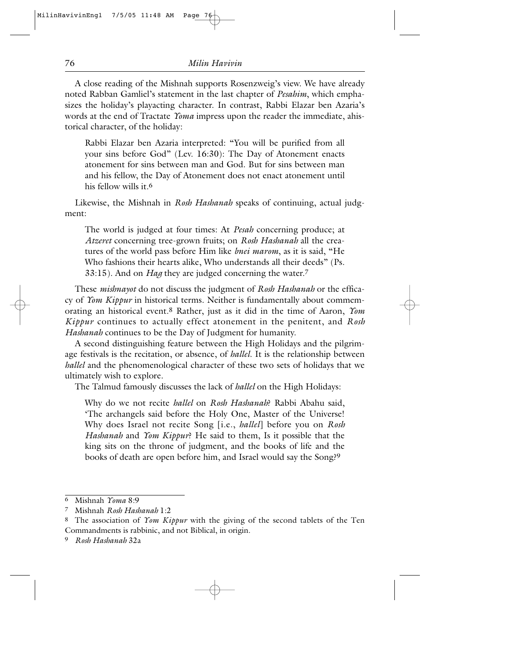A close reading of the Mishnah supports Rosenzweig's view. We have already noted Rabban Gamliel's statement in the last chapter of *Pesahim*, which emphasizes the holiday's playacting character. In contrast, Rabbi Elazar ben Azaria's words at the end of Tractate *Yoma* impress upon the reader the immediate, ahistorical character, of the holiday:

Rabbi Elazar ben Azaria interpreted: "You will be purified from all your sins before God" (Lev. 16:30): The Day of Atonement enacts atonement for sins between man and God. But for sins between man and his fellow, the Day of Atonement does not enact atonement until his fellow wills it.<sup>6</sup>

Likewise, the Mishnah in *Rosh Hashanah* speaks of continuing, actual judgment:

The world is judged at four times: At *Pesah* concerning produce; at *Atzeret* concerning tree-grown fruits; on *Rosh Hashanah* all the creatures of the world pass before Him like *bnei marom*, as it is said, "He Who fashions their hearts alike, Who understands all their deeds" (Ps. 33:15). And on *Hag* they are judged concerning the water.7

These *mishnayot* do not discuss the judgment of *Rosh Hashanah* or the efficacy of *Yom Kippur* in historical terms. Neither is fundamentally about commemorating an historical event.8 Rather, just as it did in the time of Aaron, *Yom Kippur* continues to actually effect atonement in the penitent, and *Rosh Hashanah* continues to be the Day of Judgment for humanity.

A second distinguishing feature between the High Holidays and the pilgrimage festivals is the recitation, or absence, of *hallel*. It is the relationship between *hallel* and the phenomenological character of these two sets of holidays that we ultimately wish to explore.

The Talmud famously discusses the lack of *hallel* on the High Holidays:

Why do we not recite *hallel* on *Rosh Hashanah*? Rabbi Abahu said, 'The archangels said before the Holy One, Master of the Universe! Why does Israel not recite Song [i.e., *hallel*] before you on *Rosh Hashanah* and *Yom Kippur*? He said to them, Is it possible that the king sits on the throne of judgment, and the books of life and the books of death are open before him, and Israel would say the Song?9

<sup>6</sup> Mishnah *Yoma* 8:9

<sup>7</sup> Mishnah *Rosh Hashanah* 1:2

<sup>8</sup> The association of *Yom Kippur* with the giving of the second tablets of the Ten Commandments is rabbinic, and not Biblical, in origin.

<sup>9</sup> *Rosh Hashanah* 32a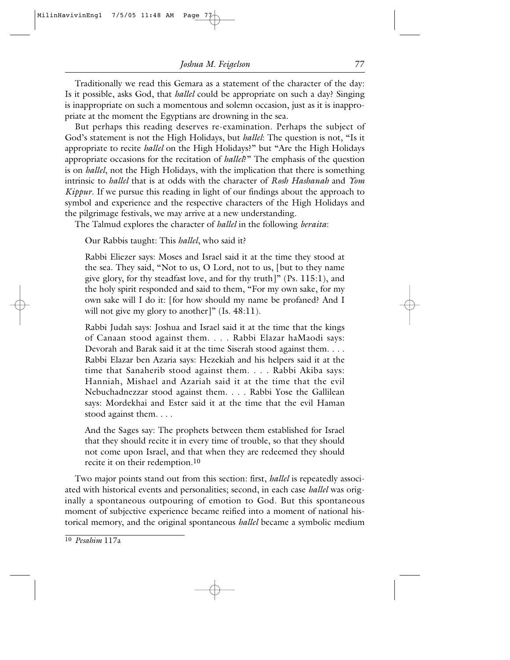*Joshua M. Feigelson* 77

Traditionally we read this Gemara as a statement of the character of the day: Is it possible, asks God, that *hallel* could be appropriate on such a day? Singing is inappropriate on such a momentous and solemn occasion, just as it is inappropriate at the moment the Egyptians are drowning in the sea.

But perhaps this reading deserves re-examination. Perhaps the subject of God's statement is not the High Holidays, but *hallel*: The question is not, "Is it appropriate to recite *hallel* on the High Holidays?" but "Are the High Holidays appropriate occasions for the recitation of *hallel*?" The emphasis of the question is on *hallel*, not the High Holidays, with the implication that there is something intrinsic to *hallel* that is at odds with the character of *Rosh Hashanah* and *Yom Kippur*. If we pursue this reading in light of our findings about the approach to symbol and experience and the respective characters of the High Holidays and the pilgrimage festivals, we may arrive at a new understanding.

The Talmud explores the character of *hallel* in the following *beraita*:

Our Rabbis taught: This *hallel*, who said it?

Rabbi Eliezer says: Moses and Israel said it at the time they stood at the sea. They said, "Not to us, O Lord, not to us, [but to they name give glory, for thy steadfast love, and for thy truth]" (Ps. 115:1), and the holy spirit responded and said to them, "For my own sake, for my own sake will I do it: [for how should my name be profaned? And I will not give my glory to another]" (Is. 48:11).

Rabbi Judah says: Joshua and Israel said it at the time that the kings of Canaan stood against them. . . . Rabbi Elazar haMaodi says: Devorah and Barak said it at the time Siserah stood against them. . . . Rabbi Elazar ben Azaria says: Hezekiah and his helpers said it at the time that Sanaherib stood against them. . . . Rabbi Akiba says: Hanniah, Mishael and Azariah said it at the time that the evil Nebuchadnezzar stood against them. . . . Rabbi Yose the Gallilean says: Mordekhai and Ester said it at the time that the evil Haman stood against them. . . .

And the Sages say: The prophets between them established for Israel that they should recite it in every time of trouble, so that they should not come upon Israel, and that when they are redeemed they should recite it on their redemption.10

Two major points stand out from this section: first, *hallel* is repeatedly associated with historical events and personalities; second, in each case *hallel* was originally a spontaneous outpouring of emotion to God. But this spontaneous moment of subjective experience became reified into a moment of national historical memory, and the original spontaneous *hallel* became a symbolic medium

<sup>10</sup> *Pesahim* 117a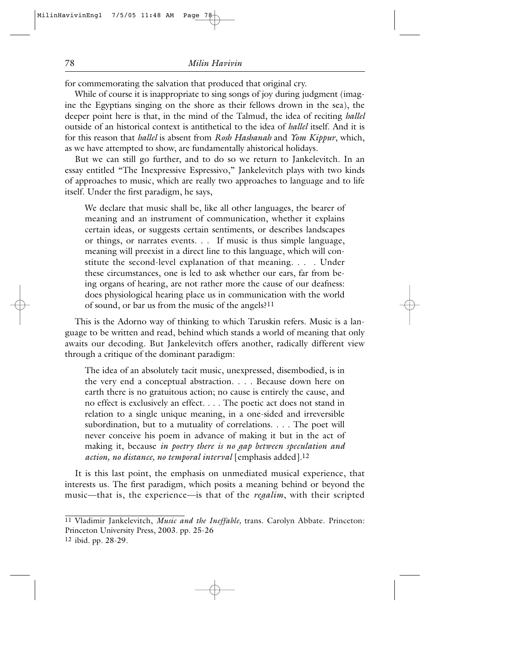for commemorating the salvation that produced that original cry.

While of course it is inappropriate to sing songs of joy during judgment (imagine the Egyptians singing on the shore as their fellows drown in the sea), the deeper point here is that, in the mind of the Talmud, the idea of reciting *hallel* outside of an historical context is antithetical to the idea of *hallel* itself. And it is for this reason that *hallel* is absent from *Rosh Hashanah* and *Yom Kippur*, which, as we have attempted to show, are fundamentally ahistorical holidays.

But we can still go further, and to do so we return to Jankelevitch. In an essay entitled "The Inexpressive Espressivo," Jankelevitch plays with two kinds of approaches to music, which are really two approaches to language and to life itself. Under the first paradigm, he says,

We declare that music shall be, like all other languages, the bearer of meaning and an instrument of communication, whether it explains certain ideas, or suggests certain sentiments, or describes landscapes or things, or narrates events. . . If music is thus simple language, meaning will preexist in a direct line to this language, which will constitute the second-level explanation of that meaning. . . . Under these circumstances, one is led to ask whether our ears, far from being organs of hearing, are not rather more the cause of our deafness: does physiological hearing place us in communication with the world of sound, or bar us from the music of the angels?11

This is the Adorno way of thinking to which Taruskin refers. Music is a language to be written and read, behind which stands a world of meaning that only awaits our decoding. But Jankelevitch offers another, radically different view through a critique of the dominant paradigm:

The idea of an absolutely tacit music, unexpressed, disembodied, is in the very end a conceptual abstraction. . . . Because down here on earth there is no gratuitous action; no cause is entirely the cause, and no effect is exclusively an effect. . . . The poetic act does not stand in relation to a single unique meaning, in a one-sided and irreversible subordination, but to a mutuality of correlations. . . . The poet will never conceive his poem in advance of making it but in the act of making it, because *in poetry there is no gap between speculation and action, no distance, no temporal interval* [emphasis added]*.*12

It is this last point, the emphasis on unmediated musical experience, that interests us. The first paradigm, which posits a meaning behind or beyond the music—that is, the experience—is that of the *regalim*, with their scripted

<sup>11</sup> Vladimir Jankelevitch, *Music and the Ineffable,* trans. Carolyn Abbate. Princeton: Princeton University Press, 2003. pp. 25-26 12 ibid. pp. 28-29.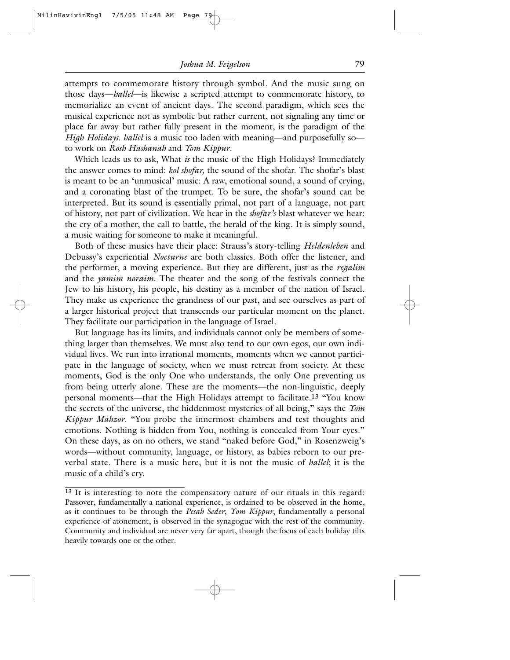*Joshua M. Feigelson* 79

attempts to commemorate history through symbol. And the music sung on those days—*hallel*—is likewise a scripted attempt to commemorate history, to memorialize an event of ancient days. The second paradigm, which sees the musical experience not as symbolic but rather current, not signaling any time or place far away but rather fully present in the moment, is the paradigm of the *High Holidays*. *hallel* is a music too laden with meaning—and purposefully so to work on *Rosh Hashanah* and *Yom Kippur*.

Which leads us to ask, What *is* the music of the High Holidays? Immediately the answer comes to mind: *kol shofar,* the sound of the shofar. The shofar's blast is meant to be an 'unmusical' music: A raw, emotional sound, a sound of crying, and a coronating blast of the trumpet. To be sure, the shofar's sound can be interpreted. But its sound is essentially primal, not part of a language, not part of history, not part of civilization. We hear in the *shofar's* blast whatever we hear: the cry of a mother, the call to battle, the herald of the king. It is simply sound, a music waiting for someone to make it meaningful.

Both of these musics have their place: Strauss's story-telling *Heldenleben* and Debussy's experiential *Nocturne* are both classics. Both offer the listener, and the performer, a moving experience. But they are different, just as the *regalim* and the *yamim noraim*. The theater and the song of the festivals connect the Jew to his history, his people, his destiny as a member of the nation of Israel. They make us experience the grandness of our past, and see ourselves as part of a larger historical project that transcends our particular moment on the planet. They facilitate our participation in the language of Israel.

But language has its limits, and individuals cannot only be members of something larger than themselves. We must also tend to our own egos, our own individual lives. We run into irrational moments, moments when we cannot participate in the language of society, when we must retreat from society. At these moments, God is the only One who understands, the only One preventing us from being utterly alone. These are the moments—the non-linguistic, deeply personal moments—that the High Holidays attempt to facilitate.13 "You know the secrets of the universe, the hiddenmost mysteries of all being," says the *Yom Kippur Mahzor*. "You probe the innermost chambers and test thoughts and emotions. Nothing is hidden from You, nothing is concealed from Your eyes." On these days, as on no others, we stand "naked before God," in Rosenzweig's words—without community, language, or history, as babies reborn to our preverbal state. There is a music here, but it is not the music of *hallel*; it is the music of a child's cry.

<sup>13</sup> It is interesting to note the compensatory nature of our rituals in this regard: Passover, fundamentally a national experience, is ordained to be observed in the home, as it continues to be through the *Pesah Seder*; *Yom Kippur*, fundamentally a personal experience of atonement, is observed in the synagogue with the rest of the community. Community and individual are never very far apart, though the focus of each holiday tilts heavily towards one or the other.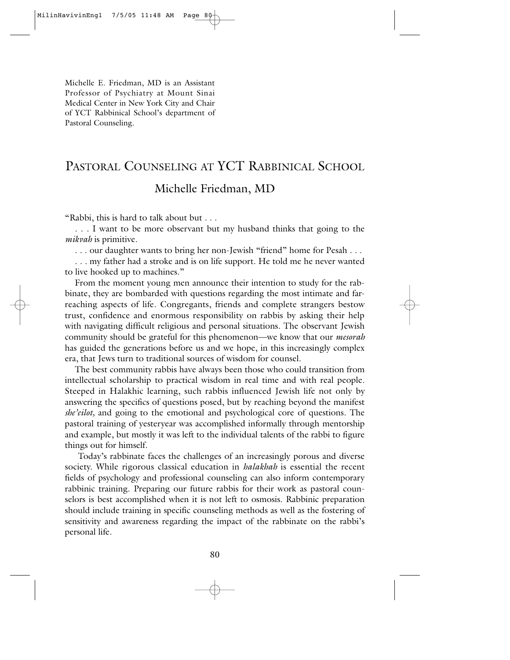Michelle E. Friedman, MD is an Assistant Professor of Psychiatry at Mount Sinai Medical Center in New York City and Chair of YCT Rabbinical School's department of Pastoral Counseling.

# PASTORAL COUNSELING AT YCT RABBINICAL SCHOOL Michelle Friedman, MD

"Rabbi, this is hard to talk about but . . .

. . . I want to be more observant but my husband thinks that going to the *mikvah* is primitive.

. . . our daughter wants to bring her non-Jewish "friend" home for Pesah . . .

. . . my father had a stroke and is on life support. He told me he never wanted to live hooked up to machines."

From the moment young men announce their intention to study for the rabbinate, they are bombarded with questions regarding the most intimate and farreaching aspects of life. Congregants, friends and complete strangers bestow trust, confidence and enormous responsibility on rabbis by asking their help with navigating difficult religious and personal situations. The observant Jewish community should be grateful for this phenomenon—we know that our *mesorah* has guided the generations before us and we hope, in this increasingly complex era, that Jews turn to traditional sources of wisdom for counsel.

The best community rabbis have always been those who could transition from intellectual scholarship to practical wisdom in real time and with real people. Steeped in Halakhic learning, such rabbis influenced Jewish life not only by answering the specifics of questions posed, but by reaching beyond the manifest *she'eilot,* and going to the emotional and psychological core of questions. The pastoral training of yesteryear was accomplished informally through mentorship and example, but mostly it was left to the individual talents of the rabbi to figure things out for himself.

Today's rabbinate faces the challenges of an increasingly porous and diverse society. While rigorous classical education in *halakhah* is essential the recent fields of psychology and professional counseling can also inform contemporary rabbinic training. Preparing our future rabbis for their work as pastoral counselors is best accomplished when it is not left to osmosis. Rabbinic preparation should include training in specific counseling methods as well as the fostering of sensitivity and awareness regarding the impact of the rabbinate on the rabbi's personal life.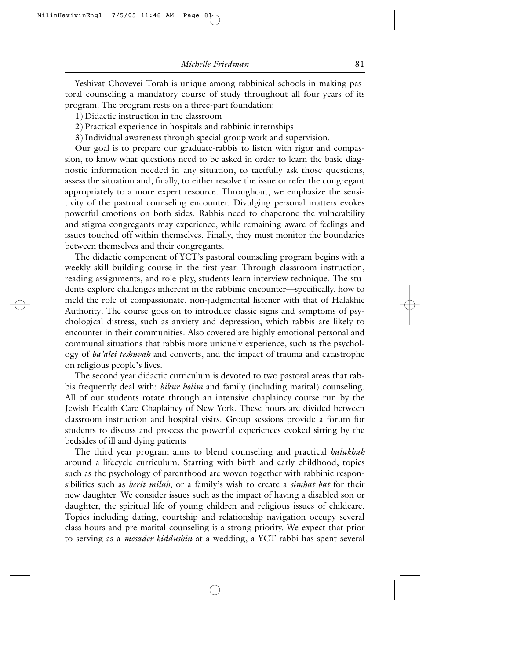*Michelle Friedman* 81

Yeshivat Chovevei Torah is unique among rabbinical schools in making pastoral counseling a mandatory course of study throughout all four years of its program. The program rests on a three-part foundation:

- 1) Didactic instruction in the classroom
- 2) Practical experience in hospitals and rabbinic internships
- 3) Individual awareness through special group work and supervision.

Our goal is to prepare our graduate-rabbis to listen with rigor and compassion, to know what questions need to be asked in order to learn the basic diagnostic information needed in any situation, to tactfully ask those questions, assess the situation and, finally, to either resolve the issue or refer the congregant appropriately to a more expert resource. Throughout, we emphasize the sensitivity of the pastoral counseling encounter. Divulging personal matters evokes powerful emotions on both sides. Rabbis need to chaperone the vulnerability and stigma congregants may experience, while remaining aware of feelings and issues touched off within themselves. Finally, they must monitor the boundaries between themselves and their congregants.

The didactic component of YCT's pastoral counseling program begins with a weekly skill-building course in the first year. Through classroom instruction, reading assignments, and role-play, students learn interview technique. The students explore challenges inherent in the rabbinic encounter—specifically, how to meld the role of compassionate, non-judgmental listener with that of Halakhic Authority*.* The course goes on to introduce classic signs and symptoms of psychological distress, such as anxiety and depression, which rabbis are likely to encounter in their communities. Also covered are highly emotional personal and communal situations that rabbis more uniquely experience, such as the psychology of *ba'alei teshuvah* and converts, and the impact of trauma and catastrophe on religious people's lives.

The second year didactic curriculum is devoted to two pastoral areas that rabbis frequently deal with: *bikur holim* and family (including marital) counseling. All of our students rotate through an intensive chaplaincy course run by the Jewish Health Care Chaplaincy of New York. These hours are divided between classroom instruction and hospital visits. Group sessions provide a forum for students to discuss and process the powerful experiences evoked sitting by the bedsides of ill and dying patients

The third year program aims to blend counseling and practical *halakhah* around a lifecycle curriculum. Starting with birth and early childhood, topics such as the psychology of parenthood are woven together with rabbinic responsibilities such as *berit milah*, or a family's wish to create a *simhat bat* for their new daughter. We consider issues such as the impact of having a disabled son or daughter, the spiritual life of young children and religious issues of childcare. Topics including dating, courtship and relationship navigation occupy several class hours and pre-marital counseling is a strong priority. We expect that prior to serving as a *mesader kiddushin* at a wedding, a YCT rabbi has spent several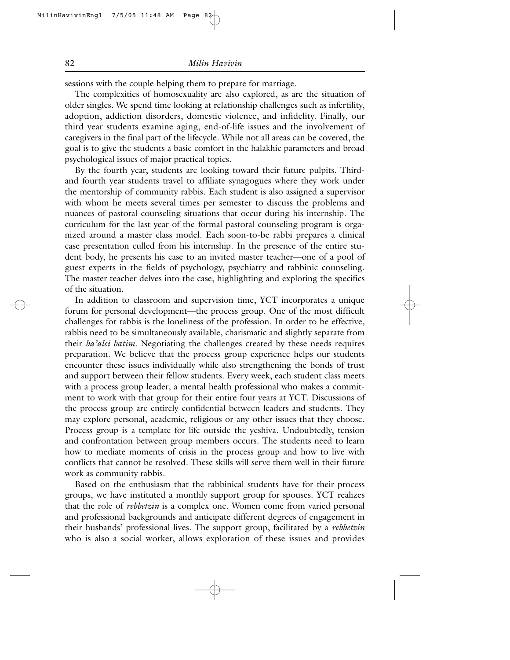sessions with the couple helping them to prepare for marriage.

The complexities of homosexuality are also explored, as are the situation of older singles. We spend time looking at relationship challenges such as infertility, adoption, addiction disorders, domestic violence, and infidelity. Finally, our third year students examine aging, end-of-life issues and the involvement of caregivers in the final part of the lifecycle. While not all areas can be covered, the goal is to give the students a basic comfort in the halakhic parameters and broad psychological issues of major practical topics.

By the fourth year, students are looking toward their future pulpits. Thirdand fourth year students travel to affiliate synagogues where they work under the mentorship of community rabbis. Each student is also assigned a supervisor with whom he meets several times per semester to discuss the problems and nuances of pastoral counseling situations that occur during his internship. The curriculum for the last year of the formal pastoral counseling program is organized around a master class model. Each soon-to-be rabbi prepares a clinical case presentation culled from his internship. In the presence of the entire student body, he presents his case to an invited master teacher—one of a pool of guest experts in the fields of psychology, psychiatry and rabbinic counseling. The master teacher delves into the case, highlighting and exploring the specifics of the situation.

In addition to classroom and supervision time, YCT incorporates a unique forum for personal development—the process group. One of the most difficult challenges for rabbis is the loneliness of the profession. In order to be effective, rabbis need to be simultaneously available, charismatic and slightly separate from their *ba'alei batim.* Negotiating the challenges created by these needs requires preparation. We believe that the process group experience helps our students encounter these issues individually while also strengthening the bonds of trust and support between their fellow students. Every week, each student class meets with a process group leader, a mental health professional who makes a commitment to work with that group for their entire four years at YCT. Discussions of the process group are entirely confidential between leaders and students. They may explore personal, academic, religious or any other issues that they choose. Process group is a template for life outside the yeshiva. Undoubtedly, tension and confrontation between group members occurs. The students need to learn how to mediate moments of crisis in the process group and how to live with conflicts that cannot be resolved. These skills will serve them well in their future work as community rabbis.

Based on the enthusiasm that the rabbinical students have for their process groups, we have instituted a monthly support group for spouses. YCT realizes that the role of *rebbetzin* is a complex one. Women come from varied personal and professional backgrounds and anticipate different degrees of engagement in their husbands' professional lives. The support group, facilitated by a *rebbetzin* who is also a social worker, allows exploration of these issues and provides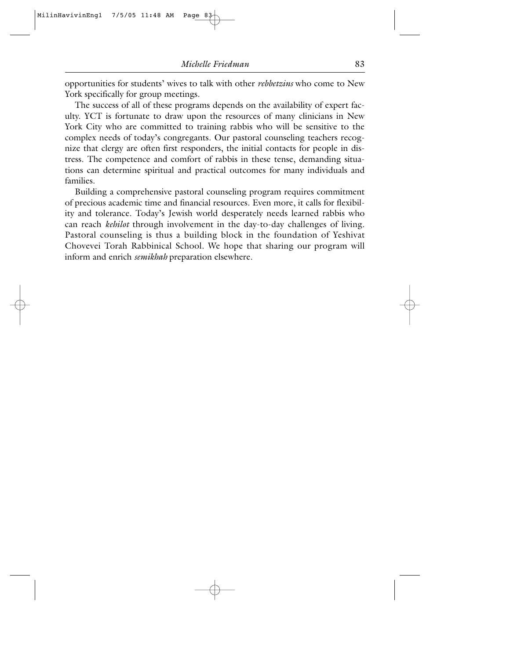*Michelle Friedman* 83

opportunities for students' wives to talk with other *rebbetzins* who come to New York specifically for group meetings.

The success of all of these programs depends on the availability of expert faculty. YCT is fortunate to draw upon the resources of many clinicians in New York City who are committed to training rabbis who will be sensitive to the complex needs of today's congregants. Our pastoral counseling teachers recognize that clergy are often first responders, the initial contacts for people in distress. The competence and comfort of rabbis in these tense, demanding situations can determine spiritual and practical outcomes for many individuals and families.

Building a comprehensive pastoral counseling program requires commitment of precious academic time and financial resources. Even more, it calls for flexibility and tolerance. Today's Jewish world desperately needs learned rabbis who can reach *kehilot* through involvement in the day-to-day challenges of living. Pastoral counseling is thus a building block in the foundation of Yeshivat Chovevei Torah Rabbinical School. We hope that sharing our program will inform and enrich *semikhah* preparation elsewhere.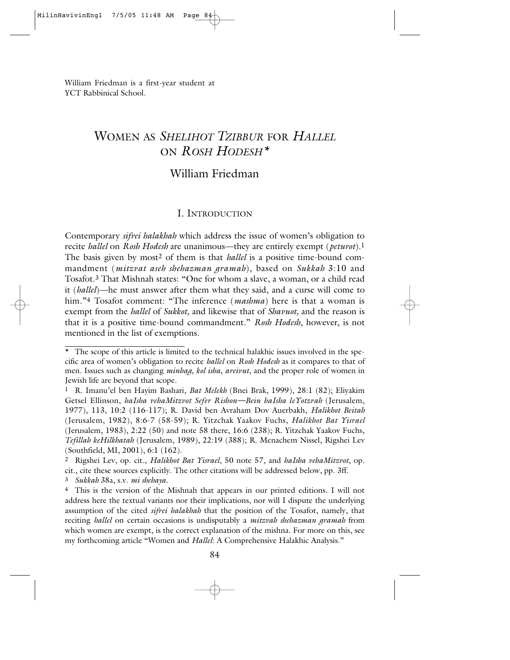William Friedman is a first-year student at YCT Rabbinical School.

# WOMEN AS *SHELIHOT TZIBBUR* FOR *HALLEL* ON *ROSH HODESH\**

# William Friedman

## I. INTRODUCTION

Contemporary *sifrei halakhah* which address the issue of women's obligation to recite *hallel* on *Rosh Hodesh* are unanimous—they are entirely exempt (*peturot*).1 The basis given by most2 of them is that *hallel* is a positive time-bound commandment (*mitzvat aseh shehazman gramah*), based on *Sukkah* 3:10 and Tosafot.3 That Mishnah states: "One for whom a slave, a woman, or a child read it (*hallel*)—he must answer after them what they said, and a curse will come to him."4 Tosafot comment: "The inference (*mashma*) here is that a woman is exempt from the *hallel* of *Sukkot,* and likewise that of *Shavuot,* and the reason is that it is a positive time-bound commandment." *Rosh Hodesh*, however, is not mentioned in the list of exemptions.

<sup>\*</sup> The scope of this article is limited to the technical halakhic issues involved in the specific area of women's obligation to recite *hallel* on *Rosh Hodesh* as it compares to that of men. Issues such as changing *minhag*, *kol isha*, *areivut*, and the proper role of women in Jewish life are beyond that scope.

<sup>1</sup> R. Imanu'el ben Hayim Bashari, *Bat Melekh* (Bnei Brak, 1999), 28:1 (82); Eliyakim Getsel Ellinson, *haIsha vehaMitzvot Sefer Rishon—Bein haIsha leYotzrah* (Jerusalem, 1977), 113, 10:2 (116-117); R. David ben Avraham Dov Auerbakh, *Halikhot Beitah* (Jerusalem, 1982), 8:6-7 (58-59); R. Yitzchak Yaakov Fuchs, *Halikhot Bat Yisrael* (Jerusalem, 1983), 2:22 (50) and note 58 there, 16:6 (238); R. Yitzchak Yaakov Fuchs, *Tefillah keHilkhatah* (Jerusalem, 1989), 22:19 (388); R. Menachem Nissel, Rigshei Lev (Southfield, MI, 2001), 6:1 (162).

<sup>2</sup> Rigshei Lev, op. cit., *Halikhot Bat Yisrael*, 50 note 57, and *haIsha vehaMitzvot*, op. cit., cite these sources explicitly. The other citations will be addressed below, pp. 3ff.

<sup>3</sup> *Sukkah* 38a, s.v. *mi shehaya*.

<sup>4</sup> This is the version of the Mishnah that appears in our printed editions. I will not address here the textual variants nor their implications, nor will I dispute the underlying assumption of the cited *sifrei halakhah* that the position of the Tosafot, namely, that reciting *hallel* on certain occasions is undisputably a *mitzvah shehazman gramah* from which women are exempt, is the correct explanation of the mishna. For more on this, see my forthcoming article "Women and *Hallel*: A Comprehensive Halakhic Analysis."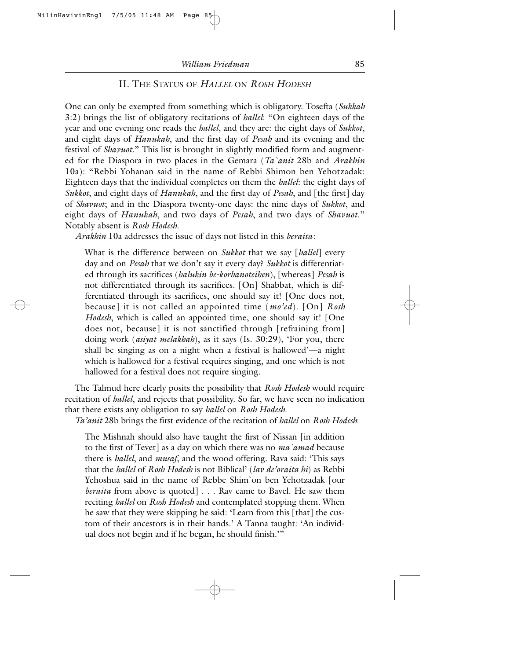*William Friedman* 85

# II. THE STATUS OF *HALLEL* ON *ROSH HODESH*

One can only be exempted from something which is obligatory. Tosefta (*Sukkah* 3:2) brings the list of obligatory recitations of *hallel*: "On eighteen days of the year and one evening one reads the *hallel*, and they are: the eight days of *Sukkot*, and eight days of *Hanukah*, and the first day of *Pesah* and its evening and the festival of *Shavuot*." This list is brought in slightly modified form and augmented for the Diaspora in two places in the Gemara (*Ta`anit* 28b and *Arakhin* 10a): "Rebbi Yohanan said in the name of Rebbi Shimon ben Yehotzadak: Eighteen days that the individual completes on them the *hallel*: the eight days of *Sukkot*, and eight days of *Hanukah*, and the first day of *Pesah*, and [the first] day of *Shavuot*; and in the Diaspora twenty-one days: the nine days of *Sukkot*, and eight days of *Hanukah*, and two days of *Pesah*, and two days of *Shavuot*." Notably absent is *Rosh Hodesh*.

*Arakhin* 10a addresses the issue of days not listed in this *beraita*:

What is the difference between on *Sukkot* that we say [*hallel*] every day and on *Pesah* that we don't say it every day? *Sukkot* is differentiated through its sacrifices (*halukin be-korbanoteihen*), [whereas] *Pesah* is not differentiated through its sacrifices. [On] Shabbat, which is differentiated through its sacrifices, one should say it! [One does not, because] it is not called an appointed time (*mo'ed*). [On] *Rosh Hodesh*, which is called an appointed time, one should say it! [One does not, because] it is not sanctified through [refraining from] doing work (*asiyat melakhah*), as it says (Is. 30:29), 'For you, there shall be singing as on a night when a festival is hallowed'—a night which is hallowed for a festival requires singing, and one which is not hallowed for a festival does not require singing.

The Talmud here clearly posits the possibility that *Rosh Hodesh* would require recitation of *hallel*, and rejects that possibility. So far, we have seen no indication that there exists any obligation to say *hallel* on *Rosh Hodesh*.

*Ta'anit* 28b brings the first evidence of the recitation of *hallel* on *Rosh Hodesh*:

The Mishnah should also have taught the first of Nissan [in addition to the first of Tevet] as a day on which there was no *ma`amad* because there is *hallel*, and *musaf*, and the wood offering. Rava said: 'This says that the *hallel* of *Rosh Hodesh* is not Biblical' (*lav de'oraita hi*) as Rebbi Yehoshua said in the name of Rebbe Shim`on ben Yehotzadak [our *beraita* from above is quoted] . . . Rav came to Bavel. He saw them reciting *hallel* on *Rosh Hodesh* and contemplated stopping them. When he saw that they were skipping he said: 'Learn from this [that] the custom of their ancestors is in their hands.' A Tanna taught: 'An individual does not begin and if he began, he should finish.'"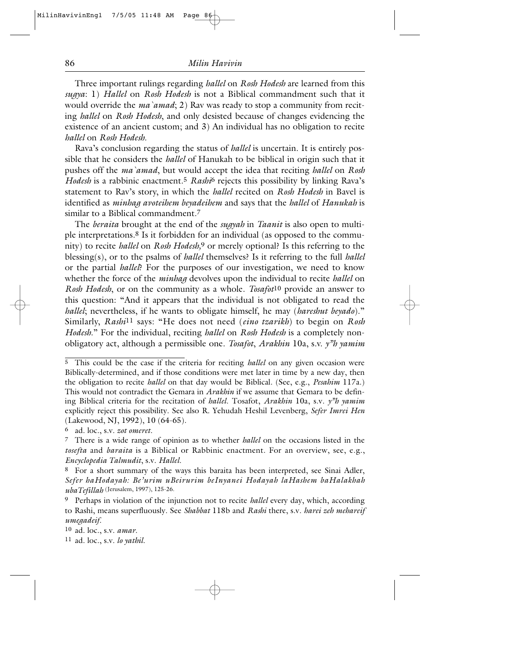Three important rulings regarding *hallel* on *Rosh Hodesh* are learned from this *sugya*: 1) *Hallel* on *Rosh Hodesh* is not a Biblical commandment such that it would override the *ma`amad*; 2) Rav was ready to stop a community from reciting *hallel* on *Rosh Hodesh*, and only desisted because of changes evidencing the existence of an ancient custom; and 3) An individual has no obligation to recite *hallel* on *Rosh Hodesh*.

Rava's conclusion regarding the status of *hallel* is uncertain. It is entirely possible that he considers the *hallel* of Hanukah to be biblical in origin such that it pushes off the *ma`amad*, but would accept the idea that reciting *hallel* on *Rosh Hodesh* is a rabbinic enactment.5 *Rashi*6 rejects this possibility by linking Rava's statement to Rav's story, in which the *hallel* recited on *Rosh Hodesh* in Bavel is identified as *minhag avoteihem beyadeihem* and says that the *hallel* of *Hanukah* is similar to a Biblical commandment.<sup>7</sup>

The *beraita* brought at the end of the *sugyah* in *Taanit* is also open to multiple interpretations.8 Is it forbidden for an individual (as opposed to the community) to recite *hallel* on *Rosh Hodesh,*9 or merely optional? Is this referring to the blessing(s), or to the psalms of *hallel* themselves? Is it referring to the full *hallel* or the partial *hallel*? For the purposes of our investigation, we need to know whether the force of the *minhag* devolves upon the individual to recite *hallel* on *Rosh Hodesh*, or on the community as a whole. *Tosafot*10 provide an answer to this question: "And it appears that the individual is not obligated to read the *hallel*; nevertheless, if he wants to obligate himself, he may (*hareshut beyado*)." Similarly, *Rashi*11 says: "He does not need (*eino tzarikh*) to begin on *Rosh Hodesh*." For the individual, reciting *hallel* on *Rosh Hodesh* is a completely nonobligatory act, although a permissible one. *Tosafot*, *Arakhin* 10a, s.v. *y"h yamim*

11 ad. loc., s.v. *lo yathil*.

<sup>5</sup> This could be the case if the criteria for reciting *hallel* on any given occasion were Biblically-determined, and if those conditions were met later in time by a new day, then the obligation to recite *hallel* on that day would be Biblical. (See, e.g., *Pesahim* 117a.) This would not contradict the Gemara in *Arakhin* if we assume that Gemara to be defining Biblical criteria for the recitation of *hallel*. Tosafot, *Arakhin* 10a, s.v. *y"h yamim* explicitly reject this possibility. See also R. Yehudah Heshil Levenberg, *Sefer Imrei Hen* (Lakewood, NJ, 1992), 10 (64-65).

<sup>6</sup> ad. loc., s.v. *zot omeret*.

<sup>7</sup> There is a wide range of opinion as to whether *hallel* on the occasions listed in the *tosefta* and *baraita* is a Biblical or Rabbinic enactment. For an overview, see, e.g., *Encyclopedia Talmudit*, s.v. *Hallel*.

<sup>8</sup> For a short summary of the ways this baraita has been interpreted, see Sinai Adler, *Sefer haHodayah: Be'urim uBeirurim beInyanei Hodayah laHashem baHalakhah ubaTefillah* (Jerusalem, 1997), 125-26.

<sup>9</sup> Perhaps in violation of the injunction not to recite *hallel* every day, which, according to Rashi, means superfluously. See *Shabbat* 118b and *Rashi* there, s.v. *harei zeh mehareif umegadeif*.

<sup>10</sup> ad. loc., s.v. *amar*.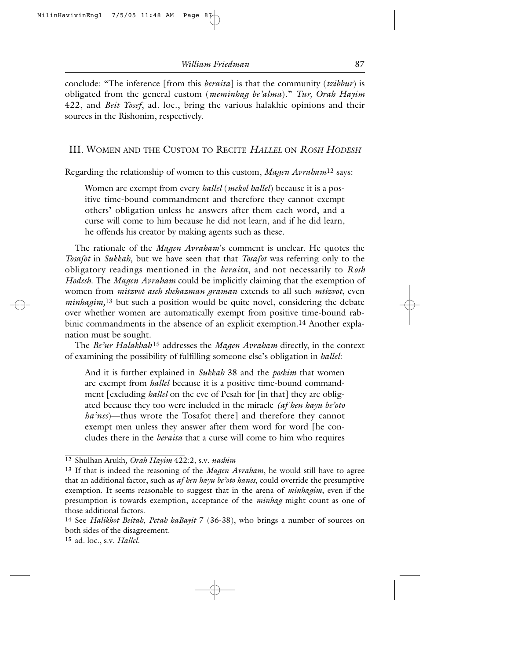MilinHavivinEng1 7/5/05 11:48 AM Page 8

conclude: "The inference [from this *beraita*] is that the community (*tzibbur*) is obligated from the general custom (*meminhag be'alma*)." *Tur, Orah Hayim* 422, and *Beit Yosef*, ad. loc., bring the various halakhic opinions and their sources in the Rishonim, respectively.

## III. WOMEN AND THE CUSTOM TO RECITE *HALLEL* ON *ROSH HODESH*

Regarding the relationship of women to this custom, *Magen Avraham*12 says:

Women are exempt from every *hallel* (*mekol hallel*) because it is a positive time-bound commandment and therefore they cannot exempt others' obligation unless he answers after them each word, and a curse will come to him because he did not learn, and if he did learn, he offends his creator by making agents such as these.

The rationale of the *Magen Avraham*'s comment is unclear. He quotes the *Tosafot* in *Sukkah*, but we have seen that that *Tosafot* was referring only to the obligatory readings mentioned in the *beraita*, and not necessarily to *Rosh Hodesh*. The *Magen Avraham* could be implicitly claiming that the exemption of women from *mitzvot aseh shehazman graman* extends to all such *mtizvot*, even *minhagim*,<sup>13</sup> but such a position would be quite novel, considering the debate over whether women are automatically exempt from positive time-bound rabbinic commandments in the absence of an explicit exemption.14 Another explanation must be sought.

The *Be'ur Halakhah*15 addresses the *Magen Avraham* directly, in the context of examining the possibility of fulfilling someone else's obligation in *hallel*:

And it is further explained in *Sukkah* 38 and the *poskim* that women are exempt from *hallel* because it is a positive time-bound commandment [excluding *hallel* on the eve of Pesah for [in that] they are obligated because they too were included in the miracle *(af hen hayu be'oto ha'nes*)—thus wrote the Tosafot there] and therefore they cannot exempt men unless they answer after them word for word [he concludes there in the *beraita* that a curse will come to him who requires

<sup>12</sup> Shulhan Arukh*, Orah Hayim* 422:2, s.v. *nashim*

<sup>13</sup> If that is indeed the reasoning of the *Magen Avraham*, he would still have to agree that an additional factor, such as *af hen hayu be'oto hanes*, could override the presumptive exemption. It seems reasonable to suggest that in the arena of *minhagim*, even if the presumption is towards exemption, acceptance of the *minhag* might count as one of those additional factors.

<sup>14</sup> See *Halikhot Beitah*, *Petah haBayit* 7 (36-38), who brings a number of sources on both sides of the disagreement.

<sup>15</sup> ad. loc., s.v. *Hallel*.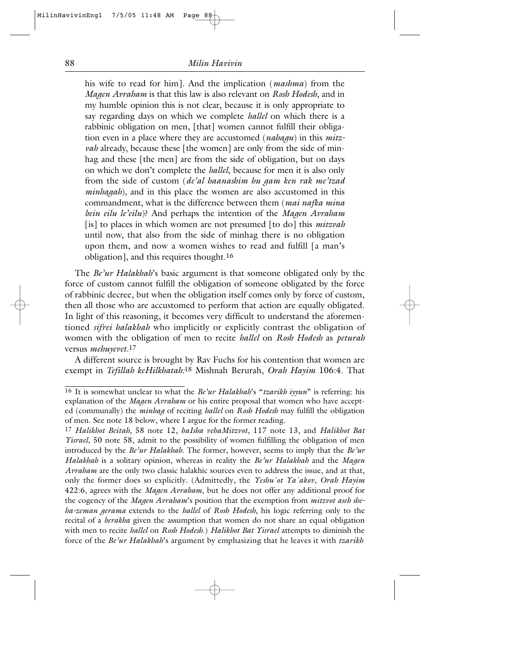his wife to read for him]. And the implication (*mashma*) from the *Magen Avraham* is that this law is also relevant on *Rosh Hodesh*, and in my humble opinion this is not clear, because it is only appropriate to say regarding days on which we complete *hallel* on which there is a rabbinic obligation on men, [that] women cannot fulfill their obligation even in a place where they are accustomed (*nahagu*) in this *mitzvah* already, because these [the women] are only from the side of minhag and these [the men] are from the side of obligation, but on days on which we don't complete the *hallel*, because for men it is also only from the side of custom (*de'al haanashim hu gam ken rak me'tzad minhagah*)*,* and in this place the women are also accustomed in this commandment, what is the difference between them (*mai nafka mina bein eilu le'eilu*)? And perhaps the intention of the *Magen Avraham* [is] to places in which women are not presumed [to do] this *mitzvah* until now, that also from the side of minhag there is no obligation upon them, and now a women wishes to read and fulfill [a man's obligation], and this requires thought.16

The *Be'ur Halakhah*'s basic argument is that someone obligated only by the force of custom cannot fulfill the obligation of someone obligated by the force of rabbinic decree, but when the obligation itself comes only by force of custom, then all those who are accustomed to perform that action are equally obligated. In light of this reasoning, it becomes very difficult to understand the aforementioned *sifrei halakhah* who implicitly or explicitly contrast the obligation of women with the obligation of men to recite *hallel* on *Rosh Hodesh* as *peturah* versus *mehuyevet*.17

A different source is brought by Rav Fuchs for his contention that women are exempt in *Tefillah keHilkhatah:*18 Mishnah Berurah, *Orah Hayim* 106:4. That

<sup>16</sup> It is somewhat unclear to what the *Be'ur Halakhah*'s "*tzarikh iyyun*" is referring: his explanation of the *Magen Avraham* or his entire proposal that women who have accepted (communally) the *minhag* of reciting *hallel* on *Rosh Hodesh* may fulfill the obligation of men. See note 18 below, where I argue for the former reading.

<sup>17</sup> *Halikhot Beitah*, 58 note 12, *haIsha vehaMitzvot*, 117 note 13, and *Halikhot Bat Yisrael*, 50 note 58, admit to the possibility of women fulfilling the obligation of men introduced by the *Be'ur Halakhah*. The former, however, seems to imply that the *Be'ur Halakhah* is a solitary opinion, whereas in reality the *Be'ur Halakhah* and the *Magen Avraham* are the only two classic halakhic sources even to address the issue, and at that, only the former does so explicitly. (Admittedly, the *Yeshu`ot Ya`akov*, *Orah Hayim* 422:6, agrees with the *Magen Avraham*, but he does not offer any additional proof for the cogency of the *Magen Avraham*'s position that the exemption from *mitzvot aseh sheha-zeman gerama* extends to the *hallel* of *Rosh Hodesh*, his logic referring only to the recital of a *berakha* given the assumption that women do not share an equal obligation with men to recite *hallel* on *Rosh Hodesh*.) *Halikhot Bat Yisrael* attempts to diminish the force of the *Be'ur Halakhah*'s argument by emphasizing that he leaves it with *tzarikh*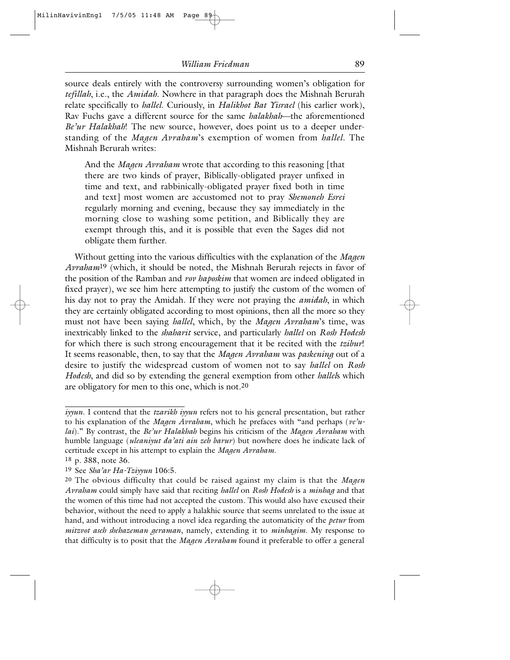*William Friedman* 89

source deals entirely with the controversy surrounding women's obligation for *tefillah*, i.e., the *Amidah*. Nowhere in that paragraph does the Mishnah Berurah relate specifically to *hallel*. Curiously, in *Halikhot Bat Yisrael* (his earlier work), Rav Fuchs gave a different source for the same *halakhah*—the aforementioned *Be'ur Halakhah*! The new source, however, does point us to a deeper understanding of the *Magen Avraham*'s exemption of women from *hallel*. The Mishnah Berurah writes:

And the *Magen Avraham* wrote that according to this reasoning [that there are two kinds of prayer, Biblically-obligated prayer unfixed in time and text, and rabbinically-obligated prayer fixed both in time and text] most women are accustomed not to pray *Shemoneh Esrei* regularly morning and evening, because they say immediately in the morning close to washing some petition, and Biblically they are exempt through this, and it is possible that even the Sages did not obligate them further.

Without getting into the various difficulties with the explanation of the *Magen Avraham*19 (which, it should be noted, the Mishnah Berurah rejects in favor of the position of the Ramban and *rov haposkim* that women are indeed obligated in fixed prayer), we see him here attempting to justify the custom of the women of his day not to pray the Amidah. If they were not praying the *amidah*, in which they are certainly obligated according to most opinions, then all the more so they must not have been saying *hallel*, which, by the *Magen Avraham*'s time, was inextricably linked to the *shaharit* service, and particularly *hallel* on *Rosh Hodesh* for which there is such strong encouragement that it be recited with the *tzibur*! It seems reasonable, then, to say that the *Magen Avraham* was *paskening* out of a desire to justify the widespread custom of women not to say *hallel* on *Rosh Hodesh*, and did so by extending the general exemption from other *hallel*s which are obligatory for men to this one, which is not.20

*iyyun*. I contend that the *tzarikh iyyun* refers not to his general presentation, but rather to his explanation of the *Magen Avraham*, which he prefaces with "and perhaps (*ve'ulai*)." By contrast, the *Be'ur Halakhah* begins his criticism of the *Magen Avraham* with humble language (*uleaniyut da'ati ain zeh barur*) but nowhere does he indicate lack of certitude except in his attempt to explain the *Magen Avraham*.

<sup>18</sup> p. 388, note 36.

<sup>19</sup> See *Sha'ar Ha-Tziyyun* 106:5.

<sup>20</sup> The obvious difficulty that could be raised against my claim is that the *Magen Avraham* could simply have said that reciting *hallel* on *Rosh Hodesh* is a *minhag* and that the women of this time had not accepted the custom. This would also have excused their behavior, without the need to apply a halakhic source that seems unrelated to the issue at hand, and without introducing a novel idea regarding the automaticity of the *petur* from *mitzvot aseh shehazeman geraman*, namely, extending it to *minhagim*. My response to that difficulty is to posit that the *Magen Avraham* found it preferable to offer a general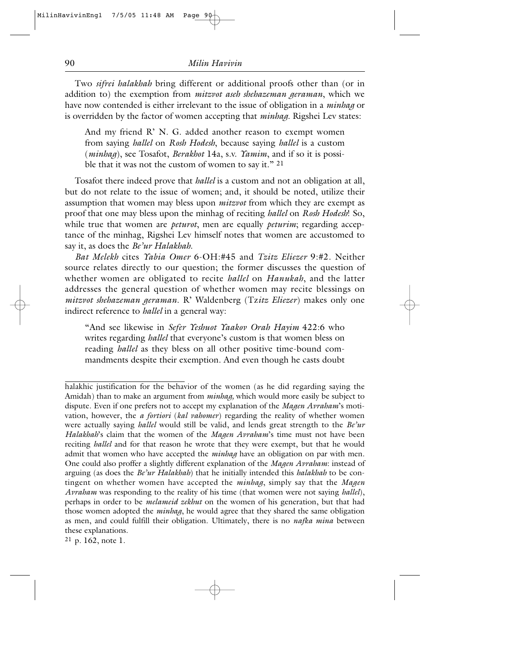Two *sifrei halakhah* bring different or additional proofs other than (or in addition to) the exemption from *mitzvot aseh shehazeman geraman*, which we have now contended is either irrelevant to the issue of obligation in a *minhag* or is overridden by the factor of women accepting that *minhag*. Rigshei Lev states:

And my friend R' N. G. added another reason to exempt women from saying *hallel* on *Rosh Hodesh*, because saying *hallel* is a custom (*minhag*), see Tosafot, *Berakhot* 14a, s.v. *Yamim*, and if so it is possible that it was not the custom of women to say it." 21

Tosafot there indeed prove that *hallel* is a custom and not an obligation at all, but do not relate to the issue of women; and, it should be noted, utilize their assumption that women may bless upon *mitzvot* from which they are exempt as proof that one may bless upon the minhag of reciting *hallel* on *Rosh Hodesh*! So, while true that women are *peturot*, men are equally *peturim*; regarding acceptance of the minhag, Rigshei Lev himself notes that women are accustomed to say it, as does the *Be'ur Halakhah*.

*Bat Melekh* cites *Yabia Omer* 6-OH:#45 and *Tzitz Eliezer* 9:#2. Neither source relates directly to our question; the former discusses the question of whether women are obligated to recite *hallel* on *Hanukah*, and the latter addresses the general question of whether women may recite blessings on *mitzvot shehazeman geraman*. R' Waldenberg (Tz*itz Eliezer*) makes only one indirect reference to *hallel* in a general way:

"And see likewise in *Sefer Yeshuot Yaakov Orah Hayim* 422:6 who writes regarding *hallel* that everyone's custom is that women bless on reading *hallel* as they bless on all other positive time-bound commandments despite their exemption. And even though he casts doubt

21 p. 162, note 1.

halakhic justification for the behavior of the women (as he did regarding saying the Amidah) than to make an argument from *minhag,* which would more easily be subject to dispute. Even if one prefers not to accept my explanation of the *Magen Avraham*'s motivation, however, the *a fortiori* (*kal vahomer*) regarding the reality of whether women were actually saying *hallel* would still be valid, and lends great strength to the *Be'ur Halakhah*'s claim that the women of the *Magen Avraham*'s time must not have been reciting *hallel* and for that reason he wrote that they were exempt, but that he would admit that women who have accepted the *minhag* have an obligation on par with men. One could also proffer a slightly different explanation of the *Magen Avraham*: instead of arguing (as does the *Be'ur Halakhah*) that he initially intended this *halakhah* to be contingent on whether women have accepted the *minhag*, simply say that the *Magen Avraham* was responding to the reality of his time (that women were not saying *hallel*), perhaps in order to be *melameid zekhut* on the women of his generation, but that had those women adopted the *minhag*, he would agree that they shared the same obligation as men, and could fulfill their obligation. Ultimately, there is no *nafka mina* between these explanations.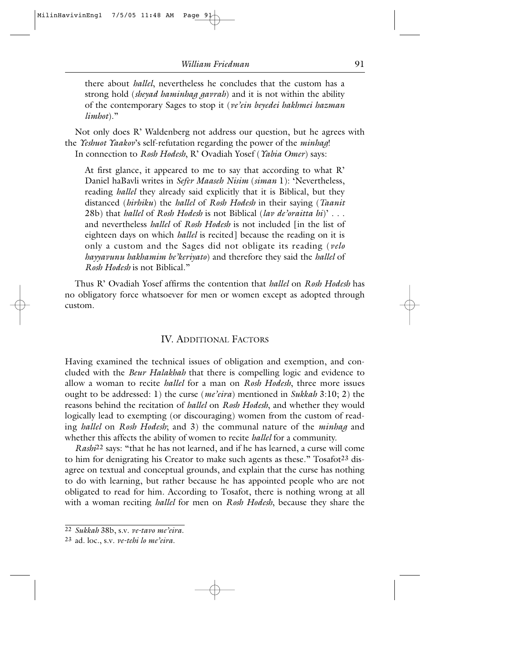*William Friedman* 91

there about *hallel*, nevertheless he concludes that the custom has a strong hold (*sheyad haminhag gavrah*) and it is not within the ability of the contemporary Sages to stop it (*ve'ein beyedei hakhmei hazman limhot*)."

Not only does R' Waldenberg not address our question, but he agrees with the *Yeshuot Yaakov*'s self-refutation regarding the power of the *minhag*! In connection to *Rosh Hodesh*, R' Ovadiah Yosef (*Yabia Omer*) says:

At first glance, it appeared to me to say that according to what R' Daniel haBavli writes in *Sefer Maaseh Nisim* (*siman* 1): 'Nevertheless, reading *hallel* they already said explicitly that it is Biblical, but they distanced (*hirhiku*) the *hallel* of *Rosh Hodesh* in their saying (*Taanit* 28b) that *hallel* of *Rosh Hodesh* is not Biblical (*lav de'oraitta hi*)' . . . and nevertheless *hallel* of *Rosh Hodesh* is not included [in the list of eighteen days on which *hallel* is recited] because the reading on it is only a custom and the Sages did not obligate its reading (*velo hayyavunu hakhamim be'keriyato*) and therefore they said the *hallel* of *Rosh Hodesh* is not Biblical."

Thus R' Ovadiah Yosef affirms the contention that *hallel* on *Rosh Hodesh* has no obligatory force whatsoever for men or women except as adopted through custom.

# IV. ADDITIONAL FACTORS

Having examined the technical issues of obligation and exemption, and concluded with the *Beur Halakhah* that there is compelling logic and evidence to allow a woman to recite *hallel* for a man on *Rosh Hodesh*, three more issues ought to be addressed: 1) the curse (*me'eira*) mentioned in *Sukkah* 3:10; 2) the reasons behind the recitation of *hallel* on *Rosh Hodesh*, and whether they would logically lead to exempting (or discouraging) women from the custom of reading *hallel* on *Rosh Hodesh*; and 3) the communal nature of the *minhag* and whether this affects the ability of women to recite *hallel* for a community.

*Rashi*22 says: "that he has not learned, and if he has learned, a curse will come to him for denigrating his Creator to make such agents as these." Tosafot<sup>23</sup> disagree on textual and conceptual grounds, and explain that the curse has nothing to do with learning, but rather because he has appointed people who are not obligated to read for him. According to Tosafot, there is nothing wrong at all with a woman reciting *hallel* for men on *Rosh Hodesh*, because they share the

<sup>22</sup> *Sukkah* 38b, s.v. *ve-tavo me'eira*.

<sup>23</sup> ad. loc., s.v. *ve-tehi lo me'eira*.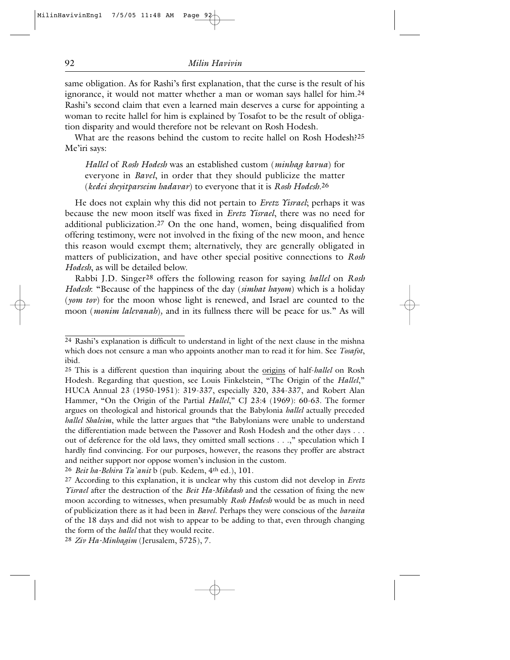same obligation. As for Rashi's first explanation, that the curse is the result of his ignorance, it would not matter whether a man or woman says hallel for him.24 Rashi's second claim that even a learned main deserves a curse for appointing a woman to recite hallel for him is explained by Tosafot to be the result of obligation disparity and would therefore not be relevant on Rosh Hodesh.

What are the reasons behind the custom to recite hallel on Rosh Hodesh?<sup>25</sup> Me'iri says:

*Hallel* of *Rosh Hodesh* was an established custom (*minhag kavua*) for everyone in *Bavel*, in order that they should publicize the matter (*kedei sheyitparseim hadavar*) to everyone that it is *Rosh Hodesh*.26

He does not explain why this did not pertain to *Eretz Yisrael*; perhaps it was because the new moon itself was fixed in *Eretz Yisrael*, there was no need for additional publicization.27 On the one hand, women, being disqualified from offering testimony, were not involved in the fixing of the new moon, and hence this reason would exempt them; alternatively, they are generally obligated in matters of publicization, and have other special positive connections to *Rosh Hodesh*, as will be detailed below.

Rabbi J.D. Singer28 offers the following reason for saying *hallel* on *Rosh Hodesh*: "Because of the happiness of the day (*simhat hayom*) which is a holiday (*yom tov*) for the moon whose light is renewed, and Israel are counted to the moon (*monim lalevanah*)*,* and in its fullness there will be peace for us." As will

<sup>24</sup> Rashi's explanation is difficult to understand in light of the next clause in the mishna which does not censure a man who appoints another man to read it for him. See *Tosafot*, ibid.

<sup>25</sup> This is a different question than inquiring about the origins of half-*hallel* on Rosh Hodesh. Regarding that question, see Louis Finkelstein, "The Origin of the *Hallel*," HUCA Annual 23 (1950-1951): 319-337, especially 320, 334-337, and Robert Alan Hammer, "On the Origin of the Partial *Hallel*," CJ 23:4 (1969): 60-63. The former argues on theological and historical grounds that the Babylonia *hallel* actually preceded *hallel Shaleim*, while the latter argues that "the Babylonians were unable to understand the differentiation made between the Passover and Rosh Hodesh and the other days . . . out of deference for the old laws, they omitted small sections . . .," speculation which I hardly find convincing. For our purposes, however, the reasons they proffer are abstract and neither support nor oppose women's inclusion in the custom.

<sup>26</sup> *Beit ha-Behira Ta`anit* b (pub. Kedem, 4th ed.), 101.

<sup>27</sup> According to this explanation, it is unclear why this custom did not develop in *Eretz Yisrael* after the destruction of the *Beit Ha-Mikdash* and the cessation of fixing the new moon according to witnesses, when presumably *Rosh Hodesh* would be as much in need of publicization there as it had been in *Bavel*. Perhaps they were conscious of the *baraita* of the 18 days and did not wish to appear to be adding to that, even through changing the form of the *hallel* that they would recite.

<sup>28</sup> *Ziv Ha-Minhagim* (Jerusalem, 5725), 7.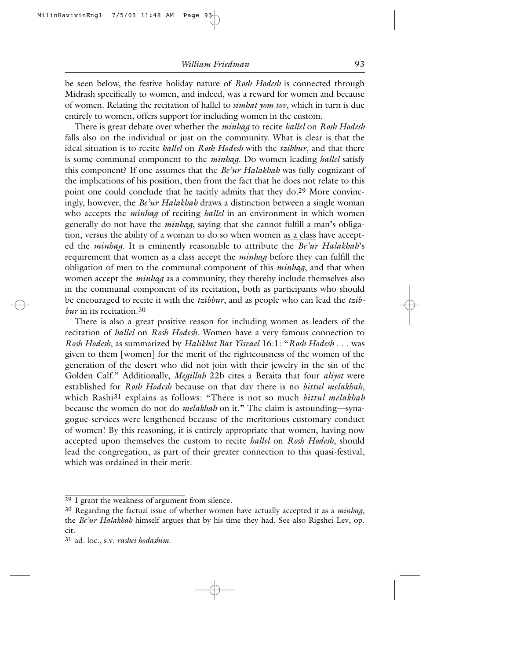*William Friedman* 93

be seen below, the festive holiday nature of *Rosh Hodesh* is connected through Midrash specifically to women, and indeed, was a reward for women and because of women. Relating the recitation of hallel to *simhat yom tov*, which in turn is due entirely to women, offers support for including women in the custom.

There is great debate over whether the *minhag* to recite *hallel* on *Rosh Hodesh* falls also on the individual or just on the community. What is clear is that the ideal situation is to recite *hallel* on *Rosh Hodesh* with the *tzibbur*, and that there is some communal component to the *minhag*. Do women leading *hallel* satisfy this component? If one assumes that the *Be'ur Halakhah* was fully cognizant of the implications of his position, then from the fact that he does not relate to this point one could conclude that he tacitly admits that they do.29 More convincingly, however, the *Be'ur Halakhah* draws a distinction between a single woman who accepts the *minhag* of reciting *hallel* in an environment in which women generally do not have the *minhag*, saying that she cannot fulfill a man's obligation, versus the ability of a woman to do so when women as a class have accepted the *minhag*. It is eminently reasonable to attribute the *Be'ur Halakhah*'s requirement that women as a class accept the *minhag* before they can fulfill the obligation of men to the communal component of this *minhag*, and that when women accept the *minhag* as a community, they thereby include themselves also in the communal component of its recitation, both as participants who should be encouraged to recite it with the *tzibbur*, and as people who can lead the *tzibbur* in its recitation.30

There is also a great positive reason for including women as leaders of the recitation of *hallel* on *Rosh Hodesh*. Women have a very famous connection to *Rosh Hodesh*, as summarized by *Halikhot Bat Yisrael* 16:1: "*Rosh Hodesh* . . . was given to them [women] for the merit of the righteousness of the women of the generation of the desert who did not join with their jewelry in the sin of the Golden Calf." Additionally, *Megillah* 22b cites a Beraita that four *aliyot* were established for *Rosh Hodesh* because on that day there is no *bittul melakhah*, which Rashi31 explains as follows: "There is not so much *bittul melakhah* because the women do not do *melakhah* on it." The claim is astounding—synagogue services were lengthened because of the meritorious customary conduct of women! By this reasoning, it is entirely appropriate that women, having now accepted upon themselves the custom to recite *hallel* on *Rosh Hodesh*, should lead the congregation, as part of their greater connection to this quasi-festival, which was ordained in their merit.

<sup>29</sup> I grant the weakness of argument from silence.

<sup>30</sup> Regarding the factual issue of whether women have actually accepted it as a *minhag*, the *Be'ur Halakhah* himself argues that by his time they had. See also Rigshei Lev, op. cit.

<sup>31</sup> ad. loc., s.v. *rashei hodashim*.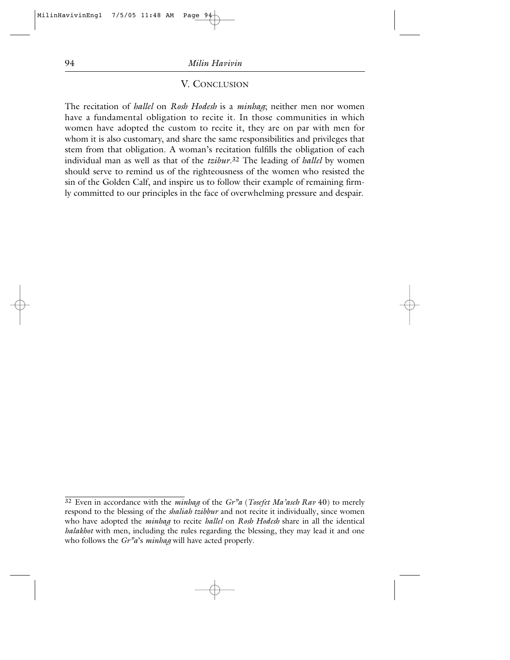# V. CONCLUSION

The recitation of *hallel* on *Rosh Hodesh* is a *minhag*; neither men nor women have a fundamental obligation to recite it. In those communities in which women have adopted the custom to recite it, they are on par with men for whom it is also customary, and share the same responsibilities and privileges that stem from that obligation. A woman's recitation fulfills the obligation of each individual man as well as that of the *tzibur*.32 The leading of *hallel* by women should serve to remind us of the righteousness of the women who resisted the sin of the Golden Calf, and inspire us to follow their example of remaining firmly committed to our principles in the face of overwhelming pressure and despair.

<sup>32</sup> Even in accordance with the *minhag* of the *Gr"a* (*Tosefet Ma'aseh Rav* 40) to merely respond to the blessing of the *shaliah tzibbur* and not recite it individually, since women who have adopted the *minhag* to recite *hallel* on *Rosh Hodesh* share in all the identical *halakhot* with men, including the rules regarding the blessing, they may lead it and one who follows the *Gr"a*'s *minhag* will have acted properly.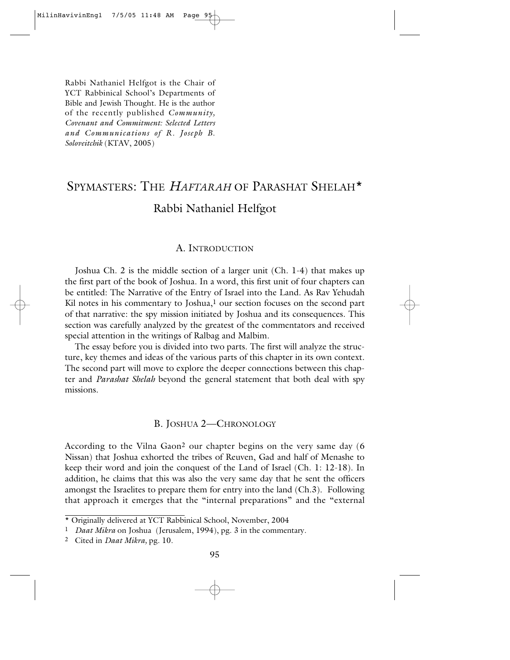Rabbi Nathaniel Helfgot is the Chair of YCT Rabbinical School's Departments of Bible and Jewish Thought. He is the author of the recently published *Community, Covenant and Commitment: Selected Letters and Communications of R. Joseph B. Soloveitchik* (KTAV, 2005)

# SPYMASTERS: THE *HAFTARAH* OF PARASHAT SHELAH<sup>\*</sup>

# Rabbi Nathaniel Helfgot

## A. INTRODUCTION

Joshua Ch. 2 is the middle section of a larger unit (Ch. 1-4) that makes up the first part of the book of Joshua. In a word, this first unit of four chapters can be entitled: The Narrative of the Entry of Israel into the Land. As Rav Yehudah Kil notes in his commentary to Joshua, $<sup>1</sup>$  our section focuses on the second part</sup> of that narrative: the spy mission initiated by Joshua and its consequences. This section was carefully analyzed by the greatest of the commentators and received special attention in the writings of Ralbag and Malbim.

The essay before you is divided into two parts. The first will analyze the structure, key themes and ideas of the various parts of this chapter in its own context. The second part will move to explore the deeper connections between this chapter and *Parashat Shelah* beyond the general statement that both deal with spy missions.

# B. JOSHUA 2—CHRONOLOGY

According to the Vilna Gaon2 our chapter begins on the very same day (6 Nissan) that Joshua exhorted the tribes of Reuven, Gad and half of Menashe to keep their word and join the conquest of the Land of Israel (Ch. 1: 12-18). In addition, he claims that this was also the very same day that he sent the officers amongst the Israelites to prepare them for entry into the land (Ch.3). Following that approach it emerges that the "internal preparations" and the "external

<sup>\*</sup> Originally delivered at YCT Rabbinical School, November, 2004

<sup>1</sup> *Daat Mikra* on Joshua (Jerusalem, 1994), pg. 3 in the commentary.

<sup>2</sup> Cited in *Daat Mikra,* pg. 10.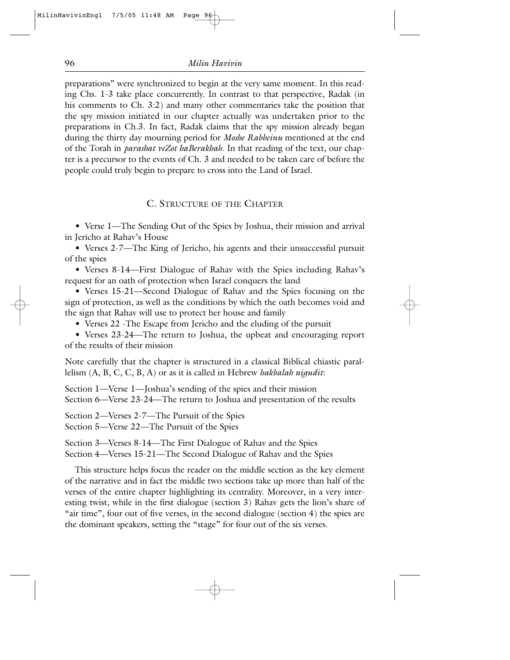preparations" were synchronized to begin at the very same moment. In this reading Chs. 1-3 take place concurrently. In contrast to that perspective, Radak (in his comments to Ch. 3:2) and many other commentaries take the position that the spy mission initiated in our chapter actually was undertaken prior to the preparations in Ch.3. In fact, Radak claims that the spy mission already began during the thirty day mourning period for *Moshe Rabbeinu* mentioned at the end of the Torah in *parashat veZot haBerakhah*. In that reading of the text, our chapter is a precursor to the events of Ch. 3 and needed to be taken care of before the people could truly begin to prepare to cross into the Land of Israel.

#### C. STRUCTURE OF THE CHAPTER

• Verse 1—The Sending Out of the Spies by Joshua, their mission and arrival in Jericho at Rahav's House

• Verses 2-7—The King of Jericho, his agents and their unsuccessful pursuit of the spies

• Verses 8-14—First Dialogue of Rahav with the Spies including Rahav's request for an oath of protection when Israel conquers the land

• Verses 15-21—Second Dialogue of Rahav and the Spies focusing on the sign of protection, as well as the conditions by which the oath becomes void and the sign that Rahav will use to protect her house and family

• Verses 22 - The Escape from Jericho and the eluding of the pursuit

• Verses 23-24—The return to Joshua, the upbeat and encouraging report of the results of their mission

Note carefully that the chapter is structured in a classical Biblical chiastic parallelism (A, B, C, C, B, A) or as it is called in Hebrew *hakbalah nigudit*:

Section 1—Verse 1—Joshua's sending of the spies and their mission Section 6—Verse 23-24—The return to Joshua and presentation of the results

Section 2—Verses 2-7—The Pursuit of the Spies Section 5—Verse 22—The Pursuit of the Spies

Section 3—Verses 8-14—The First Dialogue of Rahav and the Spies Section 4—Verses 15-21—The Second Dialogue of Rahav and the Spies

This structure helps focus the reader on the middle section as the key element of the narrative and in fact the middle two sections take up more than half of the verses of the entire chapter highlighting its centrality. Moreover, in a very interesting twist, while in the first dialogue (section 3) Rahav gets the lion's share of "air time", four out of five verses, in the second dialogue (section 4) the spies are the dominant speakers, setting the "stage" for four out of the six verses.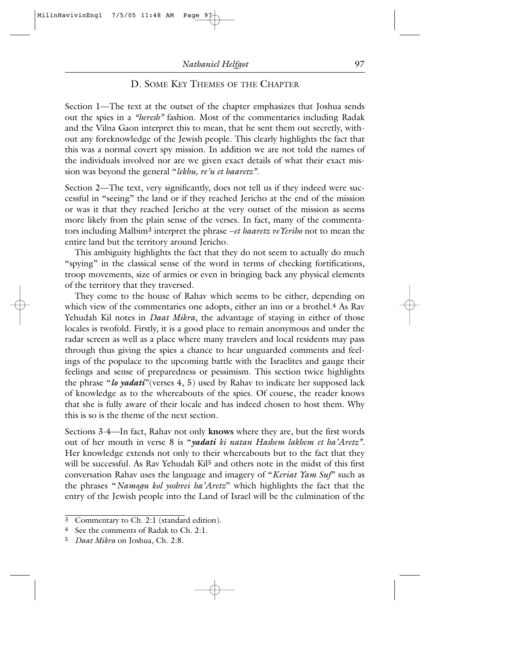*Nathaniel Helfgot* 97

#### D. SOME KEY THEMES OF THE CHAPTER

Section 1—The text at the outset of the chapter emphasizes that Joshua sends out the spies in a *"heresh"* fashion. Most of the commentaries including Radak and the Vilna Gaon interpret this to mean, that he sent them out secretly, without any foreknowledge of the Jewish people. This clearly highlights the fact that this was a normal covert spy mission. In addition we are not told the names of the individuals involved nor are we given exact details of what their exact mission was beyond the general "*lekhu, re'u et haaretz".*

Section 2—The text, very significantly, does not tell us if they indeed were successful in "seeing" the land or if they reached Jericho at the end of the mission or was it that they reached Jericho at the very outset of the mission as seems more likely from the plain sense of the verses. In fact, many of the commentators including Malbim3 interpret the phrase –*et haaretz veYeriho* not to mean the entire land but the territory around Jericho.

This ambiguity highlights the fact that they do not seem to actually do much "spying" in the classical sense of the word in terms of checking fortifications, troop movements, size of armies or even in bringing back any physical elements of the territory that they traversed.

They come to the house of Rahav which seems to be either, depending on which view of the commentaries one adopts, either an inn or a brothel.<sup>4</sup> As Rav Yehudah Kil notes in *Daat Mikra*, the advantage of staying in either of those locales is twofold. Firstly, it is a good place to remain anonymous and under the radar screen as well as a place where many travelers and local residents may pass through thus giving the spies a chance to hear unguarded comments and feelings of the populace to the upcoming battle with the Israelites and gauge their feelings and sense of preparedness or pessimism. This section twice highlights the phrase "*lo yadati*"(verses 4, 5) used by Rahav to indicate her supposed lack of knowledge as to the whereabouts of the spies. Of course, the reader knows that she is fully aware of their locale and has indeed chosen to host them. Why this is so is the theme of the next section.

Sections 3-4—In fact, Rahav not only **knows** where they are, but the first words out of her mouth in verse 8 is "*yadati ki natan Hashem lakhem et ha'Aretz".* Her knowledge extends not only to their whereabouts but to the fact that they will be successful. As Rav Yehudah Kil<sup>5</sup> and others note in the midst of this first conversation Rahav uses the language and imagery of "*Keriat Yam Suf*" such as the phrases "*Namogu kol yoshvei ha'Aretz*" which highlights the fact that the entry of the Jewish people into the Land of Israel will be the culmination of the

<sup>3</sup> Commentary to Ch. 2:1 (standard edition).

See the comments of Radak to Ch. 2:1.

<sup>5</sup> *Daat Mikra* on Joshua, Ch. 2:8.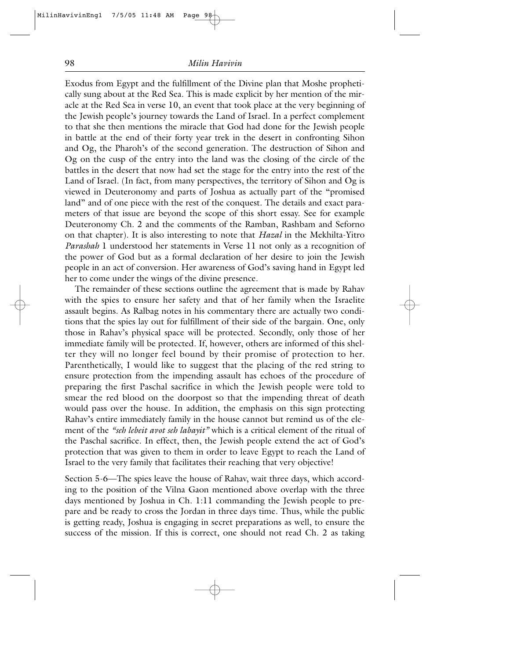Exodus from Egypt and the fulfillment of the Divine plan that Moshe prophetically sung about at the Red Sea. This is made explicit by her mention of the miracle at the Red Sea in verse 10, an event that took place at the very beginning of the Jewish people's journey towards the Land of Israel. In a perfect complement to that she then mentions the miracle that God had done for the Jewish people in battle at the end of their forty year trek in the desert in confronting Sihon and Og, the Pharoh's of the second generation. The destruction of Sihon and Og on the cusp of the entry into the land was the closing of the circle of the battles in the desert that now had set the stage for the entry into the rest of the Land of Israel. (In fact, from many perspectives, the territory of Sihon and Og is viewed in Deuteronomy and parts of Joshua as actually part of the "promised land" and of one piece with the rest of the conquest. The details and exact parameters of that issue are beyond the scope of this short essay. See for example Deuteronomy Ch. 2 and the comments of the Ramban, Rashbam and Seforno on that chapter). It is also interesting to note that *Hazal* in the Mekhilta-Yitro *Parashah* 1 understood her statements in Verse 11 not only as a recognition of the power of God but as a formal declaration of her desire to join the Jewish people in an act of conversion. Her awareness of God's saving hand in Egypt led her to come under the wings of the divine presence.

The remainder of these sections outline the agreement that is made by Rahav with the spies to ensure her safety and that of her family when the Israelite assault begins. As Ralbag notes in his commentary there are actually two conditions that the spies lay out for fulfillment of their side of the bargain. One, only those in Rahav's physical space will be protected. Secondly, only those of her immediate family will be protected. If, however, others are informed of this shelter they will no longer feel bound by their promise of protection to her. Parenthetically, I would like to suggest that the placing of the red string to ensure protection from the impending assault has echoes of the procedure of preparing the first Paschal sacrifice in which the Jewish people were told to smear the red blood on the doorpost so that the impending threat of death would pass over the house. In addition, the emphasis on this sign protecting Rahav's entire immediately family in the house cannot but remind us of the element of the *"seh lebeit avot seh labayit"* which is a critical element of the ritual of the Paschal sacrifice. In effect, then, the Jewish people extend the act of God's protection that was given to them in order to leave Egypt to reach the Land of Israel to the very family that facilitates their reaching that very objective!

Section 5-6—The spies leave the house of Rahav, wait three days, which according to the position of the Vilna Gaon mentioned above overlap with the three days mentioned by Joshua in Ch. 1:11 commanding the Jewish people to prepare and be ready to cross the Jordan in three days time. Thus, while the public is getting ready, Joshua is engaging in secret preparations as well, to ensure the success of the mission. If this is correct, one should not read Ch. 2 as taking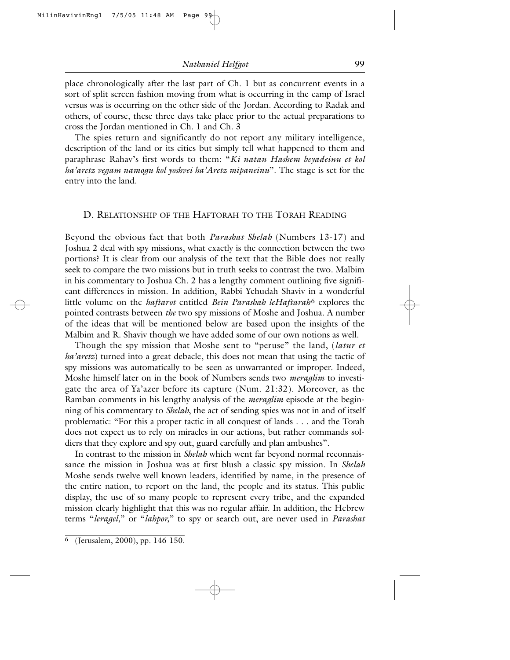*Nathaniel Helfgot* 99

place chronologically after the last part of Ch. 1 but as concurrent events in a sort of split screen fashion moving from what is occurring in the camp of Israel versus was is occurring on the other side of the Jordan. According to Radak and others, of course, these three days take place prior to the actual preparations to cross the Jordan mentioned in Ch. 1 and Ch. 3

The spies return and significantly do not report any military intelligence, description of the land or its cities but simply tell what happened to them and paraphrase Rahav's first words to them: "*Ki natan Hashem beyadeinu et kol ha'aretz vegam namogu kol yoshvei ha'Aretz mipaneinu*". The stage is set for the entry into the land.

#### D. RELATIONSHIP OF THE HAFTORAH TO THE TORAH READING

Beyond the obvious fact that both *Parashat Shelah* (Numbers 13-17) and Joshua 2 deal with spy missions, what exactly is the connection between the two portions? It is clear from our analysis of the text that the Bible does not really seek to compare the two missions but in truth seeks to contrast the two. Malbim in his commentary to Joshua Ch. 2 has a lengthy comment outlining five significant differences in mission. In addition, Rabbi Yehudah Shaviv in a wonderful little volume on the *haftarot* entitled *Bein Parashah leHaftarah* 6 explores the pointed contrasts between *the* two spy missions of Moshe and Joshua. A number of the ideas that will be mentioned below are based upon the insights of the Malbim and R. Shaviv though we have added some of our own notions as well.

Though the spy mission that Moshe sent to "peruse" the land, (*latur et ha'aretz*) turned into a great debacle, this does not mean that using the tactic of spy missions was automatically to be seen as unwarranted or improper. Indeed, Moshe himself later on in the book of Numbers sends two *meraglim* to investigate the area of Ya'azer before its capture (Num. 21:32). Moreover, as the Ramban comments in his lengthy analysis of the *meraglim* episode at the beginning of his commentary to *Shelah*, the act of sending spies was not in and of itself problematic: "For this a proper tactic in all conquest of lands . . . and the Torah does not expect us to rely on miracles in our actions, but rather commands soldiers that they explore and spy out, guard carefully and plan ambushes".

In contrast to the mission in *Shelah* which went far beyond normal reconnaissance the mission in Joshua was at first blush a classic spy mission. In *Shelah* Moshe sends twelve well known leaders, identified by name, in the presence of the entire nation, to report on the land, the people and its status. This public display, the use of so many people to represent every tribe, and the expanded mission clearly highlight that this was no regular affair. In addition, the Hebrew terms "*leragel,*" or "*lahpor,*" to spy or search out, are never used in *Parashat*

<sup>6</sup> (Jerusalem, 2000), pp. 146-150.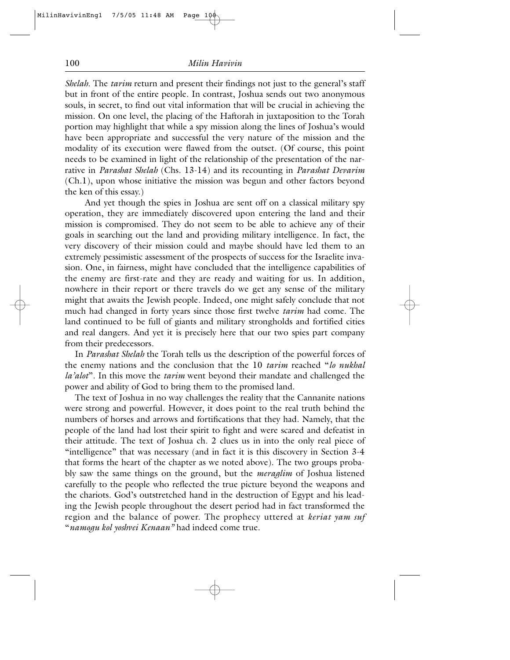*Shelah*. The *tarim* return and present their findings not just to the general's staff but in front of the entire people. In contrast, Joshua sends out two anonymous souls, in secret, to find out vital information that will be crucial in achieving the mission. On one level, the placing of the Haftorah in juxtaposition to the Torah portion may highlight that while a spy mission along the lines of Joshua's would have been appropriate and successful the very nature of the mission and the modality of its execution were flawed from the outset. (Of course, this point needs to be examined in light of the relationship of the presentation of the narrative in *Parashat Shelah* (Chs. 13-14) and its recounting in *Parashat Devarim* (Ch.1), upon whose initiative the mission was begun and other factors beyond the ken of this essay.)

And yet though the spies in Joshua are sent off on a classical military spy operation, they are immediately discovered upon entering the land and their mission is compromised. They do not seem to be able to achieve any of their goals in searching out the land and providing military intelligence. In fact, the very discovery of their mission could and maybe should have led them to an extremely pessimistic assessment of the prospects of success for the Israelite invasion. One, in fairness, might have concluded that the intelligence capabilities of the enemy are first-rate and they are ready and waiting for us. In addition, nowhere in their report or there travels do we get any sense of the military might that awaits the Jewish people. Indeed, one might safely conclude that not much had changed in forty years since those first twelve *tarim* had come. The land continued to be full of giants and military strongholds and fortified cities and real dangers. And yet it is precisely here that our two spies part company from their predecessors.

In *Parashat Shelah* the Torah tells us the description of the powerful forces of the enemy nations and the conclusion that the 10 *tarim* reached "*lo nukhal la'alot*". In this move the *tarim* went beyond their mandate and challenged the power and ability of God to bring them to the promised land.

The text of Joshua in no way challenges the reality that the Cannanite nations were strong and powerful. However, it does point to the real truth behind the numbers of horses and arrows and fortifications that they had. Namely, that the people of the land had lost their spirit to fight and were scared and defeatist in their attitude. The text of Joshua ch. 2 clues us in into the only real piece of "intelligence" that was necessary (and in fact it is this discovery in Section 3-4 that forms the heart of the chapter as we noted above). The two groups probably saw the same things on the ground, but the *meraglim* of Joshua listened carefully to the people who reflected the true picture beyond the weapons and the chariots. God's outstretched hand in the destruction of Egypt and his leading the Jewish people throughout the desert period had in fact transformed the region and the balance of power. The prophecy uttered at *keriat yam suf* "*namogu kol yoshvei Kenaan"* had indeed come true.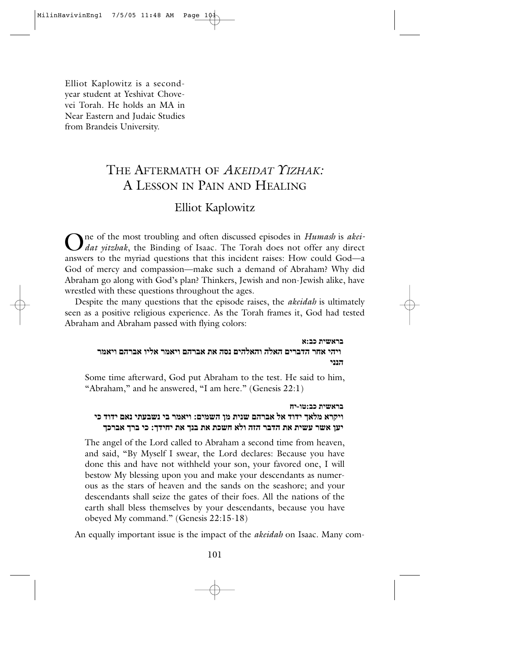Elliot Kaplowitz is a secondyear student at Yeshivat Chovevei Torah. He holds an MA in Near Eastern and Judaic Studies from Brandeis University.

# THE AFTERMATH OF *AKEIDAT YIZHAK:*  A LESSON IN PAIN AND HEALING

## Elliot Kaplowitz

One of the most troubling and often discussed episodes in *Humash* is *akei-dat yitzhak*, the Binding of Isaac. The Torah does not offer any direct answers to the myriad questions that this incident raises: How could God—a God of mercy and compassion—make such a demand of Abraham? Why did Abraham go along with God's plan? Thinkers, Jewish and non-Jewish alike, have wrestled with these questions throughout the ages.

Despite the many questions that the episode raises, the *akeidah* is ultimately seen as a positive religious experience. As the Torah frames it, God had tested Abraham and Abraham passed with flying colors:

### בראשית כב:א ויהי אחר הדברים האלה והאלהים נסה את אברהם ויאמר אליו אברהם ויאמר הנני

Some time afterward, God put Abraham to the test. He said to him, "Abraham," and he answered, "I am here." (Genesis 22:1)

#### בראשית כב:טו-יח

#### ויקרא מלאך ידוד אל אברהם שנית מן השמים: ויאמר בי נשבעתי נאם ידוד כי יען אשר עשית את הדבר הזה ולא חשכת את בנך את יחידך: כי ברך אברכך

The angel of the Lord called to Abraham a second time from heaven, and said, "By Myself I swear, the Lord declares: Because you have done this and have not withheld your son, your favored one, I will bestow My blessing upon you and make your descendants as numerous as the stars of heaven and the sands on the seashore; and your descendants shall seize the gates of their foes. All the nations of the earth shall bless themselves by your descendants, because you have obeyed My command." (Genesis 22:15-18)

An equally important issue is the impact of the *akeidah* on Isaac. Many com-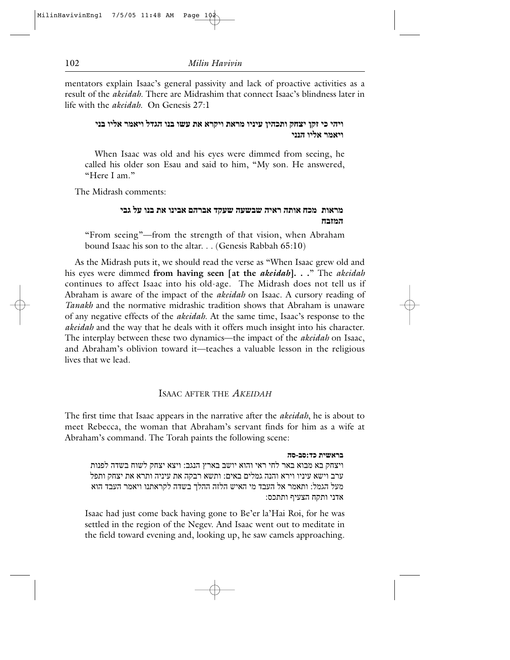mentators explain Isaac's general passivity and lack of proactive activities as a result of the *akeidah*. There are Midrashim that connect Isaac's blindness later in life with the *akeidah*. On Genesis 27:1

#### ויהי כי זקן יצחק ותכהין עיניו מראת ויקרא את עשו בנו הגדל ויאמר אליו בני ויאמר אליו הנני

When Isaac was old and his eyes were dimmed from seeing, he called his older son Esau and said to him, "My son. He answered, "Here I am."

The Midrash comments:

#### מראות מכח אותה ראיה שבשעה שעקד אברהם אבינו את בנו על גבי המזבח

"From seeing"—from the strength of that vision, when Abraham bound Isaac his son to the altar. . . (Genesis Rabbah 65:10)

As the Midrash puts it, we should read the verse as "When Isaac grew old and his eyes were dimmed **from having seen [at the** *akeidah***]. . .**" The *akeidah* continues to affect Isaac into his old-age. The Midrash does not tell us if Abraham is aware of the impact of the *akeidah* on Isaac. A cursory reading of *Tanakh* and the normative midrashic tradition shows that Abraham is unaware of any negative effects of the *akeidah*. At the same time, Isaac's response to the *akeidah* and the way that he deals with it offers much insight into his character. The interplay between these two dynamics—the impact of the *akeidah* on Isaac, and Abraham's oblivion toward it—teaches a valuable lesson in the religious lives that we lead.

#### ISAAC AFTER THE *AKEIDAH*

The first time that Isaac appears in the narrative after the *akeidah*, he is about to meet Rebecca, the woman that Abraham's servant finds for him as a wife at Abraham's command. The Torah paints the following scene:

#### בראשית כד:סב-סה

ויצחק בא מבוא באר לחי ראי והוא יושב בארץ הנגב: ויצא יצחק לשוח בשדה לפנות ערב וישא עיניו וירא והנה גמלים באים: ותשא רבקה את עיניה ותרא את יצחק ותפל מעל הגמל: ותאמר אל העבד מי האיש הלזה ההלך בשדה לקראתנו ויאמר העבד הוא אדני ותקח הצעיף ותתכס:

Isaac had just come back having gone to Be'er la'Hai Roi, for he was settled in the region of the Negev. And Isaac went out to meditate in the field toward evening and, looking up, he saw camels approaching.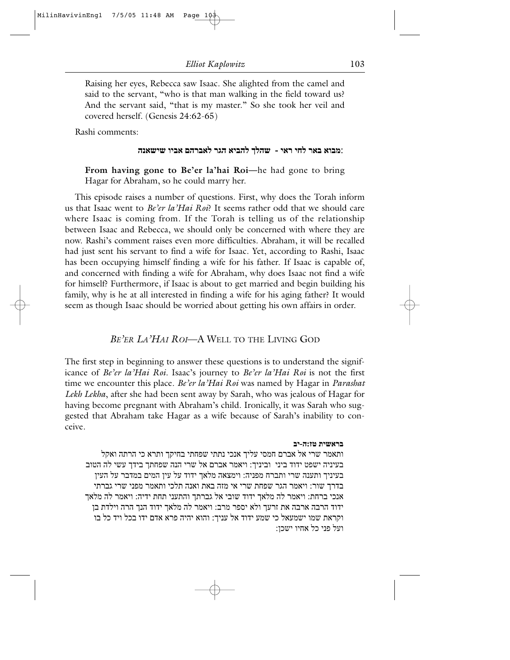*Elliot Kaplowitz* 103

Raising her eyes, Rebecca saw Isaac. She alighted from the camel and said to the servant, "who is that man walking in the field toward us? And the servant said, "that is my master." So she took her veil and covered herself. (Genesis 24:62-65)

Rashi comments:

#### :מבוא באר לחי ראי - שהלך להביא הגר לאברהם אביו שישאנה

**From having gone to Be'er la'hai Roi—**he had gone to bring Hagar for Abraham, so he could marry her.

This episode raises a number of questions. First, why does the Torah inform us that Isaac went to *Be'er la'Hai Roi*? It seems rather odd that we should care where Isaac is coming from. If the Torah is telling us of the relationship between Isaac and Rebecca, we should only be concerned with where they are now. Rashi's comment raises even more difficulties. Abraham, it will be recalled had just sent his servant to find a wife for Isaac. Yet, according to Rashi, Isaac has been occupying himself finding a wife for his father. If Isaac is capable of, and concerned with finding a wife for Abraham, why does Isaac not find a wife for himself? Furthermore, if Isaac is about to get married and begin building his family, why is he at all interested in finding a wife for his aging father? It would seem as though Isaac should be worried about getting his own affairs in order.

#### *BE'ER LA'HAI ROI*—A WELL TO THE LIVING GOD

The first step in beginning to answer these questions is to understand the significance of *Be'er la'Hai Roi.* Isaac's journey to *Be'er la'Hai Roi* is not the first time we encounter this place. *Be'er la'Hai Roi* was named by Hagar in *Parashat Lekh Lekha*, after she had been sent away by Sarah, who was jealous of Hagar for having become pregnant with Abraham's child. Ironically, it was Sarah who suggested that Abraham take Hagar as a wife because of Sarah's inability to conceive.

#### בראשית טז:ה-יב

ותאמר שרי אל אברם חמסי עליך אנכי נתתי שפחתי בחיקך ותרא כי הרתה ואקל בעיניה ישפט ידוד ביני וביניך: ויאמר אברם אל שרי הנה שפחתך בידך עשי לה הטוב בעיניך ותענה שרי ותברח מפניה: וימצאה מלאך ידוד על עין המים במדבר על העין בדרך שור: ויאמר הגר שפחת שרי אי מזה באת ואנה תלכי ותאמר מפני שרי גברתי אנכי ברחת: ויאמר לה מלאך ידוד שובי אל גברתך והתעני תחת ידיה: ויאמר לה מלאך ידוד הרבה ארבה את זרעך ולא יספר מרב: ויאמר לה מלאך ידוד הנך הרה וילדת בן וקראת שמו ישמעאל כי שמע ידוד אל עניך: והוא יהיה פרא אדם ידו בכל ויד כל בו ועל פני כל אחיו ישכן: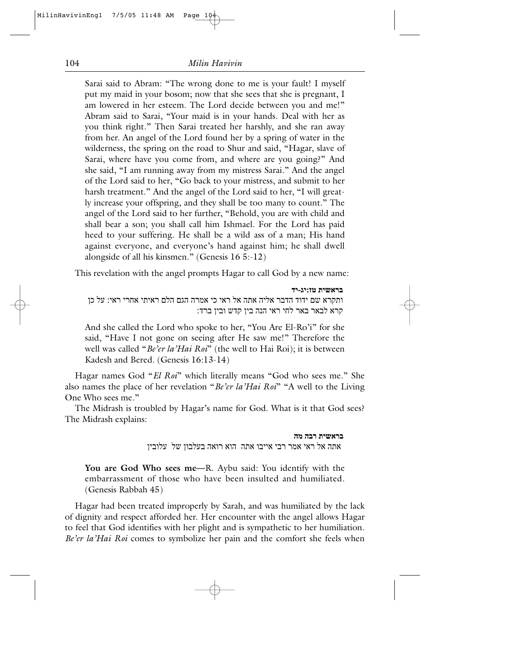Sarai said to Abram: "The wrong done to me is your fault! I myself put my maid in your bosom; now that she sees that she is pregnant, I am lowered in her esteem. The Lord decide between you and me!" Abram said to Sarai, "Your maid is in your hands. Deal with her as you think right." Then Sarai treated her harshly, and she ran away from her. An angel of the Lord found her by a spring of water in the wilderness, the spring on the road to Shur and said, "Hagar, slave of Sarai, where have you come from, and where are you going?" And she said, "I am running away from my mistress Sarai." And the angel of the Lord said to her, "Go back to your mistress, and submit to her harsh treatment." And the angel of the Lord said to her, "I will greatly increase your offspring, and they shall be too many to count." The angel of the Lord said to her further, "Behold, you are with child and shall bear a son; you shall call him Ishmael. For the Lord has paid heed to your suffering. He shall be a wild ass of a man; His hand against everyone, and everyone's hand against him; he shall dwell alongside of all his kinsmen." (Genesis 16 5:-12)

This revelation with the angel prompts Hagar to call God by a new name:

#### בראשית טז:יג-יד

ותקרא שם ידוד הדבר אליה אתה אל ראי כי אמרה הגם הלם ראיתי אחרי ראי: על כן קרא לבאר באר לחי ראי הנה בין קדש ובין ברד:

And she called the Lord who spoke to her, "You Are El-Ro'i" for she said, "Have I not gone on seeing after He saw me!" Therefore the well was called "*Be'er la'Hai Roi*" (the well to Hai Roi); it is between Kadesh and Bered. (Genesis 16:13-14)

Hagar names God "*El Roi*" which literally means "God who sees me." She also names the place of her revelation "*Be'er la'Hai Roi*" "A well to the Living One Who sees me."

The Midrash is troubled by Hagar's name for God. What is it that God sees? The Midrash explains:

> בראשית רבה מה אתה אל ראי אמר רבי אייבו אתה |הוא רואה בעלבון של | עלובין

**You are God Who sees me—**R. Aybu said: You identify with the embarrassment of those who have been insulted and humiliated. (Genesis Rabbah 45)

Hagar had been treated improperly by Sarah, and was humiliated by the lack of dignity and respect afforded her. Her encounter with the angel allows Hagar to feel that God identifies with her plight and is sympathetic to her humiliation. *Be'er la'Hai Roi* comes to symbolize her pain and the comfort she feels when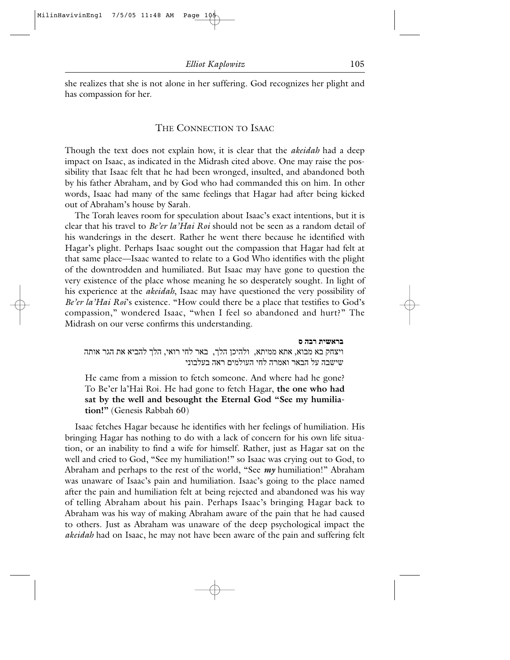*Elliot Kaplowitz* 105

she realizes that she is not alone in her suffering. God recognizes her plight and has compassion for her.

#### THE CONNECTION TO ISAAC

Though the text does not explain how, it is clear that the *akeidah* had a deep impact on Isaac, as indicated in the Midrash cited above. One may raise the possibility that Isaac felt that he had been wronged, insulted, and abandoned both by his father Abraham, and by God who had commanded this on him. In other words, Isaac had many of the same feelings that Hagar had after being kicked out of Abraham's house by Sarah.

The Torah leaves room for speculation about Isaac's exact intentions, but it is clear that his travel to *Be'er la'Hai Roi* should not be seen as a random detail of his wanderings in the desert. Rather he went there because he identified with Hagar's plight. Perhaps Isaac sought out the compassion that Hagar had felt at that same place—Isaac wanted to relate to a God Who identifies with the plight of the downtrodden and humiliated. But Isaac may have gone to question the very existence of the place whose meaning he so desperately sought. In light of his experience at the *akeidah*, Isaac may have questioned the very possibility of *Be'er la'Hai Roi*'s existence. "How could there be a place that testifies to God's compassion," wondered Isaac, "when I feel so abandoned and hurt?" The Midrash on our verse confirms this understanding.

#### בראשית רבה ס

ויצחק בא מבוא, אתא ממיתא, ולהיכן הלך, באר לחי רואי, הלך להביא את הגר אותה שישבה על הבאר ואמרה לחי העולמים ראה בעלבוני

He came from a mission to fetch someone. And where had he gone? To Be'er la'Hai Roi. He had gone to fetch Hagar, **the one who had sat by the well and besought the Eternal God "See my humiliation!"** (Genesis Rabbah 60)

Isaac fetches Hagar because he identifies with her feelings of humiliation. His bringing Hagar has nothing to do with a lack of concern for his own life situation, or an inability to find a wife for himself. Rather, just as Hagar sat on the well and cried to God, "See my humiliation!" so Isaac was crying out to God, to Abraham and perhaps to the rest of the world, "See *my* humiliation!" Abraham was unaware of Isaac's pain and humiliation. Isaac's going to the place named after the pain and humiliation felt at being rejected and abandoned was his way of telling Abraham about his pain. Perhaps Isaac's bringing Hagar back to Abraham was his way of making Abraham aware of the pain that he had caused to others. Just as Abraham was unaware of the deep psychological impact the *akeidah* had on Isaac, he may not have been aware of the pain and suffering felt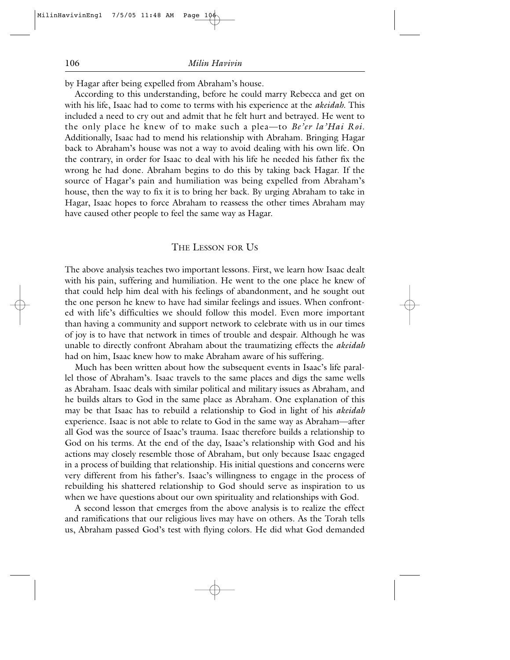by Hagar after being expelled from Abraham's house.

According to this understanding, before he could marry Rebecca and get on with his life, Isaac had to come to terms with his experience at the *akeidah*. This included a need to cry out and admit that he felt hurt and betrayed. He went to the only place he knew of to make such a plea—to *Be'er la'Hai Roi*. Additionally, Isaac had to mend his relationship with Abraham. Bringing Hagar back to Abraham's house was not a way to avoid dealing with his own life. On the contrary, in order for Isaac to deal with his life he needed his father fix the wrong he had done. Abraham begins to do this by taking back Hagar. If the source of Hagar's pain and humiliation was being expelled from Abraham's house, then the way to fix it is to bring her back. By urging Abraham to take in Hagar, Isaac hopes to force Abraham to reassess the other times Abraham may have caused other people to feel the same way as Hagar.

#### THE LESSON FOR US

The above analysis teaches two important lessons. First, we learn how Isaac dealt with his pain, suffering and humiliation. He went to the one place he knew of that could help him deal with his feelings of abandonment, and he sought out the one person he knew to have had similar feelings and issues. When confronted with life's difficulties we should follow this model. Even more important than having a community and support network to celebrate with us in our times of joy is to have that network in times of trouble and despair. Although he was unable to directly confront Abraham about the traumatizing effects the *akeidah* had on him, Isaac knew how to make Abraham aware of his suffering.

Much has been written about how the subsequent events in Isaac's life parallel those of Abraham's. Isaac travels to the same places and digs the same wells as Abraham. Isaac deals with similar political and military issues as Abraham, and he builds altars to God in the same place as Abraham. One explanation of this may be that Isaac has to rebuild a relationship to God in light of his *akeidah* experience. Isaac is not able to relate to God in the same way as Abraham—after all God was the source of Isaac's trauma. Isaac therefore builds a relationship to God on his terms. At the end of the day, Isaac's relationship with God and his actions may closely resemble those of Abraham, but only because Isaac engaged in a process of building that relationship. His initial questions and concerns were very different from his father's. Isaac's willingness to engage in the process of rebuilding his shattered relationship to God should serve as inspiration to us when we have questions about our own spirituality and relationships with God.

A second lesson that emerges from the above analysis is to realize the effect and ramifications that our religious lives may have on others. As the Torah tells us, Abraham passed God's test with flying colors. He did what God demanded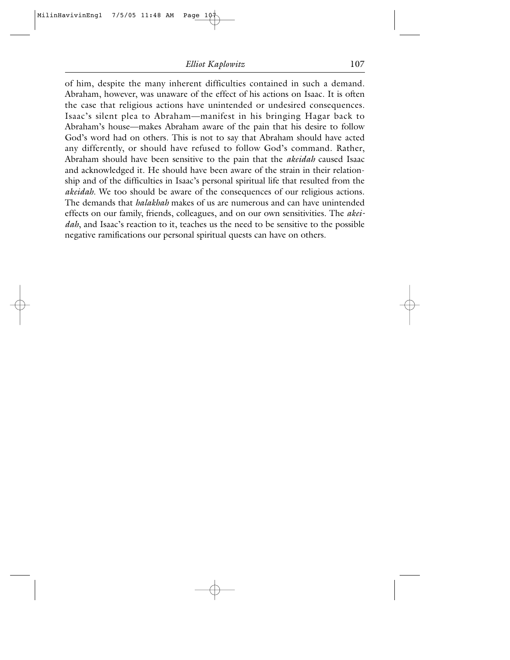*Elliot Kaplowitz* 107

of him, despite the many inherent difficulties contained in such a demand. Abraham, however, was unaware of the effect of his actions on Isaac. It is often the case that religious actions have unintended or undesired consequences. Isaac's silent plea to Abraham—manifest in his bringing Hagar back to Abraham's house—makes Abraham aware of the pain that his desire to follow God's word had on others. This is not to say that Abraham should have acted any differently, or should have refused to follow God's command. Rather, Abraham should have been sensitive to the pain that the *akeidah* caused Isaac and acknowledged it. He should have been aware of the strain in their relationship and of the difficulties in Isaac's personal spiritual life that resulted from the *akeidah*. We too should be aware of the consequences of our religious actions. The demands that *halakhah* makes of us are numerous and can have unintended effects on our family, friends, colleagues, and on our own sensitivities. The *akeidah*, and Isaac's reaction to it, teaches us the need to be sensitive to the possible negative ramifications our personal spiritual quests can have on others.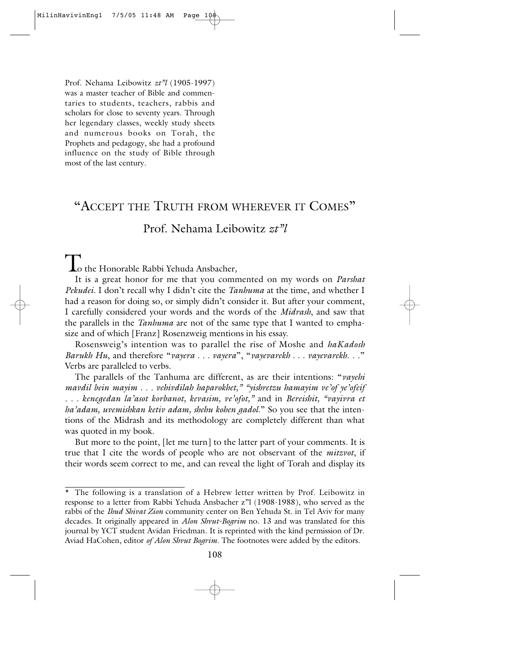Prof. Nehama Leibowitz *zt"l* (1905-1997) was a master teacher of Bible and commentaries to students, teachers, rabbis and scholars for close to seventy years. Through her legendary classes, weekly study sheets and numerous books on Torah, the Prophets and pedagogy, she had a profound influence on the study of Bible through most of the last century.

# "ACCEPT THE TRUTH FROM WHEREVER IT COMES"

# Prof. Nehama Leibowitz *zt"l*

Lo the Honorable Rabbi Yehuda Ansbacher,

It is a great honor for me that you commented on my words on *Parshat Pekudei.* I don't recall why I didn't cite the *Tanhuma* at the time, and whether I had a reason for doing so, or simply didn't consider it. But after your comment, I carefully considered your words and the words of the *Midrash*, and saw that the parallels in the *Tanhuma* are not of the same type that I wanted to emphasize and of which [Franz] Rosenzweig mentions in his essay.

Rosensweig's intention was to parallel the rise of Moshe and *haKadosh Barukh Hu*, and therefore "*vayera . . . vayera*", "*vayevarekh . . . vayevarekh*. . ." Verbs are paralleled to verbs.

The parallels of the Tanhuma are different, as are their intentions: "*vayehi mavdil bein mayim . . . vehivdilah haparokhet," "yishretzu hamayim ve'of ye'ofeif ... kenegedan la'asot korbanot, kevasim, ve'ofot,"* and in *Bereishit, "vayivra et ha'adam, uvemishkan ketiv adam, shehu kohen gadol*." So you see that the intentions of the Midrash and its methodology are completely different than what was quoted in my book.

But more to the point, [let me turn] to the latter part of your comments. It is true that I cite the words of people who are not observant of the *mitzvot*, if their words seem correct to me, and can reveal the light of Torah and display its

<sup>\*</sup> The following is a translation of a Hebrew letter written by Prof. Leibowitz in response to a letter from Rabbi Yehuda Ansbacher z"l (1908-1988), who served as the rabbi of the *Ihud Shivat Zion* community center on Ben Yehuda St. in Tel Aviv for many decades. It originally appeared in *Alon Shvut-Bogrim* no. 13 and was translated for this journal by YCT student Avidan Friedman. It is reprinted with the kind permission of Dr. Aviad HaCohen, editor *of Alon Shvut Bogrim*. The footnotes were added by the editors.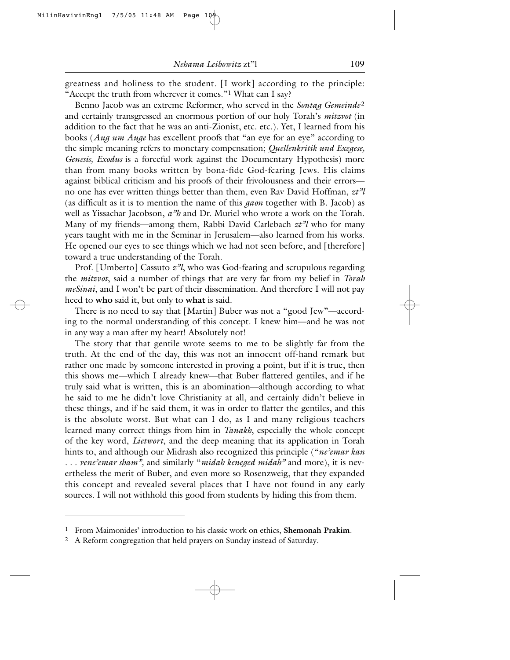*Nehama Leibowitz* zt"l 109

greatness and holiness to the student. [I work] according to the principle: "Accept the truth from wherever it comes."1 What can I say?

Benno Jacob was an extreme Reformer, who served in the *Sontag Gemeinde*2 and certainly transgressed an enormous portion of our holy Torah's *mitzvot* (in addition to the fact that he was an anti-Zionist, etc. etc.). Yet, I learned from his books (*Aug um Auge* has excellent proofs that "an eye for an eye" according to the simple meaning refers to monetary compensation; *Quellenkritik und Exegese, Genesis, Exodus* is a forceful work against the Documentary Hypothesis) more than from many books written by bona-fide God-fearing Jews. His claims against biblical criticism and his proofs of their frivolousness and their errors no one has ever written things better than them, even Rav David Hoffman, *zt"l* (as difficult as it is to mention the name of this *gaon* together with B. Jacob) as well as Yissachar Jacobson, *a"h* and Dr. Muriel who wrote a work on the Torah. Many of my friends—among them, Rabbi David Carlebach *zt"l* who for many years taught with me in the Seminar in Jerusalem—also learned from his works. He opened our eyes to see things which we had not seen before, and [therefore] toward a true understanding of the Torah.

Prof. [Umberto] Cassuto *z"l*, who was God-fearing and scrupulous regarding the *mitzvot*, said a number of things that are very far from my belief in *Torah meSinai*, and I won't be part of their dissemination. And therefore I will not pay heed to **who** said it, but only to **what** is said.

There is no need to say that [Martin] Buber was not a "good Jew"—according to the normal understanding of this concept. I knew him—and he was not in any way a man after my heart! Absolutely not!

The story that that gentile wrote seems to me to be slightly far from the truth. At the end of the day, this was not an innocent off-hand remark but rather one made by someone interested in proving a point, but if it is true, then this shows me—which I already knew—that Buber flattered gentiles, and if he truly said what is written, this is an abomination—although according to what he said to me he didn't love Christianity at all, and certainly didn't believe in these things, and if he said them, it was in order to flatter the gentiles, and this is the absolute worst. But what can I do, as I and many religious teachers learned many correct things from him in *Tanakh*, especially the whole concept of the key word, *Lietwort*, and the deep meaning that its application in Torah hints to, and although our Midrash also recognized this principle ("*ne'emar kan . . . vene'emar sham",* and similarly "*midah keneged midah"* and more), it is nevertheless the merit of Buber, and even more so Rosenzweig, that they expanded this concept and revealed several places that I have not found in any early sources. I will not withhold this good from students by hiding this from them.

<sup>1</sup> From Maimonides' introduction to his classic work on ethics, **Shemonah Prakim***.*

<sup>2</sup> A Reform congregation that held prayers on Sunday instead of Saturday.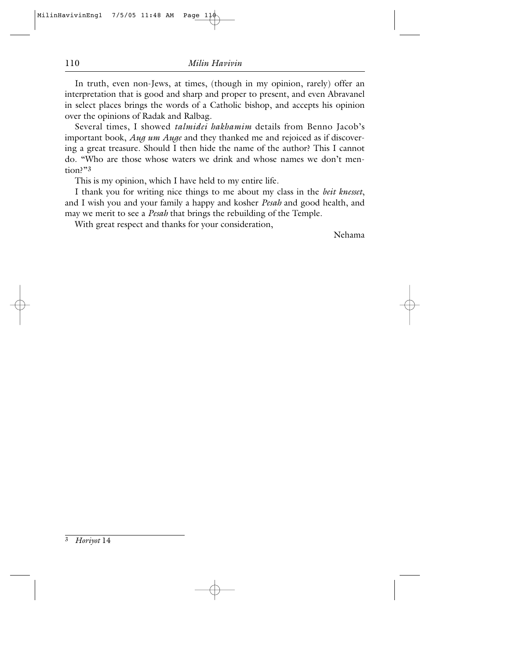In truth, even non-Jews, at times, (though in my opinion, rarely) offer an interpretation that is good and sharp and proper to present, and even Abravanel in select places brings the words of a Catholic bishop, and accepts his opinion over the opinions of Radak and Ralbag*.*

Several times, I showed *talmidei hakhamim* details from Benno Jacob's important book, *Aug um Auge* and they thanked me and rejoiced as if discovering a great treasure. Should I then hide the name of the author? This I cannot do. "Who are those whose waters we drink and whose names we don't mention?"3

This is my opinion, which I have held to my entire life.

I thank you for writing nice things to me about my class in the *beit knesset*, and I wish you and your family a happy and kosher *Pesah* and good health, and may we merit to see a *Pesah* that brings the rebuilding of the Temple.

With great respect and thanks for your consideration,

Nehama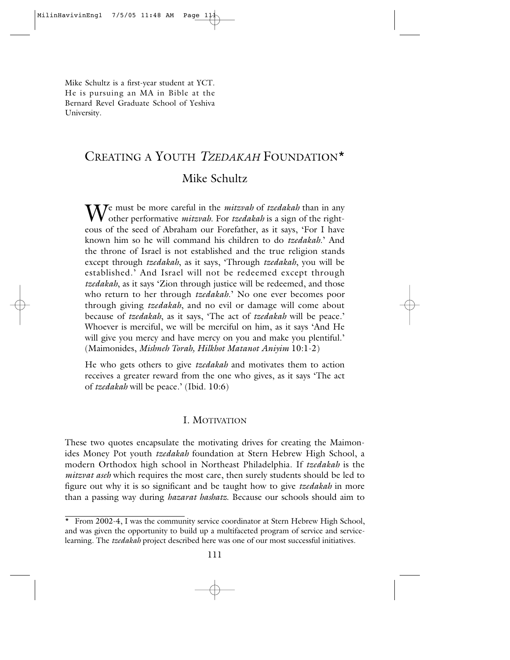Mike Schultz is a first-year student at YCT. He is pursuing an MA in Bible at the Bernard Revel Graduate School of Yeshiva University.

# CREATING A YOUTH *TZEDAKAH* FOUNDATION\*

# Mike Schultz

We must be more careful in the *mitzvah* of *tzedakah* than in any other performative *mitzvah*. For *tzedakah* is a sign of the righteous of the seed of Abraham our Forefather, as it says, 'For I have known him so he will command his children to do *tzedakah*.' And the throne of Israel is not established and the true religion stands except through *tzedakah*, as it says, 'Through *tzedakah*, you will be established.' And Israel will not be redeemed except through *tzedakah*, as it says 'Zion through justice will be redeemed, and those who return to her through *tzedakah*.' No one ever becomes poor through giving *tzedakah*, and no evil or damage will come about because of *tzedakah*, as it says, 'The act of *tzedakah* will be peace.' Whoever is merciful, we will be merciful on him, as it says 'And He will give you mercy and have mercy on you and make you plentiful.' (Maimonides, *Mishneh Torah, Hilkhot Matanot Aniyim* 10:1-2)

He who gets others to give *tzedakah* and motivates them to action receives a greater reward from the one who gives, as it says 'The act of *tzedakah* will be peace.' (Ibid. 10:6)

#### I. MOTIVATION

These two quotes encapsulate the motivating drives for creating the Maimonides Money Pot youth *tzedakah* foundation at Stern Hebrew High School, a modern Orthodox high school in Northeast Philadelphia. If *tzedakah* is the *mitzvat aseh* which requires the most care, then surely students should be led to figure out why it is so significant and be taught how to give *tzedakah* in more than a passing way during *hazarat hashatz*. Because our schools should aim to

<sup>\*</sup> From 2002-4, I was the community service coordinator at Stern Hebrew High School, and was given the opportunity to build up a multifaceted program of service and servicelearning. The *tzedakah* project described here was one of our most successful initiatives.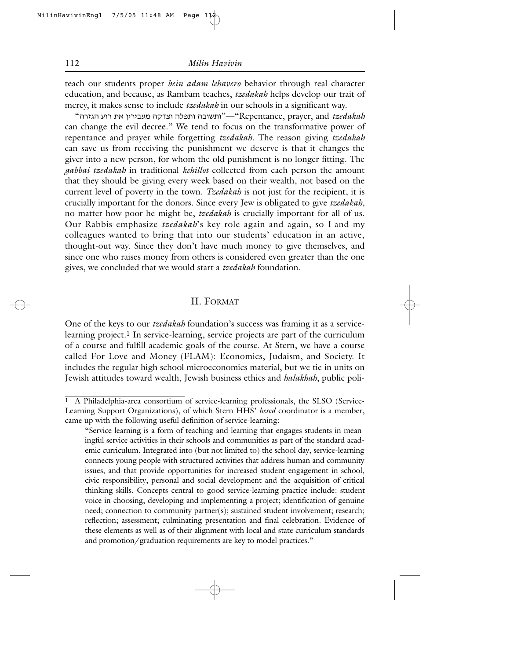teach our students proper *bein adam lehavero* behavior through real character education, and because, as Rambam teaches, *tzedakah* helps develop our trait of mercy, it makes sense to include *tzedakah* in our schools in a significant way.

"vrzdv gur ,t ihrhcgn vesmu vkp,u vcua,u"—"Repentance, prayer, and *tzedakah* can change the evil decree." We tend to focus on the transformative power of repentance and prayer while forgetting *tzedakah*. The reason giving *tzedakah* can save us from receiving the punishment we deserve is that it changes the giver into a new person, for whom the old punishment is no longer fitting. The *gabbai tzedakah* in traditional *kehillot* collected from each person the amount that they should be giving every week based on their wealth, not based on the current level of poverty in the town. *Tzedakah* is not just for the recipient, it is crucially important for the donors. Since every Jew is obligated to give *tzedakah*, no matter how poor he might be, *tzedakah* is crucially important for all of us. Our Rabbis emphasize *tzedakah*'s key role again and again, so I and my colleagues wanted to bring that into our students' education in an active, thought-out way. Since they don't have much money to give themselves, and since one who raises money from others is considered even greater than the one gives, we concluded that we would start a *tzedakah* foundation.

#### II. FORMAT

One of the keys to our *tzedakah* foundation's success was framing it as a servicelearning project.1 In service-learning, service projects are part of the curriculum of a course and fulfill academic goals of the course. At Stern, we have a course called For Love and Money (FLAM): Economics, Judaism, and Society. It includes the regular high school microeconomics material, but we tie in units on Jewish attitudes toward wealth, Jewish business ethics and *halakhah*, public poli-

<sup>1</sup> A Philadelphia-area consortium of service-learning professionals, the SLSO (Service-Learning Support Organizations), of which Stern HHS' *hesed* coordinator is a member, came up with the following useful definition of service-learning:

<sup>&</sup>quot;Service-learning is a form of teaching and learning that engages students in meaningful service activities in their schools and communities as part of the standard academic curriculum. Integrated into (but not limited to) the school day, service-learning connects young people with structured activities that address human and community issues, and that provide opportunities for increased student engagement in school, civic responsibility, personal and social development and the acquisition of critical thinking skills. Concepts central to good service-learning practice include: student voice in choosing, developing and implementing a project; identification of genuine need; connection to community partner(s); sustained student involvement; research; reflection; assessment; culminating presentation and final celebration. Evidence of these elements as well as of their alignment with local and state curriculum standards and promotion/graduation requirements are key to model practices."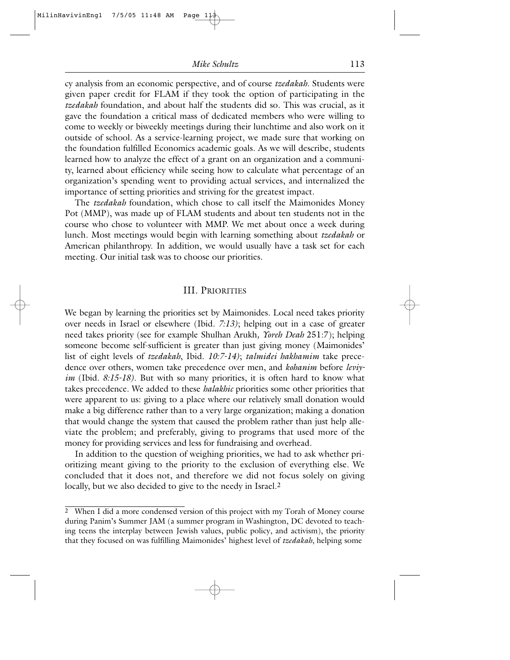*Mike Schultz* 113

cy analysis from an economic perspective, and of course *tzedakah*. Students were given paper credit for FLAM if they took the option of participating in the *tzedakah* foundation, and about half the students did so. This was crucial, as it gave the foundation a critical mass of dedicated members who were willing to come to weekly or biweekly meetings during their lunchtime and also work on it outside of school. As a service-learning project, we made sure that working on the foundation fulfilled Economics academic goals. As we will describe, students learned how to analyze the effect of a grant on an organization and a community, learned about efficiency while seeing how to calculate what percentage of an organization's spending went to providing actual services, and internalized the importance of setting priorities and striving for the greatest impact.

The *tzedakah* foundation, which chose to call itself the Maimonides Money Pot (MMP), was made up of FLAM students and about ten students not in the course who chose to volunteer with MMP. We met about once a week during lunch. Most meetings would begin with learning something about *tzedakah* or American philanthropy. In addition, we would usually have a task set for each meeting. Our initial task was to choose our priorities.

#### III. PRIORITIES

We began by learning the priorities set by Maimonides. Local need takes priority over needs in Israel or elsewhere (Ibid*. 7:13)*; helping out in a case of greater need takes priority (see for example Shulhan Arukh*, Yoreh Deah* 251:7); helping someone become self-sufficient is greater than just giving money (Maimonides' list of eight levels of *tzedakah*, Ibid. *10:7-14)*; *talmidei hakhamim* take precedence over others, women take precedence over men, and *kohanim* before *leviyim* (Ibid*. 8:15-18)*. But with so many priorities, it is often hard to know what takes precedence. We added to these *halakhic* priorities some other priorities that were apparent to us: giving to a place where our relatively small donation would make a big difference rather than to a very large organization; making a donation that would change the system that caused the problem rather than just help alleviate the problem; and preferably, giving to programs that used more of the money for providing services and less for fundraising and overhead.

In addition to the question of weighing priorities, we had to ask whether prioritizing meant giving to the priority to the exclusion of everything else. We concluded that it does not, and therefore we did not focus solely on giving locally, but we also decided to give to the needy in Israel.<sup>2</sup>

<sup>2</sup> When I did a more condensed version of this project with my Torah of Money course during Panim's Summer JAM (a summer program in Washington, DC devoted to teaching teens the interplay between Jewish values, public policy, and activism), the priority that they focused on was fulfilling Maimonides' highest level of *tzedakah*, helping some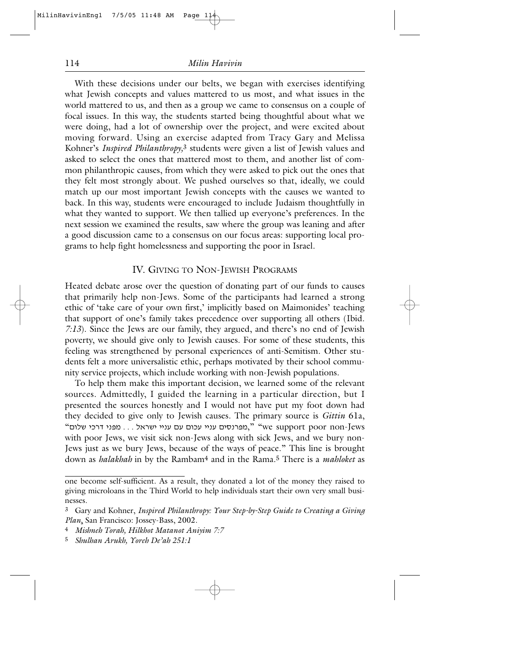With these decisions under our belts, we began with exercises identifying what Jewish concepts and values mattered to us most, and what issues in the world mattered to us, and then as a group we came to consensus on a couple of focal issues. In this way, the students started being thoughtful about what we were doing, had a lot of ownership over the project, and were excited about moving forward. Using an exercise adapted from Tracy Gary and Melissa Kohner's *Inspired Philanthropy,*3 students were given a list of Jewish values and asked to select the ones that mattered most to them, and another list of common philanthropic causes, from which they were asked to pick out the ones that they felt most strongly about. We pushed ourselves so that, ideally, we could match up our most important Jewish concepts with the causes we wanted to back. In this way, students were encouraged to include Judaism thoughtfully in what they wanted to support. We then tallied up everyone's preferences. In the next session we examined the results, saw where the group was leaning and after a good discussion came to a consensus on our focus areas: supporting local programs to help fight homelessness and supporting the poor in Israel.

#### IV. GIVING TO NON-JEWISH PROGRAMS

Heated debate arose over the question of donating part of our funds to causes that primarily help non-Jews. Some of the participants had learned a strong ethic of 'take care of your own first,' implicitly based on Maimonides' teaching that support of one's family takes precedence over supporting all others (Ibid. *7:13*). Since the Jews are our family, they argued, and there's no end of Jewish poverty, we should give only to Jewish causes. For some of these students, this feeling was strengthened by personal experiences of anti-Semitism. Other students felt a more universalistic ethic, perhaps motivated by their school community service projects, which include working with non-Jewish populations.

To help them make this important decision, we learned some of the relevant sources. Admittedly, I guided the learning in a particular direction, but I presented the sources honestly and I would not have put my foot down had they decided to give only to Jewish causes. The primary source is *Gittin* 61a, "מפרנסים עניי עכום עם עניי ישראל . . . מפני דרכי שלום, " "we support poor non-Jews" with poor Jews, we visit sick non-Jews along with sick Jews, and we bury non-Jews just as we bury Jews, because of the ways of peace." This line is brought down as *halakhah* in by the Rambam4 and in the Rama.5 There is a *mahloket* as

one become self-sufficient. As a result, they donated a lot of the money they raised to giving microloans in the Third World to help individuals start their own very small businesses.

<sup>3</sup> Gary and Kohner, *Inspired Philanthropy: Your Step-by-Step Guide to Creating a Giving Plan*, San Francisco: Jossey-Bass, 2002.

<sup>4</sup> *Mishneh Torah, Hilkhot Matanot Aniyim 7:7*

<sup>5</sup> *Shulhan Arukh, Yoreh De'ah 251:1*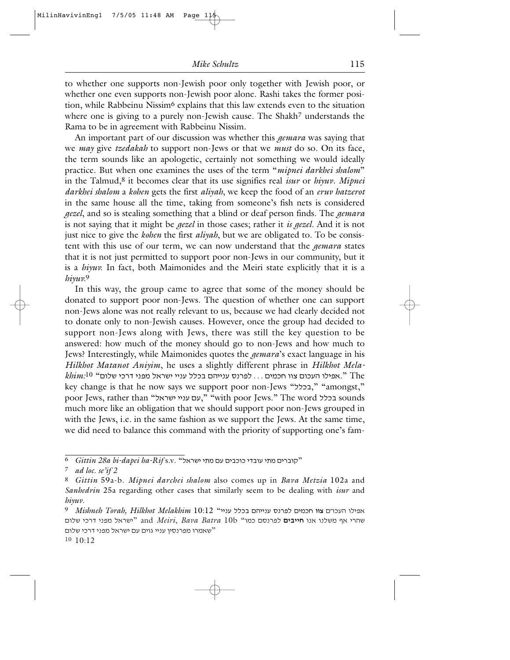*Mike Schultz* 115

to whether one supports non-Jewish poor only together with Jewish poor, or whether one even supports non-Jewish poor alone. Rashi takes the former position, while Rabbeinu Nissim<sup>6</sup> explains that this law extends even to the situation where one is giving to a purely non-Jewish cause. The Shakh<sup>7</sup> understands the Rama to be in agreement with Rabbeinu Nissim.

An important part of our discussion was whether this *gemara* was saying that we *may* give *tzedakah* to support non-Jews or that we *must* do so. On its face, the term sounds like an apologetic, certainly not something we would ideally practice. But when one examines the uses of the term "*mipnei darkhei shalom*" in the Talmud,8 it becomes clear that its use signifies real *isur* or *hiyuv*. *Mipnei darkhei shalom* a *kohen* gets the first *aliyah*, we keep the food of an *eruv hatzerot* in the same house all the time, taking from someone's fish nets is considered *gezel*, and so is stealing something that a blind or deaf person finds. The *gemara* is not saying that it might be *gezel* in those cases; rather it *is gezel*. And it is not just nice to give the *kohen* the first *aliyah*, but we are obligated to. To be consistent with this use of our term, we can now understand that the *gemara* states that it is not just permitted to support poor non-Jews in our community, but it is a *hiyuv.* In fact, both Maimonides and the Meiri state explicitly that it is a *hiyuv.*9

In this way, the group came to agree that some of the money should be donated to support poor non-Jews. The question of whether one can support non-Jews alone was not really relevant to us, because we had clearly decided not to donate only to non-Jewish causes. However, once the group had decided to support non-Jews along with Jews, there was still the key question to be answered: how much of the money should go to non-Jews and how much to Jews? Interestingly, while Maimonides quotes the *gemara*'s exact language in his *Hilkhot Matanot Aniyim*, he uses a slightly different phrase in *Hilkhot Mela-* $\it khim$ :10 "אפילו העכום צוו חכמים . . . לפרנס ענייהם בכלל עניי ישראל מפני דרכי שלום. key change is that he now says we support poor non-Jews "בכלל," "amongst," poor Jews, rather than "עם עניי ישראל," "with poor Jews." The word הכלל, much more like an obligation that we should support poor non-Jews grouped in with the Jews, i.e. in the same fashion as we support the Jews. At the same time, we did need to balance this command with the priority of supporting one's fam-

<sup>6</sup> *Gittin 28a bi-dapei ha-Rif* s.v. "קוברים מתי עובדי כוכבים עם מתי ישראל

<sup>7</sup> *ad loc. se'if 2*

<sup>8</sup> *Gittin* 59a-b. *Mipnei darchei shalom* also comes up in *Bava Metzia* 102a and *Sanhedrin* 25a regarding other cases that similarly seem to be dealing with *isur* and *hiyuv.*

<sup>9</sup> *Mishneh Torah, Hilkhot Melakhim*  $10:12$  "אפילו העכו"ם צוו חכמים לפרנס ענייהם בכלל עניי שהרי אף משלנו אנו חייבים לפרנסם כמו<sup>6</sup> and *Meiri*, *Bava Batra* 10b "שהרי אף משלנו אנו חייבים שאמרו מפרנסין עניי גוים עם ישראל מפני דרכי שלום" 10 10:12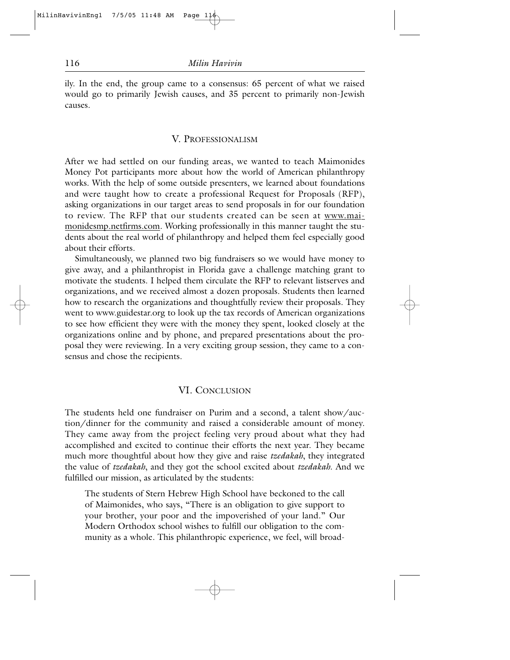ily. In the end, the group came to a consensus: 65 percent of what we raised would go to primarily Jewish causes, and 35 percent to primarily non-Jewish causes.

#### V. PROFESSIONALISM

After we had settled on our funding areas, we wanted to teach Maimonides Money Pot participants more about how the world of American philanthropy works. With the help of some outside presenters, we learned about foundations and were taught how to create a professional Request for Proposals (RFP), asking organizations in our target areas to send proposals in for our foundation to review. The RFP that our students created can be seen at www.maimonidesmp.netfirms.com. Working professionally in this manner taught the students about the real world of philanthropy and helped them feel especially good about their efforts.

Simultaneously, we planned two big fundraisers so we would have money to give away, and a philanthropist in Florida gave a challenge matching grant to motivate the students. I helped them circulate the RFP to relevant listserves and organizations, and we received almost a dozen proposals. Students then learned how to research the organizations and thoughtfully review their proposals. They went to www.guidestar.org to look up the tax records of American organizations to see how efficient they were with the money they spent, looked closely at the organizations online and by phone, and prepared presentations about the proposal they were reviewing. In a very exciting group session, they came to a consensus and chose the recipients.

#### VI. CONCLUSION

The students held one fundraiser on Purim and a second, a talent show/auction/dinner for the community and raised a considerable amount of money. They came away from the project feeling very proud about what they had accomplished and excited to continue their efforts the next year. They became much more thoughtful about how they give and raise *tzedakah*, they integrated the value of *tzedakah*, and they got the school excited about *tzedakah*. And we fulfilled our mission, as articulated by the students:

The students of Stern Hebrew High School have beckoned to the call of Maimonides, who says, "There is an obligation to give support to your brother, your poor and the impoverished of your land." Our Modern Orthodox school wishes to fulfill our obligation to the community as a whole. This philanthropic experience, we feel, will broad-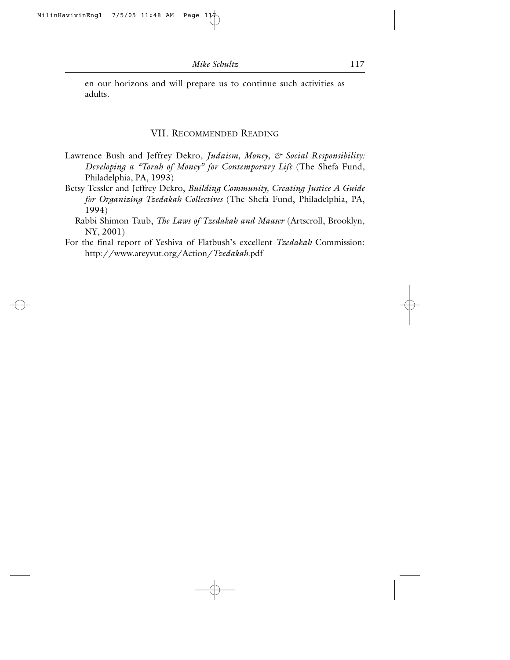adults.

*Mike Schultz* 117

#### VII. RECOMMENDED READING

- Lawrence Bush and Jeffrey Dekro, *Judaism, Money, & Social Responsibility: Developing a "Torah of Money" for Contemporary Life* (The Shefa Fund, Philadelphia, PA, 1993)
- Betsy Tessler and Jeffrey Dekro, *Building Community, Creating Justice A Guide for Organizing Tzedakah Collectives* (The Shefa Fund, Philadelphia, PA, 1994)
	- Rabbi Shimon Taub, *The Laws of Tzedakah and Maaser* (Artscroll, Brooklyn, NY, 2001)
- For the final report of Yeshiva of Flatbush's excellent *Tzedakah* Commission: http://www.areyvut.org/Action/*Tzedakah*.pdf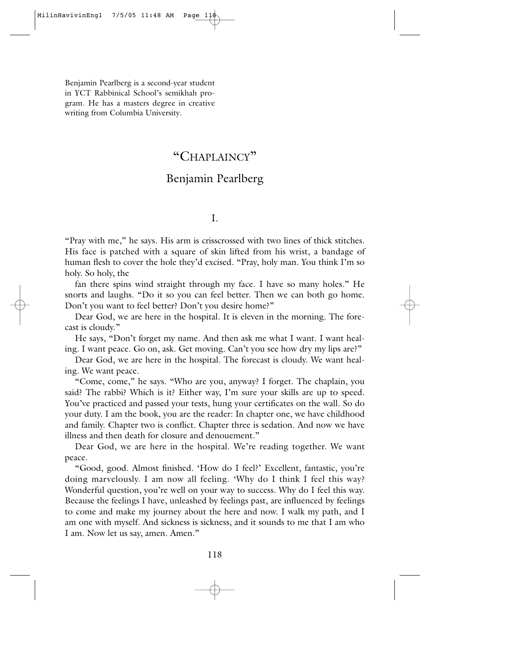Benjamin Pearlberg is a second-year student in YCT Rabbinical School's semikhah program. He has a masters degree in creative writing from Columbia University.

# "CHAPLAINCY"

### Benjamin Pearlberg

#### I.

"Pray with me," he says. His arm is crisscrossed with two lines of thick stitches. His face is patched with a square of skin lifted from his wrist, a bandage of human flesh to cover the hole they'd excised. "Pray, holy man. You think I'm so holy. So holy, the

fan there spins wind straight through my face. I have so many holes." He snorts and laughs. "Do it so you can feel better. Then we can both go home. Don't you want to feel better? Don't you desire home?"

Dear God, we are here in the hospital. It is eleven in the morning. The forecast is cloudy."

He says, "Don't forget my name. And then ask me what I want. I want healing. I want peace. Go on, ask. Get moving. Can't you see how dry my lips are?"

Dear God, we are here in the hospital. The forecast is cloudy. We want healing. We want peace.

"Come, come," he says. "Who are you, anyway? I forget. The chaplain, you said? The rabbi? Which is it? Either way, I'm sure your skills are up to speed. You've practiced and passed your tests, hung your certificates on the wall. So do your duty. I am the book, you are the reader: In chapter one, we have childhood and family. Chapter two is conflict. Chapter three is sedation. And now we have illness and then death for closure and denouement."

Dear God, we are here in the hospital. We're reading together. We want peace.

"Good, good. Almost finished. 'How do I feel?' Excellent, fantastic, you're doing marvelously. I am now all feeling. 'Why do I think I feel this way? Wonderful question, you're well on your way to success. Why do I feel this way. Because the feelings I have, unleashed by feelings past, are influenced by feelings to come and make my journey about the here and now. I walk my path, and I am one with myself. And sickness is sickness, and it sounds to me that I am who I am. Now let us say, amen. Amen."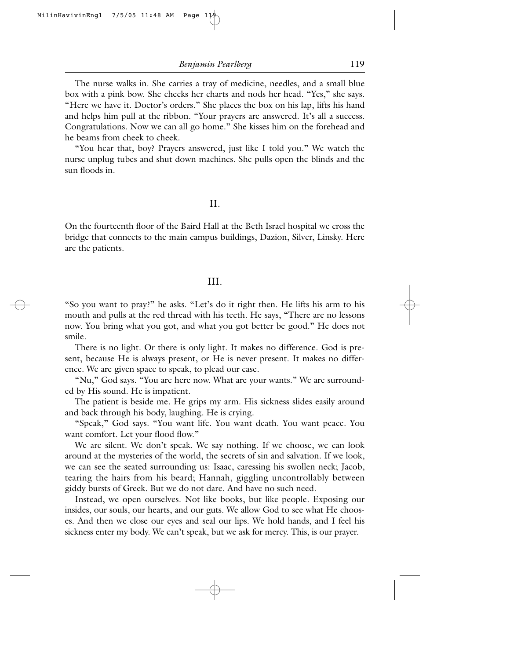*Benjamin Pearlberg* 119

The nurse walks in. She carries a tray of medicine, needles, and a small blue box with a pink bow. She checks her charts and nods her head. "Yes," she says. "Here we have it. Doctor's orders." She places the box on his lap, lifts his hand and helps him pull at the ribbon. "Your prayers are answered. It's all a success. Congratulations. Now we can all go home." She kisses him on the forehead and he beams from cheek to cheek.

"You hear that, boy? Prayers answered, just like I told you." We watch the nurse unplug tubes and shut down machines. She pulls open the blinds and the sun floods in.

#### II.

On the fourteenth floor of the Baird Hall at the Beth Israel hospital we cross the bridge that connects to the main campus buildings, Dazion, Silver, Linsky. Here are the patients.

#### III.

"So you want to pray?" he asks. "Let's do it right then. He lifts his arm to his mouth and pulls at the red thread with his teeth. He says, "There are no lessons now. You bring what you got, and what you got better be good." He does not smile.

There is no light. Or there is only light. It makes no difference. God is present, because He is always present, or He is never present. It makes no difference. We are given space to speak, to plead our case.

"Nu," God says. "You are here now. What are your wants." We are surrounded by His sound. He is impatient.

The patient is beside me. He grips my arm. His sickness slides easily around and back through his body, laughing. He is crying.

"Speak," God says. "You want life. You want death. You want peace. You want comfort. Let your flood flow."

We are silent. We don't speak. We say nothing. If we choose, we can look around at the mysteries of the world, the secrets of sin and salvation. If we look, we can see the seated surrounding us: Isaac, caressing his swollen neck; Jacob, tearing the hairs from his beard; Hannah, giggling uncontrollably between giddy bursts of Greek. But we do not dare. And have no such need.

Instead, we open ourselves. Not like books, but like people. Exposing our insides, our souls, our hearts, and our guts. We allow God to see what He chooses. And then we close our eyes and seal our lips. We hold hands, and I feel his sickness enter my body. We can't speak, but we ask for mercy. This, is our prayer.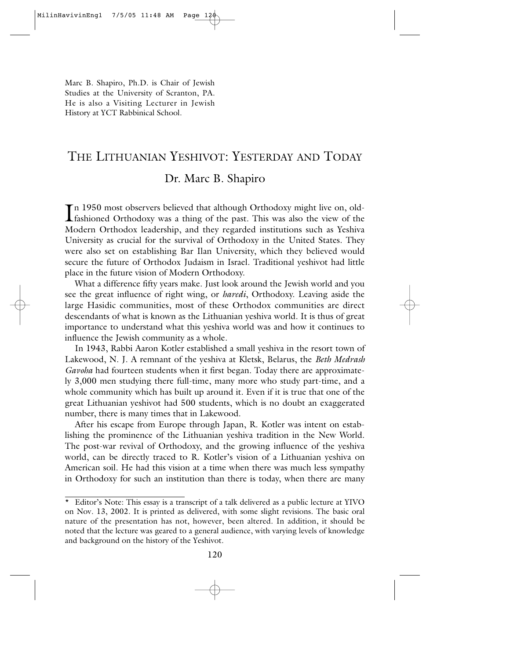Marc B. Shapiro, Ph.D. is Chair of Jewish Studies at the University of Scranton, PA. He is also a Visiting Lecturer in Jewish History at YCT Rabbinical School.

# THE LITHUANIAN YESHIVOT: YESTERDAY AND TODAY

## Dr. Marc B. Shapiro

In 1950 most observers believed that although Orthodoxy might live on, old-<br>fashioned Orthodoxy was a thing of the past. This was also the view of the n 1950 most observers believed that although Orthodoxy might live on, old-Modern Orthodox leadership, and they regarded institutions such as Yeshiva University as crucial for the survival of Orthodoxy in the United States. They were also set on establishing Bar Ilan University, which they believed would secure the future of Orthodox Judaism in Israel. Traditional yeshivot had little place in the future vision of Modern Orthodoxy.

What a difference fifty years make. Just look around the Jewish world and you see the great influence of right wing, or *haredi*, Orthodoxy. Leaving aside the large Hasidic communities, most of these Orthodox communities are direct descendants of what is known as the Lithuanian yeshiva world. It is thus of great importance to understand what this yeshiva world was and how it continues to influence the Jewish community as a whole.

In 1943, Rabbi Aaron Kotler established a small yeshiva in the resort town of Lakewood, N. J. A remnant of the yeshiva at Kletsk, Belarus, the *Beth Medrash Gavoha* had fourteen students when it first began. Today there are approximately 3,000 men studying there full-time, many more who study part-time, and a whole community which has built up around it. Even if it is true that one of the great Lithuanian yeshivot had 500 students, which is no doubt an exaggerated number, there is many times that in Lakewood.

After his escape from Europe through Japan, R. Kotler was intent on establishing the prominence of the Lithuanian yeshiva tradition in the New World. The post-war revival of Orthodoxy, and the growing influence of the yeshiva world, can be directly traced to R. Kotler's vision of a Lithuanian yeshiva on American soil. He had this vision at a time when there was much less sympathy in Orthodoxy for such an institution than there is today, when there are many

<sup>\*</sup> Editor's Note: This essay is a transcript of a talk delivered as a public lecture at YIVO on Nov. 13, 2002. It is printed as delivered, with some slight revisions. The basic oral nature of the presentation has not, however, been altered. In addition, it should be noted that the lecture was geared to a general audience, with varying levels of knowledge and background on the history of the Yeshivot.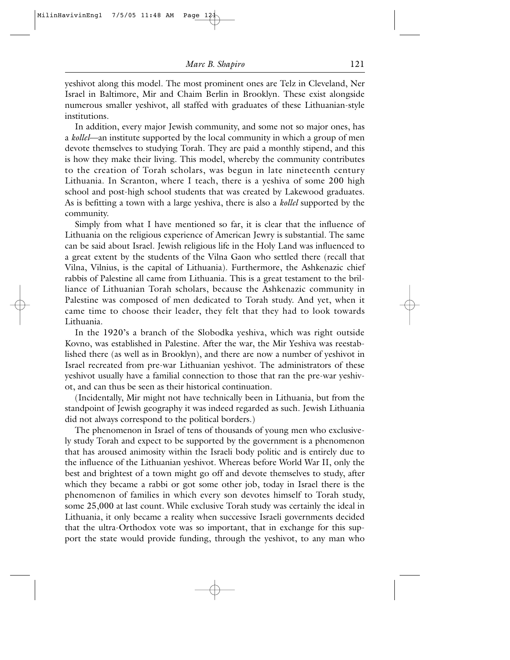MilinHavivinEng1 7/5/05 11:48 AM Page

yeshivot along this model. The most prominent ones are Telz in Cleveland, Ner Israel in Baltimore, Mir and Chaim Berlin in Brooklyn. These exist alongside numerous smaller yeshivot, all staffed with graduates of these Lithuanian-style institutions.

In addition, every major Jewish community, and some not so major ones, has a *kollel*—an institute supported by the local community in which a group of men devote themselves to studying Torah. They are paid a monthly stipend, and this is how they make their living. This model, whereby the community contributes to the creation of Torah scholars, was begun in late nineteenth century Lithuania. In Scranton, where I teach, there is a yeshiva of some 200 high school and post-high school students that was created by Lakewood graduates. As is befitting a town with a large yeshiva, there is also a *kollel* supported by the community.

Simply from what I have mentioned so far, it is clear that the influence of Lithuania on the religious experience of American Jewry is substantial. The same can be said about Israel. Jewish religious life in the Holy Land was influenced to a great extent by the students of the Vilna Gaon who settled there (recall that Vilna, Vilnius, is the capital of Lithuania). Furthermore, the Ashkenazic chief rabbis of Palestine all came from Lithuania. This is a great testament to the brilliance of Lithuanian Torah scholars, because the Ashkenazic community in Palestine was composed of men dedicated to Torah study. And yet, when it came time to choose their leader, they felt that they had to look towards Lithuania.

In the 1920's a branch of the Slobodka yeshiva, which was right outside Kovno, was established in Palestine. After the war, the Mir Yeshiva was reestablished there (as well as in Brooklyn), and there are now a number of yeshivot in Israel recreated from pre-war Lithuanian yeshivot. The administrators of these yeshivot usually have a familial connection to those that ran the pre-war yeshivot, and can thus be seen as their historical continuation.

(Incidentally, Mir might not have technically been in Lithuania, but from the standpoint of Jewish geography it was indeed regarded as such. Jewish Lithuania did not always correspond to the political borders.)

The phenomenon in Israel of tens of thousands of young men who exclusively study Torah and expect to be supported by the government is a phenomenon that has aroused animosity within the Israeli body politic and is entirely due to the influence of the Lithuanian yeshivot. Whereas before World War II, only the best and brightest of a town might go off and devote themselves to study, after which they became a rabbi or got some other job, today in Israel there is the phenomenon of families in which every son devotes himself to Torah study, some 25,000 at last count. While exclusive Torah study was certainly the ideal in Lithuania, it only became a reality when successive Israeli governments decided that the ultra-Orthodox vote was so important, that in exchange for this support the state would provide funding, through the yeshivot, to any man who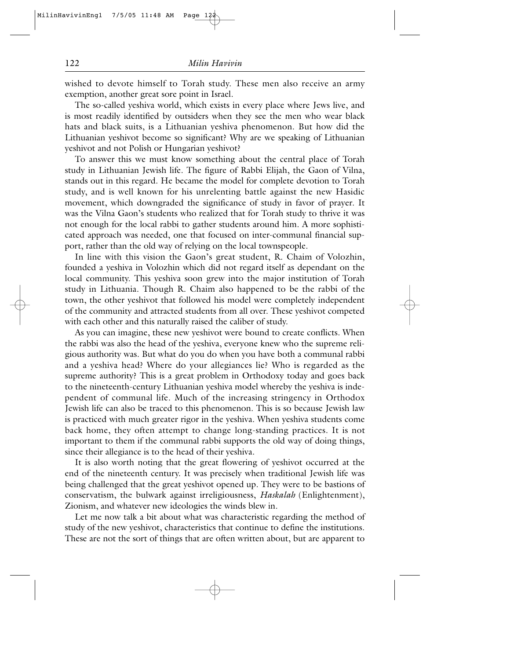wished to devote himself to Torah study. These men also receive an army exemption, another great sore point in Israel.

The so-called yeshiva world, which exists in every place where Jews live, and is most readily identified by outsiders when they see the men who wear black hats and black suits, is a Lithuanian yeshiva phenomenon. But how did the Lithuanian yeshivot become so significant? Why are we speaking of Lithuanian yeshivot and not Polish or Hungarian yeshivot?

To answer this we must know something about the central place of Torah study in Lithuanian Jewish life. The figure of Rabbi Elijah, the Gaon of Vilna, stands out in this regard. He became the model for complete devotion to Torah study, and is well known for his unrelenting battle against the new Hasidic movement, which downgraded the significance of study in favor of prayer. It was the Vilna Gaon's students who realized that for Torah study to thrive it was not enough for the local rabbi to gather students around him. A more sophisticated approach was needed, one that focused on inter-communal financial support, rather than the old way of relying on the local townspeople.

In line with this vision the Gaon's great student, R. Chaim of Volozhin, founded a yeshiva in Volozhin which did not regard itself as dependant on the local community. This yeshiva soon grew into the major institution of Torah study in Lithuania. Though R. Chaim also happened to be the rabbi of the town, the other yeshivot that followed his model were completely independent of the community and attracted students from all over. These yeshivot competed with each other and this naturally raised the caliber of study.

As you can imagine, these new yeshivot were bound to create conflicts. When the rabbi was also the head of the yeshiva, everyone knew who the supreme religious authority was. But what do you do when you have both a communal rabbi and a yeshiva head? Where do your allegiances lie? Who is regarded as the supreme authority? This is a great problem in Orthodoxy today and goes back to the nineteenth-century Lithuanian yeshiva model whereby the yeshiva is independent of communal life. Much of the increasing stringency in Orthodox Jewish life can also be traced to this phenomenon. This is so because Jewish law is practiced with much greater rigor in the yeshiva. When yeshiva students come back home, they often attempt to change long-standing practices. It is not important to them if the communal rabbi supports the old way of doing things, since their allegiance is to the head of their yeshiva.

It is also worth noting that the great flowering of yeshivot occurred at the end of the nineteenth century. It was precisely when traditional Jewish life was being challenged that the great yeshivot opened up. They were to be bastions of conservatism, the bulwark against irreligiousness, *Haskalah* (Enlightenment), Zionism, and whatever new ideologies the winds blew in.

Let me now talk a bit about what was characteristic regarding the method of study of the new yeshivot, characteristics that continue to define the institutions. These are not the sort of things that are often written about, but are apparent to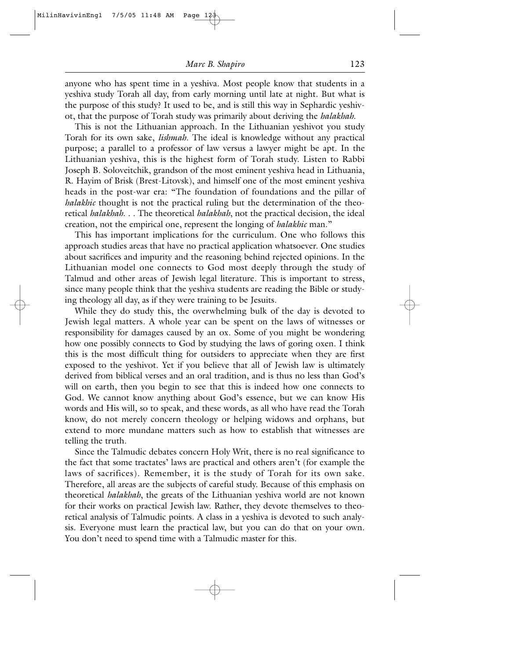anyone who has spent time in a yeshiva. Most people know that students in a yeshiva study Torah all day, from early morning until late at night. But what is the purpose of this study? It used to be, and is still this way in Sephardic yeshivot, that the purpose of Torah study was primarily about deriving the *halakhah*.

This is not the Lithuanian approach. In the Lithuanian yeshivot you study Torah for its own sake, *lishmah*. The ideal is knowledge without any practical purpose; a parallel to a professor of law versus a lawyer might be apt. In the Lithuanian yeshiva, this is the highest form of Torah study. Listen to Rabbi Joseph B. Soloveitchik, grandson of the most eminent yeshiva head in Lithuania, R. Hayim of Brisk (Brest-Litovsk), and himself one of the most eminent yeshiva heads in the post-war era: "The foundation of foundations and the pillar of *halakhic* thought is not the practical ruling but the determination of the theoretical *halakhah*. . . The theoretical *halakhah*, not the practical decision, the ideal creation, not the empirical one, represent the longing of *halakhic* man."

This has important implications for the curriculum. One who follows this approach studies areas that have no practical application whatsoever. One studies about sacrifices and impurity and the reasoning behind rejected opinions. In the Lithuanian model one connects to God most deeply through the study of Talmud and other areas of Jewish legal literature. This is important to stress, since many people think that the yeshiva students are reading the Bible or studying theology all day, as if they were training to be Jesuits.

While they do study this, the overwhelming bulk of the day is devoted to Jewish legal matters. A whole year can be spent on the laws of witnesses or responsibility for damages caused by an ox. Some of you might be wondering how one possibly connects to God by studying the laws of goring oxen. I think this is the most difficult thing for outsiders to appreciate when they are first exposed to the yeshivot. Yet if you believe that all of Jewish law is ultimately derived from biblical verses and an oral tradition, and is thus no less than God's will on earth, then you begin to see that this is indeed how one connects to God. We cannot know anything about God's essence, but we can know His words and His will, so to speak, and these words, as all who have read the Torah know, do not merely concern theology or helping widows and orphans, but extend to more mundane matters such as how to establish that witnesses are telling the truth.

Since the Talmudic debates concern Holy Writ, there is no real significance to the fact that some tractates' laws are practical and others aren't (for example the laws of sacrifices). Remember, it is the study of Torah for its own sake. Therefore, all areas are the subjects of careful study. Because of this emphasis on theoretical *halakhah*, the greats of the Lithuanian yeshiva world are not known for their works on practical Jewish law. Rather, they devote themselves to theoretical analysis of Talmudic points. A class in a yeshiva is devoted to such analysis. Everyone must learn the practical law, but you can do that on your own. You don't need to spend time with a Talmudic master for this.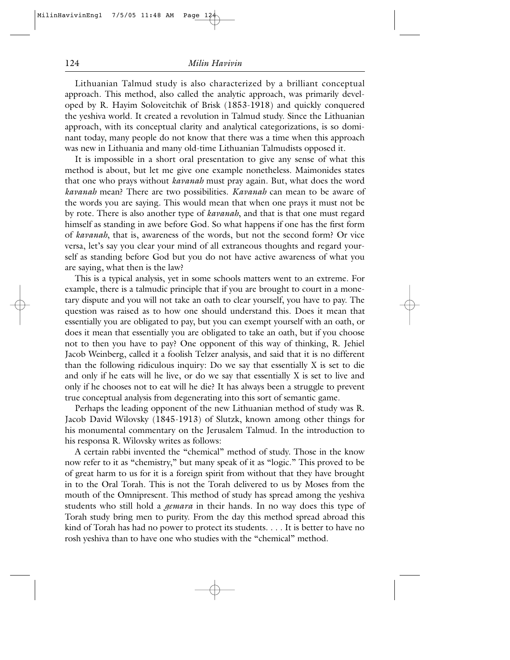Lithuanian Talmud study is also characterized by a brilliant conceptual approach. This method, also called the analytic approach, was primarily developed by R. Hayim Soloveitchik of Brisk (1853-1918) and quickly conquered the yeshiva world. It created a revolution in Talmud study. Since the Lithuanian approach, with its conceptual clarity and analytical categorizations, is so dominant today, many people do not know that there was a time when this approach was new in Lithuania and many old-time Lithuanian Talmudists opposed it.

It is impossible in a short oral presentation to give any sense of what this method is about, but let me give one example nonetheless. Maimonides states that one who prays without *kavanah* must pray again. But, what does the word *kavanah* mean? There are two possibilities. *Kavanah* can mean to be aware of the words you are saying. This would mean that when one prays it must not be by rote. There is also another type of *kavanah*, and that is that one must regard himself as standing in awe before God. So what happens if one has the first form of *kavanah*, that is, awareness of the words, but not the second form? Or vice versa, let's say you clear your mind of all extraneous thoughts and regard yourself as standing before God but you do not have active awareness of what you are saying, what then is the law?

This is a typical analysis, yet in some schools matters went to an extreme. For example, there is a talmudic principle that if you are brought to court in a monetary dispute and you will not take an oath to clear yourself, you have to pay. The question was raised as to how one should understand this. Does it mean that essentially you are obligated to pay, but you can exempt yourself with an oath, or does it mean that essentially you are obligated to take an oath, but if you choose not to then you have to pay? One opponent of this way of thinking, R. Jehiel Jacob Weinberg, called it a foolish Telzer analysis, and said that it is no different than the following ridiculous inquiry: Do we say that essentially X is set to die and only if he eats will he live, or do we say that essentially X is set to live and only if he chooses not to eat will he die? It has always been a struggle to prevent true conceptual analysis from degenerating into this sort of semantic game.

Perhaps the leading opponent of the new Lithuanian method of study was R. Jacob David Wilovsky (1845-1913) of Slutzk, known among other things for his monumental commentary on the Jerusalem Talmud. In the introduction to his responsa R. Wilovsky writes as follows:

A certain rabbi invented the "chemical" method of study. Those in the know now refer to it as "chemistry," but many speak of it as "logic." This proved to be of great harm to us for it is a foreign spirit from without that they have brought in to the Oral Torah. This is not the Torah delivered to us by Moses from the mouth of the Omnipresent. This method of study has spread among the yeshiva students who still hold a *gemara* in their hands. In no way does this type of Torah study bring men to purity. From the day this method spread abroad this kind of Torah has had no power to protect its students. . . . It is better to have no rosh yeshiva than to have one who studies with the "chemical" method.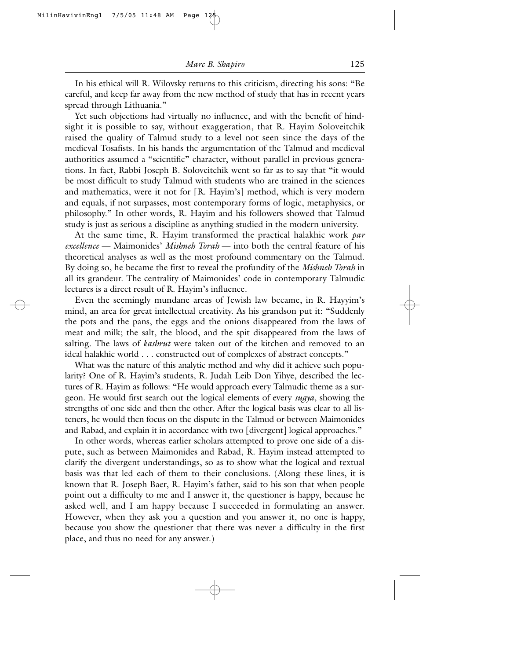*Marc B. Shapiro* 125

In his ethical will R. Wilovsky returns to this criticism, directing his sons: "Be careful, and keep far away from the new method of study that has in recent years spread through Lithuania."

Yet such objections had virtually no influence, and with the benefit of hindsight it is possible to say, without exaggeration, that R. Hayim Soloveitchik raised the quality of Talmud study to a level not seen since the days of the medieval Tosafists. In his hands the argumentation of the Talmud and medieval authorities assumed a "scientific" character, without parallel in previous generations. In fact, Rabbi Joseph B. Soloveitchik went so far as to say that "it would be most difficult to study Talmud with students who are trained in the sciences and mathematics, were it not for [R. Hayim's] method, which is very modern and equals, if not surpasses, most contemporary forms of logic, metaphysics, or philosophy." In other words, R. Hayim and his followers showed that Talmud study is just as serious a discipline as anything studied in the modern university.

At the same time, R. Hayim transformed the practical halakhic work *par excellence* — Maimonides' *Mishneh Torah* — into both the central feature of his theoretical analyses as well as the most profound commentary on the Talmud. By doing so, he became the first to reveal the profundity of the *Mishneh Torah* in all its grandeur. The centrality of Maimonides' code in contemporary Talmudic lectures is a direct result of R. Hayim's influence.

Even the seemingly mundane areas of Jewish law became, in R. Hayyim's mind, an area for great intellectual creativity. As his grandson put it: "Suddenly the pots and the pans, the eggs and the onions disappeared from the laws of meat and milk; the salt, the blood, and the spit disappeared from the laws of salting. The laws of *kashrut* were taken out of the kitchen and removed to an ideal halakhic world . . . constructed out of complexes of abstract concepts."

What was the nature of this analytic method and why did it achieve such popularity? One of R. Hayim's students, R. Judah Leib Don Yihye, described the lectures of R. Hayim as follows: "He would approach every Talmudic theme as a surgeon. He would first search out the logical elements of every *sugya*, showing the strengths of one side and then the other. After the logical basis was clear to all listeners, he would then focus on the dispute in the Talmud or between Maimonides and Rabad, and explain it in accordance with two [divergent] logical approaches."

In other words, whereas earlier scholars attempted to prove one side of a dispute, such as between Maimonides and Rabad, R. Hayim instead attempted to clarify the divergent understandings, so as to show what the logical and textual basis was that led each of them to their conclusions. (Along these lines, it is known that R. Joseph Baer, R. Hayim's father, said to his son that when people point out a difficulty to me and I answer it, the questioner is happy, because he asked well, and I am happy because I succeeded in formulating an answer. However, when they ask you a question and you answer it, no one is happy, because you show the questioner that there was never a difficulty in the first place, and thus no need for any answer.)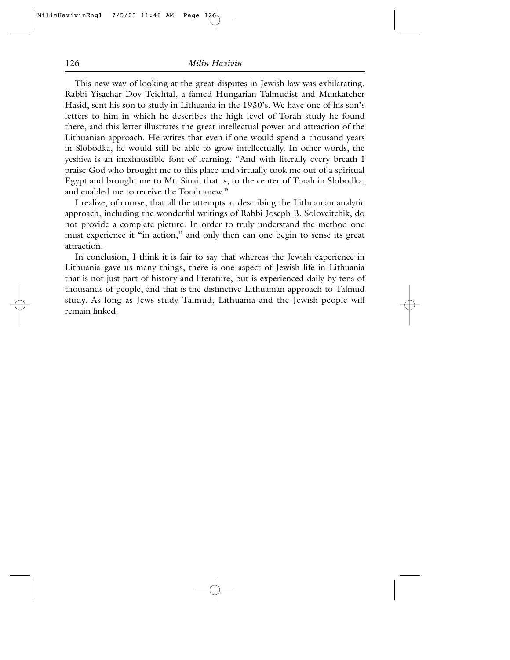This new way of looking at the great disputes in Jewish law was exhilarating. Rabbi Yisachar Dov Teichtal, a famed Hungarian Talmudist and Munkatcher Hasid, sent his son to study in Lithuania in the 1930's. We have one of his son's letters to him in which he describes the high level of Torah study he found there, and this letter illustrates the great intellectual power and attraction of the Lithuanian approach. He writes that even if one would spend a thousand years in Slobodka, he would still be able to grow intellectually. In other words, the yeshiva is an inexhaustible font of learning. "And with literally every breath I praise God who brought me to this place and virtually took me out of a spiritual Egypt and brought me to Mt. Sinai, that is, to the center of Torah in Slobodka, and enabled me to receive the Torah anew."

I realize, of course, that all the attempts at describing the Lithuanian analytic approach, including the wonderful writings of Rabbi Joseph B. Soloveitchik, do not provide a complete picture. In order to truly understand the method one must experience it "in action," and only then can one begin to sense its great attraction.

In conclusion, I think it is fair to say that whereas the Jewish experience in Lithuania gave us many things, there is one aspect of Jewish life in Lithuania that is not just part of history and literature, but is experienced daily by tens of thousands of people, and that is the distinctive Lithuanian approach to Talmud study. As long as Jews study Talmud, Lithuania and the Jewish people will remain linked.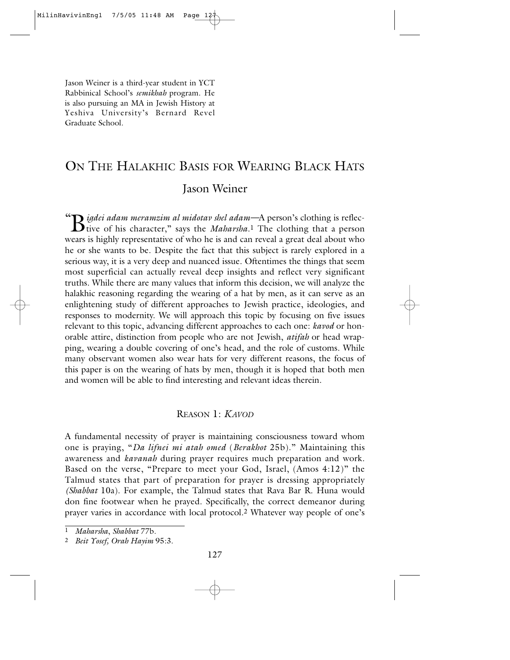Jason Weiner is a third-year student in YCT Rabbinical School's *semikhah* program. He is also pursuing an MA in Jewish History at Yeshiva University's Bernard Revel Graduate School.

# ON THE HALAKHIC BASIS FOR WEARING BLACK HATS

# Jason Weiner

 $\overline{\mathcal{C}}$ B*igdei adam meramzim al midotav shel adam—*A person's clothing is reflec-tive of his character," says the *Maharsha*.1 The clothing that a person wears is highly representative of who he is and can reveal a great deal about who he or she wants to be. Despite the fact that this subject is rarely explored in a serious way, it is a very deep and nuanced issue. Oftentimes the things that seem most superficial can actually reveal deep insights and reflect very significant truths. While there are many values that inform this decision, we will analyze the halakhic reasoning regarding the wearing of a hat by men, as it can serve as an enlightening study of different approaches to Jewish practice, ideologies, and responses to modernity. We will approach this topic by focusing on five issues relevant to this topic, advancing different approaches to each one: *kavod* or honorable attire, distinction from people who are not Jewish, *atifah* or head wrapping, wearing a double covering of one's head, and the role of customs. While many observant women also wear hats for very different reasons, the focus of this paper is on the wearing of hats by men, though it is hoped that both men and women will be able to find interesting and relevant ideas therein.

### REASON 1: *KAVOD*

A fundamental necessity of prayer is maintaining consciousness toward whom one is praying, "*Da lifnei mi atah omed* (*Berakhot* 25b)." Maintaining this awareness and *kavanah* during prayer requires much preparation and work. Based on the verse, "Prepare to meet your God, Israel, (Amos 4:12)" the Talmud states that part of preparation for prayer is dressing appropriately *(Shabbat* 10a). For example, the Talmud states that Rava Bar R. Huna would don fine footwear when he prayed. Specifically, the correct demeanor during prayer varies in accordance with local protocol.2 Whatever way people of one's

<sup>1</sup> *Maharsha*, *Shabbat* 77b.

<sup>2</sup> *Beit Yosef, Orah Hayim* 95:3.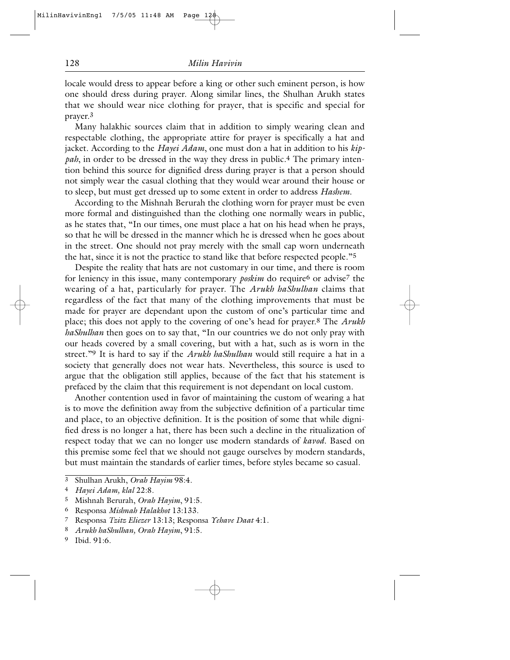locale would dress to appear before a king or other such eminent person, is how one should dress during prayer. Along similar lines, the Shulhan Arukh states that we should wear nice clothing for prayer, that is specific and special for prayer.3

Many halakhic sources claim that in addition to simply wearing clean and respectable clothing, the appropriate attire for prayer is specifically a hat and jacket. According to the *Hayei Adam*, one must don a hat in addition to his *kippah*, in order to be dressed in the way they dress in public.4 The primary intention behind this source for dignified dress during prayer is that a person should not simply wear the casual clothing that they would wear around their house or to sleep, but must get dressed up to some extent in order to address *Hashem*.

According to the Mishnah Berurah the clothing worn for prayer must be even more formal and distinguished than the clothing one normally wears in public, as he states that, "In our times, one must place a hat on his head when he prays, so that he will be dressed in the manner which he is dressed when he goes about in the street. One should not pray merely with the small cap worn underneath the hat, since it is not the practice to stand like that before respected people."5

Despite the reality that hats are not customary in our time, and there is room for leniency in this issue, many contemporary *poskim* do require6 or advise7 the wearing of a hat, particularly for prayer. The *Arukh haShulhan* claims that regardless of the fact that many of the clothing improvements that must be made for prayer are dependant upon the custom of one's particular time and place; this does not apply to the covering of one's head for prayer.8 The *Arukh haShulhan* then goes on to say that, "In our countries we do not only pray with our heads covered by a small covering, but with a hat, such as is worn in the street."9 It is hard to say if the *Arukh haShulhan* would still require a hat in a society that generally does not wear hats. Nevertheless, this source is used to argue that the obligation still applies, because of the fact that his statement is prefaced by the claim that this requirement is not dependant on local custom.

Another contention used in favor of maintaining the custom of wearing a hat is to move the definition away from the subjective definition of a particular time and place, to an objective definition. It is the position of some that while dignified dress is no longer a hat, there has been such a decline in the ritualization of respect today that we can no longer use modern standards of *kavod*. Based on this premise some feel that we should not gauge ourselves by modern standards, but must maintain the standards of earlier times, before styles became so casual.

<sup>3</sup> Shulhan Arukh, *Orah Hayim* 98:4.

<sup>4</sup> *Hayei Adam, klal* 22:8.

<sup>5</sup> Mishnah Berurah, *Orah Hayim*, 91:5.

<sup>6</sup> Responsa *Mishnah Halakhot* 13:133.

<sup>7</sup> Responsa *Tzitz Eliezer* 13:13; Responsa *Yehave Daat* 4:1.

<sup>8</sup> *Arukh haShulhan, Orah Hayim*, 91:5.

<sup>9</sup> Ibid. 91:6.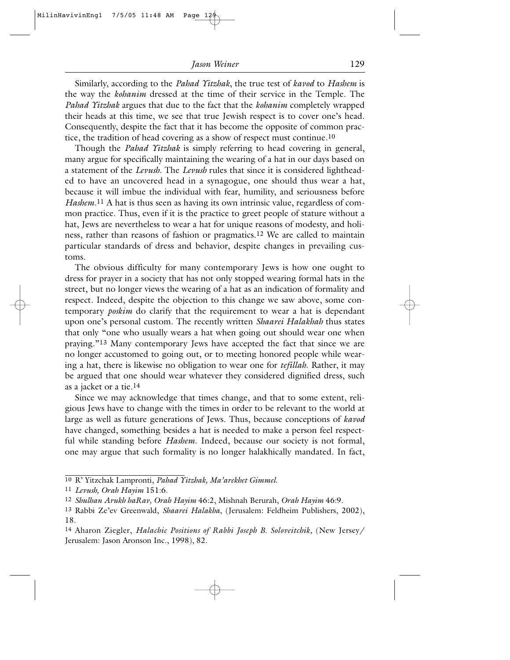*Jason Weiner* 129

Similarly, according to the *Pahad Yitzhak*, the true test of *kavod* to *Hashem* is the way the *kohanim* dressed at the time of their service in the Temple. The *Pahad Yitzhak* argues that due to the fact that the *kohanim* completely wrapped their heads at this time, we see that true Jewish respect is to cover one's head. Consequently, despite the fact that it has become the opposite of common practice, the tradition of head covering as a show of respect must continue.10

Though the *Pahad Yitzhak* is simply referring to head covering in general, many argue for specifically maintaining the wearing of a hat in our days based on a statement of the *Levush*. The *Levush* rules that since it is considered lightheaded to have an uncovered head in a synagogue, one should thus wear a hat, because it will imbue the individual with fear, humility, and seriousness before *Hashem*.11 A hat is thus seen as having its own intrinsic value, regardless of common practice. Thus, even if it is the practice to greet people of stature without a hat, Jews are nevertheless to wear a hat for unique reasons of modesty, and holiness, rather than reasons of fashion or pragmatics.12 We are called to maintain particular standards of dress and behavior, despite changes in prevailing customs.

The obvious difficulty for many contemporary Jews is how one ought to dress for prayer in a society that has not only stopped wearing formal hats in the street, but no longer views the wearing of a hat as an indication of formality and respect. Indeed, despite the objection to this change we saw above, some contemporary *poskim* do clarify that the requirement to wear a hat is dependant upon one's personal custom. The recently written *Shaarei Halakhah* thus states that only "one who usually wears a hat when going out should wear one when praying."13 Many contemporary Jews have accepted the fact that since we are no longer accustomed to going out, or to meeting honored people while wearing a hat, there is likewise no obligation to wear one for *tefillah*. Rather, it may be argued that one should wear whatever they considered dignified dress, such as a jacket or a tie.14

Since we may acknowledge that times change, and that to some extent, religious Jews have to change with the times in order to be relevant to the world at large as well as future generations of Jews. Thus, because conceptions of *kavod* have changed, something besides a hat is needed to make a person feel respectful while standing before *Hashem*. Indeed, because our society is not formal, one may argue that such formality is no longer halakhically mandated. In fact,

<sup>10</sup> R' Yitzchak Lampronti, *Pahad Yitzhak, Ma'arekhet Gimmel*.

<sup>11</sup> *Levush, Orah Hayim* 151:6.

<sup>12</sup> *Shulhan Arukh haRav, Orah Hayim* 46:2, Mishnah Berurah, *Orah Hayim* 46:9.

<sup>13</sup> Rabbi Ze'ev Greenwald, *Shaarei Halakha*, (Jerusalem: Feldheim Publishers, 2002), 18.

<sup>14</sup> Aharon Ziegler, *Halachic Positions of Rabbi Joseph B. Soloveitchik*, (New Jersey/ Jerusalem: Jason Aronson Inc., 1998), 82.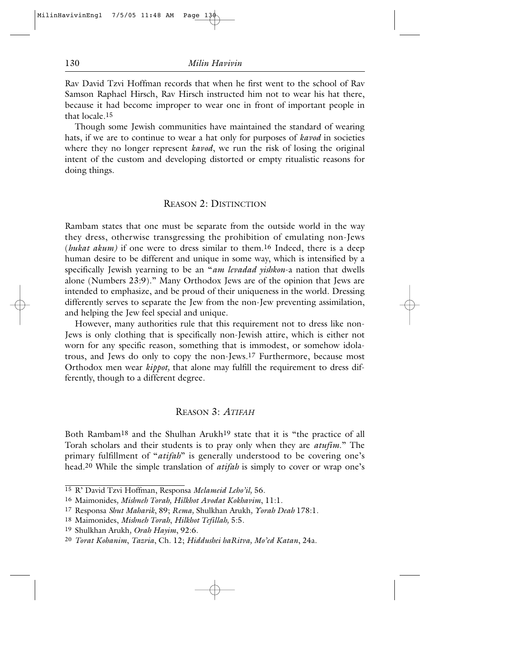Rav David Tzvi Hoffman records that when he first went to the school of Rav Samson Raphael Hirsch, Rav Hirsch instructed him not to wear his hat there, because it had become improper to wear one in front of important people in that locale.15

Though some Jewish communities have maintained the standard of wearing hats, if we are to continue to wear a hat only for purposes of *kavod* in societies where they no longer represent *kavod*, we run the risk of losing the original intent of the custom and developing distorted or empty ritualistic reasons for doing things.

#### REASON 2: DISTINCTION

Rambam states that one must be separate from the outside world in the way they dress, otherwise transgressing the prohibition of emulating non-Jews (*hukat akum)* if one were to dress similar to them.16 Indeed, there is a deep human desire to be different and unique in some way, which is intensified by a specifically Jewish yearning to be an "*am levadad yishkon*-a nation that dwells alone (Numbers 23:9)." Many Orthodox Jews are of the opinion that Jews are intended to emphasize, and be proud of their uniqueness in the world. Dressing differently serves to separate the Jew from the non-Jew preventing assimilation, and helping the Jew feel special and unique.

However, many authorities rule that this requirement not to dress like non-Jews is only clothing that is specifically non-Jewish attire, which is either not worn for any specific reason, something that is immodest, or somehow idolatrous, and Jews do only to copy the non-Jews.17 Furthermore, because most Orthodox men wear *kippot,* that alone may fulfill the requirement to dress differently, though to a different degree.

### REASON 3: *ATIFAH*

Both Rambam18 and the Shulhan Arukh19 state that it is "the practice of all Torah scholars and their students is to pray only when they are *atufim*." The primary fulfillment of "*atifah*" is generally understood to be covering one's head.20 While the simple translation of *atifah* is simply to cover or wrap one's

<sup>15</sup> R' David Tzvi Hoffman, Responsa *Melameid Leho'il,* 56.

<sup>16</sup> Maimonides*, Mishneh Torah, Hilkhot Avodat Kokhavim*, 11:1.

<sup>17</sup> Responsa *Shut Maharik*, 89; *Rema,* Shulkhan Arukh*, Yorah Deah* 178:1.

<sup>18</sup> Maimonides, *Mishneh Torah*, *Hilkhot Tefillah,* 5:5.

<sup>19</sup> Shulkhan Arukh*, Orah Hayim*, 92:6.

<sup>20</sup> *Torat Kohanim*, *Tazria*, Ch. 12; *Hiddushei haRitva, Mo'ed Katan*, 24a.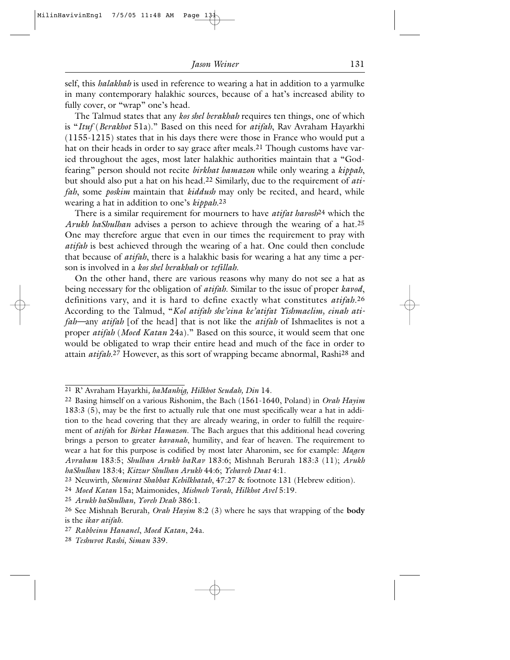*Jason Weiner* 131

self, this *halakhah* is used in reference to wearing a hat in addition to a yarmulke in many contemporary halakhic sources, because of a hat's increased ability to fully cover, or "wrap" one's head.

The Talmud states that any *kos shel berakhah* requires ten things, one of which is "*Ituf* (*Berakhot* 51a)." Based on this need for *atifah*, Rav Avraham Hayarkhi (1155-1215) states that in his days there were those in France who would put a hat on their heads in order to say grace after meals.<sup>21</sup> Though customs have varied throughout the ages, most later halakhic authorities maintain that a "Godfearing" person should not recite *birkhat hamazon* while only wearing a *kippah*, but should also put a hat on his head.22 Similarly, due to the requirement of *atifah*, some *poskim* maintain that *kiddush* may only be recited, and heard, while wearing a hat in addition to one's *kippah*.23

There is a similar requirement for mourners to have *atifat harosh*24 which the *Arukh haShulhan* advises a person to achieve through the wearing of a hat.25 One may therefore argue that even in our times the requirement to pray with *atifah* is best achieved through the wearing of a hat. One could then conclude that because of *atifah*, there is a halakhic basis for wearing a hat any time a person is involved in a *kos shel berakhah* or *tefillah*.

On the other hand, there are various reasons why many do not see a hat as being necessary for the obligation of *atifah*. Similar to the issue of proper *kavod*, definitions vary, and it is hard to define exactly what constitutes *atifah*.26 According to the Talmud, "*Kol atifah she'eina ke'atifat Yishmaelim, einah atifah—*any *atifah* [of the head] that is not like the *atifah* of Ishmaelites is not a proper *atifah* (*Moed Katan* 24a)." Based on this source, it would seem that one would be obligated to wrap their entire head and much of the face in order to attain *atifah*.27 However, as this sort of wrapping became abnormal, Rashi28 and

<sup>21</sup> R' Avraham Hayarkhi*, haManhig, Hilkhot Seudah, Din* 14.

<sup>22</sup> Basing himself on a various Rishonim, the Bach (1561-1640, Poland) in *Orah Hayim* 183:3 (5), may be the first to actually rule that one must specifically wear a hat in addition to the head covering that they are already wearing, in order to fulfill the requirement of *atifa*h for *Birkat Hamazon*. The Bach argues that this additional head covering brings a person to greater *kavanah*, humility, and fear of heaven. The requirement to wear a hat for this purpose is codified by most later Aharonim, see for example: *Magen Avraham* 183:5; *Shulhan Arukh haRav* 183:6; Mishnah Berurah 183:3 (11); *Arukh haShulhan* 183:4; *Kitzur Shulhan Arukh* 44:6; *Yehaveh Daat* 4:1.

<sup>23</sup> Neuwirth*, Shemirat Shabbat Kehilkhatah*, 47:27 & footnote 131 (Hebrew edition).

<sup>24</sup> *Moed Katan* 15a; Maimonides, *Mishneh Torah*, *Hilkhot Avel* 5:19.

<sup>25</sup> *Arukh haShulhan, Yoreh Deah* 386:1.

<sup>26</sup> See Mishnah Berurah*, Orah Hayim* 8:2 (3) where he says that wrapping of the **body** is the *ikar atifah*.

<sup>27</sup> *Rabbeinu Hananel*, *Moed Katan*, 24a.

<sup>28</sup> *Teshuvot Rashi, Siman* 339.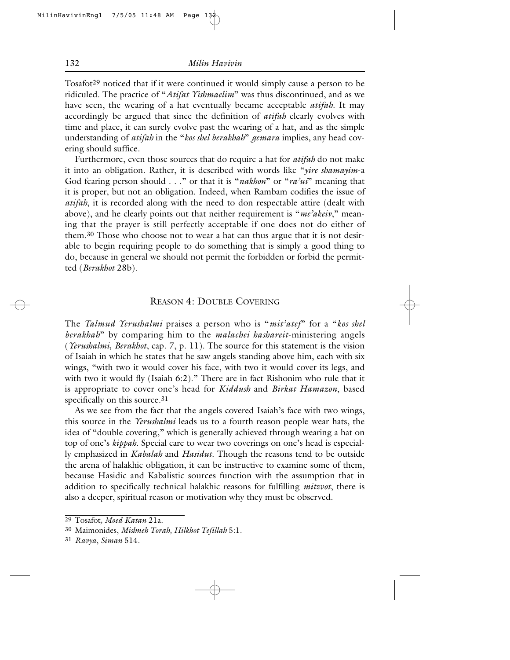Tosafot<sup>29</sup> noticed that if it were continued it would simply cause a person to be ridiculed. The practice of "*Atifat Yishmaelim*" was thus discontinued, and as we have seen, the wearing of a hat eventually became acceptable *atifah*. It may accordingly be argued that since the definition of *atifah* clearly evolves with time and place, it can surely evolve past the wearing of a hat, and as the simple understanding of *atifah* in the "*kos shel berakhah*" *gemara* implies, any head covering should suffice.

Furthermore, even those sources that do require a hat for *atifah* do not make it into an obligation. Rather, it is described with words like "*yire shamayim*-a God fearing person should . . ." or that it is "*nakhon*" or "*ra'ui*" meaning that it is proper, but not an obligation. Indeed, when Rambam codifies the issue of *atifah*, it is recorded along with the need to don respectable attire (dealt with above), and he clearly points out that neither requirement is "*me'akeiv*," meaning that the prayer is still perfectly acceptable if one does not do either of them.30 Those who choose not to wear a hat can thus argue that it is not desirable to begin requiring people to do something that is simply a good thing to do, because in general we should not permit the forbidden or forbid the permitted (*Berakhot* 28b).

#### REASON 4: DOUBLE COVERING

The *Talmud Yerushalmi* praises a person who is "*mit'atef*" for a "*kos shel berakhah*" by comparing him to the *malachei hashareit*-ministering angels (*Yerushalmi, Berakhot*, cap. 7, p. 11). The source for this statement is the vision of Isaiah in which he states that he saw angels standing above him, each with six wings, "with two it would cover his face, with two it would cover its legs, and with two it would fly (Isaiah 6:2)." There are in fact Rishonim who rule that it is appropriate to cover one's head for *Kiddush* and *Birkat Hamazon*, based specifically on this source.<sup>31</sup>

As we see from the fact that the angels covered Isaiah's face with two wings, this source in the *Yerushalmi* leads us to a fourth reason people wear hats, the idea of "double covering," which is generally achieved through wearing a hat on top of one's *kippah*. Special care to wear two coverings on one's head is especially emphasized in *Kabalah* and *Hasidut*. Though the reasons tend to be outside the arena of halakhic obligation, it can be instructive to examine some of them, because Hasidic and Kabalistic sources function with the assumption that in addition to specifically technical halakhic reasons for fulfilling *mitzvot*, there is also a deeper, spiritual reason or motivation why they must be observed.

<sup>29</sup> Tosafot*, Moed Katan* 21a.

<sup>30</sup> Maimonides, *Mishneh Torah, Hilkhot Tefillah* 5:1.

<sup>31</sup> *Ravya*, *Siman* 514.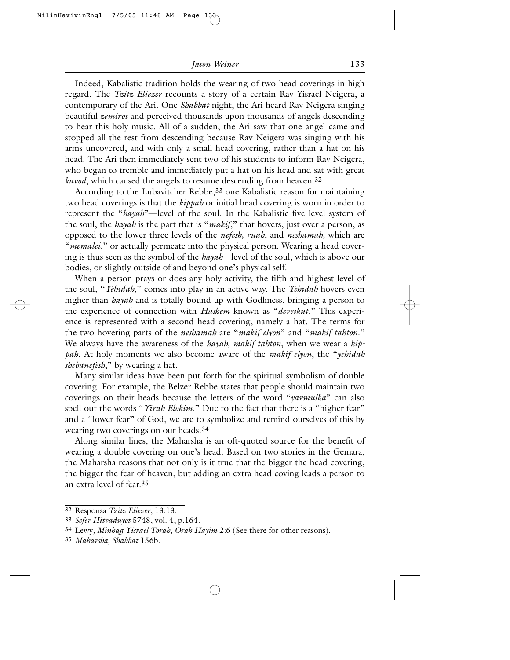*Jason Weiner* 133

Indeed, Kabalistic tradition holds the wearing of two head coverings in high regard. The *Tzitz Eliezer* recounts a story of a certain Rav Yisrael Neigera, a contemporary of the Ari. One *Shabbat* night, the Ari heard Rav Neigera singing beautiful *zemirot* and perceived thousands upon thousands of angels descending to hear this holy music. All of a sudden, the Ari saw that one angel came and stopped all the rest from descending because Rav Neigera was singing with his arms uncovered, and with only a small head covering, rather than a hat on his head. The Ari then immediately sent two of his students to inform Rav Neigera, who began to tremble and immediately put a hat on his head and sat with great *kavod*, which caused the angels to resume descending from heaven.32

According to the Lubavitcher Rebbe,<sup>33</sup> one Kabalistic reason for maintaining two head coverings is that the *kippah* or initial head covering is worn in order to represent the "*hayah*"—level of the soul. In the Kabalistic five level system of the soul, the *hayah* is the part that is "*makif*," that hovers, just over a person, as opposed to the lower three levels of the *nefesh, ruah*, and *neshamah,* which are "*memalei*," or actually permeate into the physical person. Wearing a head covering is thus seen as the symbol of the *hayah—*level of the soul, which is above our bodies, or slightly outside of and beyond one's physical self.

When a person prays or does any holy activity, the fifth and highest level of the soul, "*Yehidah*," comes into play in an active way. The *Yehidah* hovers even higher than *hayah* and is totally bound up with Godliness, bringing a person to the experience of connection with *Hashem* known as "*deveikut*." This experience is represented with a second head covering, namely a hat. The terms for the two hovering parts of the *neshamah* are "*makif elyon*" and "*makif tahton*." We always have the awareness of the *hayah, makif tahton*, when we wear a *kippah*. At holy moments we also become aware of the *makif elyon*, the "*yehidah shebanefesh*," by wearing a hat.

Many similar ideas have been put forth for the spiritual symbolism of double covering. For example, the Belzer Rebbe states that people should maintain two coverings on their heads because the letters of the word "*yarmulka*" can also spell out the words "*Yirah Elokim*." Due to the fact that there is a "higher fear" and a "lower fear" of God, we are to symbolize and remind ourselves of this by wearing two coverings on our heads.34

Along similar lines, the Maharsha is an oft-quoted source for the benefit of wearing a double covering on one's head. Based on two stories in the Gemara, the Maharsha reasons that not only is it true that the bigger the head covering, the bigger the fear of heaven, but adding an extra head coving leads a person to an extra level of fear.35

<sup>32</sup> Responsa *Tzitz Eliezer*, 13:13.

<sup>33</sup> *Sefer Hitvaduyot* 5748, vol. 4, p.164.

<sup>34</sup> Lewy*, Minhag Yisrael Torah*, *Orah Hayim* 2:6 (See there for other reasons).

<sup>35</sup> *Maharsha, Shabbat* 156b.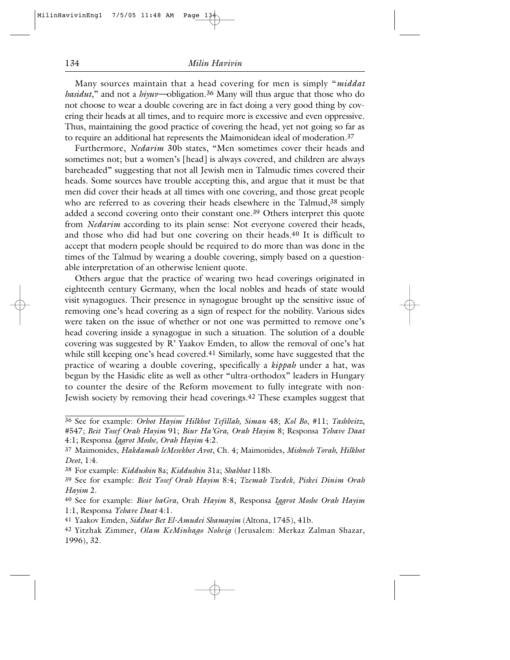Many sources maintain that a head covering for men is simply "*middat hasidut*," and not a *hiyuv—*obligation.36 Many will thus argue that those who do not choose to wear a double covering are in fact doing a very good thing by covering their heads at all times, and to require more is excessive and even oppressive. Thus, maintaining the good practice of covering the head, yet not going so far as to require an additional hat represents the Maimonidean ideal of moderation.37

Furthermore, *Nedarim* 30b states, "Men sometimes cover their heads and sometimes not; but a women's [head] is always covered, and children are always bareheaded" suggesting that not all Jewish men in Talmudic times covered their heads. Some sources have trouble accepting this, and argue that it must be that men did cover their heads at all times with one covering, and those great people who are referred to as covering their heads elsewhere in the Talmud,<sup>38</sup> simply added a second covering onto their constant one.39 Others interpret this quote from *Nedarim* according to its plain sense: Not everyone covered their heads, and those who did had but one covering on their heads.40 It is difficult to accept that modern people should be required to do more than was done in the times of the Talmud by wearing a double covering, simply based on a questionable interpretation of an otherwise lenient quote.

Others argue that the practice of wearing two head coverings originated in eighteenth century Germany, when the local nobles and heads of state would visit synagogues. Their presence in synagogue brought up the sensitive issue of removing one's head covering as a sign of respect for the nobility. Various sides were taken on the issue of whether or not one was permitted to remove one's head covering inside a synagogue in such a situation. The solution of a double covering was suggested by R' Yaakov Emden, to allow the removal of one's hat while still keeping one's head covered. $41$  Similarly, some have suggested that the practice of wearing a double covering, specifically a *kippah* under a hat, was begun by the Hasidic elite as well as other "ultra-orthodox" leaders in Hungary to counter the desire of the Reform movement to fully integrate with non-Jewish society by removing their head coverings.42 These examples suggest that

<sup>36</sup> See for example: *Orhot Hayim Hilkhot Tefillah, Siman* 48; *Kol Bo*, #11; *Tashbeitz*, #547; *Beit Yosef Orah Hayim* 91; *Biur Ha'Gra, Orah Hayim* 8; Responsa *Yehave Daat* 4:1; Responsa *Iggrot Moshe, Orah Hayim* 4:2.

<sup>37</sup> Maimonides, *Hakdamah leMesekhet Avot*, Ch. 4; Maimonides, *Mishneh Torah, Hilkhot Deot*, 1:4.

<sup>38</sup> For example: *Kiddushin* 8a; *Kiddushin* 31a; *Shabbat* 118b.

<sup>39</sup> See for example: *Beit Yosef Orah Hayim* 8:4; *Tzemah Tzedek, Piskei Dinim Orah Hayim* 2.

<sup>40</sup> See for example: *Biur haGra,* Orah *Hayim* 8, Responsa *Iggrot Moshe Orah Hayim* 1:1, Responsa *Yehave Daat* 4:1.

<sup>41</sup> Yaakov Emden, *Siddur Bet El-Amudei Shamayim* (Altona, 1745), 41b.

<sup>42</sup> Yitzhak Zimmer, *Olam KeMinhago Noheig* (Jerusalem: Merkaz Zalman Shazar, 1996), 32.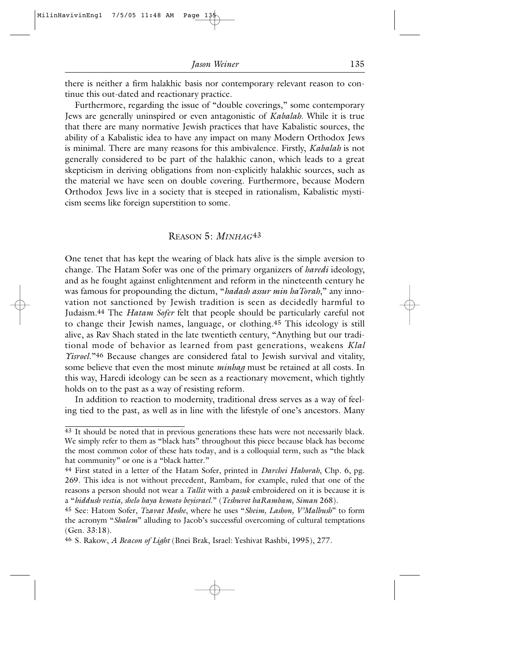*Jason Weiner* 135

there is neither a firm halakhic basis nor contemporary relevant reason to continue this out-dated and reactionary practice.

Furthermore, regarding the issue of "double coverings," some contemporary Jews are generally uninspired or even antagonistic of *Kabalah*. While it is true that there are many normative Jewish practices that have Kabalistic sources, the ability of a Kabalistic idea to have any impact on many Modern Orthodox Jews is minimal. There are many reasons for this ambivalence. Firstly, *Kabalah* is not generally considered to be part of the halakhic canon, which leads to a great skepticism in deriving obligations from non-explicitly halakhic sources, such as the material we have seen on double covering. Furthermore, because Modern Orthodox Jews live in a society that is steeped in rationalism, Kabalistic mysticism seems like foreign superstition to some.

#### REASON 5: *MINHAG*43

One tenet that has kept the wearing of black hats alive is the simple aversion to change. The Hatam Sofer was one of the primary organizers of *haredi* ideology, and as he fought against enlightenment and reform in the nineteenth century he was famous for propounding the dictum, "*hadash assur min haTorah*," any innovation not sanctioned by Jewish tradition is seen as decidedly harmful to Judaism.44 The *Hatam Sofer* felt that people should be particularly careful not to change their Jewish names, language, or clothing.45 This ideology is still alive, as Rav Shach stated in the late twentieth century, "Anything but our traditional mode of behavior as learned from past generations, weakens *Klal Yisroel*."46 Because changes are considered fatal to Jewish survival and vitality, some believe that even the most minute *minhag* must be retained at all costs. In this way, Haredi ideology can be seen as a reactionary movement, which tightly holds on to the past as a way of resisting reform.

In addition to reaction to modernity, traditional dress serves as a way of feeling tied to the past, as well as in line with the lifestyle of one's ancestors. Many

<sup>43</sup> It should be noted that in previous generations these hats were not necessarily black. We simply refer to them as "black hats" throughout this piece because black has become the most common color of these hats today, and is a colloquial term, such as "the black hat community" or one is a "black hatter."

<sup>44</sup> First stated in a letter of the Hatam Sofer, printed in *Darchei Hahorah*, Chp. 6, pg. 269. This idea is not without precedent, Rambam, for example, ruled that one of the reasons a person should not wear a *Tallit* with a *pasuk* embroidered on it is because it is a "*hiddush vestia, shelo haya kemoto beyisrael*." (*Teshuvot haRambam, Siman* 268).

<sup>45</sup> See: Hatom Sofer, *Tzavat Moshe*, where he uses "*Sheim, Lashon, V'Malbush*" to form the acronym "*Shalem*" alluding to Jacob's successful overcoming of cultural temptations (Gen. 33:18).

<sup>46</sup> S. Rakow, *A Beacon of Light* (Bnei Brak, Israel: Yeshivat Rashbi, 1995), 277.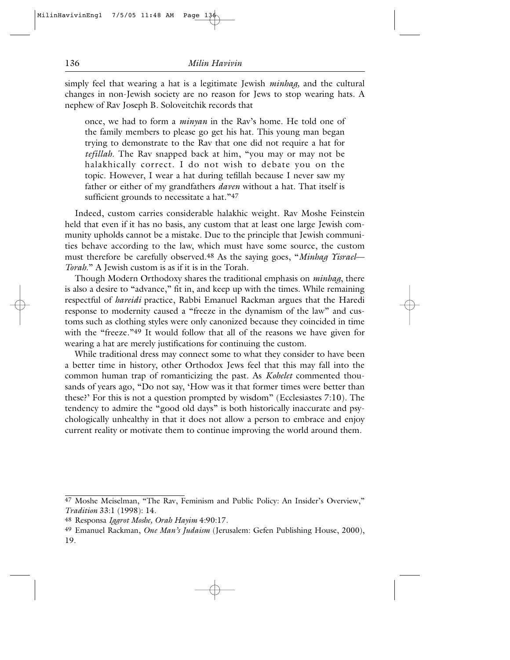simply feel that wearing a hat is a legitimate Jewish *minhag,* and the cultural changes in non-Jewish society are no reason for Jews to stop wearing hats. A nephew of Rav Joseph B. Soloveitchik records that

once, we had to form a *minyan* in the Rav's home. He told one of the family members to please go get his hat. This young man began trying to demonstrate to the Rav that one did not require a hat for *tefillah*. The Rav snapped back at him, "you may or may not be halakhically correct. I do not wish to debate you on the topic. However, I wear a hat during tefillah because I never saw my father or either of my grandfathers *daven* without a hat. That itself is sufficient grounds to necessitate a hat."47

Indeed, custom carries considerable halakhic weight. Rav Moshe Feinstein held that even if it has no basis, any custom that at least one large Jewish community upholds cannot be a mistake. Due to the principle that Jewish communities behave according to the law, which must have some source, the custom must therefore be carefully observed.48 As the saying goes, "*Minhag Yisrael*— *Torah*." A Jewish custom is as if it is in the Torah.

Though Modern Orthodoxy shares the traditional emphasis on *minhag*, there is also a desire to "advance," fit in, and keep up with the times. While remaining respectful of *hareidi* practice, Rabbi Emanuel Rackman argues that the Haredi response to modernity caused a "freeze in the dynamism of the law" and customs such as clothing styles were only canonized because they coincided in time with the "freeze."49 It would follow that all of the reasons we have given for wearing a hat are merely justifications for continuing the custom.

While traditional dress may connect some to what they consider to have been a better time in history, other Orthodox Jews feel that this may fall into the common human trap of romanticizing the past. As *Kohelet* commented thousands of years ago, "Do not say, 'How was it that former times were better than these?' For this is not a question prompted by wisdom" (Ecclesiastes 7:10). The tendency to admire the "good old days" is both historically inaccurate and psychologically unhealthy in that it does not allow a person to embrace and enjoy current reality or motivate them to continue improving the world around them.

<sup>47</sup> Moshe Meiselman, "The Rav, Feminism and Public Policy: An Insider's Overview," *Tradition* 33:1 (1998): 14.

<sup>48</sup> Responsa *Iggrot Moshe, Orah Hayim* 4:90:17.

<sup>49</sup> Emanuel Rackman, *One Man's Judaism* (Jerusalem: Gefen Publishing House, 2000), 19.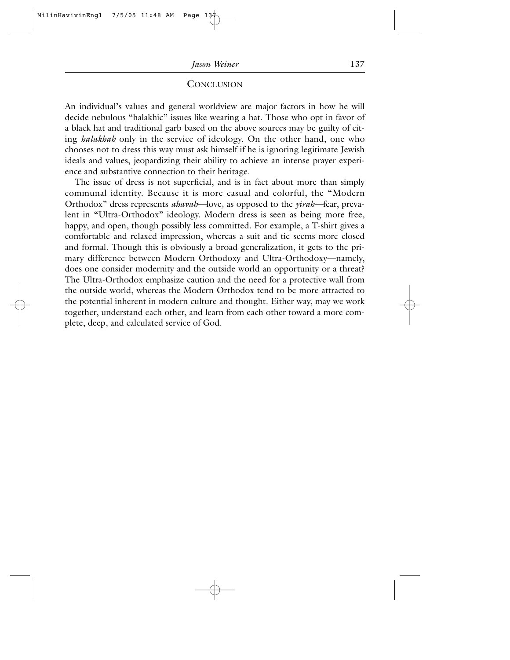*Jason Weiner* 137

#### **CONCLUSION**

An individual's values and general worldview are major factors in how he will decide nebulous "halakhic" issues like wearing a hat. Those who opt in favor of a black hat and traditional garb based on the above sources may be guilty of citing *halakhah* only in the service of ideology. On the other hand, one who chooses not to dress this way must ask himself if he is ignoring legitimate Jewish ideals and values, jeopardizing their ability to achieve an intense prayer experience and substantive connection to their heritage.

The issue of dress is not superficial, and is in fact about more than simply communal identity. Because it is more casual and colorful, the "Modern Orthodox" dress represents *ahavah—*love*,* as opposed to the *yirah—*fear, prevalent in "Ultra-Orthodox" ideology. Modern dress is seen as being more free, happy, and open, though possibly less committed. For example, a T-shirt gives a comfortable and relaxed impression, whereas a suit and tie seems more closed and formal. Though this is obviously a broad generalization, it gets to the primary difference between Modern Orthodoxy and Ultra-Orthodoxy—namely, does one consider modernity and the outside world an opportunity or a threat? The Ultra-Orthodox emphasize caution and the need for a protective wall from the outside world, whereas the Modern Orthodox tend to be more attracted to the potential inherent in modern culture and thought. Either way, may we work together, understand each other, and learn from each other toward a more complete, deep, and calculated service of God.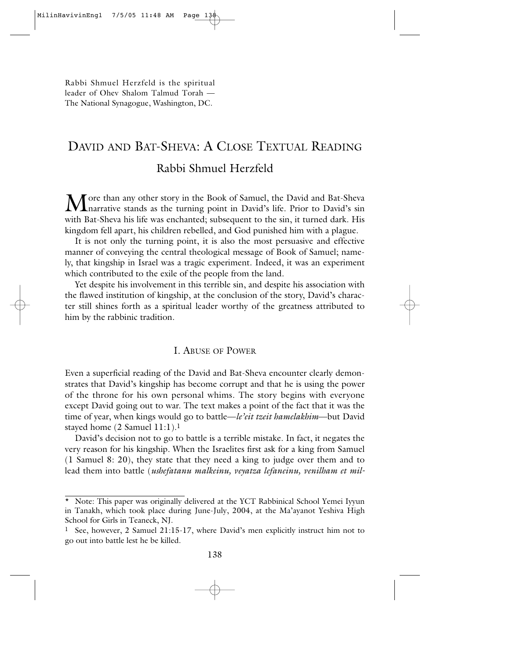Rabbi Shmuel Herzfeld is the spiritual leader of Ohev Shalom Talmud Torah — The National Synagogue, Washington, DC.

# DAVID AND BAT-SHEVA: A CLOSE TEXTUAL READING Rabbi Shmuel Herzfeld

More than any other story in the Book of Samuel, the David and Bat-Sheva<br>narrative stands as the turning point in David's life. Prior to David's sin with Bat-Sheva his life was enchanted; subsequent to the sin, it turned dark. His kingdom fell apart, his children rebelled, and God punished him with a plague.

It is not only the turning point, it is also the most persuasive and effective manner of conveying the central theological message of Book of Samuel; namely, that kingship in Israel was a tragic experiment. Indeed, it was an experiment which contributed to the exile of the people from the land.

Yet despite his involvement in this terrible sin, and despite his association with the flawed institution of kingship, at the conclusion of the story, David's character still shines forth as a spiritual leader worthy of the greatness attributed to him by the rabbinic tradition.

#### I. ABUSE OF POWER

Even a superficial reading of the David and Bat-Sheva encounter clearly demonstrates that David's kingship has become corrupt and that he is using the power of the throne for his own personal whims. The story begins with everyone except David going out to war. The text makes a point of the fact that it was the time of year, when kings would go to battle—*le'eit tzeit hamelakhim*—but David stayed home (2 Samuel 11:1).1

David's decision not to go to battle is a terrible mistake. In fact, it negates the very reason for his kingship. When the Israelites first ask for a king from Samuel (1 Samuel 8: 20), they state that they need a king to judge over them and to lead them into battle (*ushefatanu malkeinu, veyatza lefaneinu, venilham et mil-*

<sup>\*</sup> Note: This paper was originally delivered at the YCT Rabbinical School Yemei Iyyun in Tanakh, which took place during June-July, 2004, at the Ma'ayanot Yeshiva High School for Girls in Teaneck, NJ.

<sup>1</sup> See, however, 2 Samuel 21:15-17, where David's men explicitly instruct him not to go out into battle lest he be killed.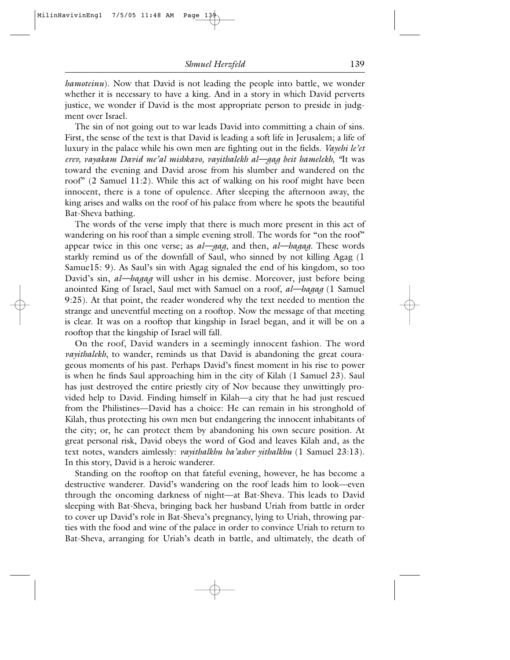MilinHavivinEng1 7/5/05 11:48 AM Page

*Shmuel Herzfeld* 139

*hamoteinu*). Now that David is not leading the people into battle, we wonder whether it is necessary to have a king. And in a story in which David perverts justice, we wonder if David is the most appropriate person to preside in judgment over Israel.

The sin of not going out to war leads David into committing a chain of sins. First, the sense of the text is that David is leading a soft life in Jerusalem; a life of luxury in the palace while his own men are fighting out in the fields. *Vayehi le'et erev, vayakam David me'al mishkavo, vayithalekh al—gag beit hamelekh, "*It was toward the evening and David arose from his slumber and wandered on the roof" (2 Samuel 11:2). While this act of walking on his roof might have been innocent, there is a tone of opulence. After sleeping the afternoon away, the king arises and walks on the roof of his palace from where he spots the beautiful Bat-Sheva bathing.

The words of the verse imply that there is much more present in this act of wandering on his roof than a simple evening stroll. The words for "on the roof" appear twice in this one verse; as *al—gag*, and then, *al—hagag.* These words starkly remind us of the downfall of Saul, who sinned by not killing Agag (1 Samue15: 9). As Saul's sin with Agag signaled the end of his kingdom, so too David's sin, *al—hagag* will usher in his demise. Moreover, just before being anointed King of Israel, Saul met with Samuel on a roof, *al—hagag* (1 Samuel 9:25). At that point, the reader wondered why the text needed to mention the strange and uneventful meeting on a rooftop. Now the message of that meeting is clear. It was on a rooftop that kingship in Israel began, and it will be on a rooftop that the kingship of Israel will fall.

On the roof, David wanders in a seemingly innocent fashion. The word *vayithalekh*, to wander, reminds us that David is abandoning the great courageous moments of his past. Perhaps David's finest moment in his rise to power is when he finds Saul approaching him in the city of Kilah (1 Samuel 23). Saul has just destroyed the entire priestly city of Nov because they unwittingly provided help to David. Finding himself in Kilah—a city that he had just rescued from the Philistines—David has a choice: He can remain in his stronghold of Kilah, thus protecting his own men but endangering the innocent inhabitants of the city; or, he can protect them by abandoning his own secure position. At great personal risk, David obeys the word of God and leaves Kilah and, as the text notes, wanders aimlessly: *vayithalkhu ba'asher yithalkhu* (1 Samuel 23:13). In this story, David is a heroic wanderer.

Standing on the rooftop on that fateful evening, however, he has become a destructive wanderer. David's wandering on the roof leads him to look—even through the oncoming darkness of night—at Bat-Sheva. This leads to David sleeping with Bat-Sheva, bringing back her husband Uriah from battle in order to cover up David's role in Bat-Sheva's pregnancy, lying to Uriah, throwing parties with the food and wine of the palace in order to convince Uriah to return to Bat-Sheva, arranging for Uriah's death in battle, and ultimately, the death of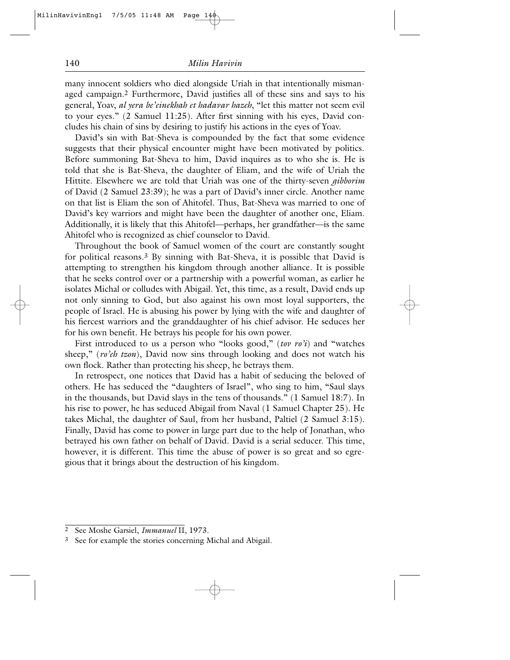many innocent soldiers who died alongside Uriah in that intentionally mismanaged campaign.2 Furthermore, David justifies all of these sins and says to his general, Yoav, *al yera be'einekhah et hadavar hazeh*, "let this matter not seem evil to your eyes." (2 Samuel 11:25). After first sinning with his eyes, David concludes his chain of sins by desiring to justify his actions in the eyes of Yoav.

David's sin with Bat-Sheva is compounded by the fact that some evidence suggests that their physical encounter might have been motivated by politics. Before summoning Bat-Sheva to him, David inquires as to who she is. He is told that she is Bat-Sheva, the daughter of Eliam, and the wife of Uriah the Hittite. Elsewhere we are told that Uriah was one of the thirty-seven *gibborim* of David (2 Samuel 23:39); he was a part of David's inner circle. Another name on that list is Eliam the son of Ahitofel. Thus, Bat-Sheva was married to one of David's key warriors and might have been the daughter of another one, Eliam. Additionally, it is likely that this Ahitofel—perhaps, her grandfather—is the same Ahitofel who is recognized as chief counselor to David.

Throughout the book of Samuel women of the court are constantly sought for political reasons.3 By sinning with Bat-Sheva, it is possible that David is attempting to strengthen his kingdom through another alliance. It is possible that he seeks control over or a partnership with a powerful woman, as earlier he isolates Michal or colludes with Abigail. Yet, this time, as a result, David ends up not only sinning to God, but also against his own most loyal supporters, the people of Israel. He is abusing his power by lying with the wife and daughter of his fiercest warriors and the granddaughter of his chief advisor. He seduces her for his own benefit. He betrays his people for his own power.

First introduced to us a person who "looks good," (*tov ro'i*) and "watches sheep," (*ro'eh tzon*), David now sins through looking and does not watch his own flock. Rather than protecting his sheep, he betrays them.

In retrospect, one notices that David has a habit of seducing the beloved of others. He has seduced the "daughters of Israel", who sing to him, "Saul slays in the thousands, but David slays in the tens of thousands." (1 Samuel 18:7). In his rise to power, he has seduced Abigail from Naval (1 Samuel Chapter 25). He takes Michal, the daughter of Saul, from her husband, Paltiel (2 Samuel 3:15). Finally, David has come to power in large part due to the help of Jonathan, who betrayed his own father on behalf of David. David is a serial seducer. This time, however, it is different. This time the abuse of power is so great and so egregious that it brings about the destruction of his kingdom.

<sup>2</sup> See Moshe Garsiel, *Immanuel* II, 1973.

<sup>3</sup> See for example the stories concerning Michal and Abigail.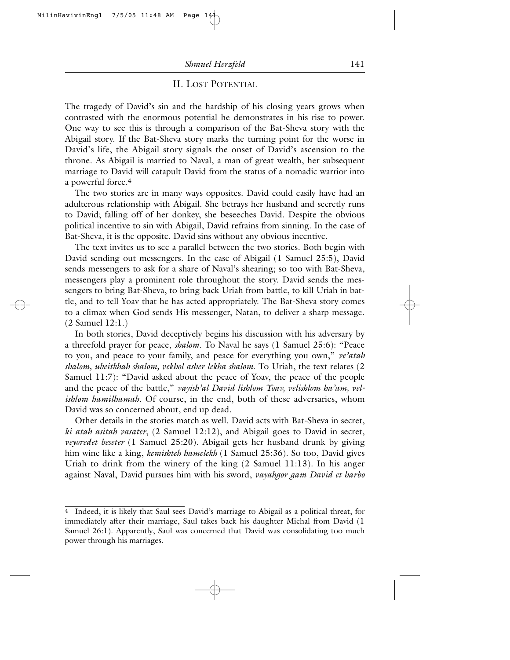*Shmuel Herzfeld* 141

#### II. LOST POTENTIAL

The tragedy of David's sin and the hardship of his closing years grows when contrasted with the enormous potential he demonstrates in his rise to power. One way to see this is through a comparison of the Bat-Sheva story with the Abigail story. If the Bat-Sheva story marks the turning point for the worse in David's life, the Abigail story signals the onset of David's ascension to the throne. As Abigail is married to Naval, a man of great wealth, her subsequent marriage to David will catapult David from the status of a nomadic warrior into a powerful force.4

The two stories are in many ways opposites. David could easily have had an adulterous relationship with Abigail. She betrays her husband and secretly runs to David; falling off of her donkey, she beseeches David. Despite the obvious political incentive to sin with Abigail, David refrains from sinning. In the case of Bat-Sheva, it is the opposite. David sins without any obvious incentive.

The text invites us to see a parallel between the two stories. Both begin with David sending out messengers. In the case of Abigail (1 Samuel 25:5), David sends messengers to ask for a share of Naval's shearing; so too with Bat-Sheva, messengers play a prominent role throughout the story. David sends the messengers to bring Bat-Sheva, to bring back Uriah from battle, to kill Uriah in battle, and to tell Yoav that he has acted appropriately. The Bat-Sheva story comes to a climax when God sends His messenger, Natan, to deliver a sharp message. (2 Samuel 12:1.)

In both stories, David deceptively begins his discussion with his adversary by a threefold prayer for peace, *shalom*. To Naval he says (1 Samuel 25:6): "Peace to you, and peace to your family, and peace for everything you own," *ve'atah shalom, ubeitkhah shalom, vekhol asher lekha shalom*. To Uriah, the text relates (2 Samuel 11:7): "David asked about the peace of Yoav, the peace of the people and the peace of the battle," *vayish'al David lishlom Yoav, velishlom ha'am, velishlom hamilhamah*. Of course, in the end, both of these adversaries, whom David was so concerned about, end up dead.

Other details in the stories match as well. David acts with Bat-Sheva in secret, *ki atah asitah vasater*, (2 Samuel 12:12), and Abigail goes to David in secret, *veyoredet beseter* (1 Samuel 25:20). Abigail gets her husband drunk by giving him wine like a king, *kemishteh hamelekh* (1 Samuel 25:36). So too, David gives Uriah to drink from the winery of the king (2 Samuel 11:13). In his anger against Naval, David pursues him with his sword, *vayahgor gam David et harbo*

<sup>4</sup> Indeed, it is likely that Saul sees David's marriage to Abigail as a political threat, for immediately after their marriage, Saul takes back his daughter Michal from David (1 Samuel 26:1). Apparently, Saul was concerned that David was consolidating too much power through his marriages.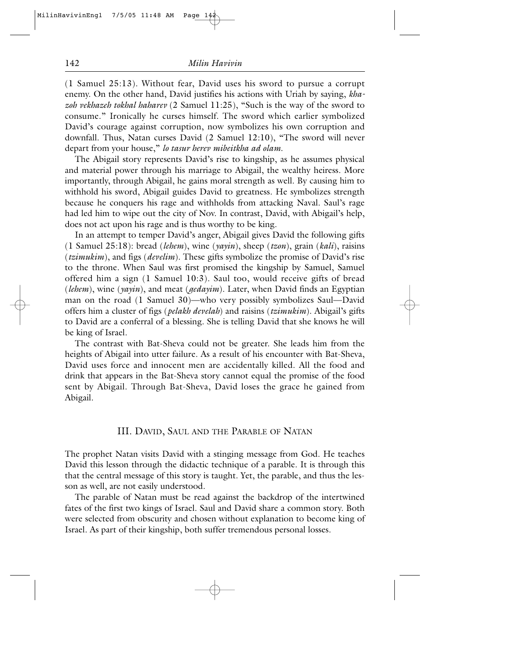(1 Samuel 25:13). Without fear, David uses his sword to pursue a corrupt enemy. On the other hand, David justifies his actions with Uriah by saying, *khazoh vekhazeh tokhal haharev* (2 Samuel 11:25), "Such is the way of the sword to consume." Ironically he curses himself. The sword which earlier symbolized David's courage against corruption, now symbolizes his own corruption and downfall. Thus, Natan curses David (2 Samuel 12:10), "The sword will never depart from your house," *lo tasur herev mibeitkha ad olam*.

The Abigail story represents David's rise to kingship, as he assumes physical and material power through his marriage to Abigail, the wealthy heiress. More importantly, through Abigail, he gains moral strength as well. By causing him to withhold his sword, Abigail guides David to greatness. He symbolizes strength because he conquers his rage and withholds from attacking Naval. Saul's rage had led him to wipe out the city of Nov. In contrast, David, with Abigail's help, does not act upon his rage and is thus worthy to be king.

In an attempt to temper David's anger, Abigail gives David the following gifts (1 Samuel 25:18): bread (*lehem*), wine (*yayin*), sheep (*tzon*), grain (*kali*), raisins (*tzimukim*), and figs (*develim*). These gifts symbolize the promise of David's rise to the throne. When Saul was first promised the kingship by Samuel, Samuel offered him a sign (1 Samuel 10:3). Saul too, would receive gifts of bread (*lehem*), wine (*yayin*), and meat (*gedayim*). Later, when David finds an Egyptian man on the road (1 Samuel 30)—who very possibly symbolizes Saul—David offers him a cluster of figs (*pelakh develah*) and raisins (*tzimukim*). Abigail's gifts to David are a conferral of a blessing. She is telling David that she knows he will be king of Israel.

The contrast with Bat-Sheva could not be greater. She leads him from the heights of Abigail into utter failure. As a result of his encounter with Bat-Sheva, David uses force and innocent men are accidentally killed. All the food and drink that appears in the Bat-Sheva story cannot equal the promise of the food sent by Abigail. Through Bat-Sheva, David loses the grace he gained from Abigail.

#### III. DAVID, SAUL AND THE PARABLE OF NATAN

The prophet Natan visits David with a stinging message from God. He teaches David this lesson through the didactic technique of a parable. It is through this that the central message of this story is taught. Yet, the parable, and thus the lesson as well, are not easily understood.

The parable of Natan must be read against the backdrop of the intertwined fates of the first two kings of Israel. Saul and David share a common story. Both were selected from obscurity and chosen without explanation to become king of Israel. As part of their kingship, both suffer tremendous personal losses.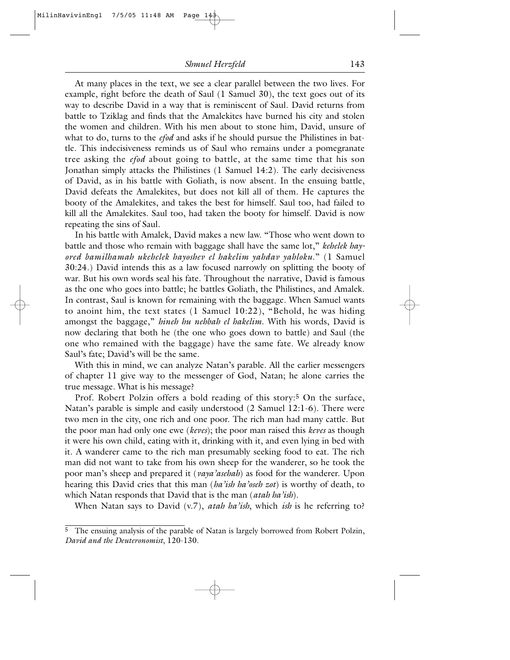At many places in the text, we see a clear parallel between the two lives. For example, right before the death of Saul (1 Samuel 30), the text goes out of its way to describe David in a way that is reminiscent of Saul. David returns from battle to Tziklag and finds that the Amalekites have burned his city and stolen the women and children. With his men about to stone him, David, unsure of what to do, turns to the *efod* and asks if he should pursue the Philistines in battle. This indecisiveness reminds us of Saul who remains under a pomegranate tree asking the *efod* about going to battle, at the same time that his son Jonathan simply attacks the Philistines (1 Samuel 14:2). The early decisiveness of David, as in his battle with Goliath, is now absent. In the ensuing battle, David defeats the Amalekites, but does not kill all of them. He captures the booty of the Amalekites, and takes the best for himself. Saul too, had failed to kill all the Amalekites. Saul too, had taken the booty for himself. David is now repeating the sins of Saul.

In his battle with Amalek, David makes a new law. "Those who went down to battle and those who remain with baggage shall have the same lot," *kehelek hayored bamilhamah ukehelek hayoshev el hakelim yahdav yahloku*." (1 Samuel 30:24.) David intends this as a law focused narrowly on splitting the booty of war. But his own words seal his fate. Throughout the narrative, David is famous as the one who goes into battle; he battles Goliath, the Philistines, and Amalek. In contrast, Saul is known for remaining with the baggage. When Samuel wants to anoint him, the text states (1 Samuel 10:22), "Behold, he was hiding amongst the baggage," *hineh hu nehbah el hakelim*. With his words, David is now declaring that both he (the one who goes down to battle) and Saul (the one who remained with the baggage) have the same fate. We already know Saul's fate; David's will be the same.

With this in mind, we can analyze Natan's parable. All the earlier messengers of chapter 11 give way to the messenger of God, Natan; he alone carries the true message. What is his message?

Prof. Robert Polzin offers a bold reading of this story:<sup>5</sup> On the surface, Natan's parable is simple and easily understood (2 Samuel 12:1-6). There were two men in the city, one rich and one poor. The rich man had many cattle. But the poor man had only one ewe (*keves*); the poor man raised this *keves* as though it were his own child, eating with it, drinking with it, and even lying in bed with it. A wanderer came to the rich man presumably seeking food to eat. The rich man did not want to take from his own sheep for the wanderer, so he took the poor man's sheep and prepared it (*vaya'asehah*) as food for the wanderer. Upon hearing this David cries that this man (*ha'ish ha'oseh zot*) is worthy of death, to which Natan responds that David that is the man (*atah ha'ish*).

When Natan says to David (v.7), *atah ha'ish*, which *ish* is he referring to?

<sup>5</sup> The ensuing analysis of the parable of Natan is largely borrowed from Robert Polzin, *David and the Deuteronomist*, 120-130.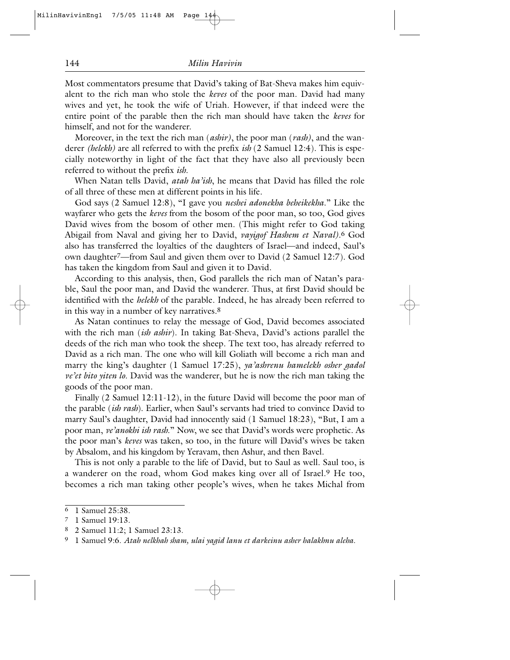Most commentators presume that David's taking of Bat-Sheva makes him equivalent to the rich man who stole the *keves* of the poor man. David had many wives and yet, he took the wife of Uriah. However, if that indeed were the entire point of the parable then the rich man should have taken the *keves* for himself, and not for the wanderer.

Moreover, in the text the rich man (*ashir)*, the poor man (*rash)*, and the wanderer *(helekh)* are all referred to with the prefix *ish* (2 Samuel 12:4). This is especially noteworthy in light of the fact that they have also all previously been referred to without the prefix *ish*.

When Natan tells David, *atah ha'ish*, he means that David has filled the role of all three of these men at different points in his life.

God says (2 Samuel 12:8), "I gave you *neshei adonekha beheikekha*." Like the wayfarer who gets the *keves* from the bosom of the poor man, so too, God gives David wives from the bosom of other men. (This might refer to God taking Abigail from Naval and giving her to David, *vayigof Hashem et Naval)*.6 God also has transferred the loyalties of the daughters of Israel—and indeed, Saul's own daughter7—from Saul and given them over to David (2 Samuel 12:7). God has taken the kingdom from Saul and given it to David.

According to this analysis, then, God parallels the rich man of Natan's parable, Saul the poor man, and David the wanderer. Thus, at first David should be identified with the *helekh* of the parable. Indeed, he has already been referred to in this way in a number of key narratives.8

As Natan continues to relay the message of God, David becomes associated with the rich man (*ish ashir*). In taking Bat-Sheva, David's actions parallel the deeds of the rich man who took the sheep. The text too, has already referred to David as a rich man. The one who will kill Goliath will become a rich man and marry the king's daughter (1 Samuel 17:25), *ya'ashrenu hamelekh osher gadol ve'et bito yiten lo*. David was the wanderer, but he is now the rich man taking the goods of the poor man.

Finally (2 Samuel 12:11-12), in the future David will become the poor man of the parable (*ish rash*). Earlier, when Saul's servants had tried to convince David to marry Saul's daughter, David had innocently said (1 Samuel 18:23), "But, I am a poor man, *ve'anokhi ish rash*." Now, we see that David's words were prophetic. As the poor man's *keves* was taken, so too, in the future will David's wives be taken by Absalom, and his kingdom by Yeravam, then Ashur, and then Bavel.

This is not only a parable to the life of David, but to Saul as well. Saul too, is a wanderer on the road, whom God makes king over all of Israel.9 He too, becomes a rich man taking other people's wives, when he takes Michal from

<sup>6</sup> 1 Samuel 25:38.

<sup>7</sup> 1 Samuel 19:13.

<sup>8</sup> 2 Samuel 11:2; 1 Samuel 23:13.

<sup>9</sup> 1 Samuel 9:6. *Atah nelkhah sham, ulai yagid lanu et darkeinu asher halakhnu aleha*.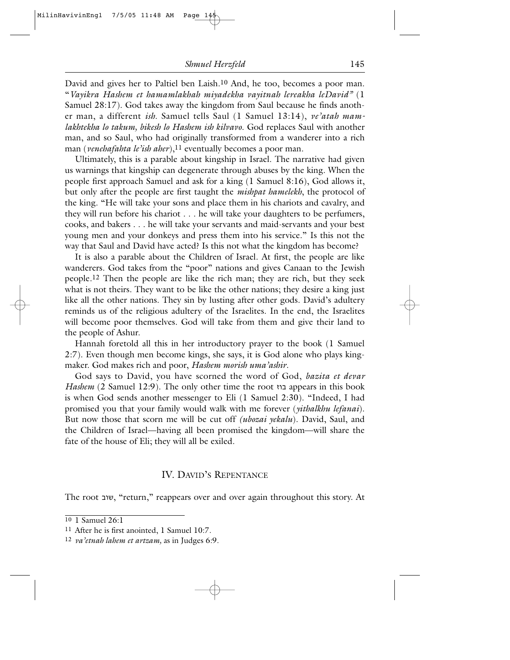*Shmuel Herzfeld* 145

David and gives her to Paltiel ben Laish.10 And, he too, becomes a poor man. "*Vayikra Hashem et hamamlakhah miyadekha vayitnah lereakha leDavid"* (1 Samuel 28:17). God takes away the kingdom from Saul because he finds another man, a different *ish*. Samuel tells Saul (1 Samuel 13:14), *ve'atah mamlakhtekha lo takum, bikesh lo Hashem ish kilvavo*. God replaces Saul with another man, and so Saul, who had originally transformed from a wanderer into a rich man (*venehafahta le'ish aher*),<sup>11</sup> eventually becomes a poor man.

Ultimately, this is a parable about kingship in Israel. The narrative had given us warnings that kingship can degenerate through abuses by the king. When the people first approach Samuel and ask for a king (1 Samuel 8:16), God allows it, but only after the people are first taught the *mishpat hamelekh*, the protocol of the king. "He will take your sons and place them in his chariots and cavalry, and they will run before his chariot . . . he will take your daughters to be perfumers, cooks, and bakers . . . he will take your servants and maid-servants and your best young men and your donkeys and press them into his service." Is this not the way that Saul and David have acted? Is this not what the kingdom has become?

It is also a parable about the Children of Israel. At first, the people are like wanderers. God takes from the "poor" nations and gives Canaan to the Jewish people.12 Then the people are like the rich man; they are rich, but they seek what is not theirs. They want to be like the other nations; they desire a king just like all the other nations. They sin by lusting after other gods. David's adultery reminds us of the religious adultery of the Israelites. In the end, the Israelites will become poor themselves. God will take from them and give their land to the people of Ashur.

Hannah foretold all this in her introductory prayer to the book (1 Samuel 2:7). Even though men become kings, she says, it is God alone who plays kingmaker. God makes rich and poor, *Hashem morish uma'ashir*.

God says to David, you have scorned the word of God, *bazita et devar*  $H$ *ashem* (2 Samuel 12:9). The only other time the root  $m$  appears in this book is when God sends another messenger to Eli (1 Samuel 2:30). "Indeed, I had promised you that your family would walk with me forever (*yithalkhu lefanai*). But now those that scorn me will be cut off *(ubozai yekalu*). David, Saul, and the Children of Israel—having all been promised the kingdom—will share the fate of the house of Eli; they will all be exiled.

#### IV. DAVID'S REPENTANCE

The root cua, "return," reappears over and over again throughout this story. At

 $\overline{10}$  1 Samuel 26:1

<sup>11</sup> After he is first anointed, 1 Samuel 10:7.

<sup>12</sup> *va'etnah lahem et artzam,* as in Judges 6:9.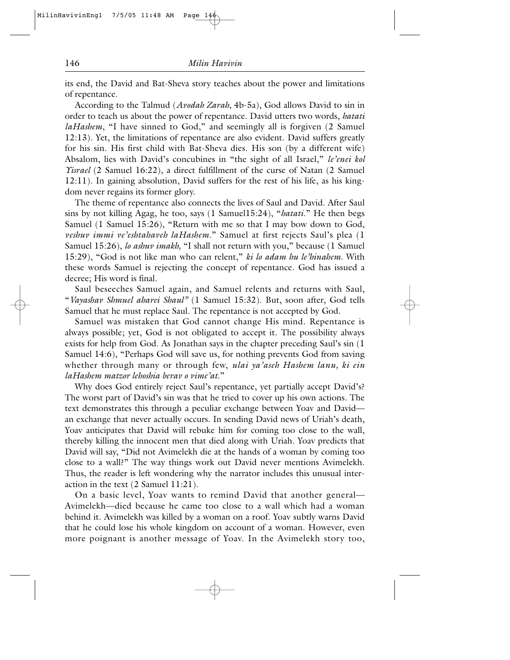its end, the David and Bat-Sheva story teaches about the power and limitations of repentance.

According to the Talmud (*Avodah Zarah*, 4b-5a), God allows David to sin in order to teach us about the power of repentance. David utters two words, *hatati laHashem*, "I have sinned to God," and seemingly all is forgiven (2 Samuel 12:13). Yet, the limitations of repentance are also evident. David suffers greatly for his sin. His first child with Bat-Sheva dies. His son (by a different wife) Absalom, lies with David's concubines in "the sight of all Israel," *le'enei kol Yisrael* (2 Samuel 16:22), a direct fulfillment of the curse of Natan (2 Samuel 12:11). In gaining absolution, David suffers for the rest of his life, as his kingdom never regains its former glory.

The theme of repentance also connects the lives of Saul and David. After Saul sins by not killing Agag, he too, says (1 Samuel15:24), "*hatati*." He then begs Samuel (1 Samuel 15:26), "Return with me so that I may bow down to God, *veshuv immi ve'eshtahaveh laHashem*." Samuel at first rejects Saul's plea (1 Samuel 15:26), *lo ashuv imakh,* "I shall not return with you," because (1 Samuel 15:29), "God is not like man who can relent," *ki lo adam hu le'hinahem*. With these words Samuel is rejecting the concept of repentance. God has issued a decree; His word is final.

Saul beseeches Samuel again, and Samuel relents and returns with Saul, "*Vayashav Shmuel aharei Shaul"* (1 Samuel 15:32). But, soon after, God tells Samuel that he must replace Saul. The repentance is not accepted by God.

Samuel was mistaken that God cannot change His mind. Repentance is always possible; yet, God is not obligated to accept it. The possibility always exists for help from God. As Jonathan says in the chapter preceding Saul's sin (1 Samuel 14:6), "Perhaps God will save us, for nothing prevents God from saving whether through many or through few, *ulai ya'aseh Hashem lanu, ki ein laHashem matzor lehoshia berav o vime'at*."

Why does God entirely reject Saul's repentance, yet partially accept David's? The worst part of David's sin was that he tried to cover up his own actions. The text demonstrates this through a peculiar exchange between Yoav and David an exchange that never actually occurs. In sending David news of Uriah's death, Yoav anticipates that David will rebuke him for coming too close to the wall, thereby killing the innocent men that died along with Uriah. Yoav predicts that David will say, "Did not Avimelekh die at the hands of a woman by coming too close to a wall?" The way things work out David never mentions Avimelekh. Thus, the reader is left wondering why the narrator includes this unusual interaction in the text (2 Samuel 11:21).

On a basic level, Yoav wants to remind David that another general— Avimelekh—died because he came too close to a wall which had a woman behind it. Avimelekh was killed by a woman on a roof. Yoav subtly warns David that he could lose his whole kingdom on account of a woman. However, even more poignant is another message of Yoav. In the Avimelekh story too,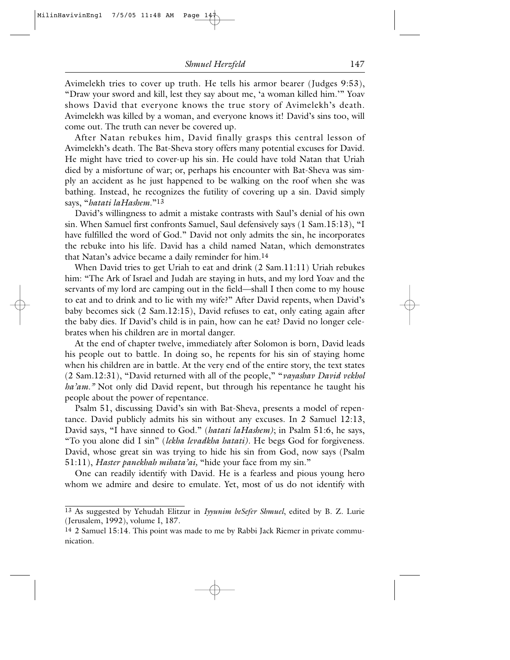*Shmuel Herzfeld* 147

Avimelekh tries to cover up truth. He tells his armor bearer (Judges 9:53), "Draw your sword and kill, lest they say about me, 'a woman killed him.'" Yoav shows David that everyone knows the true story of Avimelekh's death. Avimelekh was killed by a woman, and everyone knows it! David's sins too, will come out. The truth can never be covered up.

After Natan rebukes him, David finally grasps this central lesson of Avimelekh's death. The Bat-Sheva story offers many potential excuses for David. He might have tried to cover-up his sin. He could have told Natan that Uriah died by a misfortune of war; or, perhaps his encounter with Bat-Sheva was simply an accident as he just happened to be walking on the roof when she was bathing. Instead, he recognizes the futility of covering up a sin. David simply says, "*hatati laHashem*."13

David's willingness to admit a mistake contrasts with Saul's denial of his own sin. When Samuel first confronts Samuel, Saul defensively says (1 Sam.15:13), "I have fulfilled the word of God." David not only admits the sin, he incorporates the rebuke into his life. David has a child named Natan, which demonstrates that Natan's advice became a daily reminder for him.14

When David tries to get Uriah to eat and drink (2 Sam.11:11) Uriah rebukes him: "The Ark of Israel and Judah are staying in huts, and my lord Yoav and the servants of my lord are camping out in the field—shall I then come to my house to eat and to drink and to lie with my wife?" After David repents, when David's baby becomes sick (2 Sam.12:15), David refuses to eat, only eating again after the baby dies. If David's child is in pain, how can he eat? David no longer celebrates when his children are in mortal danger.

At the end of chapter twelve, immediately after Solomon is born, David leads his people out to battle. In doing so, he repents for his sin of staying home when his children are in battle. At the very end of the entire story, the text states (2 Sam.12:31), "David returned with all of the people," "*vayashav David vekhol ha'am."* Not only did David repent, but through his repentance he taught his people about the power of repentance.

Psalm 51, discussing David's sin with Bat-Sheva, presents a model of repentance. David publicly admits his sin without any excuses. In 2 Samuel 12:13, David says, "I have sinned to God." (*hatati laHashem)*; in Psalm 51:6, he says, "To you alone did I sin" (*lekha levadkha hatati).* He begs God for forgiveness. David, whose great sin was trying to hide his sin from God, now says (Psalm 51:11), *Haster panekhah mihata'ai,* "hide your face from my sin."

One can readily identify with David. He is a fearless and pious young hero whom we admire and desire to emulate. Yet, most of us do not identify with

<sup>13</sup> As suggested by Yehudah Elitzur in *Iyyunim beSefer Shmuel*, edited by B. Z. Lurie (Jerusalem, 1992), volume I, 187.

<sup>14</sup> 2 Samuel 15:14. This point was made to me by Rabbi Jack Riemer in private communication.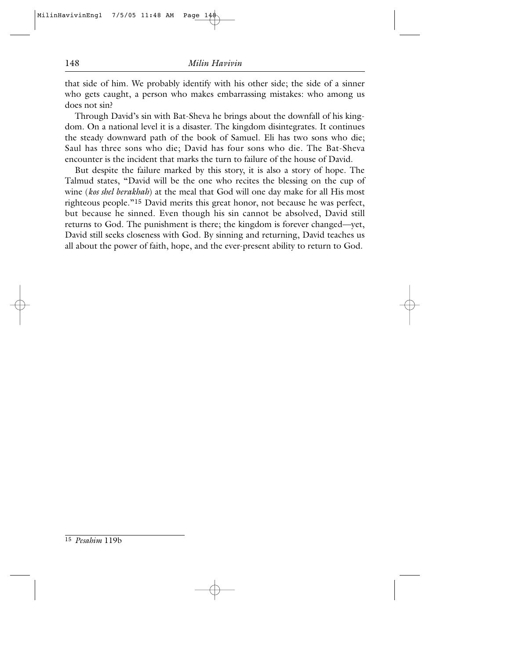that side of him. We probably identify with his other side; the side of a sinner who gets caught, a person who makes embarrassing mistakes: who among us does not sin?

Through David's sin with Bat-Sheva he brings about the downfall of his kingdom. On a national level it is a disaster. The kingdom disintegrates. It continues the steady downward path of the book of Samuel. Eli has two sons who die; Saul has three sons who die; David has four sons who die. The Bat-Sheva encounter is the incident that marks the turn to failure of the house of David.

But despite the failure marked by this story, it is also a story of hope. The Talmud states, "David will be the one who recites the blessing on the cup of wine (*kos shel berakhah*) at the meal that God will one day make for all His most righteous people."15 David merits this great honor, not because he was perfect, but because he sinned. Even though his sin cannot be absolved, David still returns to God. The punishment is there; the kingdom is forever changed—yet, David still seeks closeness with God. By sinning and returning, David teaches us all about the power of faith, hope, and the ever-present ability to return to God.

15 *Pesahim* 119b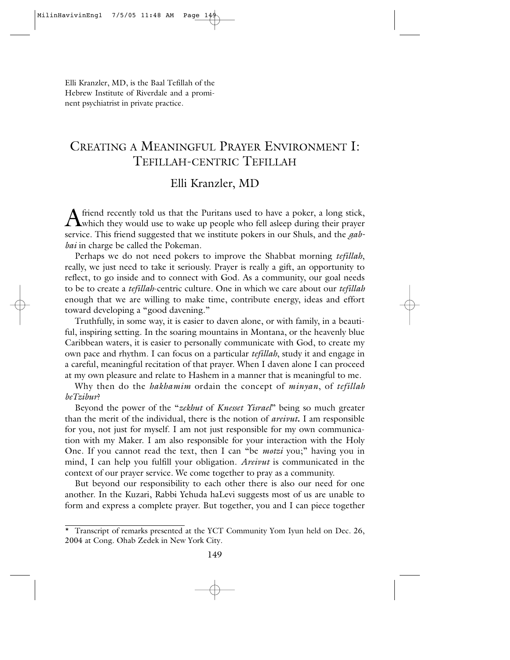Elli Kranzler, MD, is the Baal Tefillah of the Hebrew Institute of Riverdale and a prominent psychiatrist in private practice.

## CREATING A MEANINGFUL PRAYER ENVIRONMENT I: TEFILLAH-CENTRIC TEFILLAH

#### Elli Kranzler, MD

Afriend recently told us that the Puritans used to have a poker, a long stick,<br>which they would use to wake up people who fell asleep during their prayer service. This friend suggested that we institute pokers in our Shuls, and the *gabbai* in charge be called the Pokeman.

Perhaps we do not need pokers to improve the Shabbat morning *tefillah*, really, we just need to take it seriously. Prayer is really a gift, an opportunity to reflect, to go inside and to connect with God. As a community, our goal needs to be to create a *tefillah*-centric culture. One in which we care about our *tefillah* enough that we are willing to make time, contribute energy, ideas and effort toward developing a "good davening."

Truthfully, in some way, it is easier to daven alone, or with family, in a beautiful, inspiring setting. In the soaring mountains in Montana, or the heavenly blue Caribbean waters, it is easier to personally communicate with God, to create my own pace and rhythm. I can focus on a particular *tefillah*, study it and engage in a careful, meaningful recitation of that prayer. When I daven alone I can proceed at my own pleasure and relate to Hashem in a manner that is meaningful to me.

Why then do the *hakhamim* ordain the concept of *minyan*, of *tefillah beTzibur*?

Beyond the power of the "*zekhut* of *Knesset Yisrael*" being so much greater than the merit of the individual, there is the notion of *areivut***.** I am responsible for you, not just for myself. I am not just responsible for my own communication with my Maker. I am also responsible for your interaction with the Holy One. If you cannot read the text, then I can "be *motzi* you;" having you in mind, I can help you fulfill your obligation. *Areivut* is communicated in the context of our prayer service. We come together to pray as a community.

But beyond our responsibility to each other there is also our need for one another. In the Kuzari, Rabbi Yehuda haLevi suggests most of us are unable to form and express a complete prayer. But together, you and I can piece together

Transcript of remarks presented at the YCT Community Yom Iyun held on Dec. 26, 2004 at Cong. Ohab Zedek in New York City.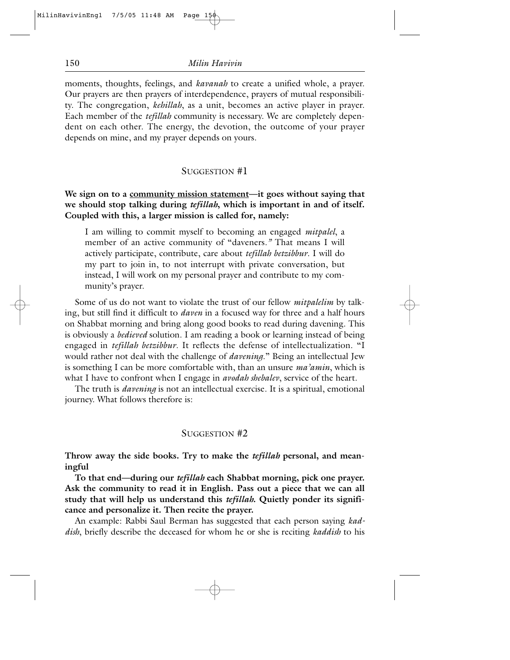moments, thoughts, feelings, and *kavanah* to create a unified whole, a prayer. Our prayers are then prayers of interdependence, prayers of mutual responsibility. The congregation, *kehillah*, as a unit, becomes an active player in prayer. Each member of the *tefillah* community is necessary. We are completely dependent on each other. The energy, the devotion, the outcome of your prayer depends on mine, and my prayer depends on yours.

#### SUGGESTION #1

#### **We sign on to a community mission statement—it goes without saying that we should stop talking during** *tefillah***, which is important in and of itself. Coupled with this, a larger mission is called for, namely:**

I am willing to commit myself to becoming an engaged *mitpalel*, a member of an active community of "daveners*."* That means I will actively participate, contribute, care about *tefillah betzibbur*. I will do my part to join in, to not interrupt with private conversation, but instead, I will work on my personal prayer and contribute to my community's prayer.

Some of us do not want to violate the trust of our fellow *mitpalelim* by talking, but still find it difficult to *daven* in a focused way for three and a half hours on Shabbat morning and bring along good books to read during davening. This is obviously a *bedieved* solution. I am reading a book or learning instead of being engaged in *tefillah betzibbur*. It reflects the defense of intellectualization. "I would rather not deal with the challenge of *davening*." Being an intellectual Jew is something I can be more comfortable with, than an unsure *ma'amin*, which is what I have to confront when I engage in *avodah shebalev*, service of the heart.

The truth is *davening* is not an intellectual exercise. It is a spiritual, emotional journey. What follows therefore is:

#### SUGGESTION #2

**Throw away the side books. Try to make the** *tefillah* **personal, and meaningful**

**To that end—during our** *tefillah* **each Shabbat morning, pick one prayer. Ask the community to read it in English. Pass out a piece that we can all study that will help us understand this** *tefillah***. Quietly ponder its significance and personalize it. Then recite the prayer.**

An example: Rabbi Saul Berman has suggested that each person saying *kaddish*, briefly describe the deceased for whom he or she is reciting *kaddish* to his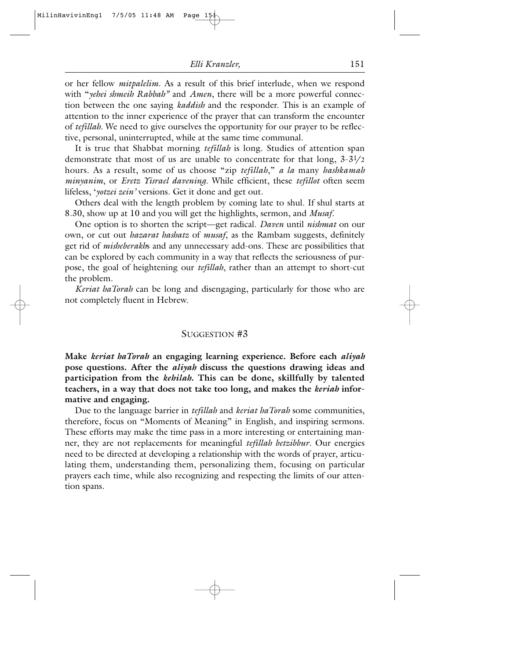*Elli Kranzler,* 151

or her fellow *mitpalelim*. As a result of this brief interlude, when we respond with "*yehei shmeih Rabbah"* and *Amen*, there will be a more powerful connection between the one saying *kaddish* and the responder. This is an example of attention to the inner experience of the prayer that can transform the encounter of *tefillah*. We need to give ourselves the opportunity for our prayer to be reflective, personal, uninterrupted, while at the same time communal.

It is true that Shabbat morning *tefillah* is long. Studies of attention span demonstrate that most of us are unable to concentrate for that long, 3-31/2 hours. As a result, some of us choose "zip *tefillah*," *a la* many *hashkamah minyanim*, or *Eretz Yisrael davening*. While efficient, these *tefillot* often seem lifeless, '*yotzei zein'* versions. Get it done and get out.

Others deal with the length problem by coming late to shul. If shul starts at 8.30, show up at 10 and you will get the highlights, sermon, and *Musaf*.

One option is to shorten the script—get radical. *Daven* until *nishmat* on our own, or cut out *hazarat hashatz* of *musaf*, as the Rambam suggests, definitely get rid of *misheberakh*s and any unnecessary add-ons. These are possibilities that can be explored by each community in a way that reflects the seriousness of purpose, the goal of heightening our *tefillah*, rather than an attempt to short-cut the problem.

*Keriat haTorah* can be long and disengaging, particularly for those who are not completely fluent in Hebrew.

#### SUGGESTION #3

**Make** *keriat haTorah* **an engaging learning experience. Before each** *aliyah* **pose questions. After the** *aliyah* **discuss the questions drawing ideas and participation from the** *kehilah***. This can be done, skillfully by talented teachers, in a way that does not take too long, and makes the** *keriah* **informative and engaging.**

Due to the language barrier in *tefillah* and *keriat haTorah* some communities, therefore, focus on "Moments of Meaning" in English, and inspiring sermons. These efforts may make the time pass in a more interesting or entertaining manner, they are not replacements for meaningful *tefillah betzibbur*. Our energies need to be directed at developing a relationship with the words of prayer, articulating them, understanding them, personalizing them, focusing on particular prayers each time, while also recognizing and respecting the limits of our attention spans.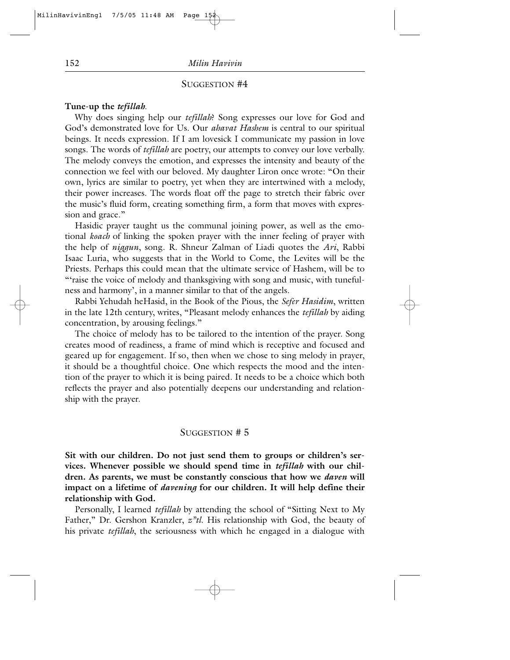#### SUGGESTION #4

#### **Tune-up the** *tefillah*.

Why does singing help our *tefillah*? Song expresses our love for God and God's demonstrated love for Us. Our *ahavat Hashem* is central to our spiritual beings. It needs expression. If I am lovesick I communicate my passion in love songs. The words of *tefillah* are poetry, our attempts to convey our love verbally. The melody conveys the emotion, and expresses the intensity and beauty of the connection we feel with our beloved. My daughter Liron once wrote: "On their own, lyrics are similar to poetry, yet when they are intertwined with a melody, their power increases. The words float off the page to stretch their fabric over the music's fluid form, creating something firm, a form that moves with expression and grace."

Hasidic prayer taught us the communal joining power, as well as the emotional *koach* of linking the spoken prayer with the inner feeling of prayer with the help of *niggun*, song. R. Shneur Zalman of Liadi quotes the *Ari*, Rabbi Isaac Luria, who suggests that in the World to Come, the Levites will be the Priests. Perhaps this could mean that the ultimate service of Hashem, will be to "'raise the voice of melody and thanksgiving with song and music, with tunefulness and harmony', in a manner similar to that of the angels.

Rabbi Yehudah heHasid, in the Book of the Pious, the *Sefer Hasidim*, written in the late 12th century, writes, "Pleasant melody enhances the *tefillah* by aiding concentration, by arousing feelings."

The choice of melody has to be tailored to the intention of the prayer. Song creates mood of readiness, a frame of mind which is receptive and focused and geared up for engagement. If so, then when we chose to sing melody in prayer, it should be a thoughtful choice. One which respects the mood and the intention of the prayer to which it is being paired. It needs to be a choice which both reflects the prayer and also potentially deepens our understanding and relationship with the prayer.

#### SUGGESTION # 5

**Sit with our children. Do not just send them to groups or children's services. Whenever possible we should spend time in** *tefillah* **with our children. As parents, we must be constantly conscious that how we** *daven* **will impact on a lifetime of** *davening* **for our children. It will help define their relationship with God.**

Personally, I learned *tefillah* by attending the school of "Sitting Next to My Father," Dr. Gershon Kranzler, *z"tl*. His relationship with God, the beauty of his private *tefillah*, the seriousness with which he engaged in a dialogue with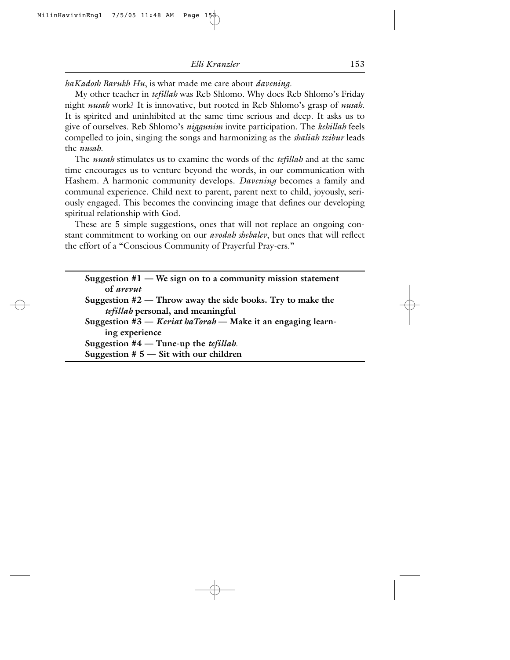*Elli Kranzler* 153

*haKadosh Barukh Hu*, is what made me care about *davening*.

My other teacher in *tefillah* was Reb Shlomo. Why does Reb Shlomo's Friday night *nusah* work? It is innovative, but rooted in Reb Shlomo's grasp of *nusah*. It is spirited and uninhibited at the same time serious and deep. It asks us to give of ourselves. Reb Shlomo's *niggunim* invite participation. The *kehillah* feels compelled to join, singing the songs and harmonizing as the *shaliah tzibur* leads the *nusah*.

The *nusah* stimulates us to examine the words of the *tefillah* and at the same time encourages us to venture beyond the words, in our communication with Hashem. A harmonic community develops. *Davening* becomes a family and communal experience. Child next to parent, parent next to child, joyously, seriously engaged. This becomes the convincing image that defines our developing spiritual relationship with God.

These are 5 simple suggestions, ones that will not replace an ongoing constant commitment to working on our *avodah shebalev*, but ones that will reflect the effort of a "Conscious Community of Prayerful Pray-ers."

| Suggestion $#1$ — We sign on to a community mission statement |
|---------------------------------------------------------------|
| of arevut                                                     |
| Suggestion $#2$ — Throw away the side books. Try to make the  |
| tefillah personal, and meaningful                             |
| Suggestion #3 - Keriat haTorah - Make it an engaging learn-   |
| ing experience                                                |
| Suggestion $#4$ — Tune-up the <i>tefillah</i> .               |
| Suggestion $# 5$ — Sit with our children                      |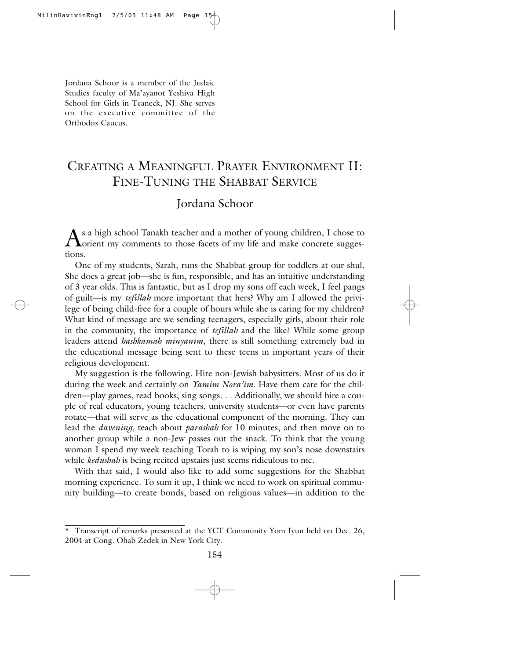Jordana Schoor is a member of the Judaic Studies faculty of Ma'ayanot Yeshiva High School for Girls in Teaneck, NJ. She serves on the executive committee of the Orthodox Caucus.

## CREATING A MEANINGFUL PRAYER ENVIRONMENT II: FINE-TUNING THE SHABBAT SERVICE

### Jordana Schoor

As a high school Tanakh teacher and a mother of young children, I chose to correct suggestions.

One of my students, Sarah, runs the Shabbat group for toddlers at our shul. She does a great job—she is fun, responsible, and has an intuitive understanding of 3 year olds. This is fantastic, but as I drop my sons off each week, I feel pangs of guilt—is my *tefillah* more important that hers? Why am I allowed the privilege of being child-free for a couple of hours while she is caring for my children? What kind of message are we sending teenagers, especially girls, about their role in the community, the importance of *tefillah* and the like? While some group leaders attend *hashkamah minyanim*, there is still something extremely bad in the educational message being sent to these teens in important years of their religious development.

My suggestion is the following. Hire non-Jewish babysitters. Most of us do it during the week and certainly on *Yamim Nora'im*. Have them care for the children—play games, read books, sing songs. . . Additionally, we should hire a couple of real educators, young teachers, university students—or even have parents rotate—that will serve as the educational component of the morning. They can lead the *davening*, teach about *parashah* for 10 minutes, and then move on to another group while a non-Jew passes out the snack. To think that the young woman I spend my week teaching Torah to is wiping my son's nose downstairs while *kedushah* is being recited upstairs just seems ridiculous to me.

With that said, I would also like to add some suggestions for the Shabbat morning experience. To sum it up, I think we need to work on spiritual community building—to create bonds, based on religious values—in addition to the

Transcript of remarks presented at the YCT Community Yom Iyun held on Dec. 26, 2004 at Cong. Ohab Zedek in New York City.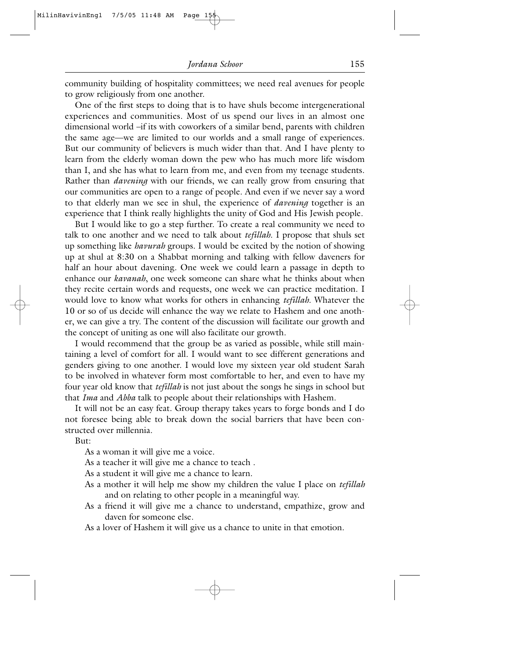*Jordana Schoor* 155

community building of hospitality committees; we need real avenues for people to grow religiously from one another.

One of the first steps to doing that is to have shuls become intergenerational experiences and communities. Most of us spend our lives in an almost one dimensional world –if its with coworkers of a similar bend, parents with children the same age—we are limited to our worlds and a small range of experiences. But our community of believers is much wider than that. And I have plenty to learn from the elderly woman down the pew who has much more life wisdom than I, and she has what to learn from me, and even from my teenage students. Rather than *davening* with our friends, we can really grow from ensuring that our communities are open to a range of people. And even if we never say a word to that elderly man we see in shul, the experience of *davening* together is an experience that I think really highlights the unity of God and His Jewish people.

But I would like to go a step further. To create a real community we need to talk to one another and we need to talk about *tefillah*. I propose that shuls set up something like *havurah* groups. I would be excited by the notion of showing up at shul at 8:30 on a Shabbat morning and talking with fellow daveners for half an hour about davening. One week we could learn a passage in depth to enhance our *kavanah*, one week someone can share what he thinks about when they recite certain words and requests, one week we can practice meditation. I would love to know what works for others in enhancing *tefillah*. Whatever the 10 or so of us decide will enhance the way we relate to Hashem and one another, we can give a try. The content of the discussion will facilitate our growth and the concept of uniting as one will also facilitate our growth.

I would recommend that the group be as varied as possible, while still maintaining a level of comfort for all. I would want to see different generations and genders giving to one another. I would love my sixteen year old student Sarah to be involved in whatever form most comfortable to her, and even to have my four year old know that *tefillah* is not just about the songs he sings in school but that *Ima* and *Abba* talk to people about their relationships with Hashem.

It will not be an easy feat. Group therapy takes years to forge bonds and I do not foresee being able to break down the social barriers that have been constructed over millennia.

But:

As a woman it will give me a voice.

As a teacher it will give me a chance to teach .

As a student it will give me a chance to learn.

- As a mother it will help me show my children the value I place on *tefillah* and on relating to other people in a meaningful way.
- As a friend it will give me a chance to understand, empathize, grow and daven for someone else.

As a lover of Hashem it will give us a chance to unite in that emotion.